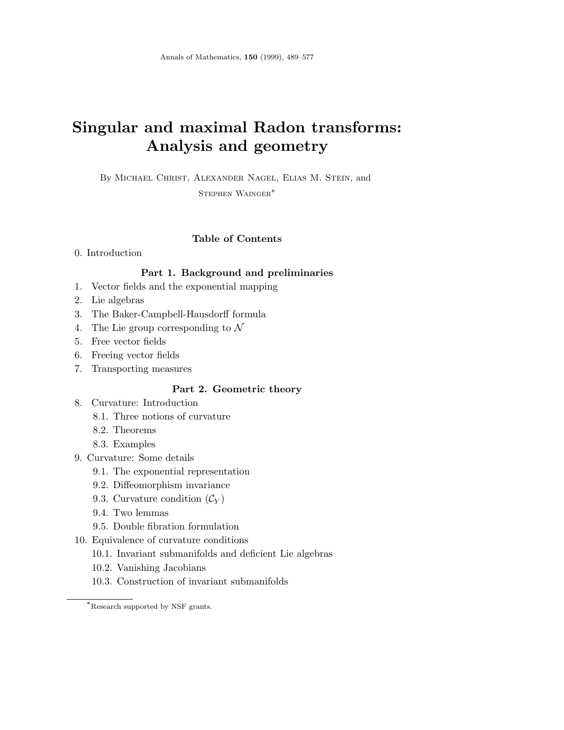# **Singular and maximal Radon transforms: Analysis and geometry**

By Michael Christ, Alexander Nagel, Elias M. Stein, and Stephen Wainger∗

# **Table of Contents**

# 0. Introduction

# **Part 1. Background and preliminaries**

- 1. Vector fields and the exponential mapping
- 2. Lie algebras
- 3. The Baker-Campbell-Hausdorff formula
- 4. The Lie group corresponding to  $\mathcal N$
- 5. Free vector fields
- 6. Freeing vector fields
- 7. Transporting measures

# **Part 2. Geometric theory**

- 8. Curvature: Introduction
	- 8.1. Three notions of curvature
	- 8.2. Theorems
	- 8.3. Examples
- 9. Curvature: Some details
	- 9.1. The exponential representation
	- 9.2. Diffeomorphism invariance
	- 9.3. Curvature condition  $(\mathcal{C}_Y)$
	- 9.4. Two lemmas
	- 9.5. Double fibration formulation
- 10. Equivalence of curvature conditions
	- 10.1. Invariant submanifolds and deficient Lie algebras
	- 10.2. Vanishing Jacobians
	- 10.3. Construction of invariant submanifolds

<sup>∗</sup>Research supported by NSF grants.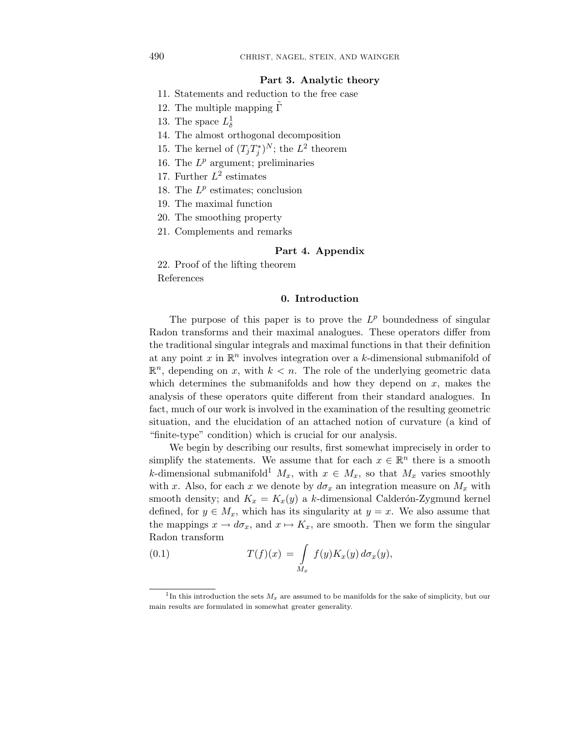## **Part 3. Analytic theory**

- 11. Statements and reduction to the free case
- 12. The multiple mapping  $Γ$
- 13. The space  $L^1_\delta$
- 14. The almost orthogonal decomposition
- 15. The kernel of  $(T_j T_j^*)^N$ ; the  $L^2$  theorem
- 16. The *L<sup>p</sup>* argument; preliminaries
- 17. Further *L*<sup>2</sup> estimates
- 18. The *L<sup>p</sup>* estimates; conclusion
- 19. The maximal function
- 20. The smoothing property
- 21. Complements and remarks

## **Part 4. Appendix**

22. Proof of the lifting theorem References

# **0. Introduction**

The purpose of this paper is to prove the  $L^p$  boundedness of singular Radon transforms and their maximal analogues. These operators differ from the traditional singular integrals and maximal functions in that their definition at any point *x* in R*<sup>n</sup>* involves integration over a *k*-dimensional submanifold of  $\mathbb{R}^n$ , depending on *x*, with  $k < n$ . The role of the underlying geometric data which determines the submanifolds and how they depend on *x*, makes the analysis of these operators quite different from their standard analogues. In fact, much of our work is involved in the examination of the resulting geometric situation, and the elucidation of an attached notion of curvature (a kind of "finite-type" condition) which is crucial for our analysis.

We begin by describing our results, first somewhat imprecisely in order to simplify the statements. We assume that for each  $x \in \mathbb{R}^n$  there is a smooth *k*-dimensional submanifold<sup>1</sup>  $M_x$ , with  $x \in M_x$ , so that  $M_x$  varies smoothly with *x*. Also, for each *x* we denote by  $d\sigma_x$  an integration measure on  $M_x$  with smooth density; and  $K_x = K_x(y)$  a *k*-dimensional Calderón-Zygmund kernel defined, for  $y \in M_x$ , which has its singularity at  $y = x$ . We also assume that the mappings  $x \to d\sigma_x$ , and  $x \mapsto K_x$ , are smooth. Then we form the singular Radon transform

(0.1) 
$$
T(f)(x) = \int\limits_{M_x} f(y)K_x(y) d\sigma_x(y),
$$

<sup>&</sup>lt;sup>1</sup>In this introduction the sets  $M_x$  are assumed to be manifolds for the sake of simplicity, but our main results are formulated in somewhat greater generality.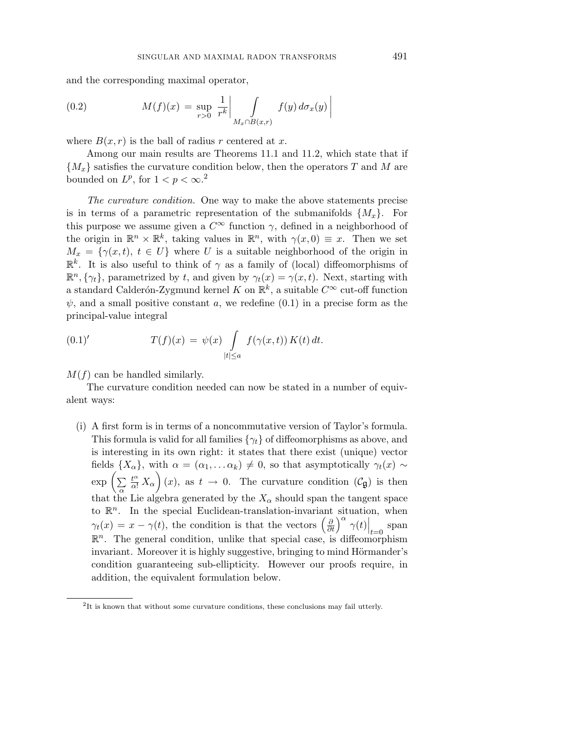and the corresponding maximal operator,

(0.2) 
$$
M(f)(x) = \sup_{r>0} \left. \frac{1}{r^k} \right| \int_{M_x \cap B(x,r)} f(y) d\sigma_x(y)
$$

where  $B(x, r)$  is the ball of radius r centered at x.

Among our main results are Theorems 11.1 and 11.2, which state that if {*Mx*} satisfies the curvature condition below, then the operators *T* and *M* are bounded on  $L^p$ , for  $1 < p < \infty$ .<sup>2</sup>

The curvature condition. One way to make the above statements precise is in terms of a parametric representation of the submanifolds  $\{M_x\}$ . For this purpose we assume given a  $C^{\infty}$  function  $\gamma$ , defined in a neighborhood of the origin in  $\mathbb{R}^n \times \mathbb{R}^k$ , taking values in  $\mathbb{R}^n$ , with  $\gamma(x,0) \equiv x$ . Then we set  $M_x = \{ \gamma(x, t), t \in U \}$  where *U* is a suitable neighborhood of the origin in  $\mathbb{R}^k$ . It is also useful to think of  $\gamma$  as a family of (local) diffeomorphisms of  $\mathbb{R}^n$ ,  $\{\gamma_t\}$ , parametrized by *t*, and given by  $\gamma_t(x) = \gamma(x, t)$ . Next, starting with a standard Calderón-Zygmund kernel *K* on  $\mathbb{R}^k$ , a suitable  $C^{\infty}$  cut-off function  $\psi$ , and a small positive constant *a*, we redefine  $(0.1)$  in a precise form as the principal-value integral

(0.1)' 
$$
T(f)(x) = \psi(x) \int\limits_{|t| \le a} f(\gamma(x,t)) K(t) dt.
$$

 $M(f)$  can be handled similarly.

The curvature condition needed can now be stated in a number of equivalent ways:

(i) A first form is in terms of a noncommutative version of Taylor's formula. This formula is valid for all families {*γt*} of diffeomorphisms as above, and is interesting in its own right: it states that there exist (unique) vector fields  $\{X_\alpha\}$ , with  $\alpha = (\alpha_1, \ldots \alpha_k) \neq 0$ , so that asymptotically  $\gamma_t(x) \sim$  $\exp\left(\sum_{\alpha}$  $\frac{t^{\alpha}}{\alpha!} X_{\alpha}$  (*x*), as  $t \to 0$ . The curvature condition ( $\mathcal{C}_{\mathfrak{g}}$ ) is then that the Lie algebra generated by the  $X_{\alpha}$  should span the tangent space to  $\mathbb{R}^n$ . In the special Euclidean-translation-invariant situation, when  $\gamma_t(x) = x - \gamma(t)$ , the condition is that the vectors  $\left(\frac{\partial}{\partial t}\right)^{\alpha} \gamma(t) \Big|_{t=0}$  span  $\mathbb{R}^n$ . The general condition, unlike that special case, is diffeomorphism invariant. Moreover it is highly suggestive, bringing to mind Hörmander's condition guaranteeing sub-ellipticity. However our proofs require, in addition, the equivalent formulation below.

 $\overline{\phantom{a}}$  $\overline{\phantom{a}}$  $\overline{\phantom{a}}$  $\overline{a}$ 

<sup>&</sup>lt;sup>2</sup>It is known that without some curvature conditions, these conclusions may fail utterly.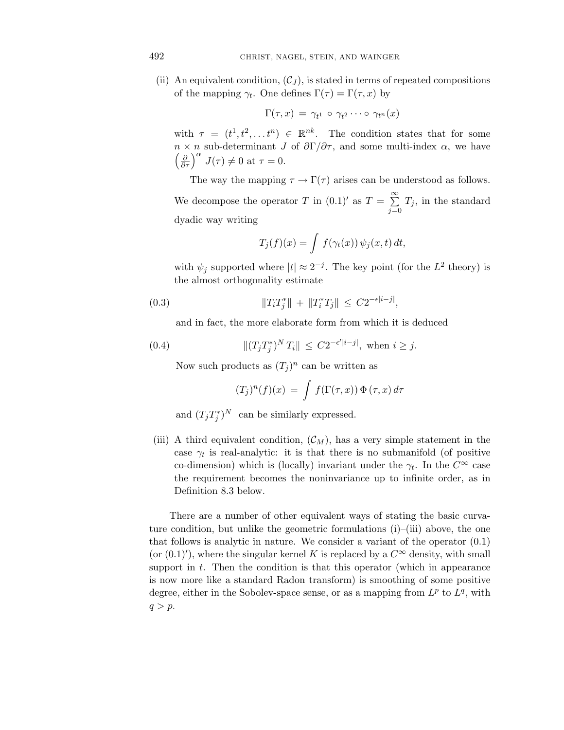(ii) An equivalent condition,  $(C_J)$ , is stated in terms of repeated compositions of the mapping  $\gamma_t$ . One defines  $\Gamma(\tau) = \Gamma(\tau, x)$  by

$$
\Gamma(\tau,x) = \gamma_{t^1} \circ \gamma_{t^2} \cdots \circ \gamma_{t^n}(x)
$$

with  $\tau = (t^1, t^2, \dots t^n) \in \mathbb{R}^{nk}$ . The condition states that for some *n* × *n* sub-determinant *J* of  $\partial\Gamma/\partial\tau$ , and some multi-index  $\alpha$ , we have  $\left(\frac{\partial}{\partial \tau}\right)^{\alpha} J(\tau) \neq 0$  at  $\tau = 0$ .

The way the mapping  $\tau \to \Gamma(\tau)$  arises can be understood as follows.

We decompose the operator *T* in  $(0.1)'$  as  $T = \sum_{n=1}^{\infty}$  $\sum_{j=0}$   $T_j$ , in the standard dyadic way writing

$$
T_j(f)(x) = \int f(\gamma_t(x)) \psi_j(x, t) dt,
$$

with  $\psi_j$  supported where  $|t| \approx 2^{-j}$ . The key point (for the  $L^2$  theory) is the almost orthogonality estimate

(0.3) 
$$
||T_i T_j^*|| + ||T_i^* T_j|| \leq C 2^{-\epsilon |i-j|},
$$

and in fact, the more elaborate form from which it is deduced

(0.4) 
$$
||(T_j T_j^*)^N T_i|| \leq C2^{-\epsilon'|i-j|}, \text{ when } i \geq j.
$$

Now such products as  $(T_i)^n$  can be written as

$$
(T_j)^n(f)(x) = \int f(\Gamma(\tau, x)) \Phi(\tau, x) d\tau
$$

and  $(T_j T_j^*)^N$  can be similarly expressed.

(iii) A third equivalent condition,  $(\mathcal{C}_M)$ , has a very simple statement in the case  $\gamma_t$  is real-analytic: it is that there is no submanifold (of positive co-dimension) which is (locally) invariant under the  $\gamma_t$ . In the  $C^{\infty}$  case the requirement becomes the noninvariance up to infinite order, as in Definition 8.3 below.

There are a number of other equivalent ways of stating the basic curvature condition, but unlike the geometric formulations  $(i)$ – $(iii)$  above, the one that follows is analytic in nature. We consider a variant of the operator (0.1) (or  $(0.1)'$ ), where the singular kernel *K* is replaced by a  $C^{\infty}$  density, with small support in *t*. Then the condition is that this operator (which in appearance is now more like a standard Radon transform) is smoothing of some positive degree, either in the Sobolev-space sense, or as a mapping from *L<sup>p</sup>* to *Lq*, with  $q>p$ .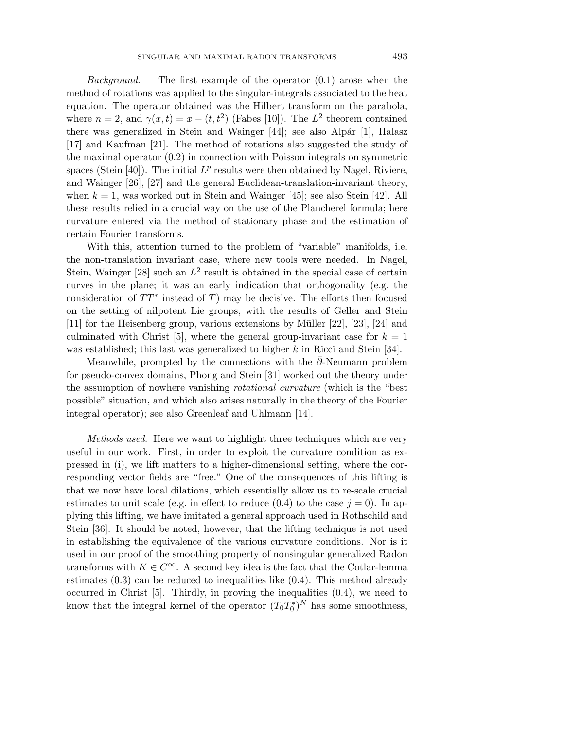Background. The first example of the operator  $(0.1)$  arose when the method of rotations was applied to the singular-integrals associated to the heat equation. The operator obtained was the Hilbert transform on the parabola, where  $n = 2$ , and  $\gamma(x, t) = x - (t, t^2)$  (Fabes [10]). The  $L^2$  theorem contained there was generalized in Stein and Wainger  $[44]$ ; see also Alpár  $[1]$ , Halasz [17] and Kaufman [21]. The method of rotations also suggested the study of the maximal operator (0.2) in connection with Poisson integrals on symmetric spaces (Stein [40]). The initial  $L^p$  results were then obtained by Nagel, Riviere, and Wainger [26], [27] and the general Euclidean-translation-invariant theory, when  $k = 1$ , was worked out in Stein and Wainger [45]; see also Stein [42]. All these results relied in a crucial way on the use of the Plancherel formula; here curvature entered via the method of stationary phase and the estimation of certain Fourier transforms.

With this, attention turned to the problem of "variable" manifolds, i.e. the non-translation invariant case, where new tools were needed. In Nagel, Stein, Wainger  $[28]$  such an  $L^2$  result is obtained in the special case of certain curves in the plane; it was an early indication that orthogonality (e.g. the consideration of  $TT^*$  instead of *T*) may be decisive. The efforts then focused on the setting of nilpotent Lie groups, with the results of Geller and Stein [11] for the Heisenberg group, various extensions by Müller [22], [23], [24] and culminated with Christ  $[5]$ , where the general group-invariant case for  $k = 1$ was established; this last was generalized to higher *k* in Ricci and Stein [34].

Meanwhile, prompted by the connections with the *∂*¯-Neumann problem for pseudo-convex domains, Phong and Stein [31] worked out the theory under the assumption of nowhere vanishing rotational curvature (which is the "best possible" situation, and which also arises naturally in the theory of the Fourier integral operator); see also Greenleaf and Uhlmann [14].

Methods used. Here we want to highlight three techniques which are very useful in our work. First, in order to exploit the curvature condition as expressed in (i), we lift matters to a higher-dimensional setting, where the corresponding vector fields are "free." One of the consequences of this lifting is that we now have local dilations, which essentially allow us to re-scale crucial estimates to unit scale (e.g. in effect to reduce  $(0.4)$  to the case  $j = 0$ ). In applying this lifting, we have imitated a general approach used in Rothschild and Stein [36]. It should be noted, however, that the lifting technique is not used in establishing the equivalence of the various curvature conditions. Nor is it used in our proof of the smoothing property of nonsingular generalized Radon transforms with  $K \in C^{\infty}$ . A second key idea is the fact that the Cotlar-lemma estimates  $(0.3)$  can be reduced to inequalities like  $(0.4)$ . This method already occurred in Christ [5]. Thirdly, in proving the inequalities (0.4), we need to know that the integral kernel of the operator  $(T_0 T_0^*)^N$  has some smoothness,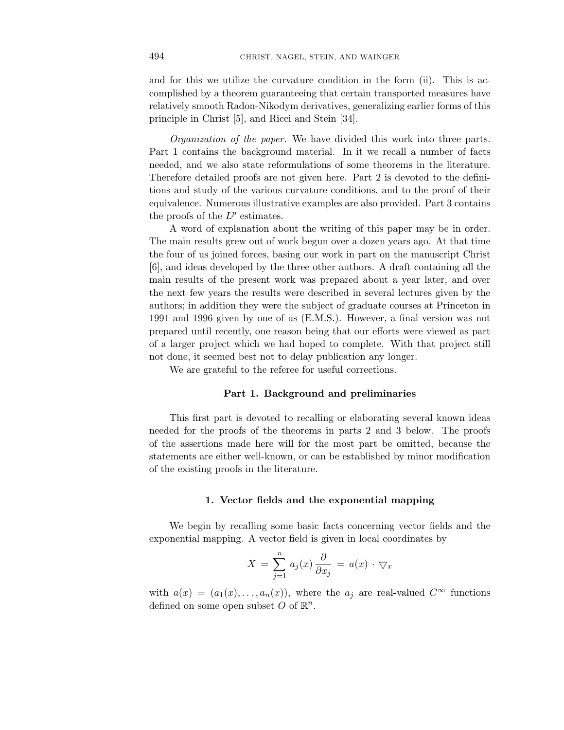and for this we utilize the curvature condition in the form (ii). This is accomplished by a theorem guaranteeing that certain transported measures have relatively smooth Radon-Nikodym derivatives, generalizing earlier forms of this principle in Christ [5], and Ricci and Stein [34].

Organization of the paper. We have divided this work into three parts. Part 1 contains the background material. In it we recall a number of facts needed, and we also state reformulations of some theorems in the literature. Therefore detailed proofs are not given here. Part 2 is devoted to the definitions and study of the various curvature conditions, and to the proof of their equivalence. Numerous illustrative examples are also provided. Part 3 contains the proofs of the  $L^p$  estimates.

A word of explanation about the writing of this paper may be in order. The main results grew out of work begun over a dozen years ago. At that time the four of us joined forces, basing our work in part on the manuscript Christ [6], and ideas developed by the three other authors. A draft containing all the main results of the present work was prepared about a year later, and over the next few years the results were described in several lectures given by the authors; in addition they were the subject of graduate courses at Princeton in 1991 and 1996 given by one of us (E.M.S.). However, a final version was not prepared until recently, one reason being that our efforts were viewed as part of a larger project which we had hoped to complete. With that project still not done, it seemed best not to delay publication any longer.

We are grateful to the referee for useful corrections.

#### **Part 1. Background and preliminaries**

This first part is devoted to recalling or elaborating several known ideas needed for the proofs of the theorems in parts 2 and 3 below. The proofs of the assertions made here will for the most part be omitted, because the statements are either well-known, or can be established by minor modification of the existing proofs in the literature.

#### **1. Vector fields and the exponential mapping**

We begin by recalling some basic facts concerning vector fields and the exponential mapping. A vector field is given in local coordinates by

$$
X = \sum_{j=1}^{n} a_j(x) \frac{\partial}{\partial x_j} = a(x) \cdot \nabla_x
$$

with  $a(x)=(a_1(x),...,a_n(x))$ , where the  $a_i$  are real-valued  $C^{\infty}$  functions defined on some open subset  $O$  of  $\mathbb{R}^n$ .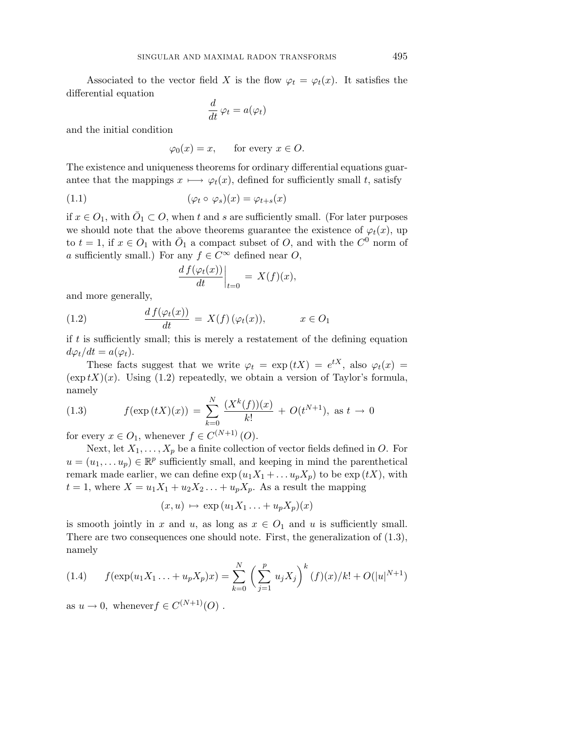Associated to the vector field *X* is the flow  $\varphi_t = \varphi_t(x)$ . It satisfies the differential equation

$$
\frac{d}{dt}\,\varphi_t=a(\varphi_t)
$$

and the initial condition

$$
\varphi_0(x) = x
$$
, for every  $x \in O$ .

The existence and uniqueness theorems for ordinary differential equations guarantee that the mappings  $x \mapsto \varphi_t(x)$ , defined for sufficiently small *t*, satisfy

(1.1) 
$$
(\varphi_t \circ \varphi_s)(x) = \varphi_{t+s}(x)
$$

if  $x \in O_1$ , with  $O_1 \subset O$ , when  $t$  and  $s$  are sufficiently small. (For later purposes we should note that the above theorems guarantee the existence of  $\varphi_t(x)$ , up to  $t = 1$ , if  $x \in O_1$  with  $\overline{O}_1$  a compact subset of *O*, and with the  $C^0$  norm of *a* sufficiently small.) For any  $f \in C^{\infty}$  defined near *O*,

$$
\left. \frac{d f(\varphi_t(x))}{dt} \right|_{t=0} = X(f)(x),
$$

and more generally,

(1.2) 
$$
\frac{df(\varphi_t(x))}{dt} = X(f)(\varphi_t(x)), \qquad x \in O_1
$$

if *t* is sufficiently small; this is merely a restatement of the defining equation  $d\varphi_t/dt = a(\varphi_t).$ 

These facts suggest that we write  $\varphi_t = \exp(tX) = e^{tX}$ , also  $\varphi_t(x) =$  $(\exp tX)(x)$ . Using (1.2) repeatedly, we obtain a version of Taylor's formula, namely

(1.3) 
$$
f(\exp(tX)(x)) = \sum_{k=0}^{N} \frac{(X^k(f))(x)}{k!} + O(t^{N+1}), \text{ as } t \to 0
$$

for every  $x \in O_1$ , whenever  $f \in C^{(N+1)}(O)$ .

Next, let  $X_1, \ldots, X_p$  be a finite collection of vector fields defined in O. For  $u = (u_1, \ldots u_p) \in \mathbb{R}^p$  sufficiently small, and keeping in mind the parenthetical remark made earlier, we can define  $\exp(u_1X_1 + \dots u_pX_p)$  to be  $\exp(tX)$ , with  $t = 1$ , where  $X = u_1 X_1 + u_2 X_2 \ldots + u_p X_p$ . As a result the mapping

$$
(x,u) \mapsto \exp(u_1X_1\ldots+u_pX_p)(x)
$$

is smooth jointly in *x* and *u*, as long as  $x \in O_1$  and *u* is sufficiently small. There are two consequences one should note. First, the generalization of (1.3), namely

(1.4) 
$$
f(\exp(u_1 X_1 ... + u_p X_p)x) = \sum_{k=0}^{N} \left(\sum_{j=1}^{p} u_j X_j\right)^k (f)(x)/k! + O(|u|^{N+1})
$$

as  $u \to 0$ , whenever  $f \in C^{(N+1)}(O)$ .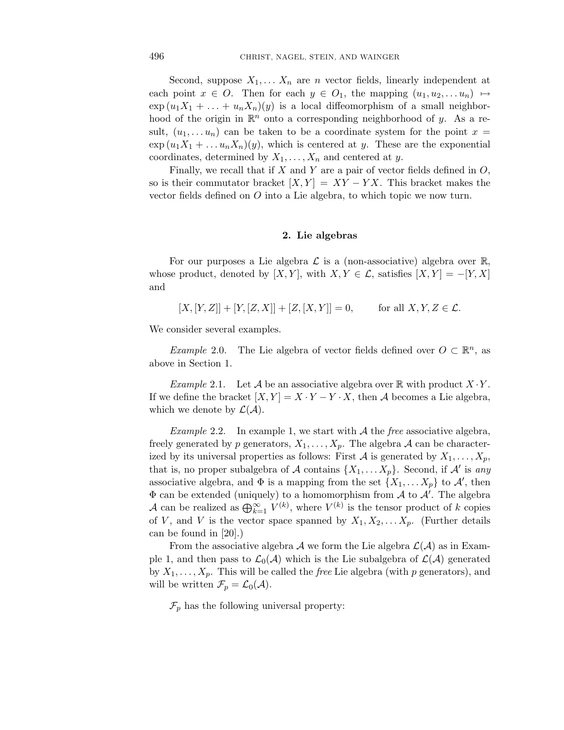Second, suppose  $X_1, \ldots, X_n$  are *n* vector fields, linearly independent at each point  $x \in O$ . Then for each  $y \in O_1$ , the mapping  $(u_1, u_2, \ldots u_n) \mapsto$  $\exp(u_1X_1 + \ldots + u_nX_n)(y)$  is a local diffeomorphism of a small neighborhood of the origin in  $\mathbb{R}^n$  onto a corresponding neighborhood of *y*. As a result,  $(u_1, \ldots, u_n)$  can be taken to be a coordinate system for the point  $x =$  $\exp(u_1X_1 + \ldots u_nX_n)(y)$ , which is centered at *y*. These are the exponential coordinates, determined by  $X_1, \ldots, X_n$  and centered at *y*.

Finally, we recall that if *X* and *Y* are a pair of vector fields defined in *O*, so is their commutator bracket  $[X, Y] = XY - YX$ . This bracket makes the vector fields defined on *O* into a Lie algebra, to which topic we now turn.

#### **2. Lie algebras**

For our purposes a Lie algebra  $\mathcal L$  is a (non-associative) algebra over  $\mathbb R$ , whose product, denoted by [*X,Y*], with *X,Y*  $\in \mathcal{L}$ , satisfies [*X,Y*] = −[*Y,X*] and

$$
[X,[Y,Z]] + [Y,[Z,X]] + [Z,[X,Y]] = 0, \quad \text{for all } X,Y,Z \in \mathcal{L}.
$$

We consider several examples.

Example 2.0. The Lie algebra of vector fields defined over  $O \subset \mathbb{R}^n$ , as above in Section 1.

*Example* 2.1. Let  $\mathcal A$  be an associative algebra over  $\mathbb R$  with product  $X \cdot Y$ . If we define the bracket  $[X, Y] = X \cdot Y - Y \cdot X$ , then A becomes a Lie algebra, which we denote by  $\mathcal{L}(\mathcal{A})$ .

*Example* 2.2. In example 1, we start with  $A$  the *free* associative algebra, freely generated by p generators,  $X_1, \ldots, X_p$ . The algebra A can be characterized by its universal properties as follows: First A is generated by  $X_1, \ldots, X_p$ , that is, no proper subalgebra of A contains  $\{X_1, \ldots X_p\}$ . Second, if A' is any associative algebra, and  $\Phi$  is a mapping from the set  $\{X_1, \ldots X_p\}$  to  $\mathcal{A}'$ , then  $\Phi$  can be extended (uniquely) to a homomorphism from  $\mathcal A$  to  $\mathcal A'$ . The algebra A can be realized as  $\bigoplus_{k=1}^{\infty} V^{(k)}$ , where  $V^{(k)}$  is the tensor product of *k* copies of *V*, and *V* is the vector space spanned by  $X_1, X_2, \ldots, X_p$ . (Further details can be found in [20].)

From the associative algebra A we form the Lie algebra  $\mathcal{L}(\mathcal{A})$  as in Example 1, and then pass to  $\mathcal{L}_0(\mathcal{A})$  which is the Lie subalgebra of  $\mathcal{L}(\mathcal{A})$  generated by  $X_1, \ldots, X_p$ . This will be called the *free* Lie algebra (with *p* generators), and will be written  $\mathcal{F}_p = \mathcal{L}_0(\mathcal{A})$ .

 $\mathcal{F}_p$  has the following universal property: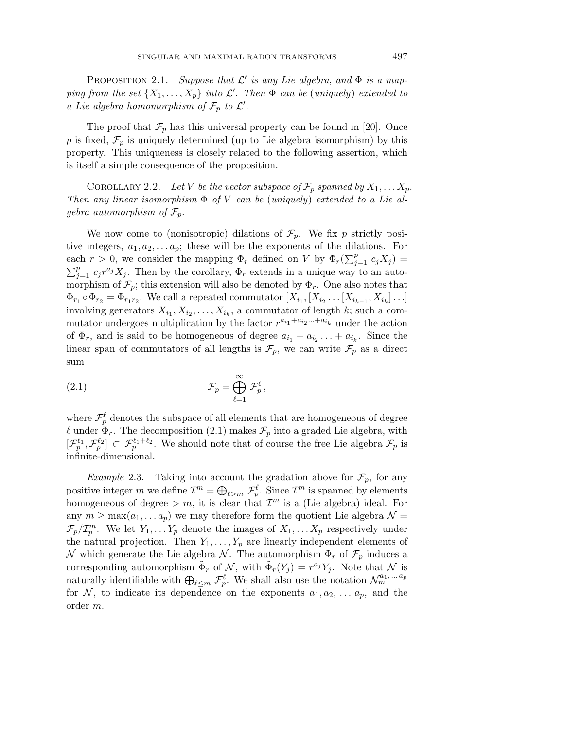PROPOSITION 2.1. Suppose that  $\mathcal{L}'$  is any Lie algebra, and  $\Phi$  is a mapping from the set  $\{X_1, \ldots, X_p\}$  into  $\mathcal{L}'$ . Then  $\Phi$  can be (uniquely) extended to a Lie algebra homomorphism of  $\mathcal{F}_p$  to  $\mathcal{L}'$ .

The proof that  $\mathcal{F}_p$  has this universal property can be found in [20]. Once p is fixed,  $\mathcal{F}_p$  is uniquely determined (up to Lie algebra isomorphism) by this property. This uniqueness is closely related to the following assertion, which is itself a simple consequence of the proposition.

COROLLARY 2.2. Let *V* be the vector subspace of  $\mathcal{F}_p$  spanned by  $X_1, \ldots X_p$ . Then any linear isomorphism Φ of *V* can be (uniquely) extended to a Lie algebra automorphism of  $\mathcal{F}_p$ .

We now come to (nonisotropic) dilations of  $\mathcal{F}_p$ . We fix p strictly positive integers,  $a_1, a_2, \ldots a_p$ ; these will be the exponents of the dilations. For each  $r > 0$ , we consider the mapping  $\Phi_r$  defined on *V* by  $\Phi_r(\sum_{j=1}^p c_j X_j) =$  $\sum_{j=1}^{p} c_j r^{a_j} X_j$ . Then by the corollary,  $\Phi_r$  extends in a unique way to an automorphism of  $\mathcal{F}_p$ ; this extension will also be denoted by  $\Phi_r$ . One also notes that  $\Phi_{r_1} \circ \Phi_{r_2} = \Phi_{r_1 r_2}$ . We call a repeated commutator  $[X_{i_1}, [X_{i_2} \dots [X_{i_{k-1}}, X_{i_k}] \dots]$ involving generators  $X_{i_1}, X_{i_2}, \ldots, X_{i_k}$ , a commutator of length *k*; such a commutator undergoes multiplication by the factor  $r^{a_{i_1}+a_{i_2}...+a_{i_k}}$  under the action of  $\Phi_r$ , and is said to be homogeneous of degree  $a_{i_1} + a_{i_2} \ldots + a_{i_k}$ . Since the linear span of commutators of all lengths is  $\mathcal{F}_p$ , we can write  $\mathcal{F}_p$  as a direct sum

(2.1) 
$$
\mathcal{F}_p = \bigoplus_{\ell=1}^{\infty} \mathcal{F}_p^{\ell},
$$

where  $\mathcal{F}^{\ell}_p$  denotes the subspace of all elements that are homogeneous of degree  $\ell$  under  $\Phi_r$ . The decomposition (2.1) makes  $\mathcal{F}_p$  into a graded Lie algebra, with  $[\mathcal{F}^{\ell_1}_p, \mathcal{F}^{\ell_2}_p] \subset \mathcal{F}^{\ell_1+\ell_2}_p$ . We should note that of course the free Lie algebra  $\mathcal{F}_p$  is infinite-dimensional.

*Example* 2.3. Taking into account the gradation above for  $\mathcal{F}_p$ , for any positive integer *m* we define  $\mathcal{I}^m = \bigoplus_{\ell > m} \mathcal{F}_p^{\ell}$ . Since  $\mathcal{I}^m$  is spanned by elements homogeneous of degree  $> m$ , it is clear that  $\mathcal{I}^m$  is a (Lie algebra) ideal. For any  $m \ge \max(a_1, \ldots a_p)$  we may therefore form the quotient Lie algebra  $\mathcal{N} =$  $\mathcal{F}_p/\mathcal{I}_p^m$ . We let  $Y_1, \ldots Y_p$  denote the images of  $X_1, \ldots X_p$  respectively under the natural projection. Then  $Y_1, \ldots, Y_p$  are linearly independent elements of N which generate the Lie algebra N. The automorphism  $\Phi_r$  of  $\mathcal{F}_p$  induces a corresponding automorphism  $\Phi_r$  of N, with  $\Phi_r(Y_j) = r^{a_j}Y_j$ . Note that N is naturally identifiable with  $\bigoplus_{\ell \leq m} \mathcal{F}_{p}^{\ell}$ . We shall also use the notation  $\mathcal{N}_{m}^{a_1,...a_p}$ for N, to indicate its dependence on the exponents  $a_1, a_2, \ldots, a_p$ , and the order *m*.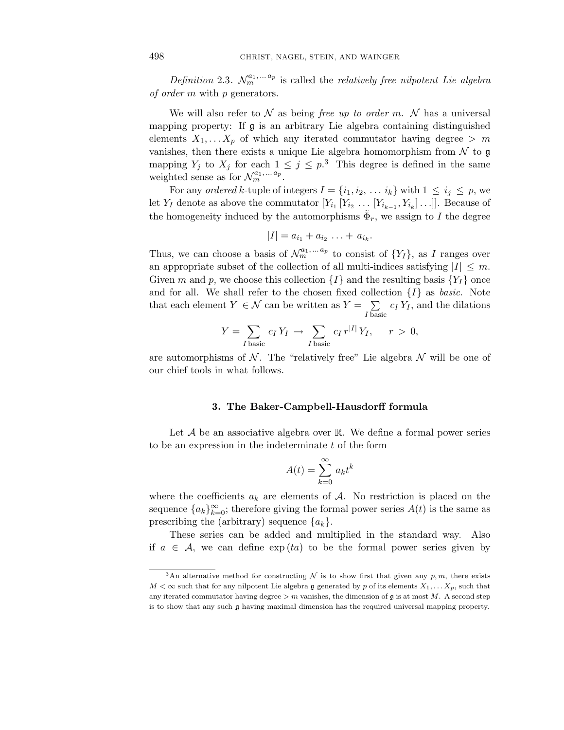Definition 2.3.  $\mathcal{N}_m^{a_1,\ldots a_p}$  is called the *relatively free nilpotent Lie algebra* of order *m* with *p* generators.

We will also refer to  $\mathcal N$  as being free up to order m.  $\mathcal N$  has a universal mapping property: If  $\mathfrak g$  is an arbitrary Lie algebra containing distinguished elements  $X_1, \ldots X_p$  of which any iterated commutator having degree  $> m$ vanishes, then there exists a unique Lie algebra homomorphism from  $\mathcal N$  to  $\mathfrak g$ mapping  $Y_j$  to  $X_j$  for each  $1 \leq j \leq p$ .<sup>3</sup> This degree is defined in the same weighted sense as for  $\mathcal{N}_m^{a_1, \ldots a_p}$ .

For any ordered k-tuple of integers  $I = \{i_1, i_2, \ldots, i_k\}$  with  $1 \leq i_j \leq p$ , we let *Y<sub>I</sub>* denote as above the commutator  $[Y_{i_1} [Y_{i_2} \dots [Y_{i_{k-1}}, Y_{i_k}] \dots]]$ . Because of the homogeneity induced by the automorphisms  $\Phi_r$ , we assign to *I* the degree

$$
|I|=a_{i_1}+a_{i_2}\ldots+a_{i_k}.
$$

Thus, we can choose a basis of  $\mathcal{N}_m^{a_1, \ldots a_p}$  to consist of  $\{Y_I\}$ , as *I* ranges over an appropriate subset of the collection of all multi-indices satisfying  $|I| \leq m$ . Given *m* and *p*, we choose this collection  $\{I\}$  and the resulting basis  $\{Y_I\}$  once and for all. We shall refer to the chosen fixed collection  $\{I\}$  as *basic*. Note that each element  $Y \in \mathcal{N}$  can be written as  $Y = \sum$  $\sum_{I \text{ basic}} c_I Y_I$ , and the dilations

$$
Y = \sum_{I \text{ basic}} c_I Y_I \to \sum_{I \text{ basic}} c_I r^{|I|} Y_I, \quad r > 0,
$$

are automorphisms of  $\mathcal N$ . The "relatively free" Lie algebra  $\mathcal N$  will be one of our chief tools in what follows.

#### **3. The Baker-Campbell-Hausdorff formula**

Let  $\mathcal A$  be an associative algebra over  $\mathbb R$ . We define a formal power series to be an expression in the indeterminate *t* of the form

$$
A(t) = \sum_{k=0}^{\infty} a_k t^k
$$

where the coefficients  $a_k$  are elements of  $A$ . No restriction is placed on the sequence  ${a_k}_{k=0}^{\infty}$ ; therefore giving the formal power series  $A(t)$  is the same as prescribing the (arbitrary) sequence  $\{a_k\}$ .

These series can be added and multiplied in the standard way. Also if  $a \in \mathcal{A}$ , we can define  $\exp(ta)$  to be the formal power series given by

<sup>&</sup>lt;sup>3</sup>An alternative method for constructing  $\mathcal N$  is to show first that given any  $p, m$ , there exists  $M < \infty$  such that for any nilpotent Lie algebra g generated by p of its elements  $X_1, \ldots, X_p$ , such that any iterated commutator having degree  $> m$  vanishes, the dimension of  $\mathfrak g$  is at most *M*. A second step is to show that any such g having maximal dimension has the required universal mapping property.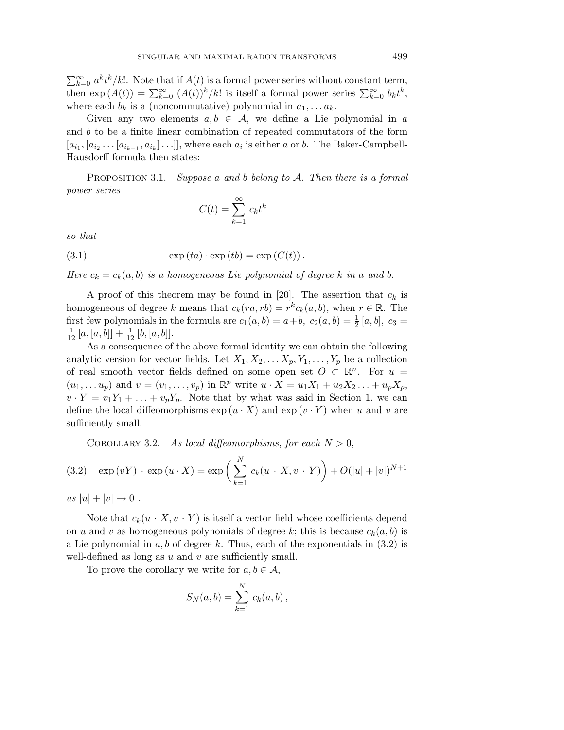$\sum_{k=0}^{\infty} a^k t^k / k!$ . Note that if  $A(t)$  is a formal power series without constant term, then  $\exp(A(t)) = \sum_{k=0}^{\infty} (A(t))^k / k!$  is itself a formal power series  $\sum_{k=0}^{\infty} b_k t^k$ , where each  $b_k$  is a (noncommutative) polynomial in  $a_1, \ldots a_k$ .

Given any two elements  $a, b \in \mathcal{A}$ , we define a Lie polynomial in a and *b* to be a finite linear combination of repeated commutators of the form  $[a_{i_1}, [a_{i_2} \ldots [a_{i_{k-1}}, a_{i_k}] \ldots]]$ , where each  $a_i$  is either *a* or *b*. The Baker-Campbell-Hausdorff formula then states:

PROPOSITION 3.1. Suppose *a* and *b* belong to A. Then there is a formal power series

$$
C(t) = \sum_{k=1}^{\infty} c_k t^k
$$

so that

(3.1) 
$$
\exp(ta) \cdot \exp(tb) = \exp(C(t)).
$$

Here  $c_k = c_k(a, b)$  is a homogeneous Lie polynomial of degree *k* in a and *b*.

A proof of this theorem may be found in [20]. The assertion that  $c_k$  is homogeneous of degree *k* means that  $c_k(n, rb) = r^k c_k(a, b)$ , when  $r \in \mathbb{R}$ . The first few polynomials in the formula are  $c_1(a, b) = a+b$ ,  $c_2(a, b) = \frac{1}{2} [a, b]$ ,  $c_3 = \frac{1}{2} [a, b] + \frac{1}{2} [b, [a, b]]$  $\frac{1}{12}[a,[a,b]]+\frac{1}{12}[b,[a,b]].$ 

As a consequence of the above formal identity we can obtain the following analytic version for vector fields. Let  $X_1, X_2, \ldots X_p, Y_1, \ldots, Y_p$  be a collection of real smooth vector fields defined on some open set  $O \subset \mathbb{R}^n$ . For  $u =$  $(u_1, \ldots, u_p)$  and  $v = (v_1, \ldots, v_p)$  in  $\mathbb{R}^p$  write  $u \cdot X = u_1 X_1 + u_2 X_2 \ldots + u_p X_p$ ,  $v \cdot Y = v_1 Y_1 + \ldots + v_p Y_p$ . Note that by what was said in Section 1, we can define the local diffeomorphisms  $\exp(u \cdot X)$  and  $\exp(v \cdot Y)$  when *u* and *v* are sufficiently small.

COROLLARY 3.2. As local diffeomorphisms, for each  $N > 0$ ,

(3.2) 
$$
\exp(vY) \cdot \exp(u \cdot X) = \exp\left(\sum_{k=1}^{N} c_k(u \cdot X, v \cdot Y)\right) + O(|u| + |v|)^{N+1}
$$

 $as |u| + |v| \to 0.$ 

Note that  $c_k(u \cdot X, v \cdot Y)$  is itself a vector field whose coefficients depend on *u* and *v* as homogeneous polynomials of degree *k*; this is because  $c_k(a, b)$  is a Lie polynomial in *a, b* of degree *k*. Thus, each of the exponentials in (3.2) is well-defined as long as *u* and *v* are sufficiently small.

To prove the corollary we write for  $a, b \in \mathcal{A}$ ,

$$
S_N(a, b) = \sum_{k=1}^{N} c_k(a, b),
$$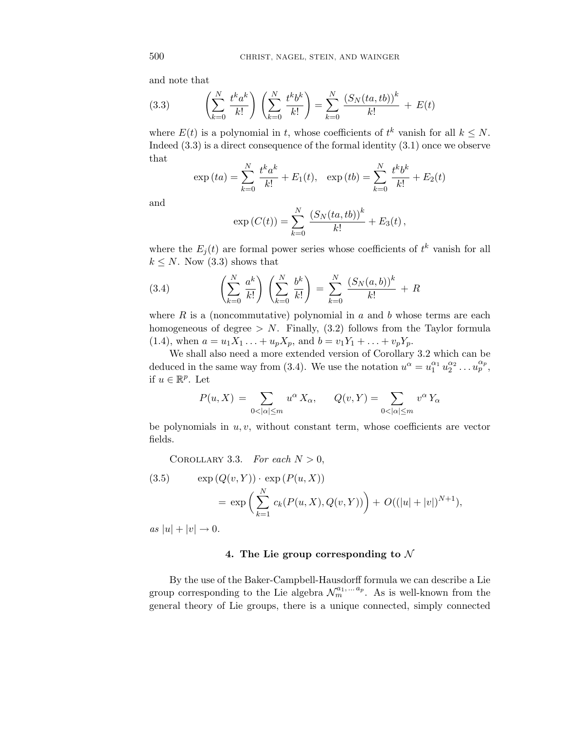and note that

(3.3) 
$$
\left(\sum_{k=0}^{N} \frac{t^k a^k}{k!} \right) \left(\sum_{k=0}^{N} \frac{t^k b^k}{k!} \right) = \sum_{k=0}^{N} \frac{(S_N(ta, tb))^k}{k!} + E(t)
$$

where  $E(t)$  is a polynomial in *t*, whose coefficients of  $t^k$  vanish for all  $k \leq N$ . Indeed (3.3) is a direct consequence of the formal identity (3.1) once we observe that

$$
\exp{(ta)} = \sum_{k=0}^{N} \frac{t^k a^k}{k!} + E_1(t), \quad \exp{(tb)} = \sum_{k=0}^{N} \frac{t^k b^k}{k!} + E_2(t)
$$

and

$$
\exp(C(t)) = \sum_{k=0}^{N} \frac{(S_N(ta, tb))^k}{k!} + E_3(t),
$$

where the  $E_j(t)$  are formal power series whose coefficients of  $t^k$  vanish for all  $k \leq N$ . Now (3.3) shows that

(3.4) 
$$
\left(\sum_{k=0}^{N} \frac{a^k}{k!} \right) \left(\sum_{k=0}^{N} \frac{b^k}{k!} \right) = \sum_{k=0}^{N} \frac{(S_N(a, b))^k}{k!} + R
$$

where *R* is a (noncommutative) polynomial in *a* and *b* whose terms are each homogeneous of degree  $> N$ . Finally,  $(3.2)$  follows from the Taylor formula  $(1.4)$ , when  $a = u_1 X_1 \ldots + u_p X_p$ , and  $b = v_1 Y_1 + \ldots + v_p Y_p$ .

We shall also need a more extended version of Corollary 3.2 which can be deduced in the same way from (3.4). We use the notation  $u^{\alpha} = u_1^{\alpha_1} u_2^{\alpha_2} \dots u_p^{\alpha_p}$ , if  $u \in \mathbb{R}^p$ . Let

$$
P(u, X) = \sum_{0 < |\alpha| \le m} u^{\alpha} X_{\alpha}, \qquad Q(v, Y) = \sum_{0 < |\alpha| \le m} v^{\alpha} Y_{\alpha}
$$

be polynomials in *u, v*, without constant term, whose coefficients are vector fields.

COROLLARY 3.3. For each  $N > 0$ ,

(3.5) 
$$
\exp(Q(v, Y)) \cdot \exp(P(u, X))
$$

$$
= \exp\left(\sum_{k=1}^{N} c_k(P(u, X), Q(v, Y))\right) + O((|u| + |v|)^{N+1}),
$$

 $as |u| + |v| \to 0.$ 

# **4. The Lie group corresponding to** N

By the use of the Baker-Campbell-Hausdorff formula we can describe a Lie group corresponding to the Lie algebra  $\mathcal{N}_m^{a_1,\ldots a_p}$ . As is well-known from the general theory of Lie groups, there is a unique connected, simply connected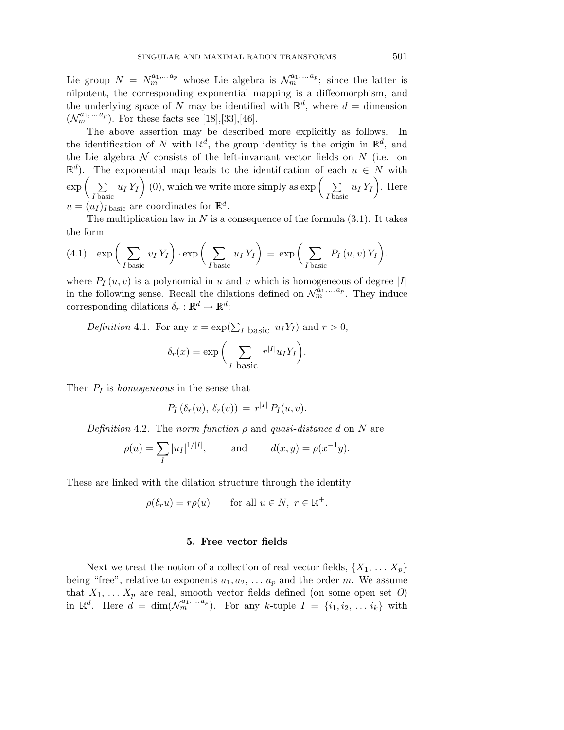Lie group  $N = N_m^{a_1,...a_p}$  whose Lie algebra is  $\mathcal{N}_m^{a_1,...a_p}$ ; since the latter is nilpotent, the corresponding exponential mapping is a diffeomorphism, and the underlying space of *N* may be identified with  $\mathbb{R}^d$ , where  $d =$  dimension  $(\mathcal{N}_m^{a_1,...a_p})$ . For these facts see [18],[33],[46].

The above assertion may be described more explicitly as follows. In the identification of *N* with  $\mathbb{R}^d$ , the group identity is the origin in  $\mathbb{R}^d$ , and the Lie algebra  $N$  consists of the left-invariant vector fields on  $N$  (i.e. on  $\mathbb{R}^d$ ). The exponential map leads to the identification of each  $u \in N$  with  $\exp\left(-\sum\right.$  $\sum_{I \text{ basic}} u_I Y_I$  (0), which we write more simply as exp  $\left(\sum_{I \text{ basic}} v_I Y_I\right)$  $\sum_{I \text{ basic}} u_I Y_I$ . Here  $u = (u_I)_{I \text{ basic}}$  are coordinates for  $\mathbb{R}^d$ .

The multiplication law in  $N$  is a consequence of the formula  $(3.1)$ . It takes the form

(4.1) 
$$
\exp\bigg(\sum_{I \text{ basic}} v_I Y_I\bigg) \cdot \exp\bigg(\sum_{I \text{ basic}} u_I Y_I\bigg) = \exp\bigg(\sum_{I \text{ basic}} P_I(u, v) Y_I\bigg).
$$

where  $P_I(u, v)$  is a polynomial in *u* and *v* which is homogeneous of degree |*I*| in the following sense. Recall the dilations defined on  $\mathcal{N}_m^{a_1,\ldots a_p}$ . They induce corresponding dilations  $\delta_r : \mathbb{R}^d \mapsto \mathbb{R}^d$ :

Definition 4.1. For any  $x = \exp(\sum_I \text{ basic } u_I Y_I)$  and  $r > 0$ ,  $\delta_r(x) = \exp\left(-\sum\right)$ *I* basic  $r^{|I|}u_{I}Y_{I}$ .

Then *P<sup>I</sup>* is homogeneous in the sense that

$$
P_I(\delta_r(u), \delta_r(v)) = r^{|I|} P_I(u, v).
$$

Definition 4.2. The norm function  $\rho$  and quasi-distance  $d$  on  $N$  are

$$
\rho(u) = \sum_{I} |u_I|^{1/|I|}
$$
, and  $d(x, y) = \rho(x^{-1}y)$ .

These are linked with the dilation structure through the identity

$$
\rho(\delta_r u) = r\rho(u) \quad \text{for all } u \in N, \ r \in \mathbb{R}^+.
$$

# **5. Free vector fields**

Next we treat the notion of a collection of real vector fields,  $\{X_1, \ldots X_p\}$ being "free", relative to exponents  $a_1, a_2, \ldots, a_p$  and the order *m*. We assume that  $X_1, \ldots X_p$  are real, smooth vector fields defined (on some open set O) in  $\mathbb{R}^d$ . Here  $d = \dim(\mathcal{N}_m^{a_1, \ldots a_p})$ . For any *k*-tuple  $I = \{i_1, i_2, \ldots, i_k\}$  with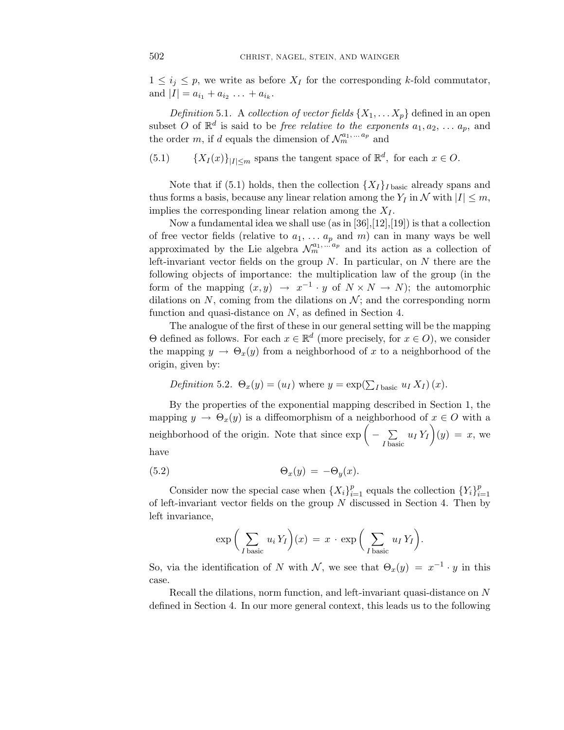$1 \leq i_j \leq p$ , we write as before  $X_I$  for the corresponding *k*-fold commutator, and  $|I| = a_{i_1} + a_{i_2} + \ldots + a_{i_k}$ .

*Definition* 5.1. A *collection of vector fields*  $\{X_1, \ldots X_p\}$  defined in an open subset *O* of  $\mathbb{R}^d$  is said to be *free relative to the exponents*  $a_1, a_2, \ldots a_p$ , and the order *m*, if *d* equals the dimension of  $\mathcal{N}_m^{a_1, \dots a_p}$  and

(5.1)  ${X_I(x)}_{|I| \leq m}$  spans the tangent space of  $\mathbb{R}^d$ , for each  $x \in O$ .

Note that if (5.1) holds, then the collection  $\{X_I\}_{I\text{ basic}}$  already spans and thus forms a basis, because any linear relation among the  $Y_I$  in  $N$  with  $|I| \leq m$ , implies the corresponding linear relation among the  $X_I$ .

Now a fundamental idea we shall use  $(as \in [36], [12], [19]$  is that a collection of free vector fields (relative to  $a_1, \ldots, a_p$  and  $m$ ) can in many ways be well approximated by the Lie algebra  $\mathcal{N}_m^{a_1,...a_p}$  and its action as a collection of left-invariant vector fields on the group *N*. In particular, on *N* there are the following objects of importance: the multiplication law of the group (in the form of the mapping  $(x, y) \rightarrow x^{-1} \cdot y$  of  $N \times N \rightarrow N$ ; the automorphic dilations on  $N$ , coming from the dilations on  $N$ ; and the corresponding norm function and quasi-distance on *N*, as defined in Section 4.

The analogue of the first of these in our general setting will be the mapping Θ defined as follows. For each *x* ∈ R*<sup>d</sup>* (more precisely, for *x* ∈ *O*), we consider the mapping  $y \to \Theta_x(y)$  from a neighborhood of x to a neighborhood of the origin, given by:

*Definition* 5.2. 
$$
\Theta_x(y) = (u_I)
$$
 where  $y = \exp(\sum_{I \text{ basic}} u_I X_I)(x)$ .

By the properties of the exponential mapping described in Section 1, the mapping  $y \to \Theta_x(y)$  is a diffeomorphism of a neighborhood of  $x \in O$  with a neighborhood of the origin. Note that since  $\exp\left(-\sum_{i=1}^{n} a_i\right)$  $\sum_{I \text{ basic}} u_I Y_I(y) = x$ , we have

(5.2) 
$$
\Theta_x(y) = -\Theta_y(x).
$$

Consider now the special case when  $\{X_i\}_{i=1}^p$  equals the collection  $\{Y_i\}_{i=1}^p$ of left-invariant vector fields on the group *N* discussed in Section 4. Then by left invariance,

$$
\exp\bigg(\sum_{I \text{ basic}} u_i Y_I\bigg)(x) = x \cdot \exp\bigg(\sum_{I \text{ basic}} u_I Y_I\bigg).
$$

So, via the identification of *N* with N, we see that  $\Theta_x(y) = x^{-1} \cdot y$  in this case.

Recall the dilations, norm function, and left-invariant quasi-distance on *N* defined in Section 4. In our more general context, this leads us to the following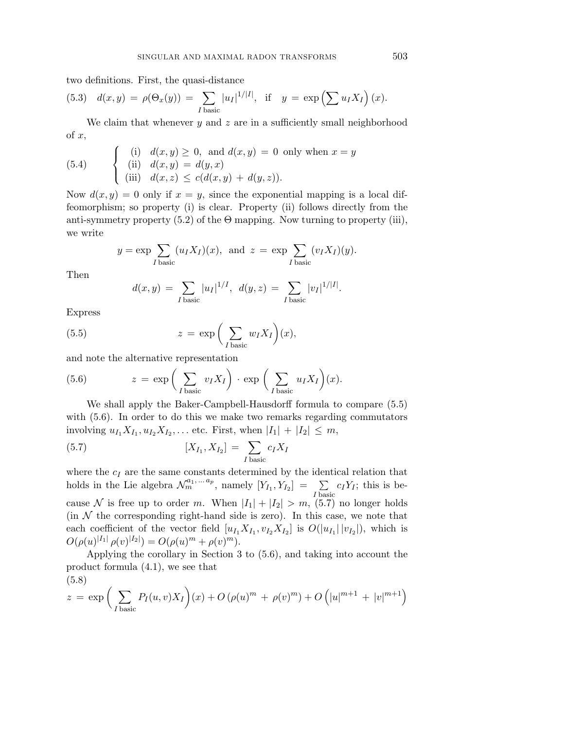two definitions. First, the quasi-distance

(5.3) 
$$
d(x,y) = \rho(\Theta_x(y)) = \sum_{I \text{ basic}} |u_I|^{1/|I|}, \text{ if } y = \exp\left(\sum u_I X_I\right)(x).
$$

We claim that whenever *y* and *z* are in a sufficiently small neighborhood of *x*,

(5.4) 
$$
\begin{cases} (i) & d(x,y) \ge 0, \text{ and } d(x,y) = 0 \text{ only when } x = y \\ (ii) & d(x,y) = d(y,x) \\ (iii) & d(x,z) \le c(d(x,y) + d(y,z)). \end{cases}
$$

Now  $d(x, y) = 0$  only if  $x = y$ , since the exponential mapping is a local diffeomorphism; so property (i) is clear. Property (ii) follows directly from the anti-symmetry property  $(5.2)$  of the  $\Theta$  mapping. Now turning to property (iii), we write

$$
y = \exp \sum_{I \text{ basic}} (u_I X_I)(x)
$$
, and  $z = \exp \sum_{I \text{ basic}} (v_I X_I)(y)$ .

Then

$$
d(x,y) = \sum_{I \text{ basic}} |u_I|^{1/I}, \ d(y,z) = \sum_{I \text{ basic}} |v_I|^{1/|I|}.
$$

Express

(5.5) 
$$
z = \exp\left(\sum_{I \text{ basic}} w_I X_I\right)(x),
$$

and note the alternative representation

(5.6) 
$$
z = \exp\left(\sum_{I \text{ basic}} v_I X_I\right) \cdot \exp\left(\sum_{I \text{ basic}} u_I X_I\right)(x).
$$

We shall apply the Baker-Campbell-Hausdorff formula to compare (5.5) with (5.6). In order to do this we make two remarks regarding commutators involving  $u_{I_1}X_{I_1}, u_{I_2}X_{I_2}, \ldots$  etc. First, when  $|I_1| + |I_2| \leq m$ ,

(5.7) 
$$
[X_{I_1}, X_{I_2}] = \sum_{I \text{ basic}} c_I X_I
$$

where the  $c_I$  are the same constants determined by the identical relation that holds in the Lie algebra  $\mathcal{N}_m^{a_1, \ldots a_p}$ , namely  $[Y_{I_1}, Y_{I_2}] = \sum_{I \text{ basic}} c_I Y_I$ ; this is because N is free up to order *m*. When  $|I_1| + |I_2| > m$ , (5.7) no longer holds (in  $N$  the corresponding right-hand side is zero). In this case, we note that each coefficient of the vector field  $[u_{I_1}X_{I_1}, v_{I_2}X_{I_2}]$  is  $O(|u_{I_1}||v_{I_2}|)$ , which is  $O(\rho(u)^{|I_1|} \rho(v)^{|I_2|}) = O(\rho(u)^m + \rho(v)^m).$ 

Applying the corollary in Section 3 to (5.6), and taking into account the product formula (4.1), we see that (5.8)

$$
z = \exp \left( \sum_{I \text{ basic}} P_I(u, v) X_I \right) (x) + O\left( \rho(u)^m + \rho(v)^m \right) + O\left( |u|^{m+1} + |v|^{m+1} \right)
$$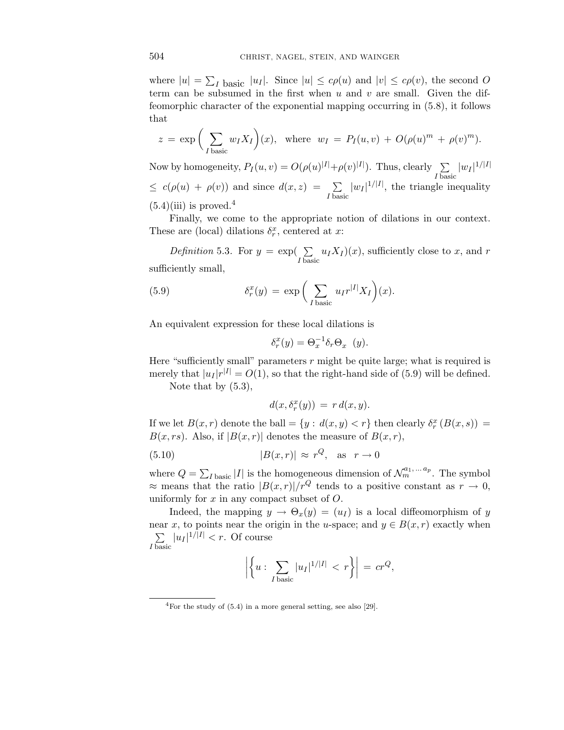where  $|u| = \sum_I$  basic  $|u_I|$ . Since  $|u| \leq c\rho(u)$  and  $|v| \leq c\rho(v)$ , the second *O* term can be subsumed in the first when *u* and *v* are small. Given the diffeomorphic character of the exponential mapping occurring in (5.8), it follows that

$$
z = \exp\bigg(\sum_{I \text{ basic}} w_I X_I\bigg)(x), \text{ where } w_I = P_I(u, v) + O(\rho(u)^m + \rho(v)^m).
$$

Now by homogeneity,  $P_I(u, v) = O(\rho(u)^{|I|} + \rho(v)^{|I|})$ . Thus, clearly  $\sum$  $\sum_{I \text{ basic}} |w_I|^{1/|I|}$  $\leq c(\rho(u) + \rho(v))$  and since  $d(x, z) = \sum$  $\sum_{I \text{ basic}} |w_I|^{1/|I|}$ , the triangle inequality  $(5.4)(iii)$  is proved.<sup>4</sup>

Finally, we come to the appropriate notion of dilations in our context. These are (local) dilations  $\delta_r^x$ , centered at *x*:

Definition 5.3. For  $y = \exp(\sum$  $\sum_{I \text{ basic}} u_I X_I(x)$ , sufficiently close to *x*, and *r* sufficiently small,

(5.9) 
$$
\delta_r^x(y) = \exp\bigg(\sum_{I \text{ basic}} u_I r^{|I|} X_I\bigg)(x).
$$

An equivalent expression for these local dilations is

$$
\delta_r^x(y) = \Theta_x^{-1} \delta_r \Theta_x \quad (y).
$$

Here "sufficiently small" parameters *r* might be quite large; what is required is merely that  $|u_I|r^{|I|} = O(1)$ , so that the right-hand side of (5.9) will be defined.

Note that by  $(5.3)$ ,

$$
d(x,\delta_r^x(y)) = r d(x,y).
$$

If we let  $B(x, r)$  denote the ball = { $y : d(x, y) < r$ } then clearly  $\delta_r^x(B(x, s))$  =  $B(x, rs)$ . Also, if  $|B(x, r)|$  denotes the measure of  $B(x, r)$ ,

(5.10) 
$$
|B(x,r)| \approx r^Q, \text{ as } r \to 0
$$

where  $Q = \sum_{I \text{ basic}} |I|$  is the homogeneous dimension of  $\mathcal{N}_{m}^{a_1, \dots a_p}$ . The symbol  $\approx$  means that the ratio  $|B(x, r)|/r^Q$  tends to a positive constant as  $r \to 0$ , uniformly for *x* in any compact subset of *O*.

Indeed, the mapping  $y \to \Theta_x(y) = (u_I)$  is a local diffeomorphism of *y* near *x*, to points near the origin in the *u*-space; and  $y \in B(x, r)$  exactly when  $\sum$  $\sum_{I \text{ basic}} |u_I|^{1/|I|} < r$ . Of course

$$
\left| \left\{ u : \sum_{I \text{ basic}} |u_I|^{1/|I|} < r \right\} \right| = cr^Q,
$$

<sup>4</sup>For the study of (5.4) in a more general setting, see also [29].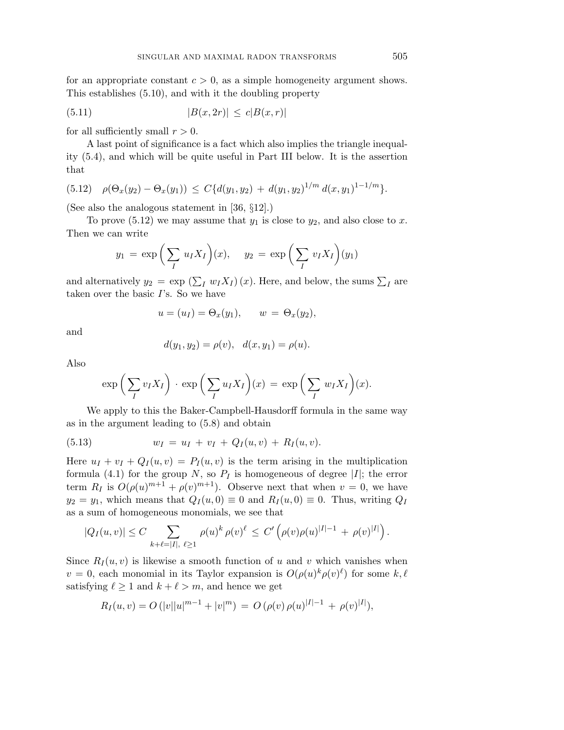for an appropriate constant  $c > 0$ , as a simple homogeneity argument shows. This establishes (5.10), and with it the doubling property

(5.11) 
$$
|B(x, 2r)| \leq c|B(x, r)|
$$

for all sufficiently small  $r > 0$ .

A last point of significance is a fact which also implies the triangle inequality (5.4), and which will be quite useful in Part III below. It is the assertion that

$$
(5.12) \quad \rho(\Theta_x(y_2) - \Theta_x(y_1)) \le C\{d(y_1, y_2) + d(y_1, y_2)^{1/m} d(x, y_1)^{1-1/m}\}.
$$

(See also the analogous statement in [36, §12].)

To prove  $(5.12)$  we may assume that  $y_1$  is close to  $y_2$ , and also close to x. Then we can write

$$
y_1 = \exp\left(\sum_I u_I X_I\right)(x), \quad y_2 = \exp\left(\sum_I v_I X_I\right)(y_1)
$$

and alternatively  $y_2 = \exp\left(\sum_I w_I X_I\right)(x)$ . Here, and below, the sums  $\sum_I$  are taken over the basic *I*'s. So we have

$$
u = (u_I) = \Theta_x(y_1), \qquad w = \Theta_x(y_2),
$$

and

$$
d(y_1, y_2) = \rho(v), \quad d(x, y_1) = \rho(u).
$$

Also

$$
\exp\left(\sum_I v_I X_I\right) \cdot \exp\left(\sum_I u_I X_I\right)(x) = \exp\left(\sum_I w_I X_I\right)(x).
$$

We apply to this the Baker-Campbell-Hausdorff formula in the same way as in the argument leading to (5.8) and obtain

(5.13) 
$$
w_I = u_I + v_I + Q_I(u, v) + R_I(u, v).
$$

Here  $u_I + v_I + Q_I(u, v) = P_I(u, v)$  is the term arising in the multiplication formula (4.1) for the group *N*, so  $P_I$  is homogeneous of degree |*I*|; the error term  $R_I$  is  $O(\rho(u)^{m+1} + \rho(v)^{m+1})$ . Observe next that when  $v = 0$ , we have  $y_2 = y_1$ , which means that  $Q_I(u, 0) \equiv 0$  and  $R_I(u, 0) \equiv 0$ . Thus, writing  $Q_I$ as a sum of homogeneous monomials, we see that

$$
|Q_I(u,v)| \leq C \sum_{k+\ell=|I|, \ \ell \geq 1} \rho(u)^k \rho(v)^{\ell} \leq C' \left( \rho(v) \rho(u)^{|I|-1} + \rho(v)^{|I|} \right).
$$

Since  $R_I(u, v)$  is likewise a smooth function of *u* and *v* which vanishes when  $v = 0$ , each monomial in its Taylor expansion is  $O(\rho(u)^k \rho(v)^{\ell})$  for some  $k, \ell$ satisfying  $\ell \geq 1$  and  $k + \ell > m$ , and hence we get

$$
R_I(u, v) = O(|v||u|^{m-1} + |v|^m) = O(\rho(v)\rho(u)^{|I|-1} + \rho(v)^{|I|}),
$$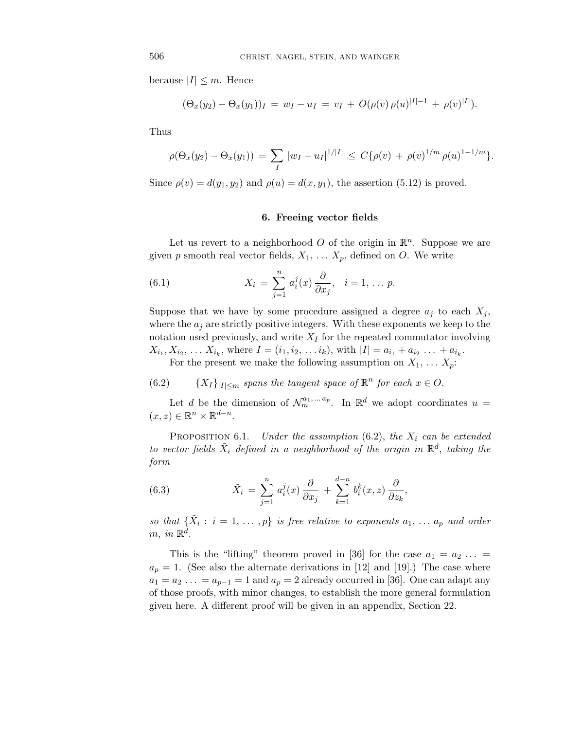because  $|I| \leq m$ . Hence

$$
(\Theta_x(y_2) - \Theta_x(y_1))_I = w_I - u_I = v_I + O(\rho(v) \rho(u)^{|I|-1} + \rho(v)^{|I|}).
$$

Thus

$$
\rho(\Theta_x(y_2) - \Theta_x(y_1)) = \sum_I |w_I - u_I|^{1/|I|} \le C\{\rho(v) + \rho(v)^{1/m} \rho(u)^{1-1/m}\}.
$$

Since  $\rho(v) = d(y_1, y_2)$  and  $\rho(u) = d(x, y_1)$ , the assertion (5.12) is proved.

# **6. Freeing vector fields**

Let us revert to a neighborhood  $O$  of the origin in  $\mathbb{R}^n$ . Suppose we are given *p* smooth real vector fields,  $X_1, \ldots, X_p$ , defined on *O*. We write

(6.1) 
$$
X_i = \sum_{j=1}^n a_i^j(x) \frac{\partial}{\partial x_j}, \quad i = 1, \dots p.
$$

Suppose that we have by some procedure assigned a degree  $a_j$  to each  $X_j$ , where the  $a_j$  are strictly positive integers. With these exponents we keep to the notation used previously, and write *X<sup>I</sup>* for the repeated commutator involving  $X_{i_1}, X_{i_2}, \ldots, X_{i_k}$ , where  $I = (i_1, i_2, \ldots, i_k)$ , with  $|I| = a_{i_1} + a_{i_2} + \ldots + a_{i_k}$ . For the present we make the following assumption on  $X_1, \ldots X_p$ :

(6.2)  ${X_I}_{|I| \leq m}$  spans the tangent space of  $\mathbb{R}^n$  for each  $x \in O$ .

Let *d* be the dimension of  $\mathcal{N}_m^{a_1,...a_p}$ . In  $\mathbb{R}^d$  we adopt coordinates  $u =$  $(x, z) \in \mathbb{R}^n \times \mathbb{R}^{d-n}$ .

PROPOSITION 6.1. Under the assumption  $(6.2)$ , the  $X_i$  can be extended to vector fields  $\tilde{X}_i$  defined in a neighborhood of the origin in  $\mathbb{R}^d$ , taking the form

(6.3) 
$$
\tilde{X}_i = \sum_{j=1}^n a_i^j(x) \frac{\partial}{\partial x_j} + \sum_{k=1}^{d-n} b_i^k(x, z) \frac{\partial}{\partial z_k},
$$

so that  $\{\tilde{X}_i : i = 1, \ldots, p\}$  is free relative to exponents  $a_1, \ldots, a_p$  and order  $m, in \mathbb{R}^d$ .

This is the "lifting" theorem proved in [36] for the case  $a_1 = a_2 \ldots$  $a_p = 1$ . (See also the alternate derivations in [12] and [19].) The case where  $a_1 = a_2 \ldots = a_{p-1} = 1$  and  $a_p = 2$  already occurred in [36]. One can adapt any of those proofs, with minor changes, to establish the more general formulation given here. A different proof will be given in an appendix, Section 22.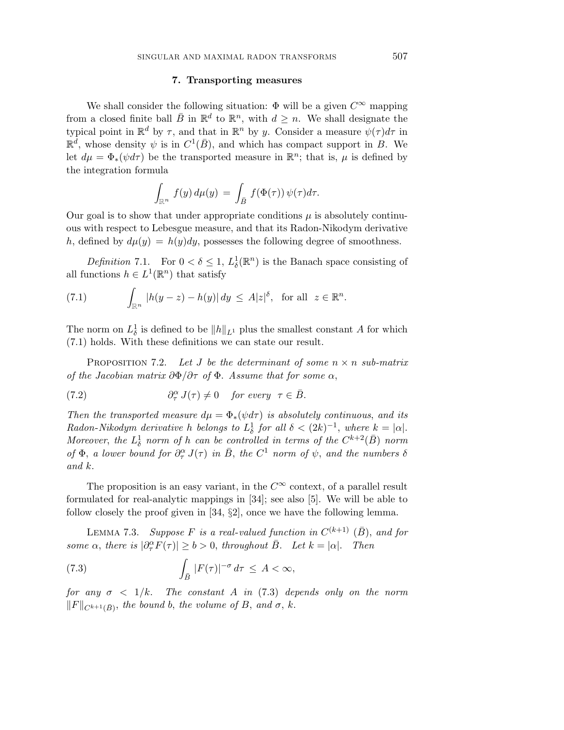#### **7. Transporting measures**

We shall consider the following situation:  $\Phi$  will be a given  $C^{\infty}$  mapping from a closed finite ball  $\bar{B}$  in  $\mathbb{R}^d$  to  $\mathbb{R}^n$ , with  $d \geq n$ . We shall designate the typical point in  $\mathbb{R}^d$  by  $\tau$ , and that in  $\mathbb{R}^n$  by *y*. Consider a measure  $\psi(\tau)d\tau$  in  $\mathbb{R}^d$ , whose density  $\psi$  is in  $C^1(\overline{B})$ , and which has compact support in *B*. We let  $d\mu = \Phi_*(\psi d\tau)$  be the transported measure in  $\mathbb{R}^n$ ; that is,  $\mu$  is defined by the integration formula

$$
\int_{\mathbb{R}^n} f(y) d\mu(y) = \int_{\bar{B}} f(\Phi(\tau)) \psi(\tau) d\tau.
$$

Our goal is to show that under appropriate conditions  $\mu$  is absolutely continuous with respect to Lebesgue measure, and that its Radon-Nikodym derivative *h*, defined by  $d\mu(y) = h(y)dy$ , possesses the following degree of smoothness.

Definition 7.1. For  $0 < \delta \leq 1$ ,  $L^1_{\delta}(\mathbb{R}^n)$  is the Banach space consisting of all functions  $h \in L^1(\mathbb{R}^n)$  that satisfy

(7.1) 
$$
\int_{\mathbb{R}^n} |h(y-z) - h(y)| dy \leq A|z|^{\delta}, \text{ for all } z \in \mathbb{R}^n.
$$

The norm on  $L^1_\delta$  is defined to be  $||h||_{L^1}$  plus the smallest constant *A* for which (7.1) holds. With these definitions we can state our result.

PROPOSITION 7.2. Let *J* be the determinant of some  $n \times n$  sub-matrix of the Jacobian matrix *∂*Φ*/∂τ* of Φ. Assume that for some *α*,

(7.2) 
$$
\partial_{\tau}^{\alpha} J(\tau) \neq 0 \quad \text{for every} \ \tau \in \overline{B}.
$$

Then the transported measure  $d\mu = \Phi_*(\psi d\tau)$  is absolutely continuous, and its Radon-Nikodym derivative *h* belongs to  $L^1_\delta$  for all  $\delta < (2k)^{-1}$ , where  $k = |\alpha|$ . Moreover, the  $L^1_\delta$  norm of *h* can be controlled in terms of the  $C^{k+2}(\bar{B})$  norm of  $\Phi$ , a lower bound for  $\partial_{\tau}^{\alpha} J(\tau)$  in  $\bar{B}$ , the  $C^{1}$  norm of  $\psi$ , and the numbers  $\delta$ and *k*.

The proposition is an easy variant, in the  $C^{\infty}$  context, of a parallel result formulated for real-analytic mappings in [34]; see also [5]. We will be able to follow closely the proof given in [34, §2], once we have the following lemma.

LEMMA 7.3. Suppose *F* is a real-valued function in  $C^{(k+1)}$   $(\bar{B})$ , and for some  $\alpha$ , there is  $|\partial_{\tau}^{\alpha} F(\tau)| \ge b > 0$ , throughout  $\overline{B}$ . Let  $k = |\alpha|$ . Then

(7.3) 
$$
\int_{\bar{B}} |F(\tau)|^{-\sigma} d\tau \leq A < \infty,
$$

for any  $\sigma$  < 1/k. The constant *A* in (7.3) depends only on the norm  $||F||_{C^{k+1}(\bar{B})}$ , the bound *b*, the volume of *B*, and  $\sigma$ , *k*.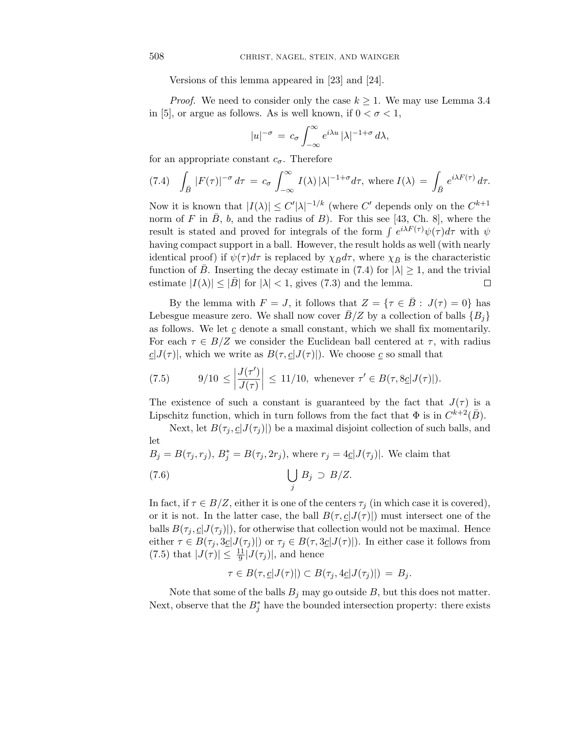Versions of this lemma appeared in [23] and [24].

*Proof.* We need to consider only the case  $k \geq 1$ . We may use Lemma 3.4 in [5], or argue as follows. As is well known, if  $0 < \sigma < 1$ ,

$$
|u|^{-\sigma} = c_{\sigma} \int_{-\infty}^{\infty} e^{i\lambda u} |\lambda|^{-1+\sigma} d\lambda,
$$

for an appropriate constant  $c_{\sigma}$ . Therefore

(7.4) 
$$
\int_{\bar{B}} |F(\tau)|^{-\sigma} d\tau = c_{\sigma} \int_{-\infty}^{\infty} I(\lambda) |\lambda|^{-1+\sigma} d\tau, \text{ where } I(\lambda) = \int_{\bar{B}} e^{i\lambda F(\tau)} d\tau.
$$

Now it is known that  $|I(\lambda)| \leq C' |\lambda|^{-1/k}$  (where  $C'$  depends only on the  $C^{k+1}$ norm of *F* in  $\overline{B}$ , *b*, and the radius of *B*). For this see [43, Ch. 8], where the result is stated and proved for integrals of the form  $\int e^{i\lambda F(\tau)} \psi(\tau) d\tau$  with  $\psi$ having compact support in a ball. However, the result holds as well (with nearly identical proof) if  $\psi(\tau)d\tau$  is replaced by  $\chi_{\bar{B}}d\tau$ , where  $\chi_{\bar{B}}$  is the characteristic function of *B*. Inserting the decay estimate in (7.4) for  $|\lambda| \geq 1$ , and the trivial estimate  $|I(\lambda)| \leq |\bar{B}|$  for  $|\lambda| < 1$ , gives (7.3) and the lemma. П

By the lemma with  $F = J$ , it follows that  $Z = \{ \tau \in \overline{B} : J(\tau) = 0 \}$  has Lebesgue measure zero. We shall now cover  $B/Z$  by a collection of balls  ${B_i}$ as follows. We let  $\underline{c}$  denote a small constant, which we shall fix momentarily. For each  $\tau \in B/Z$  we consider the Euclidean ball centered at  $\tau$ , with radius  $c|J(\tau)|$ , which we write as  $B(\tau, c|J(\tau))$ . We choose *c* so small that

(7.5) 
$$
9/10 \le \left| \frac{J(\tau')}{J(\tau)} \right| \le 11/10
$$
, whenever  $\tau' \in B(\tau, 8\underline{c}|J(\tau)|)$ .

The existence of such a constant is guaranteed by the fact that  $J(\tau)$  is a Lipschitz function, which in turn follows from the fact that  $\Phi$  is in  $C^{k+2}(\bar{B})$ .

Next, let  $B(\tau_i, \underline{c}|J(\tau_i)|)$  be a maximal disjoint collection of such balls, and let

$$
B_j = B(\tau_j, r_j), B_j^* = B(\tau_j, 2r_j), \text{ where } r_j = 4\underline{c}|J(\tau_j)|. \text{ We claim that}
$$
  
(7.6) 
$$
\bigcup_j B_j \supset B/Z.
$$

In fact, if  $\tau \in B/Z$ , either it is one of the centers  $\tau_j$  (in which case it is covered), or it is not. In the latter case, the ball  $B(\tau, \underline{c}|J(\tau))$  must intersect one of the balls  $B(\tau_i, \underline{c}|J(\tau_i)|)$ , for otherwise that collection would not be maximal. Hence either  $\tau \in B(\tau_j, 3\underline{c}|J(\tau_j)|)$  or  $\tau_j \in B(\tau, 3\underline{c}|J(\tau)|)$ . In either case it follows from  $(7.5)$  that  $|J(\tau)| \leq \frac{11}{9}|J(\tau_j)|$ , and hence

$$
\tau \in B(\tau, \underline{c}|J(\tau)|) \subset B(\tau_j, 4\underline{c}|J(\tau_j)|) = B_j.
$$

Note that some of the balls  $B_j$  may go outside  $B$ , but this does not matter. Next, observe that the  $B_j^*$  have the bounded intersection property: there exists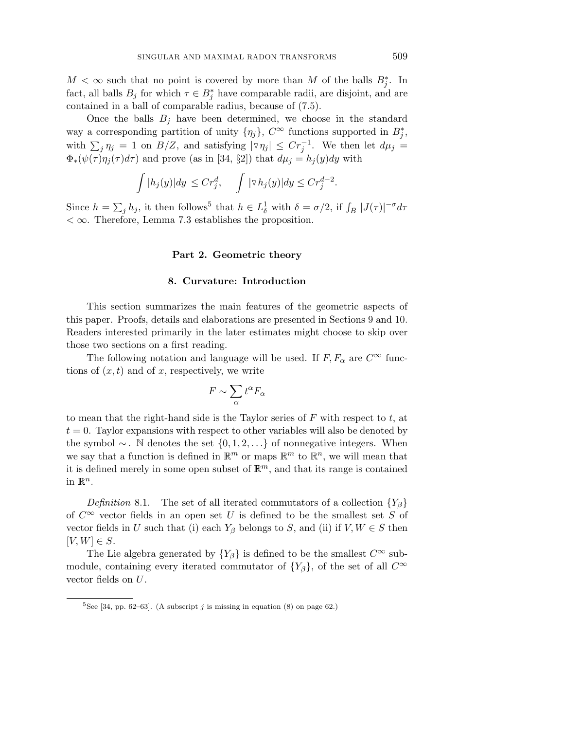$M < \infty$  such that no point is covered by more than *M* of the balls  $B_j^*$ . In fact, all balls  $B_j$  for which  $\tau \in B_j^*$  have comparable radii, are disjoint, and are contained in a ball of comparable radius, because of (7.5).

Once the balls  $B_j$  have been determined, we choose in the standard way a corresponding partition of unity  $\{\eta_j\}$ ,  $C^{\infty}$  functions supported in  $B^*_j$ , with  $\sum_{j} \eta_j = 1$  on  $B/Z$ , and satisfying  $|\triangledown \eta_j| \leq C r_j^{-1}$ . We then let  $d\mu_j =$  $\Phi_*(\psi(\tau)\eta_j(\tau)d\tau)$  and prove (as in [34, §2]) that  $d\mu_j = h_j(y)dy$  with

$$
\int |h_j(y)| dy \leq Cr_j^d, \quad \int |\nabla h_j(y)| dy \leq Cr_j^{d-2}.
$$

Since  $h = \sum_j h_j$ , it then follows<sup>5</sup> that  $h \in L^1_\delta$  with  $\delta = \sigma/2$ , if  $\int_{\bar{B}} |J(\tau)|^{-\sigma} d\tau$ *<* ∞. Therefore, Lemma 7.3 establishes the proposition.

#### **Part 2. Geometric theory**

## **8. Curvature: Introduction**

This section summarizes the main features of the geometric aspects of this paper. Proofs, details and elaborations are presented in Sections 9 and 10. Readers interested primarily in the later estimates might choose to skip over those two sections on a first reading.

The following notation and language will be used. If  $F, F_\alpha$  are  $C^\infty$  functions of  $(x, t)$  and of x, respectively, we write

$$
F \sim \sum_{\alpha} t^{\alpha} F_{\alpha}
$$

to mean that the right-hand side is the Taylor series of *F* with respect to *t*, at  $t = 0$ . Taylor expansions with respect to other variables will also be denoted by the symbol ∼ . N denotes the set {0*,* 1*,* 2*,...*} of nonnegative integers. When we say that a function is defined in  $\mathbb{R}^m$  or maps  $\mathbb{R}^m$  to  $\mathbb{R}^n$ , we will mean that it is defined merely in some open subset of  $\mathbb{R}^m$ , and that its range is contained in  $\mathbb{R}^n$ .

Definition 8.1. The set of all iterated commutators of a collection  ${Y_\beta}$ of  $C^{\infty}$  vector fields in an open set U is defined to be the smallest set S of vector fields in *U* such that (i) each  $Y_\beta$  belongs to *S*, and (ii) if  $V, W \in S$  then  $[V, W] \in S$ .

The Lie algebra generated by  ${Y_\beta}$  is defined to be the smallest  $C^\infty$  submodule, containing every iterated commutator of  $\{Y_\beta\}$ , of the set of all  $C^\infty$ vector fields on *U*.

<sup>&</sup>lt;sup>5</sup>See [34, pp. 62–63]. (A subscript  $j$  is missing in equation (8) on page 62.)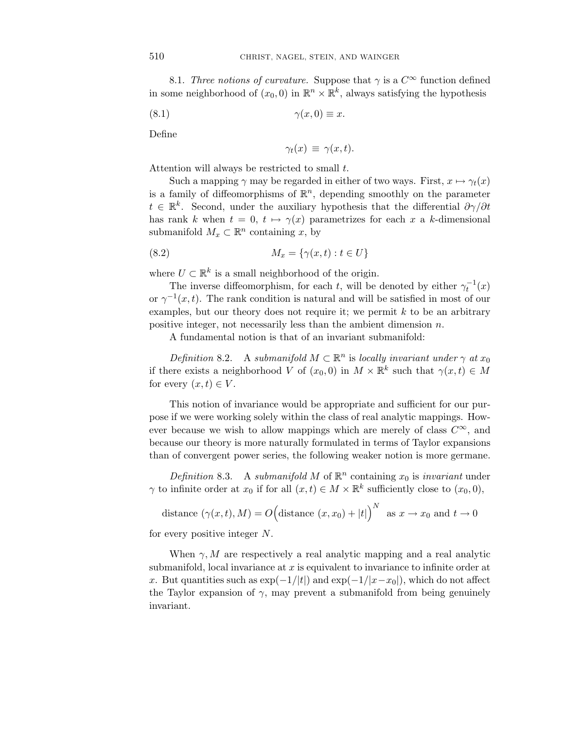8.1. Three notions of curvature. Suppose that  $\gamma$  is a  $C^{\infty}$  function defined in some neighborhood of  $(x_0, 0)$  in  $\mathbb{R}^n \times \mathbb{R}^k$ , always satisfying the hypothesis

$$
(8.1) \qquad \qquad \gamma(x,0) \equiv x.
$$

Define

$$
\gamma_t(x) \equiv \gamma(x, t).
$$

Attention will always be restricted to small *t*.

Such a mapping  $\gamma$  may be regarded in either of two ways. First,  $x \mapsto \gamma_t(x)$ is a family of diffeomorphisms of  $\mathbb{R}^n$ , depending smoothly on the parameter  $t \in \mathbb{R}^k$ . Second, under the auxiliary hypothesis that the differential  $\partial \gamma / \partial t$ has rank *k* when  $t = 0$ ,  $t \mapsto \gamma(x)$  parametrizes for each *x* a *k*-dimensional submanifold  $M_x \subset \mathbb{R}^n$  containing *x*, by

$$
(8.2) \t\t M_x = \{ \gamma(x, t) : t \in U \}
$$

where  $U \subset \mathbb{R}^k$  is a small neighborhood of the origin.

The inverse diffeomorphism, for each *t*, will be denoted by either  $\gamma_t^{-1}(x)$ or  $\gamma^{-1}(x, t)$ . The rank condition is natural and will be satisfied in most of our examples, but our theory does not require it; we permit *k* to be an arbitrary positive integer, not necessarily less than the ambient dimension *n*.

A fundamental notion is that of an invariant submanifold:

Definition 8.2. A submanifold  $M \subset \mathbb{R}^n$  is locally invariant under  $\gamma$  at  $x_0$ if there exists a neighborhood *V* of  $(x_0, 0)$  in  $M \times \mathbb{R}^k$  such that  $\gamma(x, t) \in M$ for every  $(x, t) \in V$ .

This notion of invariance would be appropriate and sufficient for our purpose if we were working solely within the class of real analytic mappings. However because we wish to allow mappings which are merely of class *C*∞, and because our theory is more naturally formulated in terms of Taylor expansions than of convergent power series, the following weaker notion is more germane.

Definition 8.3. A submanifold M of  $\mathbb{R}^n$  containing  $x_0$  is invariant under *γ* to infinite order at  $x_0$  if for all  $(x, t) \in M \times \mathbb{R}^k$  sufficiently close to  $(x_0, 0)$ ,

distance 
$$
(\gamma(x, t), M) = O\left(\text{distance } (x, x_0) + |t|\right)^N
$$
 as  $x \to x_0$  and  $t \to 0$ 

for every positive integer *N*.

When  $\gamma$ , M are respectively a real analytic mapping and a real analytic submanifold, local invariance at *x* is equivalent to invariance to infinite order at *x*. But quantities such as  $\exp(-1/|t|)$  and  $\exp(-1/|x-x_0|)$ , which do not affect the Taylor expansion of  $\gamma$ , may prevent a submanifold from being genuinely invariant.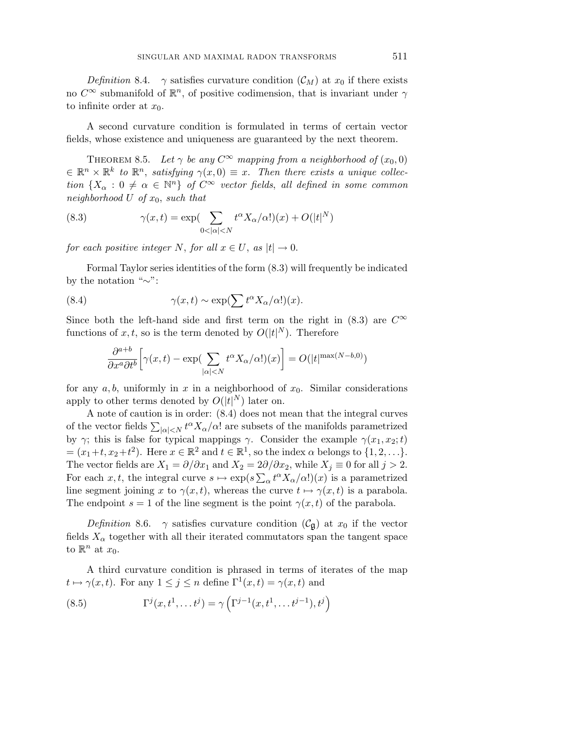Definition 8.4.  $\gamma$  satisfies curvature condition  $(\mathcal{C}_M)$  at  $x_0$  if there exists no  $C^{\infty}$  submanifold of  $\mathbb{R}^n$ , of positive codimension, that is invariant under  $\gamma$ to infinite order at *x*0.

A second curvature condition is formulated in terms of certain vector fields, whose existence and uniqueness are guaranteed by the next theorem.

THEOREM 8.5. Let  $\gamma$  be any  $C^{\infty}$  mapping from a neighborhood of  $(x_0, 0)$  $\in \mathbb{R}^n \times \mathbb{R}^k$  to  $\mathbb{R}^n$ , satisfying  $\gamma(x,0) \equiv x$ . Then there exists a unique collection  ${X_\alpha : 0 \neq \alpha \in \mathbb{N}^n}$  of  $C^\infty$  vector fields, all defined in some common neighborhood *U* of *x*0, such that

(8.3) 
$$
\gamma(x,t) = \exp\left(\sum_{0<|\alpha|
$$

for each positive integer *N*, for all  $x \in U$ , as  $|t| \to 0$ .

Formal Taylor series identities of the form (8.3) will frequently be indicated by the notation "∼":

(8.4) 
$$
\gamma(x,t) \sim \exp(\sum t^{\alpha} X_{\alpha}/\alpha!)(x).
$$

Since both the left-hand side and first term on the right in  $(8.3)$  are  $C^{\infty}$ functions of  $x, t$ , so is the term denoted by  $O(|t|^N)$ . Therefore

$$
\frac{\partial^{a+b}}{\partial x^a \partial t^b} \Big[ \gamma(x,t) - \exp\left(\sum_{|\alpha| < N} t^{\alpha} X_{\alpha}/\alpha! \right) (x) \Big] = O(|t|^{\max(N-b,0)})
$$

for any  $a, b$ , uniformly in  $x$  in a neighborhood of  $x_0$ . Similar considerations apply to other terms denoted by  $O(|t|^N)$  later on.

A note of caution is in order: (8.4) does not mean that the integral curves of the vector fields  $\sum_{|\alpha| \le N} t^{\alpha} X_{\alpha}/\alpha!$  are subsets of the manifolds parametrized by *γ*; this is false for typical mappings *γ*. Consider the example  $γ(x_1, x_2; t)$  $=(x_1+t, x_2+t^2)$ . Here  $x \in \mathbb{R}^2$  and  $t \in \mathbb{R}^1$ , so the index  $\alpha$  belongs to  $\{1, 2, ...\}$ . The vector fields are  $X_1 = \partial/\partial x_1$  and  $X_2 = 2\partial/\partial x_2$ , while  $X_j \equiv 0$  for all  $j > 2$ . For each *x*, *t*, the integral curve  $s \mapsto \exp(s \sum_{\alpha} t^{\alpha} X_{\alpha}/\alpha!) (x)$  is a parametrized line segment joining *x* to  $\gamma(x, t)$ , whereas the curve  $t \mapsto \gamma(x, t)$  is a parabola. The endpoint  $s = 1$  of the line segment is the point  $\gamma(x, t)$  of the parabola.

Definition 8.6.  $\gamma$  satisfies curvature condition  $(\mathcal{C}_{\mathfrak{g}})$  at  $x_0$  if the vector fields  $X_\alpha$  together with all their iterated commutators span the tangent space to  $\mathbb{R}^n$  at  $x_0$ .

A third curvature condition is phrased in terms of iterates of the map  $t \mapsto \gamma(x, t)$ . For any  $1 \leq j \leq n$  define  $\Gamma^1(x, t) = \gamma(x, t)$  and

(8.5) 
$$
\Gamma^{j}(x,t^{1},...,t^{j}) = \gamma \left(\Gamma^{j-1}(x,t^{1},...,t^{j-1}),t^{j}\right)
$$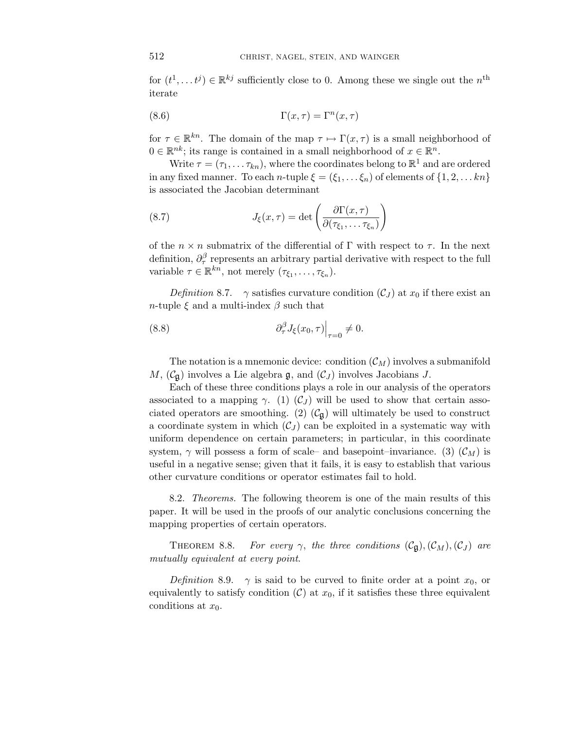for  $(t^1, \ldots t^j) \in \mathbb{R}^{kj}$  sufficiently close to 0. Among these we single out the  $n^{\text{th}}$ iterate

(8.6) 
$$
\Gamma(x,\tau) = \Gamma^n(x,\tau)
$$

for  $\tau \in \mathbb{R}^{kn}$ . The domain of the map  $\tau \mapsto \Gamma(x, \tau)$  is a small neighborhood of  $0 \in \mathbb{R}^{nk}$ ; its range is contained in a small neighborhood of  $x \in \mathbb{R}^{n}$ .

Write  $\tau = (\tau_1, \ldots \tau_{kn})$ , where the coordinates belong to  $\mathbb{R}^1$  and are ordered in any fixed manner. To each *n*-tuple  $\xi = (\xi_1, \ldots, \xi_n)$  of elements of  $\{1, 2, \ldots, kn\}$ is associated the Jacobian determinant

(8.7) 
$$
J_{\xi}(x,\tau) = \det \left( \frac{\partial \Gamma(x,\tau)}{\partial(\tau_{\xi_1},\ldots,\tau_{\xi_n})} \right)
$$

of the  $n \times n$  submatrix of the differential of  $\Gamma$  with respect to  $\tau$ . In the next definition,  $\partial_{\tau}^{\beta}$  represents an arbitrary partial derivative with respect to the full variable  $\tau \in \mathbb{R}^{kn}$ , not merely  $(\tau_{\xi_1}, \ldots, \tau_{\xi_n})$ .

*Definition* 8.7. *γ* satisfies curvature condition  $(C_J)$  at  $x_0$  if there exist an *n*-tuple  $\xi$  and a multi-index  $\beta$  such that

(8.8) 
$$
\left. \partial_{\tau}^{\beta} J_{\xi}(x_0, \tau) \right|_{\tau=0} \neq 0.
$$

The notation is a mnemonic device: condition  $(\mathcal{C}_M)$  involves a submanifold *M*,  $(\mathcal{C}_{\mathfrak{g}})$  involves a Lie algebra  $\mathfrak{g}$ , and  $(\mathcal{C}_J)$  involves Jacobians *J*.

Each of these three conditions plays a role in our analysis of the operators associated to a mapping  $\gamma$ . (1) (C<sub>J</sub>) will be used to show that certain associated operators are smoothing. (2)  $(\mathcal{C}_{\mathfrak{g}})$  will ultimately be used to construct a coordinate system in which  $(\mathcal{C}_J)$  can be exploited in a systematic way with uniform dependence on certain parameters; in particular, in this coordinate system,  $\gamma$  will possess a form of scale– and basepoint–invariance. (3)  $(\mathcal{C}_M)$  is useful in a negative sense; given that it fails, it is easy to establish that various other curvature conditions or operator estimates fail to hold.

8.2. Theorems. The following theorem is one of the main results of this paper. It will be used in the proofs of our analytic conclusions concerning the mapping properties of certain operators.

THEOREM 8.8. For every  $\gamma$ , the three conditions  $(\mathcal{C}_{\mathfrak{g}}),(\mathcal{C}_M),(\mathcal{C}_J)$  are mutually equivalent at every point.

Definition 8.9.  $\gamma$  is said to be curved to finite order at a point  $x_0$ , or equivalently to satisfy condition  $(C)$  at  $x_0$ , if it satisfies these three equivalent conditions at *x*0.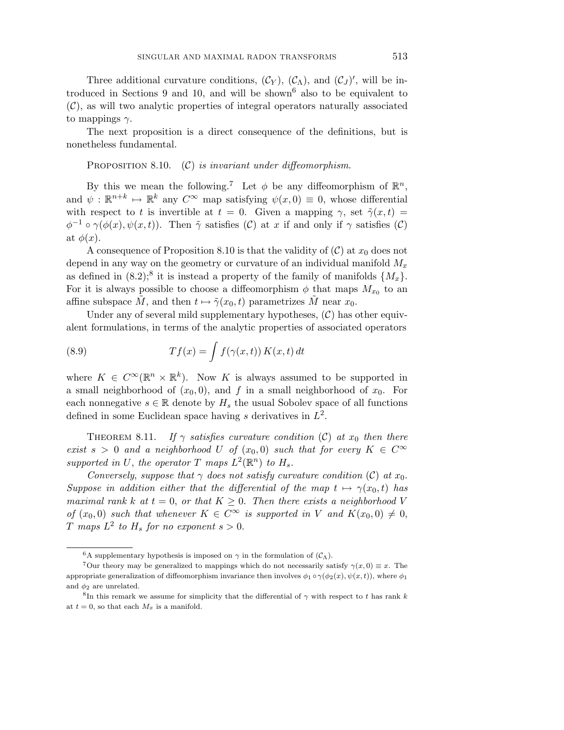Three additional curvature conditions,  $(C_Y)$ ,  $(C_A)$ , and  $(C_J)'$ , will be introduced in Sections 9 and 10, and will be shown<sup>6</sup> also to be equivalent to  $(C)$ , as will two analytic properties of integral operators naturally associated to mappings *γ*.

The next proposition is a direct consequence of the definitions, but is nonetheless fundamental.

PROPOSITION 8.10.  $(C)$  is invariant under diffeomorphism.

By this we mean the following.<sup>7</sup> Let  $\phi$  be any diffeomorphism of  $\mathbb{R}^n$ , and  $\psi : \mathbb{R}^{n+k} \mapsto \mathbb{R}^k$  any  $C^{\infty}$  map satisfying  $\psi(x,0) \equiv 0$ , whose differential with respect to *t* is invertible at  $t = 0$ . Given a mapping  $\gamma$ , set  $\tilde{\gamma}(x, t) =$  $\phi^{-1} \circ \gamma(\phi(x), \psi(x, t))$ . Then  $\tilde{\gamma}$  satisfies (C) at *x* if and only if  $\gamma$  satisfies (C) at  $\phi(x)$ .

A consequence of Proposition 8.10 is that the validity of  $(C)$  at  $x_0$  does not depend in any way on the geometry or curvature of an individual manifold *M<sup>x</sup>* as defined in  $(8.2)$ ;<sup>8</sup> it is instead a property of the family of manifolds  $\{M_x\}$ . For it is always possible to choose a diffeomorphism  $\phi$  that maps  $M_{x_0}$  to an affine subspace M, and then  $t \mapsto \tilde{\gamma}(x_0, t)$  parametrizes M near  $x_0$ .

Under any of several mild supplementary hypotheses,  $(C)$  has other equivalent formulations, in terms of the analytic properties of associated operators

(8.9) 
$$
Tf(x) = \int f(\gamma(x, t)) K(x, t) dt
$$

where  $K \in C^{\infty}(\mathbb{R}^n \times \mathbb{R}^k)$ . Now K is always assumed to be supported in a small neighborhood of  $(x_0, 0)$ , and  $f$  in a small neighborhood of  $x_0$ . For each nonnegative  $s \in \mathbb{R}$  denote by  $H_s$  the usual Sobolev space of all functions defined in some Euclidean space having *s* derivatives in *L*2.

THEOREM 8.11. If  $\gamma$  satisfies curvature condition (C) at  $x_0$  then there exist  $s > 0$  and a neighborhood *U* of  $(x_0, 0)$  such that for every  $K \in C^{\infty}$ supported in U, the operator T maps  $L^2(\mathbb{R}^n)$  to  $H_s$ .

Conversely, suppose that  $\gamma$  does not satisfy curvature condition (C) at  $x_0$ . Suppose in addition either that the differential of the map  $t \mapsto \gamma(x_0, t)$  has maximal rank *k* at  $t = 0$ , or that  $K \geq 0$ . Then there exists a neighborhood V of  $(x_0, 0)$  such that whenever  $K \in C^{\infty}$  is supported in V and  $K(x_0, 0) \neq 0$ , *T* maps  $L^2$  to  $H_s$  for no exponent  $s > 0$ .

<sup>&</sup>lt;sup>6</sup>A supplementary hypothesis is imposed on  $\gamma$  in the formulation of  $(C_{\Lambda})$ .

<sup>&</sup>lt;sup>7</sup>Our theory may be generalized to mappings which do not necessarily satisfy  $\gamma(x, 0) \equiv x$ . The appropriate generalization of diffeomorphism invariance then involves  $\phi_1 \circ \gamma(\phi_2(x), \psi(x, t))$ , where  $\phi_1$ and  $\phi_2$  are unrelated.

<sup>&</sup>lt;sup>8</sup>In this remark we assume for simplicity that the differential of  $\gamma$  with respect to *t* has rank *k* at  $t = 0$ , so that each  $M_x$  is a manifold.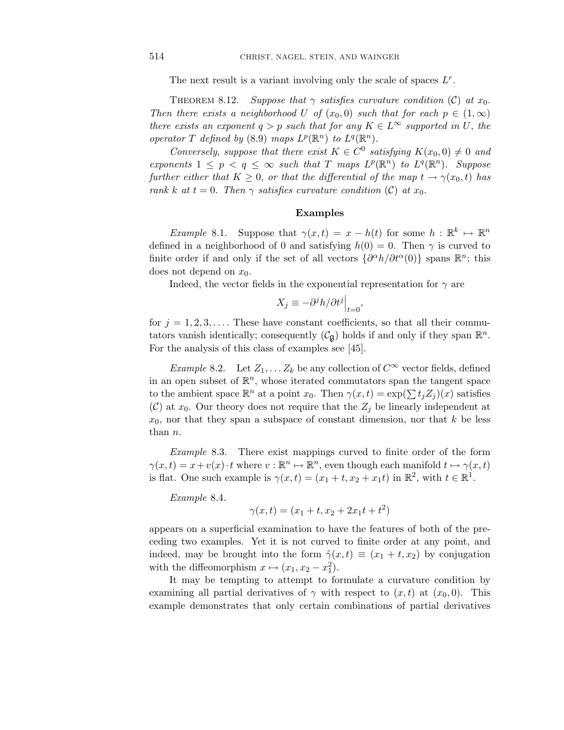The next result is a variant involving only the scale of spaces *Lr*.

THEOREM 8.12. Suppose that  $\gamma$  satisfies curvature condition (C) at  $x_0$ . Then there exists a neighborhood *U* of  $(x_0, 0)$  such that for each  $p \in (1, \infty)$ there exists an exponent  $q > p$  such that for any  $K \in L^{\infty}$  supported in *U*, the operator *T* defined by (8.9) maps  $L^p(\mathbb{R}^n)$  to  $L^q(\mathbb{R}^n)$ .

Conversely, suppose that there exist  $K \in C^0$  satisfying  $K(x_0, 0) \neq 0$  and exponents  $1 \leq p \leq q \leq \infty$  such that *T* maps  $L^p(\mathbb{R}^n)$  to  $L^q(\mathbb{R}^n)$ . Suppose further either that  $K \geq 0$ , or that the differential of the map  $t \to \gamma(x_0, t)$  has rank *k* at  $t = 0$ . Then  $\gamma$  satisfies curvature condition (C) at  $x_0$ .

## **Examples**

Example 8.1. Suppose that  $\gamma(x,t) = x - h(t)$  for some  $h : \mathbb{R}^k \mapsto \mathbb{R}^n$ defined in a neighborhood of 0 and satisfying  $h(0) = 0$ . Then  $\gamma$  is curved to finite order if and only if the set of all vectors  $\{\partial^{\alpha}h/\partial t^{\alpha}(0)\}\$  spans  $\mathbb{R}^{n}$ ; this does not depend on *x*0.

Indeed, the vector fields in the exponential representation for  $\gamma$  are

$$
X_j \equiv -\partial^j h / \partial t^j \Big|_{t=0},
$$

for  $j = 1, 2, 3, \ldots$ . These have constant coefficients, so that all their commutators vanish identically; consequently  $(\mathcal{C}_{\mathfrak{g}})$  holds if and only if they span  $\mathbb{R}^n$ . For the analysis of this class of examples see [45].

*Example* 8.2. Let  $Z_1, \ldots, Z_k$  be any collection of  $C^{\infty}$  vector fields, defined in an open subset of  $\mathbb{R}^n$ , whose iterated commutators span the tangent space to the ambient space  $\mathbb{R}^n$  at a point  $x_0$ . Then  $\gamma(x,t) = \exp(\sum t_i Z_i)(x)$  satisfies (C) at  $x_0$ . Our theory does not require that the  $Z_j$  be linearly independent at *x*0, nor that they span a subspace of constant dimension, nor that *k* be less than *n*.

Example 8.3. There exist mappings curved to finite order of the form  $\gamma(x,t) = x + v(x) \cdot t$  where  $v : \mathbb{R}^n \mapsto \mathbb{R}^n$ , even though each manifold  $t \mapsto \gamma(x,t)$ is flat. One such example is  $\gamma(x,t)=(x_1+t, x_2+x_1t)$  in  $\mathbb{R}^2$ , with  $t \in \mathbb{R}^1$ .

Example 8.4.

$$
\gamma(x,t) = (x_1 + t, x_2 + 2x_1t + t^2)
$$

appears on a superficial examination to have the features of both of the preceding two examples. Yet it is not curved to finite order at any point, and indeed, may be brought into the form  $\tilde{\gamma}(x,t) \equiv (x_1 + t, x_2)$  by conjugation with the diffeomorphism  $x \mapsto (x_1, x_2 - x_1^2)$ .

It may be tempting to attempt to formulate a curvature condition by examining all partial derivatives of  $\gamma$  with respect to  $(x, t)$  at  $(x_0, 0)$ . This example demonstrates that only certain combinations of partial derivatives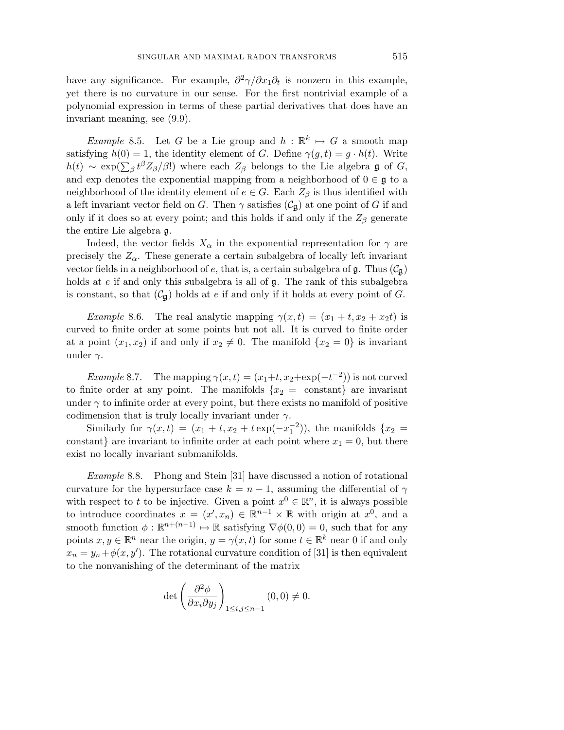have any significance. For example,  $\partial^2 \gamma / \partial x_1 \partial_t$  is nonzero in this example, yet there is no curvature in our sense. For the first nontrivial example of a polynomial expression in terms of these partial derivatives that does have an invariant meaning, see (9.9).

Example 8.5. Let *G* be a Lie group and  $h : \mathbb{R}^k \mapsto G$  a smooth map satisfying  $h(0) = 1$ , the identity element of *G*. Define  $\gamma(g, t) = g \cdot h(t)$ . Write  $h(t) \sim \exp(\sum_{\beta} t^{\beta} Z_{\beta} / \beta!)$  where each  $Z_{\beta}$  belongs to the Lie algebra g of *G*, and exp denotes the exponential mapping from a neighborhood of  $0 \in \mathfrak{g}$  to a neighborhood of the identity element of  $e \in G$ . Each  $Z_\beta$  is thus identified with a left invariant vector field on *G*. Then  $\gamma$  satisfies  $(\mathcal{C}_{\mathfrak{g}})$  at one point of *G* if and only if it does so at every point; and this holds if and only if the  $Z_\beta$  generate the entire Lie algebra g.

Indeed, the vector fields  $X_\alpha$  in the exponential representation for  $\gamma$  are precisely the  $Z_\alpha$ . These generate a certain subalgebra of locally left invariant vector fields in a neighborhood of  $e$ , that is, a certain subalgebra of  $\mathfrak{g}$ . Thus  $(\mathcal{C}_{\mathfrak{g}})$ holds at *e* if and only this subalgebra is all of g. The rank of this subalgebra is constant, so that  $(\mathcal{C}_{\mathfrak{g}})$  holds at *e* if and only if it holds at every point of *G*.

Example 8.6. The real analytic mapping  $\gamma(x,t)=(x_1+t, x_2+x_2t)$  is curved to finite order at some points but not all. It is curved to finite order at a point  $(x_1, x_2)$  if and only if  $x_2 \neq 0$ . The manifold  $\{x_2 = 0\}$  is invariant under *γ*.

*Example* 8.7. The mapping  $\gamma(x,t) = (x_1+t, x_2+\exp(-t^{-2}))$  is not curved to finite order at any point. The manifolds  $\{x_2 = \text{constant}\}\$ are invariant under  $\gamma$  to infinite order at every point, but there exists no manifold of positive codimension that is truly locally invariant under *γ*.

Similarly for  $\gamma(x,t) = (x_1 + t, x_2 + t \exp(-x_1^{-2}))$ , the manifolds  $\{x_2 =$ constant} are invariant to infinite order at each point where  $x_1 = 0$ , but there exist no locally invariant submanifolds.

Example 8.8. Phong and Stein [31] have discussed a notion of rotational curvature for the hypersurface case  $k = n - 1$ , assuming the differential of  $\gamma$ with respect to *t* to be injective. Given a point  $x^0 \in \mathbb{R}^n$ , it is always possible to introduce coordinates  $x = (x', x_n) \in \mathbb{R}^{n-1} \times \mathbb{R}$  with origin at  $x^0$ , and a smooth function  $\phi : \mathbb{R}^{n+(n-1)} \mapsto \mathbb{R}$  satisfying  $\nabla \phi(0,0) = 0$ , such that for any points  $x, y \in \mathbb{R}^n$  near the origin,  $y = \gamma(x, t)$  for some  $t \in \mathbb{R}^k$  near 0 if and only  $x_n = y_n + \phi(x, y')$ . The rotational curvature condition of [31] is then equivalent to the nonvanishing of the determinant of the matrix

$$
\det\left(\frac{\partial^2 \phi}{\partial x_i \partial y_j}\right)_{1 \le i,j \le n-1} (0,0) \neq 0.
$$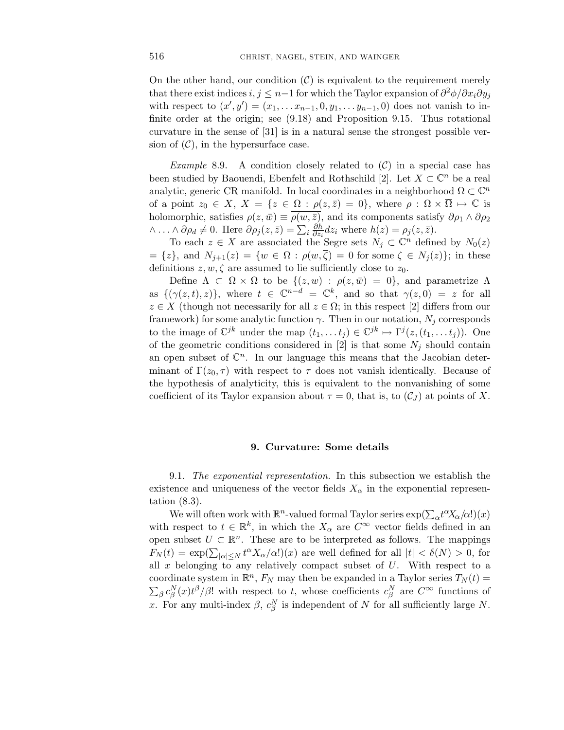On the other hand, our condition  $(C)$  is equivalent to the requirement merely that there exist indices  $i, j \leq n-1$  for which the Taylor expansion of  $\frac{\partial^2 \phi}{\partial x_i \partial y_j}$ with respect to  $(x', y') = (x_1, \ldots, x_{n-1}, 0, y_1, \ldots, y_{n-1}, 0)$  does not vanish to infinite order at the origin; see (9.18) and Proposition 9.15. Thus rotational curvature in the sense of [31] is in a natural sense the strongest possible version of  $(C)$ , in the hypersurface case.

*Example* 8.9. A condition closely related to  $(C)$  in a special case has been studied by Baouendi, Ebenfelt and Rothschild [2]. Let  $X \subset \mathbb{C}^n$  be a real analytic, generic CR manifold. In local coordinates in a neighborhood  $\Omega \subset \mathbb{C}^n$ of a point  $z_0 \in X$ ,  $X = \{z \in \Omega : \rho(z, \bar{z}) = 0\}$ , where  $\rho : \Omega \times \overline{\Omega} \mapsto \mathbb{C}$  is holomorphic, satisfies  $\rho(z,\bar{w}) \equiv \rho(w,\bar{z})$ , and its components satisfy  $\partial \rho_1 \wedge \partial \rho_2$  $\wedge \ldots \wedge \partial \rho_d \neq 0$ . Here  $\partial \rho_j(z, \bar{z}) = \sum_i \frac{\partial h}{\partial z_i}$  $\frac{\partial h}{\partial z_i} dz_i$  where  $h(z) = \rho_j(z, \bar{z}).$ 

To each  $z \in X$  are associated the Segre sets  $N_j \subset \mathbb{C}^n$  defined by  $N_0(z)$  $= \{z\}$ , and  $N_{j+1}(z) = \{w \in \Omega : \rho(w,\zeta) = 0 \text{ for some } \zeta \in N_j(z)\};$  in these definitions  $z, w, \zeta$  are assumed to lie sufficiently close to  $z_0$ .

Define  $\Lambda \subset \Omega \times \Omega$  to be  $\{(z,w) : \rho(z,\bar{w})=0\}$ , and parametrize  $\Lambda$ as  $\{(\gamma(z,t),z)\}\text{, where } t \in \mathbb{C}^{n-d} = \mathbb{C}^k\text{, and so that } \gamma(z,0) = z \text{ for all }$  $z \in X$  (though not necessarily for all  $z \in \Omega$ ; in this respect [2] differs from our framework) for some analytic function  $\gamma$ . Then in our notation,  $N_j$  corresponds to the image of  $\mathbb{C}^{jk}$  under the map  $(t_1, \ldots t_j) \in \mathbb{C}^{jk} \mapsto \Gamma^j(z, (t_1, \ldots t_j))$ . One of the geometric conditions considered in  $[2]$  is that some  $N_j$  should contain an open subset of  $\mathbb{C}^n$ . In our language this means that the Jacobian determinant of  $\Gamma(z_0, \tau)$  with respect to  $\tau$  does not vanish identically. Because of the hypothesis of analyticity, this is equivalent to the nonvanishing of some coefficient of its Taylor expansion about  $\tau = 0$ , that is, to  $(\mathcal{C}_J)$  at points of X.

#### **9. Curvature: Some details**

9.1. The exponential representation. In this subsection we establish the existence and uniqueness of the vector fields  $X_\alpha$  in the exponential representation (8.3).

We will often work with  $\mathbb{R}^n$ -valued formal Taylor series  $\exp(\sum_{\alpha} t^{\alpha} X_{\alpha}/\alpha!)$  (*x*) with respect to  $t \in \mathbb{R}^k$ , in which the  $X_\alpha$  are  $C^\infty$  vector fields defined in an open subset  $U \subset \mathbb{R}^n$ . These are to be interpreted as follows. The mappings  $F_N(t) = \exp(\sum_{|\alpha| \leq N} t^{\alpha} X_{\alpha}/\alpha!)$  are well defined for all  $|t| < \delta(N) > 0$ , for all *x* belonging to any relatively compact subset of *U*. With respect to a coordinate system in  $\mathbb{R}^n$ ,  $F_N$  may then be expanded in a Taylor series  $T_N(t)$  =  $\sum_{\beta} c_{\beta}^{N}(x) t^{\beta} / \beta!$  with respect to *t*, whose coefficients  $c_{\beta}^{N}$  are  $C^{\infty}$  functions of *x*. For any multi-index  $\beta$ ,  $c_{\beta}^{N}$  is independent of *N* for all sufficiently large *N*.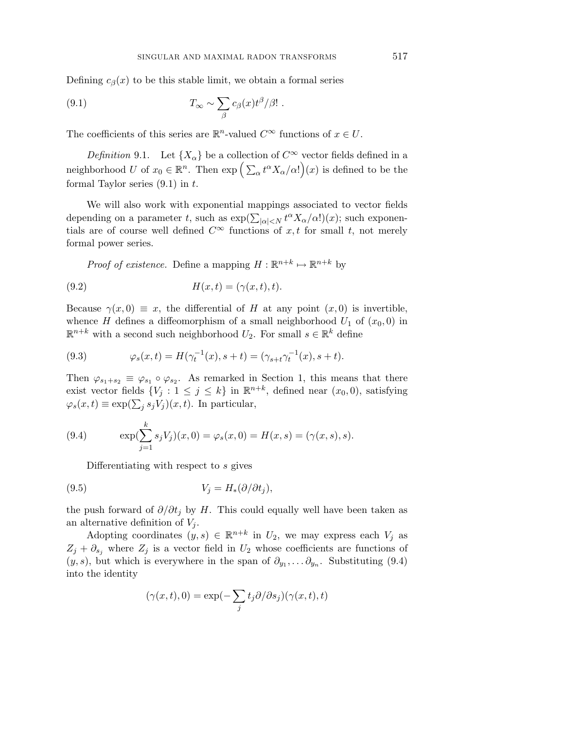Defining  $c_\beta(x)$  to be this stable limit, we obtain a formal series

(9.1) 
$$
T_{\infty} \sim \sum_{\beta} c_{\beta}(x) t^{\beta} / \beta! .
$$

The coefficients of this series are  $\mathbb{R}^n$ -valued  $C^{\infty}$  functions of  $x \in U$ .

Definition 9.1. Let  $\{X_\alpha\}$  be a collection of  $C^\infty$  vector fields defined in a neighborhood *U* of  $x_0 \in \mathbb{R}^n$ . Then  $\exp\left(\sum_{\alpha} t^{\alpha} X_{\alpha}/\alpha!\right)(x)$  is defined to be the formal Taylor series (9.1) in *t*.

We will also work with exponential mappings associated to vector fields depending on a parameter *t*, such as  $\exp(\sum_{|\alpha| (*x*); such exponen$ tials are of course well defined  $C^{\infty}$  functions of *x*, *t* for small *t*, not merely formal power series.

*Proof of existence.* Define a mapping  $H : \mathbb{R}^{n+k} \mapsto \mathbb{R}^{n+k}$  by

(9.2) *H*(*x, t*)=(*γ*(*x, t*)*, t*)*.*

Because  $\gamma(x,0) \equiv x$ , the differential of *H* at any point  $(x,0)$  is invertible, whence *H* defines a diffeomorphism of a small neighborhood  $U_1$  of  $(x_0, 0)$  in  $\mathbb{R}^{n+k}$  with a second such neighborhood  $U_2$ . For small  $s \in \mathbb{R}^k$  define

(9.3) 
$$
\varphi_s(x,t) = H(\gamma_t^{-1}(x), s+t) = (\gamma_{s+t} \gamma_t^{-1}(x), s+t).
$$

Then  $\varphi_{s_1+s_2} \equiv \varphi_{s_1} \circ \varphi_{s_2}$ . As remarked in Section 1, this means that there exist vector fields  $\{V_j : 1 \leq j \leq k\}$  in  $\mathbb{R}^{n+k}$ , defined near  $(x_0, 0)$ , satisfying  $\varphi_s(x,t) \equiv \exp(\sum_j s_j V_j)(x,t)$ . In particular,

(9.4) 
$$
\exp(\sum_{j=1}^{k} s_j V_j)(x,0) = \varphi_s(x,0) = H(x,s) = (\gamma(x,s),s).
$$

Differentiating with respect to *s* gives

$$
(9.5) \t\t V_j = H_*(\partial/\partial t_j),
$$

the push forward of  $\partial/\partial t_j$  by *H*. This could equally well have been taken as an alternative definition of  $V_j$ .

Adopting coordinates  $(y, s) \in \mathbb{R}^{n+k}$  in  $U_2$ , we may express each  $V_j$  as  $Z_j + \partial_{s_j}$  where  $Z_j$  is a vector field in  $U_2$  whose coefficients are functions of  $(y, s)$ , but which is everywhere in the span of  $\partial_{y_1}, \dots \partial_{y_n}$ . Substituting (9.4) into the identity

$$
(\gamma(x,t),0)=\exp(-\sum_jt_j\partial/\partial s_j)(\gamma(x,t),t)
$$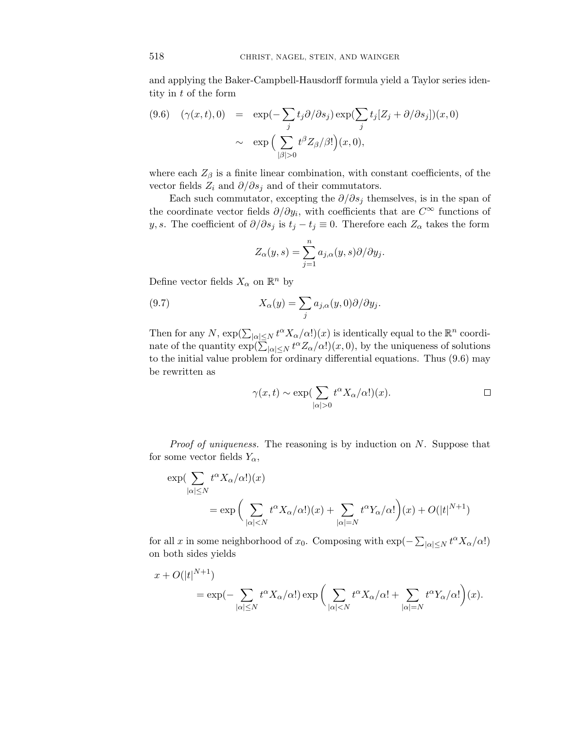and applying the Baker-Campbell-Hausdorff formula yield a Taylor series identity in *t* of the form

$$
(9.6) \quad (\gamma(x,t),0) = \exp(-\sum_{j} t_{j} \partial/\partial s_{j}) \exp(\sum_{j} t_{j} [Z_{j} + \partial/\partial s_{j}]) (x,0)
$$

$$
\sim \exp\Big(\sum_{|\beta|>0} t^{\beta} Z_{\beta}/\beta! \Big) (x,0),
$$

where each  $Z_{\beta}$  is a finite linear combination, with constant coefficients, of the vector fields  $Z_i$  and  $\partial/\partial s_j$  and of their commutators.

Each such commutator, excepting the  $\partial/\partial s_j$  themselves, is in the span of the coordinate vector fields *∂/∂yi*, with coefficients that are *C*<sup>∞</sup> functions of *y, s*. The coefficient of  $\partial/\partial s_j$  is  $t_j - t_j \equiv 0$ . Therefore each  $Z_\alpha$  takes the form

$$
Z_{\alpha}(y,s) = \sum_{j=1}^{n} a_{j,\alpha}(y,s) \partial/\partial y_j.
$$

Define vector fields  $X_\alpha$  on  $\mathbb{R}^n$  by

(9.7) 
$$
X_{\alpha}(y) = \sum_{j} a_{j,\alpha}(y,0) \partial/\partial y_{j}.
$$

Then for any *N*,  $\exp(\sum_{|\alpha| \leq N} t^{\alpha} X_{\alpha}/\alpha!)$  is identically equal to the  $\mathbb{R}^n$  coordinate of the quantity  $\exp(\sum_{|\alpha| \leq N} t^{\alpha} Z_{\alpha}/\alpha!) (x, 0)$ , by the uniqueness of solutions to the initial value problem for ordinary differential equations. Thus (9.6) may be rewritten as

$$
\gamma(x,t) \sim \exp\left(\sum_{|\alpha|>0} t^{\alpha} X_{\alpha}/\alpha! \right)(x).
$$

Proof of uniqueness. The reasoning is by induction on *N*. Suppose that for some vector fields  $Y_\alpha$ ,

$$
\exp\left(\sum_{|\alpha| \le N} t^{\alpha} X_{\alpha}/\alpha! \right)(x) \n= \exp\left(\sum_{|\alpha| < N} t^{\alpha} X_{\alpha}/\alpha! \right)(x) + \sum_{|\alpha| = N} t^{\alpha} Y_{\alpha}/\alpha! \left((x) + O(|t|^{N+1})\right)
$$

for all *x* in some neighborhood of *x*<sub>0</sub>. Composing with  $\exp(-\sum_{|\alpha| \le N} t^{\alpha} X_{\alpha}/\alpha!)$ on both sides yields

$$
x + O(|t|^{N+1})
$$
  
=  $\exp(-\sum_{|\alpha| \le N} t^{\alpha} X_{\alpha}/\alpha !) \exp\left(\sum_{|\alpha| < N} t^{\alpha} X_{\alpha}/\alpha ! + \sum_{|\alpha| = N} t^{\alpha} Y_{\alpha}/\alpha !\right)(x).$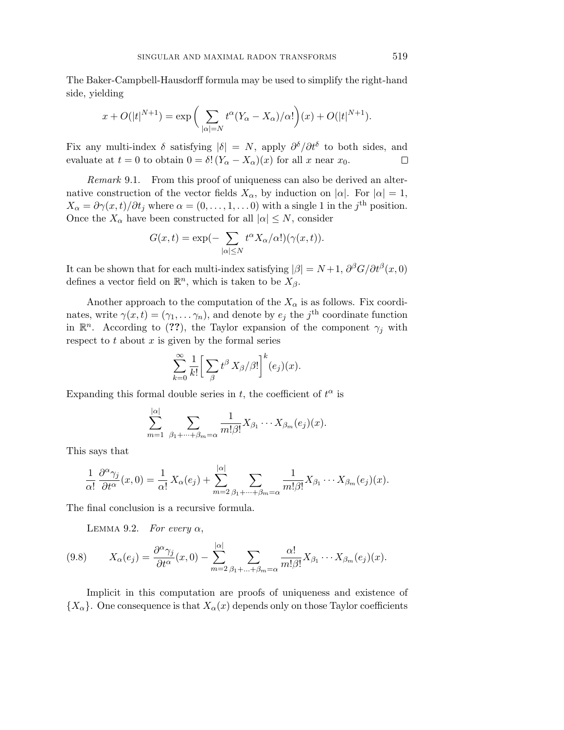The Baker-Campbell-Hausdorff formula may be used to simplify the right-hand side, yielding

$$
x + O(|t|^{N+1}) = \exp\bigg(\sum_{|\alpha|=N} t^{\alpha}(Y_{\alpha} - X_{\alpha})/\alpha!\bigg)(x) + O(|t|^{N+1}).
$$

Fix any multi-index  $\delta$  satisfying  $|\delta| = N$ , apply  $\partial^{\delta}/\partial t^{\delta}$  to both sides, and evaluate at  $t = 0$  to obtain  $0 = \delta! (Y_\alpha - X_\alpha)(x)$  for all *x* near  $x_0$ . □

Remark 9.1. From this proof of uniqueness can also be derived an alternative construction of the vector fields  $X_\alpha$ , by induction on  $|\alpha|$ . For  $|\alpha|=1$ ,  $X_{\alpha} = \partial \gamma(x, t) / \partial t_j$  where  $\alpha = (0, \ldots, 1, \ldots, 0)$  with a single 1 in the *j*<sup>th</sup> position. Once the  $X_\alpha$  have been constructed for all  $|\alpha| \leq N$ , consider

$$
G(x,t) = \exp(-\sum_{|\alpha| \le N} t^{\alpha} X_{\alpha}/\alpha!)(\gamma(x,t)).
$$

It can be shown that for each multi-index satisfying  $|\beta| = N+1$ ,  $\partial^{\beta}G/\partial t^{\beta}(x,0)$ defines a vector field on  $\mathbb{R}^n$ , which is taken to be  $X_\beta$ .

Another approach to the computation of the  $X_{\alpha}$  is as follows. Fix coordinates, write  $\gamma(x,t) = (\gamma_1, \ldots, \gamma_n)$ , and denote by  $e_j$  the *j*<sup>th</sup> coordinate function in  $\mathbb{R}^n$ . According to (??), the Taylor expansion of the component  $\gamma_j$  with respect to  $t$  about  $x$  is given by the formal series

$$
\sum_{k=0}^{\infty} \frac{1}{k!} \left[ \sum_{\beta} t^{\beta} X_{\beta} / \beta! \right]^k (e_j)(x).
$$

Expanding this formal double series in  $t$ , the coefficient of  $t^{\alpha}$  is

$$
\sum_{m=1}^{|\alpha|} \sum_{\beta_1+\cdots+\beta_m=\alpha} \frac{1}{m!\beta!} X_{\beta_1}\cdots X_{\beta_m}(e_j)(x).
$$

This says that

$$
\frac{1}{\alpha!} \frac{\partial^{\alpha} \gamma_j}{\partial t^{\alpha}}(x,0) = \frac{1}{\alpha!} X_{\alpha}(e_j) + \sum_{m=2}^{|\alpha|} \sum_{\beta_1 + \dots + \beta_m = \alpha} \frac{1}{m! \beta!} X_{\beta_1} \cdots X_{\beta_m}(e_j)(x).
$$

The final conclusion is a recursive formula.

LEMMA 9.2. For every  $\alpha$ ,

(9.8) 
$$
X_{\alpha}(e_j) = \frac{\partial^{\alpha} \gamma_j}{\partial t^{\alpha}}(x,0) - \sum_{m=2}^{|\alpha|} \sum_{\beta_1 + ... + \beta_m = \alpha} \frac{\alpha!}{m! \beta!} X_{\beta_1} \cdots X_{\beta_m}(e_j)(x).
$$

Implicit in this computation are proofs of uniqueness and existence of  ${X_\alpha}$ . One consequence is that  $X_\alpha(x)$  depends only on those Taylor coefficients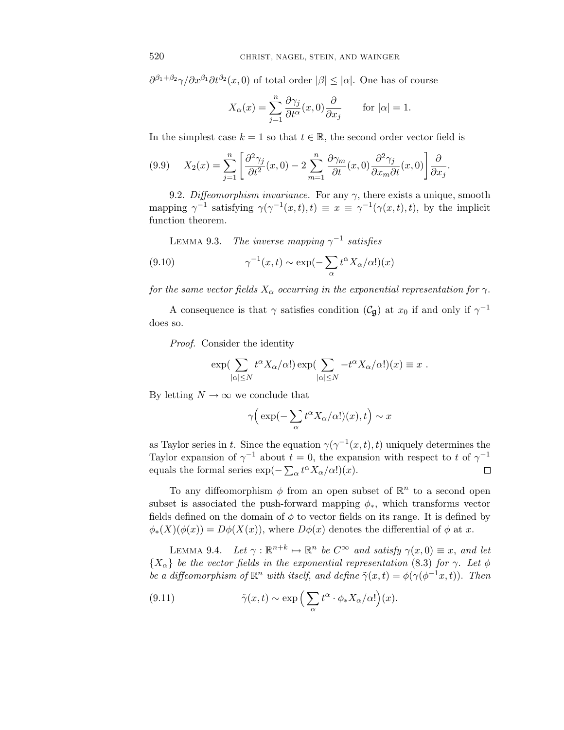$\partial^{\beta_1+\beta_2}\gamma/\partial x^{\beta_1}\partial t^{\beta_2}(x,0)$  of total order  $|\beta|\leq |\alpha|$ . One has of course

$$
X_{\alpha}(x) = \sum_{j=1}^{n} \frac{\partial \gamma_j}{\partial t^{\alpha}}(x, 0) \frac{\partial}{\partial x_j} \quad \text{for } |\alpha| = 1.
$$

In the simplest case  $k = 1$  so that  $t \in \mathbb{R}$ , the second order vector field is

(9.9) 
$$
X_2(x) = \sum_{j=1}^n \left[ \frac{\partial^2 \gamma_j}{\partial t^2}(x,0) - 2 \sum_{m=1}^n \frac{\partial \gamma_m}{\partial t}(x,0) \frac{\partial^2 \gamma_j}{\partial x_m \partial t}(x,0) \right] \frac{\partial}{\partial x_j}.
$$

9.2. Diffeomorphism invariance. For any  $\gamma$ , there exists a unique, smooth mapping  $\gamma^{-1}$  satisfying  $\gamma(\gamma^{-1}(x,t),t) \equiv x \equiv \gamma^{-1}(\gamma(x,t),t)$ , by the implicit function theorem.

LEMMA 9.3. The inverse mapping  $\gamma^{-1}$  satisfies

(9.10) 
$$
\gamma^{-1}(x,t) \sim \exp(-\sum_{\alpha} t^{\alpha} X_{\alpha}/\alpha!)(x)
$$

for the same vector fields  $X_\alpha$  occurring in the exponential representation for  $\gamma$ .

A consequence is that  $\gamma$  satisfies condition ( $\mathcal{C}_{\mathfrak{g}}$ ) at  $x_0$  if and only if  $\gamma^{-1}$ does so.

Proof. Consider the identity

$$
\exp\left(\sum_{|\alpha| \le N} t^{\alpha} X_{\alpha}/\alpha!\right) \exp\left(\sum_{|\alpha| \le N} -t^{\alpha} X_{\alpha}/\alpha!\right)(x) \equiv x.
$$

By letting  $N \to \infty$  we conclude that

$$
\gamma\Big(\exp(-\sum_{\alpha}t^{\alpha}X_{\alpha}/\alpha!)(x),t\Big)\sim x
$$

as Taylor series in *t*. Since the equation  $\gamma(\gamma^{-1}(x,t), t)$  uniquely determines the Taylor expansion of  $\gamma^{-1}$  about  $t = 0$ , the expansion with respect to  $t$  of  $\gamma^{-1}$ equals the formal series  $\exp(-\sum_{\alpha} t^{\alpha} X_{\alpha}/\alpha!) (x)$ .  $\Box$ 

To any diffeomorphism  $\phi$  from an open subset of  $\mathbb{R}^n$  to a second open subset is associated the push-forward mapping  $\phi_*$ , which transforms vector fields defined on the domain of  $\phi$  to vector fields on its range. It is defined by  $\phi_*(X)(\phi(x)) = D\phi(X(x))$ , where  $D\phi(x)$  denotes the differential of  $\phi$  at *x*.

LEMMA 9.4. Let  $\gamma : \mathbb{R}^{n+k} \mapsto \mathbb{R}^n$  be  $C^{\infty}$  and satisfy  $\gamma(x,0) \equiv x$ , and let  ${X_\alpha}$  be the vector fields in the exponential representation (8.3) for *γ*. Let  $\phi$ be a diffeomorphism of  $\mathbb{R}^n$  with itself, and define  $\tilde{\gamma}(x,t) = \phi(\gamma(\phi^{-1}x,t))$ . Then

(9.11) 
$$
\tilde{\gamma}(x,t) \sim \exp\left(\sum_{\alpha} t^{\alpha} \cdot \phi_* X_{\alpha}/\alpha!\right)(x).
$$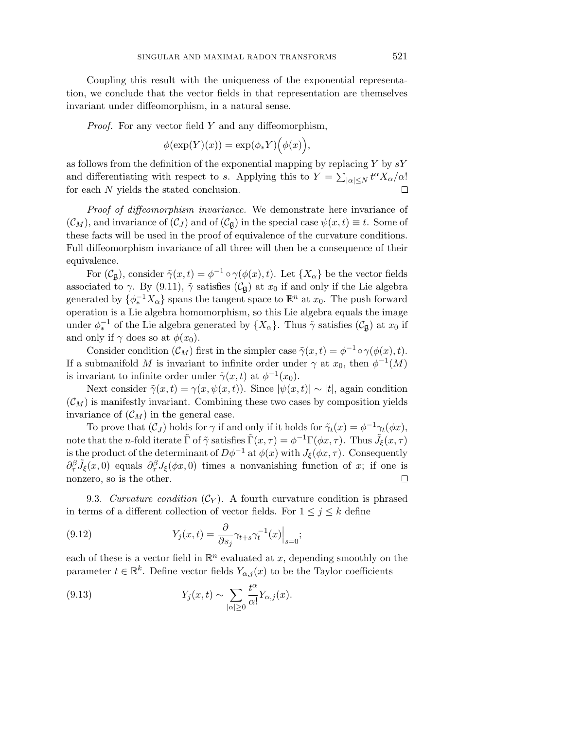Coupling this result with the uniqueness of the exponential representation, we conclude that the vector fields in that representation are themselves invariant under diffeomorphism, in a natural sense.

Proof. For any vector field *Y* and any diffeomorphism,

$$
\phi(\exp(Y)(x)) = \exp(\phi_* Y) \big( \phi(x) \big),
$$

as follows from the definition of the exponential mapping by replacing *Y* by *sY* and differentiating with respect to *s*. Applying this to  $Y = \sum_{|\alpha| \le N} t^{\alpha} X_{\alpha}/\alpha!$ for each *N* yields the stated conclusion. □

Proof of diffeomorphism invariance. We demonstrate here invariance of  $(C_M)$ , and invariance of  $(C_J)$  and of  $(C_g)$  in the special case  $\psi(x,t) \equiv t$ . Some of these facts will be used in the proof of equivalence of the curvature conditions. Full diffeomorphism invariance of all three will then be a consequence of their equivalence.

For  $(\mathcal{C}_{\mathfrak{g}})$ , consider  $\tilde{\gamma}(x,t) = \phi^{-1} \circ \gamma(\phi(x),t)$ . Let  $\{X_{\alpha}\}\$ be the vector fields associated to *γ*. By (9.11),  $\tilde{\gamma}$  satisfies ( $\mathcal{C}_{\mathfrak{g}}$ ) at  $x_0$  if and only if the Lie algebra generated by  $\{\phi_*^{-1}X_\alpha\}$  spans the tangent space to  $\mathbb{R}^n$  at  $x_0$ . The push forward operation is a Lie algebra homomorphism, so this Lie algebra equals the image under  $\phi_*^{-1}$  of the Lie algebra generated by  $\{X_\alpha\}$ . Thus  $\tilde{\gamma}$  satisfies  $(\mathcal{C}_{\mathfrak{g}})$  at  $x_0$  if and only if  $\gamma$  does so at  $\phi(x_0)$ .

Consider condition  $(\mathcal{C}_M)$  first in the simpler case  $\tilde{\gamma}(x,t) = \phi^{-1} \circ \gamma(\phi(x), t)$ . If a submanifold *M* is invariant to infinite order under  $\gamma$  at  $x_0$ , then  $\phi^{-1}(M)$ is invariant to infinite order under  $\tilde{\gamma}(x, t)$  at  $\phi^{-1}(x_0)$ .

Next consider  $\tilde{\gamma}(x,t) = \gamma(x,\psi(x,t))$ . Since  $|\psi(x,t)| \sim |t|$ , again condition  $(\mathcal{C}_M)$  is manifestly invariant. Combining these two cases by composition yields invariance of  $(\mathcal{C}_M)$  in the general case.

To prove that  $(C_J)$  holds for  $\gamma$  if and only if it holds for  $\tilde{\gamma}_t(x) = \phi^{-1}\gamma_t(\phi x)$ , note that the *n*-fold iterate  $\tilde{\Gamma}$  of  $\tilde{\gamma}$  satisfies  $\tilde{\Gamma}(x,\tau) = \phi^{-1}\Gamma(\phi x, \tau)$ . Thus  $\tilde{J}_{\xi}(x,\tau)$ is the product of the determinant of  $D\phi^{-1}$  at  $\phi(x)$  with  $J_{\xi}(\phi x, \tau)$ . Consequently  $\partial_{\tau}^{\beta} \tilde{J}_{\xi}(x,0)$  equals  $\partial_{\tau}^{\beta} J_{\xi}(\phi x,0)$  times a nonvanishing function of *x*; if one is nonzero, so is the other.

9.3. Curvature condition  $(\mathcal{C}_Y)$ . A fourth curvature condition is phrased in terms of a different collection of vector fields. For  $1 \leq j \leq k$  define

(9.12) 
$$
Y_j(x,t) = \frac{\partial}{\partial s_j} \gamma_{t+s} \gamma_t^{-1}(x) \Big|_{s=0};
$$

each of these is a vector field in  $\mathbb{R}^n$  evaluated at x, depending smoothly on the parameter  $t \in \mathbb{R}^k$ . Define vector fields  $Y_{\alpha,j}(x)$  to be the Taylor coefficients

(9.13) 
$$
Y_j(x,t) \sim \sum_{|\alpha| \ge 0} \frac{t^{\alpha}}{\alpha!} Y_{\alpha,j}(x).
$$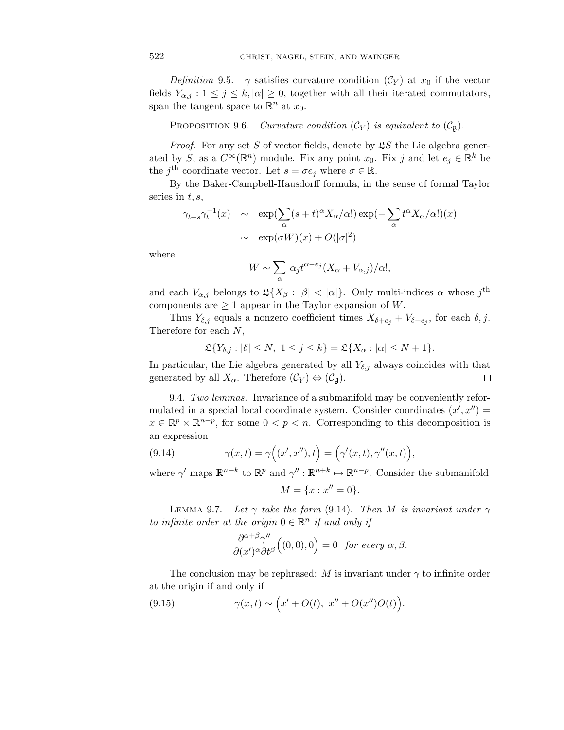Definition 9.5.  $\gamma$  satisfies curvature condition  $(\mathcal{C}_Y)$  at  $x_0$  if the vector fields  $Y_{\alpha,j}$ :  $1 \leq j \leq k, |\alpha| \geq 0$ , together with all their iterated commutators, span the tangent space to  $\mathbb{R}^n$  at  $x_0$ .

PROPOSITION 9.6. Curvature condition  $(C_Y)$  is equivalent to  $(C_{\mathfrak{g}})$ .

Proof. For any set *S* of vector fields, denote by  $2S$  the Lie algebra generated by *S*, as a  $C^{\infty}(\mathbb{R}^n)$  module. Fix any point  $x_0$ . Fix *j* and let  $e_j \in \mathbb{R}^k$  be the *j*<sup>th</sup> coordinate vector. Let  $s = \sigma e_j$  where  $\sigma \in \mathbb{R}$ .

By the Baker-Campbell-Hausdorff formula, in the sense of formal Taylor series in *t, s*,

$$
\gamma_{t+s} \gamma_t^{-1}(x) \sim \exp(\sum_{\alpha} (s+t)^{\alpha} X_{\alpha}/\alpha!) \exp(-\sum_{\alpha} t^{\alpha} X_{\alpha}/\alpha!)(x)
$$

$$
\sim \exp(\sigma W)(x) + O(|\sigma|^2)
$$

where

$$
W \sim \sum_{\alpha} \alpha_j t^{\alpha - e_j} (X_{\alpha} + V_{\alpha,j})/\alpha!,
$$

and each  $V_{\alpha,j}$  belongs to  $\mathfrak{L}\{X_{\beta}:|\beta|<|\alpha|\}$ . Only multi-indices  $\alpha$  whose  $j^{\text{th}}$ components are  $\geq 1$  appear in the Taylor expansion of *W*.

Thus  $Y_{\delta,j}$  equals a nonzero coefficient times  $X_{\delta+e_j} + V_{\delta+e_j}$ , for each  $\delta, j$ . Therefore for each *N*,

$$
\mathfrak{L}\{Y_{\delta,j}:|\delta|\leq N,\ 1\leq j\leq k\}=\mathfrak{L}\{X_{\alpha}:|\alpha|\leq N+1\}.
$$

In particular, the Lie algebra generated by all  $Y_{\delta,j}$  always coincides with that generated by all  $X_\alpha$ . Therefore  $(\mathcal{C}_Y) \Leftrightarrow (\mathcal{C}_\mathfrak{g})$ .  $\Box$ 

9.4. Two lemmas. Invariance of a submanifold may be conveniently reformulated in a special local coordinate system. Consider coordinates  $(x', x'') =$  $x \in \mathbb{R}^p \times \mathbb{R}^{n-p}$ , for some  $0 < p < n$ . Corresponding to this decomposition is an expression

(9.14) 
$$
\gamma(x,t) = \gamma\Big((x',x''),t\Big) = \Big(\gamma'(x,t),\gamma''(x,t)\Big),
$$

where  $\gamma'$  maps  $\mathbb{R}^{n+k}$  to  $\mathbb{R}^p$  and  $\gamma'' : \mathbb{R}^{n+k} \mapsto \mathbb{R}^{n-p}$ . Consider the submanifold

$$
M = \{x : x'' = 0\}.
$$

LEMMA 9.7. Let  $\gamma$  take the form (9.14). Then *M* is invariant under  $\gamma$ to infinite order at the origin  $0 \in \mathbb{R}^n$  if and only if

$$
\frac{\partial^{\alpha+\beta}\gamma''}{\partial(x')^{\alpha}\partial t^{\beta}}\Big((0,0),0\Big)=0 \text{ for every } \alpha,\beta.
$$

The conclusion may be rephrased: *M* is invariant under  $\gamma$  to infinite order at the origin if and only if

(9.15) 
$$
\gamma(x,t) \sim \left(x' + O(t), x'' + O(x'')O(t)\right).
$$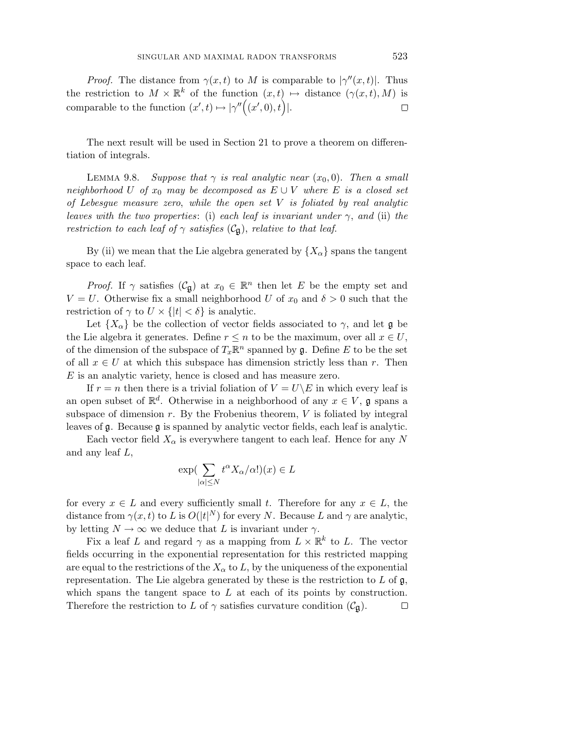*Proof.* The distance from  $\gamma(x,t)$  to *M* is comparable to  $|\gamma''(x,t)|$ . Thus the restriction to  $M \times \mathbb{R}^k$  of the function  $(x,t) \mapsto$  distance  $(\gamma(x,t), M)$  is comparable to the function  $(x', t) \mapsto |\gamma''((x', 0), t)|$ .  $\Box$ 

The next result will be used in Section 21 to prove a theorem on differentiation of integrals.

LEMMA 9.8. Suppose that  $\gamma$  is real analytic near  $(x_0, 0)$ . Then a small neighborhood *U* of  $x_0$  may be decomposed as  $E \cup V$  where *E* is a closed set of Lebesgue measure zero, while the open set *V* is foliated by real analytic leaves with the two properties: (i) each leaf is invariant under  $\gamma$ , and (ii) the restriction to each leaf of  $\gamma$  satisfies ( $\mathcal{C}_{\mathfrak{g}}$ ), relative to that leaf.

By (ii) we mean that the Lie algebra generated by  $\{X_{\alpha}\}\$  spans the tangent space to each leaf.

*Proof.* If  $\gamma$  satisfies  $(\mathcal{C}_{\mathfrak{g}})$  at  $x_0 \in \mathbb{R}^n$  then let *E* be the empty set and *V* = *U*. Otherwise fix a small neighborhood *U* of  $x_0$  and  $\delta > 0$  such that the restriction of  $\gamma$  to  $U \times \{|t| < \delta\}$  is analytic.

Let  ${X_\alpha}$  be the collection of vector fields associated to  $\gamma$ , and let  $\mathfrak g$  be the Lie algebra it generates. Define  $r \leq n$  to be the maximum, over all  $x \in U$ , of the dimension of the subspace of  $T_x \mathbb{R}^n$  spanned by  $\mathfrak{g}$ . Define *E* to be the set of all  $x \in U$  at which this subspace has dimension strictly less than *r*. Then *E* is an analytic variety, hence is closed and has measure zero.

If  $r = n$  then there is a trivial foliation of  $V = U \ E$  in which every leaf is an open subset of  $\mathbb{R}^d$ . Otherwise in a neighborhood of any  $x \in V$ , g spans a subspace of dimension *r*. By the Frobenius theorem, *V* is foliated by integral leaves of g. Because g is spanned by analytic vector fields, each leaf is analytic.

Each vector field  $X_\alpha$  is everywhere tangent to each leaf. Hence for any N and any leaf *L*,

$$
\exp\left(\sum_{|\alpha| \le N} t^{\alpha} X_{\alpha}/\alpha!\right)(x) \in L
$$

for every  $x \in L$  and every sufficiently small *t*. Therefore for any  $x \in L$ , the distance from  $\gamma(x, t)$  to *L* is  $O(|t|^N)$  for every *N*. Because *L* and  $\gamma$  are analytic, by letting  $N \to \infty$  we deduce that *L* is invariant under  $\gamma$ .

Fix a leaf *L* and regard  $\gamma$  as a mapping from  $L \times \mathbb{R}^k$  to *L*. The vector fields occurring in the exponential representation for this restricted mapping are equal to the restrictions of the  $X_\alpha$  to  $L$ , by the uniqueness of the exponential representation. The Lie algebra generated by these is the restriction to *L* of g, which spans the tangent space to *L* at each of its points by construction. Therefore the restriction to *L* of  $\gamma$  satisfies curvature condition  $(\mathcal{C}_{\mathfrak{g}})$ . □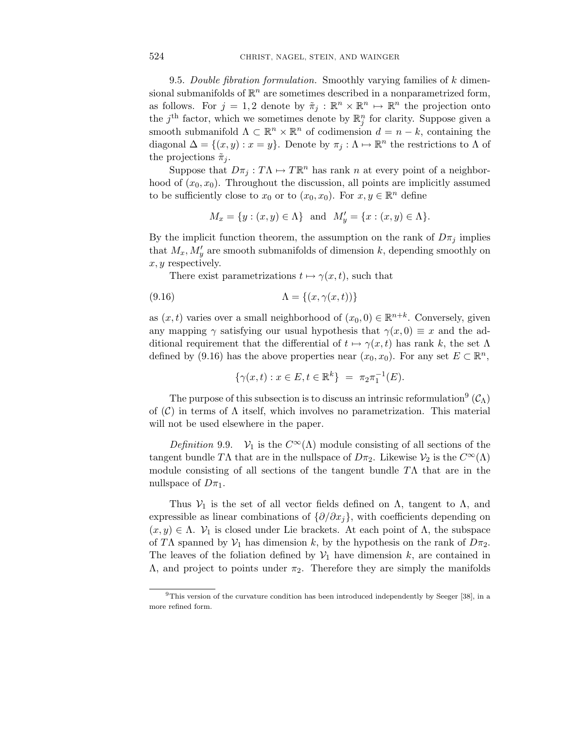9.5. Double fibration formulation. Smoothly varying families of *k* dimensional submanifolds of  $\mathbb{R}^n$  are sometimes described in a nonparametrized form, as follows. For  $j = 1, 2$  denote by  $\tilde{\pi}_j : \mathbb{R}^n \times \mathbb{R}^n \mapsto \mathbb{R}^n$  the projection onto the  $j<sup>th</sup>$  factor, which we sometimes denote by  $\mathbb{R}^n_j$  for clarity. Suppose given a smooth submanifold  $\Lambda \subset \mathbb{R}^n \times \mathbb{R}^n$  of codimension  $d = n - k$ , containing the diagonal  $\Delta = \{(x, y) : x = y\}$ . Denote by  $\pi_j : \Lambda \mapsto \mathbb{R}^n$  the restrictions to  $\Lambda$  of the projections  $\tilde{\pi}_i$ .

Suppose that  $D\pi_j : T\Lambda \mapsto T\mathbb{R}^n$  has rank *n* at every point of a neighborhood of  $(x_0, x_0)$ . Throughout the discussion, all points are implicitly assumed to be sufficiently close to  $x_0$  or to  $(x_0, x_0)$ . For  $x, y \in \mathbb{R}^n$  define

$$
M_x = \{y : (x, y) \in \Lambda\}
$$
 and  $M'_y = \{x : (x, y) \in \Lambda\}.$ 

By the implicit function theorem, the assumption on the rank of  $D\pi_j$  implies that  $M_x, M'_y$  are smooth submanifolds of dimension *k*, depending smoothly on *x, y* respectively.

There exist parametrizations  $t \mapsto \gamma(x, t)$ , such that

$$
(9.16)\qquad \qquad \Lambda = \{(x, \gamma(x, t))\}
$$

as  $(x, t)$  varies over a small neighborhood of  $(x_0, 0) \in \mathbb{R}^{n+k}$ . Conversely, given any mapping  $\gamma$  satisfying our usual hypothesis that  $\gamma(x,0) \equiv x$  and the additional requirement that the differential of  $t \mapsto \gamma(x, t)$  has rank k, the set  $\Lambda$ defined by (9.16) has the above properties near  $(x_0, x_0)$ . For any set  $E \subset \mathbb{R}^n$ ,

$$
\{\gamma(x,t): x \in E, t \in \mathbb{R}^k\} = \pi_2 \pi_1^{-1}(E).
$$

The purpose of this subsection is to discuss an intrinsic reformulation<sup>9</sup>  $(C_\Lambda)$ of  $(C)$  in terms of  $\Lambda$  itself, which involves no parametrization. This material will not be used elsewhere in the paper.

Definition 9.9.  $V_1$  is the  $C^{\infty}(\Lambda)$  module consisting of all sections of the tangent bundle *T*Λ that are in the nullspace of  $D\pi_2$ . Likewise  $V_2$  is the  $C^{\infty}(\Lambda)$ module consisting of all sections of the tangent bundle *T*Λ that are in the nullspace of  $D\pi_1$ .

Thus  $V_1$  is the set of all vector fields defined on  $\Lambda$ , tangent to  $\Lambda$ , and expressible as linear combinations of  $\{\partial/\partial x_i\}$ , with coefficients depending on  $(x, y) \in \Lambda$ .  $\mathcal{V}_1$  is closed under Lie brackets. At each point of  $\Lambda$ , the subspace of TA spanned by  $V_1$  has dimension k, by the hypothesis on the rank of  $D\pi_2$ . The leaves of the foliation defined by  $V_1$  have dimension  $k$ , are contained in  $Λ$ , and project to points under  $π<sub>2</sub>$ . Therefore they are simply the manifolds

<sup>9</sup>This version of the curvature condition has been introduced independently by Seeger [38], in a more refined form.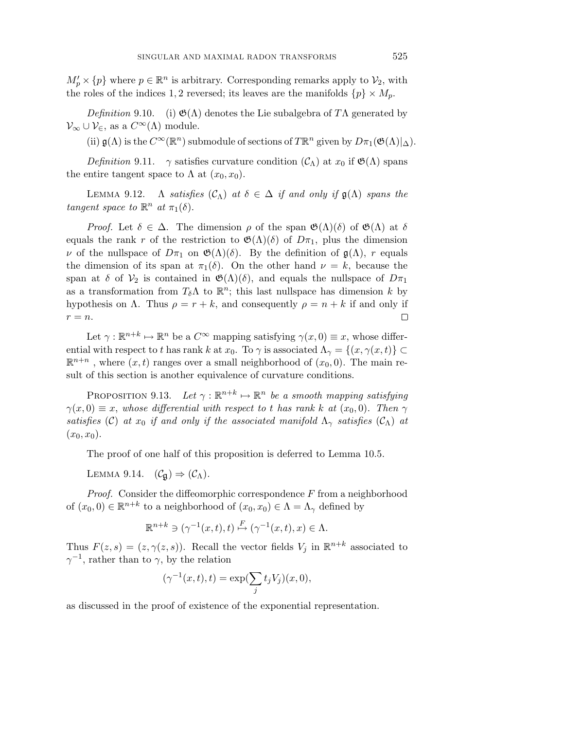$M'_p \times \{p\}$  where  $p \in \mathbb{R}^n$  is arbitrary. Corresponding remarks apply to  $\mathcal{V}_2$ , with the roles of the indices 1, 2 reversed; its leaves are the manifolds  $\{p\} \times M_p$ .

Definition 9.10. (i)  $\mathfrak{G}(\Lambda)$  denotes the Lie subalgebra of T $\Lambda$  generated by  $\mathcal{V}_{\infty} \cup \mathcal{V}_{\in}$ , as a  $C^{\infty}(\Lambda)$  module.

(ii)  $\mathfrak{g}(\Lambda)$  is the  $C^{\infty}(\mathbb{R}^n)$  submodule of sections of  $T\mathbb{R}^n$  given by  $D\pi_1(\mathfrak{G}(\Lambda)|_{\Delta})$ .

Definition 9.11. *γ* satisfies curvature condition  $(C_{\Lambda})$  at  $x_0$  if  $\mathfrak{G}(\Lambda)$  spans the entire tangent space to  $\Lambda$  at  $(x_0, x_0)$ .

LEMMA  $9.12$ .  $\Lambda$  satisfies  $(C_{\Lambda})$  at  $\delta \in \Delta$  if and only if  $\mathfrak{g}(\Lambda)$  spans the tangent space to  $\mathbb{R}^n$  at  $\pi_1(\delta)$ .

Proof. Let  $\delta \in \Delta$ . The dimension  $\rho$  of the span  $\mathfrak{G}(\Lambda)(\delta)$  of  $\mathfrak{G}(\Lambda)$  at  $\delta$ equals the rank *r* of the restriction to  $\mathfrak{G}(\Lambda)(\delta)$  of  $D\pi_1$ , plus the dimension *ν* of the nullspace of  $D\pi_1$  on  $\mathfrak{G}(\Lambda)(\delta)$ . By the definition of  $\mathfrak{g}(\Lambda)$ , *r* equals the dimension of its span at  $\pi_1(\delta)$ . On the other hand  $\nu = k$ , because the span at  $\delta$  of  $V_2$  is contained in  $\mathfrak{G}(\Lambda)(\delta)$ , and equals the nullspace of  $D\pi_1$ as a transformation from  $T_{\delta} \Lambda$  to  $\mathbb{R}^n$ ; this last nullspace has dimension *k* by hypothesis on  $\Lambda$ . Thus  $\rho = r + k$ , and consequently  $\rho = n + k$  if and only if  $r = n$ .  $\Box$ 

Let  $\gamma : \mathbb{R}^{n+k} \mapsto \mathbb{R}^n$  be a  $C^{\infty}$  mapping satisfying  $\gamma(x, 0) \equiv x$ , whose differential with respect to *t* has rank *k* at  $x_0$ . To  $\gamma$  is associated  $\Lambda_{\gamma} = \{(x, \gamma(x, t))\} \subset$  $\mathbb{R}^{n+n}$ , where  $(x, t)$  ranges over a small neighborhood of  $(x_0, 0)$ . The main result of this section is another equivalence of curvature conditions.

PROPOSITION 9.13. Let  $\gamma : \mathbb{R}^{n+k} \mapsto \mathbb{R}^n$  be a smooth mapping satisfying  $\gamma(x,0) \equiv x$ , whose differential with respect to *t* has rank *k* at  $(x_0,0)$ . Then  $\gamma$ satisfies (C) at  $x_0$  if and only if the associated manifold  $\Lambda_{\gamma}$  satisfies (C<sub>A</sub>) at  $(x_0, x_0)$ .

The proof of one half of this proposition is deferred to Lemma 10.5.

LEMMA 9.14.  $(\mathcal{C}_{\mathfrak{g}}) \Rightarrow (\mathcal{C}_{\Lambda}).$ 

Proof. Consider the diffeomorphic correspondence *F* from a neighborhood of  $(x_0, 0) \in \mathbb{R}^{n+k}$  to a neighborhood of  $(x_0, x_0) \in \Lambda = \Lambda_{\gamma}$  defined by

$$
\mathbb{R}^{n+k} \ni (\gamma^{-1}(x,t),t) \stackrel{F}{\mapsto} (\gamma^{-1}(x,t),x) \in \Lambda.
$$

Thus  $F(z, s) = (z, \gamma(z, s))$ . Recall the vector fields  $V_j$  in  $\mathbb{R}^{n+k}$  associated to  $γ^{-1}$ , rather than to  $γ$ , by the relation

$$
(\gamma^{-1}(x,t),t) = \exp(\sum_j t_j V_j)(x,0),
$$

as discussed in the proof of existence of the exponential representation.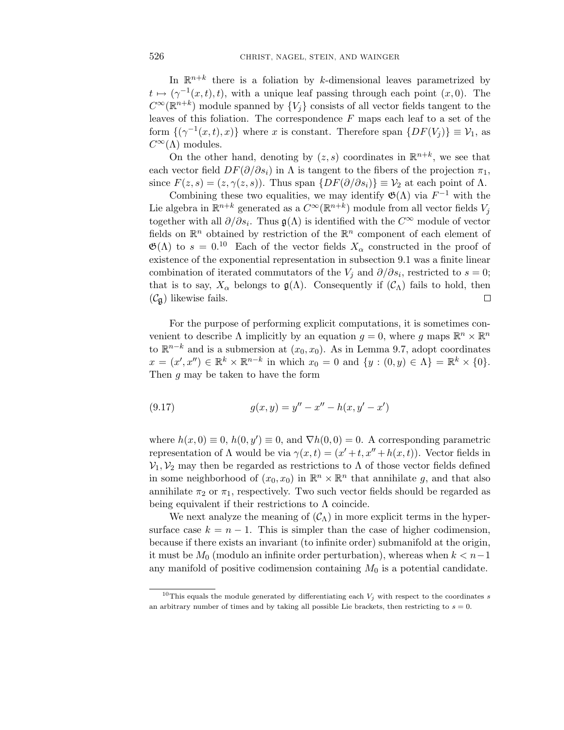In  $\mathbb{R}^{n+k}$  there is a foliation by *k*-dimensional leaves parametrized by  $t \mapsto (\gamma^{-1}(x,t),t)$ , with a unique leaf passing through each point  $(x,0)$ . The  $C^{\infty}(\mathbb{R}^{n+k})$  module spanned by  $\{V_i\}$  consists of all vector fields tangent to the leaves of this foliation. The correspondence *F* maps each leaf to a set of the form  $\{(\gamma^{-1}(x,t),x)\}\$  where *x* is constant. Therefore span  $\{DF(V_j)\}\equiv V_1$ , as  $C^{\infty}(\Lambda)$  modules.

On the other hand, denoting by  $(z, s)$  coordinates in  $\mathbb{R}^{n+k}$ , we see that each vector field  $DF(\partial/\partial s_i)$  in  $\Lambda$  is tangent to the fibers of the projection  $\pi_1$ , since  $F(z, s) = (z, \gamma(z, s))$ . Thus span  $\{DF(\partial/\partial s_i)\} \equiv V_2$  at each point of  $\Lambda$ .

Combining these two equalities, we may identify  $\mathfrak{G}(\Lambda)$  via  $F^{-1}$  with the Lie algebra in  $\mathbb{R}^{n+k}$  generated as a  $C^{\infty}(\mathbb{R}^{n+k})$  module from all vector fields  $V_i$ together with all  $\partial/\partial s_i$ . Thus  $\mathfrak{g}(\Lambda)$  is identified with the  $C^{\infty}$  module of vector fields on  $\mathbb{R}^n$  obtained by restriction of the  $\mathbb{R}^n$  component of each element of  $\mathfrak{G}(\Lambda)$  to  $s = 0.10$  Each of the vector fields  $X_\alpha$  constructed in the proof of existence of the exponential representation in subsection 9.1 was a finite linear combination of iterated commutators of the  $V_j$  and  $\partial/\partial s_i$ , restricted to  $s = 0$ ; that is to say,  $X_\alpha$  belongs to  $\mathfrak{g}(\Lambda)$ . Consequently if  $(\mathcal{C}_\Lambda)$  fails to hold, then  $(\mathcal{C}_{\mathfrak{g}})$  likewise fails. 口

For the purpose of performing explicit computations, it is sometimes convenient to describe  $\Lambda$  implicitly by an equation  $g = 0$ , where *g* maps  $\mathbb{R}^n \times \mathbb{R}^n$ to  $\mathbb{R}^{n-k}$  and is a submersion at  $(x_0, x_0)$ . As in Lemma 9.7, adopt coordinates  $x = (x', x'') \in \mathbb{R}^k \times \mathbb{R}^{n-k}$  in which  $x_0 = 0$  and  $\{y : (0, y) \in \Lambda\} = \mathbb{R}^k \times \{0\}.$ Then *g* may be taken to have the form

(9.17) 
$$
g(x,y) = y'' - x'' - h(x, y' - x')
$$

where  $h(x, 0) \equiv 0$ ,  $h(0, y') \equiv 0$ , and  $\nabla h(0, 0) = 0$ . A corresponding parametric representation of Λ would be via  $γ(x, t) = (x' + t, x'' + h(x, t))$ . Vector fields in  $V_1, V_2$  may then be regarded as restrictions to  $\Lambda$  of those vector fields defined in some neighborhood of  $(x_0, x_0)$  in  $\mathbb{R}^n \times \mathbb{R}^n$  that annihilate g, and that also annihilate  $\pi_2$  or  $\pi_1$ , respectively. Two such vector fields should be regarded as being equivalent if their restrictions to  $\Lambda$  coincide.

We next analyze the meaning of  $(\mathcal{C}_{\Lambda})$  in more explicit terms in the hypersurface case  $k = n - 1$ . This is simpler than the case of higher codimension, because if there exists an invariant (to infinite order) submanifold at the origin, it must be  $M_0$  (modulo an infinite order perturbation), whereas when  $k < n-1$ any manifold of positive codimension containing  $M_0$  is a potential candidate.

<sup>&</sup>lt;sup>10</sup>This equals the module generated by differentiating each  $V_j$  with respect to the coordinates *s* an arbitrary number of times and by taking all possible Lie brackets, then restricting to  $s = 0$ .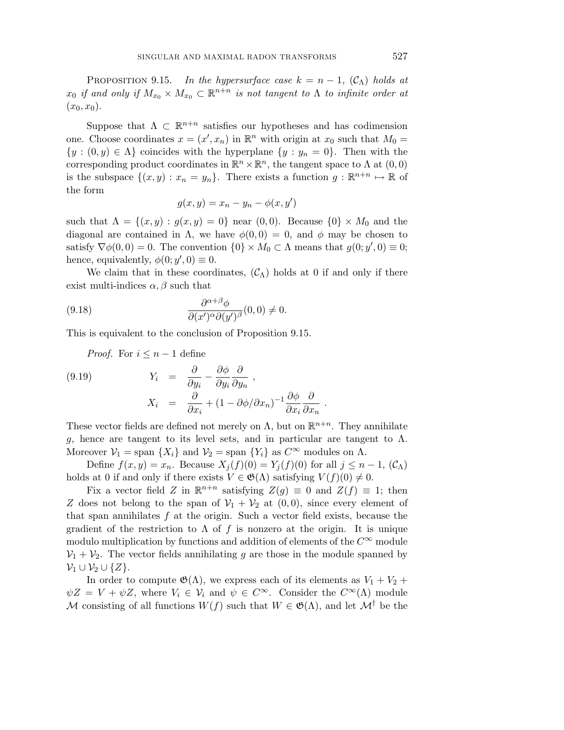PROPOSITION 9.15. In the hypersurface case  $k = n - 1$ ,  $(C_{\Lambda})$  holds at *x*<sub>0</sub> if and only if  $M_{x_0} \times M_{x_0} \subset \mathbb{R}^{n+n}$  is not tangent to  $\Lambda$  to infinite order at  $(x_0, x_0)$ .

Suppose that  $\Lambda \subset \mathbb{R}^{n+n}$  satisfies our hypotheses and has codimension one. Choose coordinates  $x = (x', x_n)$  in  $\mathbb{R}^n$  with origin at  $x_0$  such that  $M_0 =$  ${y : (0, y) \in \Lambda}$  coincides with the hyperplane  ${y : y_n = 0}$ . Then with the corresponding product coordinates in  $\mathbb{R}^n \times \mathbb{R}^n$ , the tangent space to  $\Lambda$  at  $(0,0)$ is the subspace  $\{(x, y) : x_n = y_n\}$ . There exists a function  $g : \mathbb{R}^{n+n} \mapsto \mathbb{R}$  of the form

$$
g(x,y) = x_n - y_n - \phi(x,y')
$$

such that  $\Lambda = \{(x, y) : g(x, y) = 0\}$  near  $(0, 0)$ . Because  $\{0\} \times M_0$  and the diagonal are contained in  $\Lambda$ , we have  $\phi(0,0) = 0$ , and  $\phi$  may be chosen to satisfy  $\nabla \phi(0,0) = 0$ . The convention  $\{0\} \times M_0 \subset \Lambda$  means that  $g(0; y', 0) \equiv 0$ ; hence, equivalently,  $\phi(0; y', 0) \equiv 0$ .

We claim that in these coordinates,  $(\mathcal{C}_{\Lambda})$  holds at 0 if and only if there exist multi-indices  $\alpha$ ,  $\beta$  such that

(9.18) 
$$
\frac{\partial^{\alpha+\beta}\phi}{\partial(x')^{\alpha}\partial(y')^{\beta}}(0,0) \neq 0.
$$

This is equivalent to the conclusion of Proposition 9.15.

*Proof.* For  $i \leq n-1$  define

(9.19) 
$$
Y_i = \frac{\partial}{\partial y_i} - \frac{\partial \phi}{\partial y_i} \frac{\partial}{\partial y_n},
$$

$$
X_i = \frac{\partial}{\partial x_i} + (1 - \partial \phi / \partial x_n)^{-1} \frac{\partial \phi}{\partial x_i} \frac{\partial}{\partial x_n}
$$

These vector fields are defined not merely on  $\Lambda$ , but on  $\mathbb{R}^{n+n}$ . They annihilate *g*, hence are tangent to its level sets, and in particular are tangent to  $\Lambda$ . Moreover  $V_1$  = span  $\{X_i\}$  and  $V_2$  = span  $\{Y_i\}$  as  $C^{\infty}$  modules on  $\Lambda$ .

*.*

Define  $f(x, y) = x_n$ . Because  $X_j(f)(0) = Y_j(f)(0)$  for all  $j \leq n - 1$ ,  $(C_\Lambda)$ holds at 0 if and only if there exists  $V \in \mathfrak{G}(\Lambda)$  satisfying  $V(f)(0) \neq 0$ .

Fix a vector field *Z* in  $\mathbb{R}^{n+n}$  satisfying  $Z(g) \equiv 0$  and  $Z(f) \equiv 1$ ; then *Z* does not belong to the span of  $V_1 + V_2$  at  $(0,0)$ , since every element of that span annihilates *f* at the origin. Such a vector field exists, because the gradient of the restriction to  $\Lambda$  of  $f$  is nonzero at the origin. It is unique modulo multiplication by functions and addition of elements of the  $C^{\infty}$  module  $\mathcal{V}_1 + \mathcal{V}_2$ . The vector fields annihilating *g* are those in the module spanned by  $\mathcal{V}_1 \cup \mathcal{V}_2 \cup \{Z\}.$ 

In order to compute  $\mathfrak{G}(\Lambda)$ , we express each of its elements as  $V_1 + V_2 +$  $\psi Z = V + \psi Z$ , where  $V_i \in V_i$  and  $\psi \in C^{\infty}$ . Consider the  $C^{\infty}(\Lambda)$  module M consisting of all functions  $W(f)$  such that  $W \in \mathfrak{G}(\Lambda)$ , and let  $\mathcal{M}^{\dagger}$  be the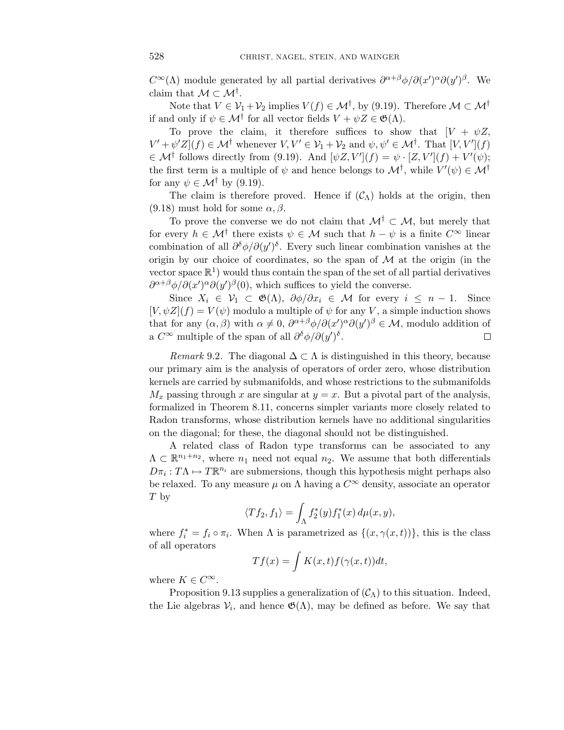*C*<sup>∞</sup>( $\Lambda$ ) module generated by all partial derivatives  $\partial^{\alpha+\beta}\phi/\partial(x')^{\alpha}\partial(y')^{\beta}$ . We claim that  $\mathcal{M} \subset \mathcal{M}^{\dagger}$ .

Note that  $V \in \mathcal{V}_1 + \mathcal{V}_2$  implies  $V(f) \in \mathcal{M}^{\dagger}$ , by (9.19). Therefore  $\mathcal{M} \subset \mathcal{M}^{\dagger}$ if and only if  $\psi \in \mathcal{M}^{\dagger}$  for all vector fields  $V + \psi Z \in \mathfrak{G}(\Lambda)$ .

To prove the claim, it therefore suffices to show that  $[V + \psi Z,$  $V' + \psi'Z](f) \in \mathcal{M}^{\dagger}$  whenever  $V, V' \in \mathcal{V}_1 + \mathcal{V}_2$  and  $\psi, \psi' \in \mathcal{M}^{\dagger}$ . That  $[V, V'](f)$  $\in \mathcal{M}^{\dagger}$  follows directly from (9.19). And  $[\psi Z, V'](f) = \psi \cdot [Z, V'](f) + V'(\psi);$ the first term is a multiple of  $\psi$  and hence belongs to  $\mathcal{M}^{\dagger}$ , while  $V'(\psi) \in \mathcal{M}^{\dagger}$ for any  $\psi \in \mathcal{M}^{\dagger}$  by (9.19).

The claim is therefore proved. Hence if  $(C_{\Lambda})$  holds at the origin, then (9.18) must hold for some  $\alpha$ ,  $\beta$ .

To prove the converse we do not claim that  $\mathcal{M}^{\dagger} \subset \mathcal{M}$ , but merely that for every  $h \in \mathcal{M}^{\dagger}$  there exists  $\psi \in \mathcal{M}$  such that  $h - \psi$  is a finite  $C^{\infty}$  linear combination of all  $\partial^{\delta}\phi/\partial(y')^{\delta}$ . Every such linear combination vanishes at the origin by our choice of coordinates, so the span of  $\mathcal M$  at the origin (in the vector space  $\mathbb{R}^1$ ) would thus contain the span of the set of all partial derivatives  $\frac{\partial^{a+\beta} \phi}{\partial (x')^{\alpha} \partial (y')^{\beta}(0)}$ , which suffices to yield the converse.

Since  $X_i \in V_1 \subset \mathfrak{G}(\Lambda)$ ,  $\partial \phi / \partial x_i \in \mathcal{M}$  for every  $i \leq n-1$ . Since  $[V, \psi Z](f) = V(\psi)$  modulo a multiple of  $\psi$  for any *V*, a simple induction shows that for any  $(\alpha, \beta)$  with  $\alpha \neq 0$ ,  $\partial^{\alpha+\beta}\phi/\partial(x')^{\alpha}\partial(y')^{\beta} \in \mathcal{M}$ , modulo addition of a  $C^{\infty}$  multiple of the span of all  $\partial^{\delta}\phi/\partial(y')^{\delta}$ .  $\Box$ 

Remark 9.2. The diagonal  $\Delta \subset \Lambda$  is distinguished in this theory, because our primary aim is the analysis of operators of order zero, whose distribution kernels are carried by submanifolds, and whose restrictions to the submanifolds  $M_x$  passing through *x* are singular at  $y = x$ . But a pivotal part of the analysis, formalized in Theorem 8.11, concerns simpler variants more closely related to Radon transforms, whose distribution kernels have no additional singularities on the diagonal; for these, the diagonal should not be distinguished.

A related class of Radon type transforms can be associated to any  $\Lambda \subset \mathbb{R}^{n_1+n_2}$ , where  $n_1$  need not equal  $n_2$ . We assume that both differentials  $D\pi_i : T\Lambda \mapsto T\mathbb{R}^{n_i}$  are submersions, though this hypothesis might perhaps also be relaxed. To any measure  $\mu$  on  $\Lambda$  having a  $C^{\infty}$  density, associate an operator *T* by

$$
\langle Tf_2, f_1 \rangle = \int_{\Lambda} f_2^*(y) f_1^*(x) d\mu(x, y),
$$

where  $f_i^* = f_i \circ \pi_i$ . When  $\Lambda$  is parametrized as  $\{(x, \gamma(x, t))\}$ , this is the class of all operators

$$
Tf(x) = \int K(x,t)f(\gamma(x,t))dt,
$$

where  $K \in C^{\infty}$ .

Proposition 9.13 supplies a generalization of  $(\mathcal{C}_{\Lambda})$  to this situation. Indeed, the Lie algebras  $V_i$ , and hence  $\mathfrak{G}(\Lambda)$ , may be defined as before. We say that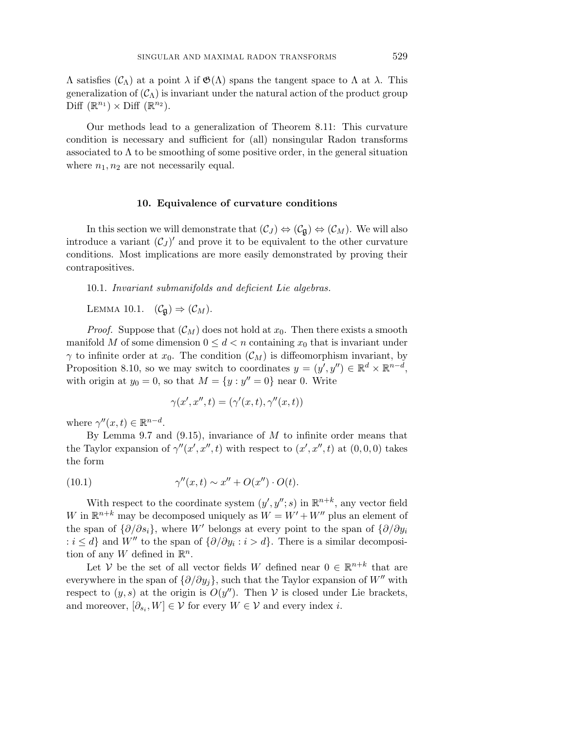Λ satisfies (CΛ) at a point *λ* if G(Λ) spans the tangent space to Λ at *λ*. This generalization of  $(C_\Lambda)$  is invariant under the natural action of the product group Diff  $(\mathbb{R}^{n_1}) \times \text{Diff } (\mathbb{R}^{n_2})$ .

Our methods lead to a generalization of Theorem 8.11: This curvature condition is necessary and sufficient for (all) nonsingular Radon transforms associated to  $\Lambda$  to be smoothing of some positive order, in the general situation where  $n_1, n_2$  are not necessarily equal.

#### **10. Equivalence of curvature conditions**

In this section we will demonstrate that  $(\mathcal{C}_J) \Leftrightarrow (\mathcal{C}_{\mathfrak{g}}) \Leftrightarrow (\mathcal{C}_M)$ . We will also introduce a variant  $(\mathcal{C}_J)'$  and prove it to be equivalent to the other curvature conditions. Most implications are more easily demonstrated by proving their contrapositives.

10.1. Invariant submanifolds and deficient Lie algebras.

LEMMA 10.1.  $(\mathcal{C}_{\mathfrak{g}}) \Rightarrow (\mathcal{C}_M)$ .

*Proof.* Suppose that  $(\mathcal{C}_M)$  does not hold at  $x_0$ . Then there exists a smooth manifold *M* of some dimension  $0 \leq d < n$  containing  $x_0$  that is invariant under *γ* to infinite order at  $x_0$ . The condition  $(\mathcal{C}_M)$  is diffeomorphism invariant, by Proposition 8.10, so we may switch to coordinates  $y = (y', y'') \in \mathbb{R}^d \times \mathbb{R}^{n-d}$ , with origin at  $y_0 = 0$ , so that  $M = \{y : y'' = 0\}$  near 0. Write

$$
\gamma(x',x'',t) = (\gamma'(x,t),\gamma''(x,t))
$$

where  $\gamma''(x, t) \in \mathbb{R}^{n-d}$ .

By Lemma 9.7 and (9.15), invariance of *M* to infinite order means that the Taylor expansion of  $\gamma''(x', x'', t)$  with respect to  $(x', x'', t)$  at  $(0, 0, 0)$  takes the form

(10.1) 
$$
\gamma''(x,t) \sim x'' + O(x'') \cdot O(t).
$$

With respect to the coordinate system  $(y', y''; s)$  in  $\mathbb{R}^{n+k}$ , any vector field *W* in  $\mathbb{R}^{n+k}$  may be decomposed uniquely as  $W = W' + W''$  plus an element of the span of  $\{\partial/\partial s_i\}$ , where *W'* belongs at every point to the span of  $\{\partial/\partial y_i\}$  $: i ≤ d$ } and *W<sup>n</sup>* to the span of  $\{\partial/\partial y_i : i > d\}$ . There is a similar decomposition of any *W* defined in  $\mathbb{R}^n$ .

Let  $\dot{V}$  be the set of all vector fields *W* defined near  $0 \in \mathbb{R}^{n+k}$  that are everywhere in the span of  $\{\partial/\partial y_i\}$ , such that the Taylor expansion of *W<sup>n</sup>* with respect to  $(y, s)$  at the origin is  $O(y'')$ . Then V is closed under Lie brackets, and moreover,  $[\partial_{s_i}, W] \in \mathcal{V}$  for every  $W \in \mathcal{V}$  and every index *i*.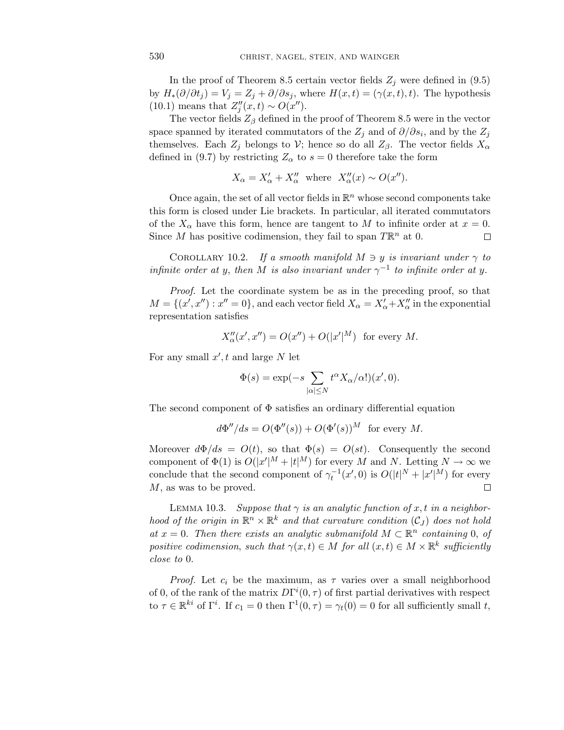In the proof of Theorem 8.5 certain vector fields  $Z_j$  were defined in (9.5) by  $H_*(\partial/\partial t_j) = V_j = Z_j + \partial/\partial s_j$ , where  $H(x,t) = (\gamma(x,t), t)$ . The hypothesis  $(10.1)$  means that  $Z''_j(x,t) \sim O(x'')$ .

The vector fields  $Z_{\beta}$  defined in the proof of Theorem 8.5 were in the vector space spanned by iterated commutators of the  $Z_j$  and of  $\partial/\partial s_i$ , and by the  $Z_j$ themselves. Each  $Z_j$  belongs to  $V$ ; hence so do all  $Z_\beta$ . The vector fields  $X_\alpha$ defined in (9.7) by restricting  $Z_{\alpha}$  to  $s = 0$  therefore take the form

$$
X_{\alpha} = X'_{\alpha} + X''_{\alpha} \text{ where } X''_{\alpha}(x) \sim O(x'').
$$

Once again, the set of all vector fields in  $\mathbb{R}^n$  whose second components take this form is closed under Lie brackets. In particular, all iterated commutators of the  $X_\alpha$  have this form, hence are tangent to M to infinite order at  $x=0$ . Since *M* has positive codimension, they fail to span  $T\mathbb{R}^n$  at 0.  $\Box$ 

COROLLARY 10.2. If a smooth manifold  $M \ni y$  is invariant under  $\gamma$  to infinite order at *y*, then *M* is also invariant under  $\gamma^{-1}$  to infinite order at *y*.

Proof. Let the coordinate system be as in the preceding proof, so that  $M = \{(x', x''): x'' = 0\}$ , and each vector field  $X_{\alpha} = X'_{\alpha} + X''_{\alpha}$  in the exponential representation satisfies

$$
X''_{\alpha}(x',x'') = O(x'') + O(|x'|^M) \text{ for every } M.
$$

For any small  $x'$ , t and large  $N$  let

$$
\Phi(s) = \exp(-s \sum_{|\alpha| \le N} t^{\alpha} X_{\alpha}/\alpha!)(x', 0).
$$

The second component of  $\Phi$  satisfies an ordinary differential equation

$$
d\Phi''/ds = O(\Phi''(s)) + O(\Phi'(s))^M \text{ for every } M.
$$

Moreover  $d\Phi/ds = O(t)$ , so that  $\Phi(s) = O(st)$ . Consequently the second component of  $\Phi(1)$  is  $O(|x'|^M + |t|^M)$  for every *M* and *N*. Letting  $N \to \infty$  we conclude that the second component of  $\gamma_t^{-1}(x',0)$  is  $O(|t|^N + |x'|^M)$  for every *M*, as was to be proved.  $\Box$ 

LEMMA 10.3. Suppose that  $\gamma$  is an analytic function of  $x, t$  in a neighborhood of the origin in  $\mathbb{R}^n \times \mathbb{R}^k$  and that curvature condition  $(C_J)$  does not hold at  $x = 0$ . Then there exists an analytic submanifold  $M \subset \mathbb{R}^n$  containing 0, of positive codimension, such that  $\gamma(x,t) \in M$  for all  $(x,t) \in M \times \mathbb{R}^k$  sufficiently close to 0.

*Proof.* Let  $c_i$  be the maximum, as  $\tau$  varies over a small neighborhood of 0, of the rank of the matrix  $D\Gamma^{i}(0,\tau)$  of first partial derivatives with respect to  $\tau \in \mathbb{R}^{ki}$  of  $\Gamma^i$ . If  $c_1 = 0$  then  $\Gamma^1(0, \tau) = \gamma_t(0) = 0$  for all sufficiently small *t*,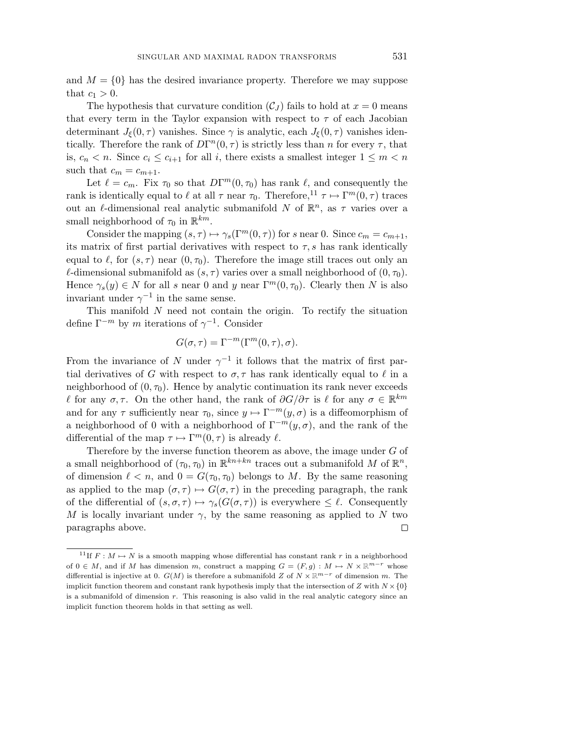and  $M = \{0\}$  has the desired invariance property. Therefore we may suppose that  $c_1 > 0$ .

The hypothesis that curvature condition  $(C_J)$  fails to hold at  $x=0$  means that every term in the Taylor expansion with respect to  $\tau$  of each Jacobian determinant  $J_{\xi}(0, \tau)$  vanishes. Since  $\gamma$  is analytic, each  $J_{\xi}(0, \tau)$  vanishes identically. Therefore the rank of  $D\Gamma^{n}(0, \tau)$  is strictly less than *n* for every  $\tau$ , that is,  $c_n < n$ . Since  $c_i \leq c_{i+1}$  for all *i*, there exists a smallest integer  $1 \leq m < n$ such that  $c_m = c_{m+1}$ .

Let  $\ell = c_m$ . Fix  $\tau_0$  so that  $D\Gamma^m(0, \tau_0)$  has rank  $\ell$ , and consequently the rank is identically equal to  $\ell$  at all  $\tau$  near  $\tau_0$ . Therefore,<sup>11</sup>  $\tau \mapsto \Gamma^m(0, \tau)$  traces out an  $\ell$ -dimensional real analytic submanifold *N* of  $\mathbb{R}^n$ , as  $\tau$  varies over a small neighborhood of  $\tau_0$  in  $\mathbb{R}^{km}$ .

Consider the mapping  $(s, \tau) \mapsto \gamma_s(\Gamma^m(0, \tau))$  for *s* near 0. Since  $c_m = c_{m+1}$ , its matrix of first partial derivatives with respect to  $\tau$ , s has rank identically equal to  $\ell$ , for  $(s, \tau)$  near  $(0, \tau_0)$ . Therefore the image still traces out only an  $\ell$ -dimensional submanifold as  $(s, \tau)$  varies over a small neighborhood of  $(0, \tau_0)$ . Hence  $\gamma_s(y) \in N$  for all *s* near 0 and *y* near  $\Gamma^m(0, \tau_0)$ . Clearly then *N* is also invariant under  $\gamma^{-1}$  in the same sense.

This manifold *N* need not contain the origin. To rectify the situation define  $\Gamma^{-m}$  by *m* iterations of  $\gamma^{-1}$ . Consider

$$
G(\sigma, \tau) = \Gamma^{-m}(\Gamma^m(0, \tau), \sigma).
$$

From the invariance of *N* under  $\gamma^{-1}$  it follows that the matrix of first partial derivatives of *G* with respect to  $\sigma$ ,  $\tau$  has rank identically equal to  $\ell$  in a neighborhood of  $(0, \tau_0)$ . Hence by analytic continuation its rank never exceeds *l* for any  $\sigma$ ,  $\tau$ . On the other hand, the rank of  $\partial G/\partial \tau$  is  $\ell$  for any  $\sigma \in \mathbb{R}^{km}$ and for any  $\tau$  sufficiently near  $\tau_0$ , since  $y \mapsto \Gamma^{-m}(y, \sigma)$  is a diffeomorphism of a neighborhood of 0 with a neighborhood of  $\Gamma^{-m}(y,\sigma)$ , and the rank of the differential of the map  $\tau \mapsto \Gamma^m(0, \tau)$  is already  $\ell$ .

Therefore by the inverse function theorem as above, the image under *G* of a small neighborhood of  $(\tau_0, \tau_0)$  in  $\mathbb{R}^{kn+kn}$  traces out a submanifold M of  $\mathbb{R}^n$ , of dimension  $\ell < n$ , and  $0 = G(\tau_0, \tau_0)$  belongs to *M*. By the same reasoning as applied to the map  $(\sigma, \tau) \mapsto G(\sigma, \tau)$  in the preceding paragraph, the rank of the differential of  $(s, \sigma, \tau) \mapsto \gamma_s(G(\sigma, \tau))$  is everywhere  $\leq \ell$ . Consequently *M* is locally invariant under  $\gamma$ , by the same reasoning as applied to *N* two paragraphs above.  $\Box$ 

<sup>&</sup>lt;sup>11</sup>If  $F : M \mapsto N$  is a smooth mapping whose differential has constant rank  $r$  in a neighborhood of  $0 \in M$ , and if *M* has dimension *m*, construct a mapping  $G = (F, g) : M \mapsto N \times \mathbb{R}^{m-r}$  whose differential is injective at 0.  $G(M)$  is therefore a submanifold *Z* of  $N \times \mathbb{R}^{m-r}$  of dimension *m*. The implicit function theorem and constant rank hypothesis imply that the intersection of *Z* with  $N \times \{0\}$ is a submanifold of dimension *r*. This reasoning is also valid in the real analytic category since an implicit function theorem holds in that setting as well.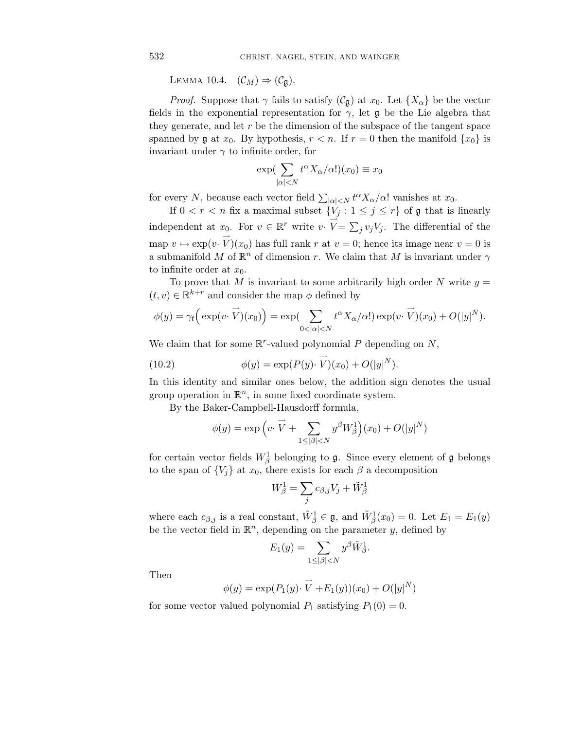LEMMA 10.4.  $(\mathcal{C}_M) \Rightarrow (\mathcal{C}_{\mathfrak{g}})$ .

*Proof.* Suppose that  $\gamma$  fails to satisfy  $(\mathcal{C}_{\mathfrak{g}})$  at  $x_0$ . Let  $\{X_{\alpha}\}\)$  be the vector fields in the exponential representation for  $\gamma$ , let  $\mathfrak g$  be the Lie algebra that they generate, and let *r* be the dimension of the subspace of the tangent space spanned by  $\mathfrak g$  at  $x_0$ . By hypothesis,  $r < n$ . If  $r = 0$  then the manifold  $\{x_0\}$  is invariant under  $\gamma$  to infinite order, for

$$
\exp\left(\sum_{|\alpha|
$$

for every *N*, because each vector field  $\sum_{|\alpha| \le N} t^{\alpha} X_{\alpha}/\alpha!$  vanishes at  $x_0$ .

If  $0 < r < n$  fix a maximal subset  $\{V_j : 1 \le j \le r\}$  of g that is linearly independent at  $x_0$ . For  $v \in \mathbb{R}^r$  write  $v \cdot \overrightarrow{V} = \sum_j v_j V_j$ . The differential of the map  $v \mapsto \exp(v \cdot \vec{V})(x_0)$  has full rank  $r$  at  $v = 0$ ; hence its image near  $v = 0$  is a submanifold *M* of  $\mathbb{R}^n$  of dimension *r*. We claim that *M* is invariant under  $\gamma$ to infinite order at  $x_0$ .

To prove that *M* is invariant to some arbitrarily high order *N* write  $y =$  $(t, v) \in \mathbb{R}^{k+r}$  and consider the map  $\phi$  defined by

$$
\phi(y) = \gamma_t \Big( \exp(v \cdot \overrightarrow{V})(x_0) \Big) = \exp \Big( \sum_{0 < |\alpha| < N} t^{\alpha} X_{\alpha} / \alpha! \Big) \exp(v \cdot \overrightarrow{V})(x_0) + O(|y|^N).
$$

We claim that for some R*r*-valued polynomial *P* depending on *N*,

(10.2) 
$$
\phi(y) = \exp(P(y) \cdot \vec{V})(x_0) + O(|y|^N).
$$

In this identity and similar ones below, the addition sign denotes the usual group operation in  $\mathbb{R}^n$ , in some fixed coordinate system.

By the Baker-Campbell-Hausdorff formula,

$$
\phi(y) = \exp\left(v \cdot \overrightarrow{V} + \sum_{1 \leq |\beta| < N} y^{\beta} W_{\beta}^1\right)(x_0) + O(|y|^N)
$$

for certain vector fields  $W^1_\beta$  belonging to  $\mathfrak g$ . Since every element of  $\mathfrak g$  belongs to the span of  $\{V_i\}$  at  $x_0$ , there exists for each  $\beta$  a decomposition

$$
W_{\beta}^{1} = \sum_{j} c_{\beta,j} V_{j} + \tilde{W}_{\beta}^{1}
$$

where each  $c_{\beta,j}$  is a real constant,  $\tilde{W}^1_{\beta} \in \mathfrak{g}$ , and  $\tilde{W}^1_{\beta}(x_0) = 0$ . Let  $E_1 = E_1(y)$ be the vector field in  $\mathbb{R}^n$ , depending on the parameter *y*, defined by

$$
E_1(y) = \sum_{1 \leq |\beta| < N} y^{\beta} \tilde{W}_{\beta}^1.
$$

Then

$$
\phi(y) = \exp(P_1(y) \cdot \vec{V} + E_1(y))(x_0) + O(|y|^N)
$$

for some vector valued polynomial  $P_1$  satisfying  $P_1(0) = 0$ .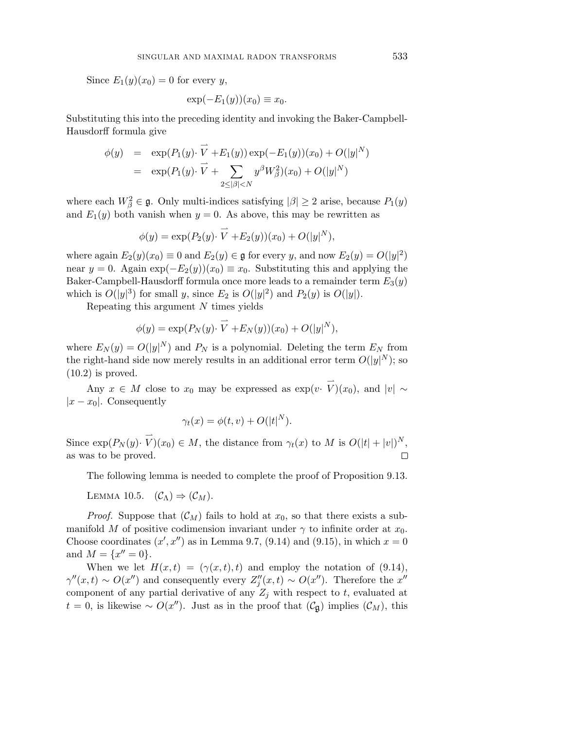Since  $E_1(y)(x_0) = 0$  for every *y*,

$$
\exp(-E_1(y))(x_0) \equiv x_0.
$$

Substituting this into the preceding identity and invoking the Baker-Campbell-Hausdorff formula give

$$
\begin{array}{rcl}\n\phi(y) & = & \exp(P_1(y) \cdot \overrightarrow{V} + E_1(y)) \exp(-E_1(y))(x_0) + O(|y|^N) \\
& = & \exp(P_1(y) \cdot \overrightarrow{V} + \sum_{2 \le |\beta| < N} y^{\beta} W_{\beta}^2)(x_0) + O(|y|^N)\n\end{array}
$$

where each  $W_{\beta}^2 \in \mathfrak{g}$ . Only multi-indices satisfying  $|\beta| \geq 2$  arise, because  $P_1(y)$ and  $E_1(y)$  both vanish when  $y = 0$ . As above, this may be rewritten as

$$
\phi(y) = \exp(P_2(y) \cdot \overrightarrow{V} + E_2(y))(x_0) + O(|y|^N),
$$

where again  $E_2(y)(x_0) \equiv 0$  and  $E_2(y) \in \mathfrak{g}$  for every *y*, and now  $E_2(y) = O(|y|^2)$ near  $y = 0$ . Again  $\exp(-E_2(y))(x_0) \equiv x_0$ . Substituting this and applying the Baker-Campbell-Hausdorff formula once more leads to a remainder term  $E_3(y)$ which is  $O(|y|^3)$  for small *y*, since  $E_2$  is  $O(|y|^2)$  and  $P_2(y)$  is  $O(|y|)$ .

Repeating this argument *N* times yields

$$
\phi(y) = \exp(P_N(y) \cdot \overrightarrow{V} + E_N(y))(x_0) + O(|y|^N),
$$

where  $E_N(y) = O(|y|^N)$  and  $P_N$  is a polynomial. Deleting the term  $E_N$  from the right-hand side now merely results in an additional error term  $O(|y|^N)$ ; so  $(10.2)$  is proved.

Any  $x \in M$  close to  $x_0$  may be expressed as  $\exp(v \cdot \vec{V})(x_0)$ , and  $|v| \sim$  $|x-x_0|$ . Consequently

$$
\gamma_t(x) = \phi(t, v) + O(|t|^N).
$$

Since  $\exp(P_N(y) \cdot \vec{V})(x_0) \in M$ , the distance from  $\gamma_t(x)$  to M is  $O(|t| + |v|)^N$ , as was to be proved.  $\Box$ 

The following lemma is needed to complete the proof of Proposition 9.13.

LEMMA 10.5.  $(C_{\Lambda}) \Rightarrow (C_M)$ .

*Proof.* Suppose that  $(C_M)$  fails to hold at  $x_0$ , so that there exists a submanifold *M* of positive codimension invariant under  $\gamma$  to infinite order at  $x_0$ . Choose coordinates  $(x', x'')$  as in Lemma 9.7, (9.14) and (9.15), in which  $x = 0$ and  $M = \{x'' = 0\}.$ 

When we let  $H(x,t)=(\gamma(x,t),t)$  and employ the notation of (9.14),  $\gamma''(x,t) \sim O(x'')$  and consequently every  $Z''_j(x,t) \sim O(x'')$ . Therefore the  $x''$ component of any partial derivative of any  $Z_j$  with respect to *t*, evaluated at *t* = 0, is likewise ∼ *O*(*x*<sup>*n*</sup>). Just as in the proof that ( $C$ <sub>g</sub>) implies ( $C$ <sub>*M*</sub>), this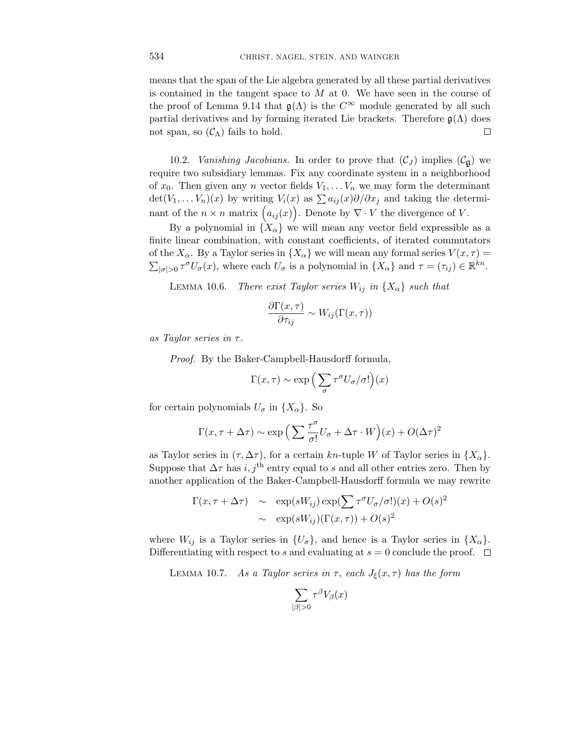means that the span of the Lie algebra generated by all these partial derivatives is contained in the tangent space to *M* at 0. We have seen in the course of the proof of Lemma 9.14 that  $\mathfrak{g}(\Lambda)$  is the  $C^{\infty}$  module generated by all such partial derivatives and by forming iterated Lie brackets. Therefore  $\mathfrak{g}(\Lambda)$  does not span, so  $(\mathcal{C}_{\Lambda})$  fails to hold.  $\Box$ 

10.2. *Vanishing Jacobians*. In order to prove that  $(C_J)$  implies  $(C_g)$  we require two subsidiary lemmas. Fix any coordinate system in a neighborhood of  $x_0$ . Then given any *n* vector fields  $V_1, \ldots V_n$  we may form the determinant  $\det(V_1, \ldots, V_n)(x)$  by writing  $V_i(x)$  as  $\sum a_{ij}(x)\partial/\partial x_j$  and taking the determinant of the  $n \times n$  matrix  $(a_{ij}(x))$ . Denote by  $\nabla \cdot V$  the divergence of *V*.

By a polynomial in  ${X_\alpha}$  we will mean any vector field expressible as a finite linear combination, with constant coefficients, of iterated commutators of the  $X_\alpha$ . By a Taylor series in  $\{X_\alpha\}$  we will mean any formal series  $V(x, \tau) =$  $\sum_{|\sigma|>0} \tau^{\sigma} U_{\sigma}(x)$ , where each  $U_{\sigma}$  is a polynomial in  $\{X_{\alpha}\}\$  and  $\tau = (\tau_{ij}) \in \mathbb{R}^{kn}$ .

LEMMA 10.6. There exist Taylor series  $W_{ij}$  in  $\{X_{\alpha}\}\$  such that

$$
\frac{\partial \Gamma(x,\tau)}{\partial \tau_{ij}} \sim W_{ij}(\Gamma(x,\tau))
$$

as Taylor series in *τ* .

Proof. By the Baker-Campbell-Hausdorff formula,

$$
\Gamma(x,\tau) \sim \exp\left(\sum_{\sigma} \tau^{\sigma} U_{\sigma}/\sigma! \right)(x)
$$

for certain polynomials  $U_{\sigma}$  in  $\{X_{\alpha}\}\$ . So

$$
\Gamma(x, \tau + \Delta \tau) \sim \exp\left(\sum \frac{\tau^{\sigma}}{\sigma!} U_{\sigma} + \Delta \tau \cdot W\right)(x) + O(\Delta \tau)^2
$$

as Taylor series in  $(\tau, \Delta \tau)$ , for a certain *kn*-tuple *W* of Taylor series in  $\{X_{\alpha}\}.$ Suppose that  $\Delta \tau$  has *i*, *j*<sup>th</sup> entry equal to *s* and all other entries zero. Then by another application of the Baker-Campbell-Hausdorff formula we may rewrite

$$
\Gamma(x, \tau + \Delta \tau) \sim \exp(sW_{ij}) \exp(\sum \tau^{\sigma} U_{\sigma}/\sigma!)(x) + O(s)^2
$$

$$
\sim \exp(sW_{ij})(\Gamma(x, \tau)) + O(s)^2
$$

where  $W_{ij}$  is a Taylor series in  $\{U_{\sigma}\}\$ , and hence is a Taylor series in  $\{X_{\alpha}\}\$ . Differentiating with respect to *s* and evaluating at  $s = 0$  conclude the proof.  $\Box$ 

LEMMA 10.7. As a Taylor series in  $\tau$ , each  $J_{\xi}(x,\tau)$  has the form

$$
\sum_{|\beta|>0} \tau^{\beta} V_{\beta}(x)
$$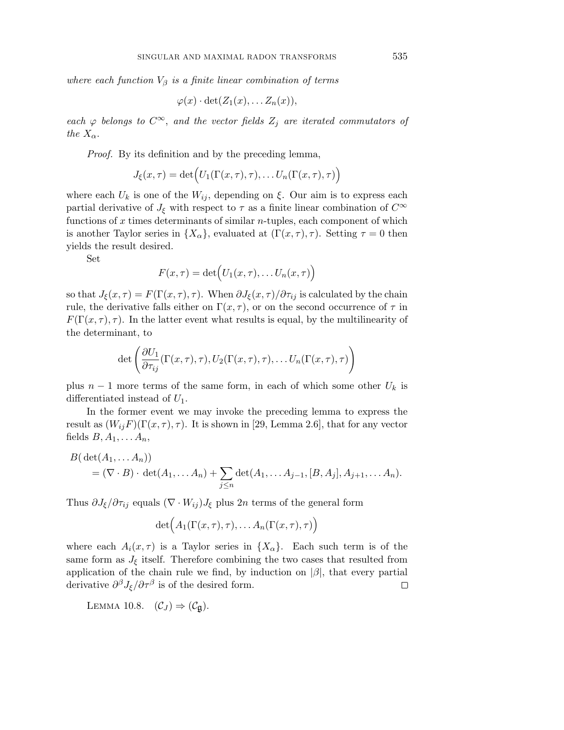where each function  $V_\beta$  is a finite linear combination of terms

$$
\varphi(x)\cdot\det(Z_1(x),\ldots Z_n(x)),
$$

each  $\varphi$  belongs to  $C^{\infty}$ , and the vector fields  $Z_j$  are iterated commutators of the  $X_{\alpha}$ .

Proof. By its definition and by the preceding lemma,

$$
J_{\xi}(x,\tau) = \det(U_1(\Gamma(x,\tau),\tau),\ldots U_n(\Gamma(x,\tau),\tau))
$$

where each  $U_k$  is one of the  $W_{ij}$ , depending on  $\xi$ . Our aim is to express each partial derivative of  $J_{\xi}$  with respect to  $\tau$  as a finite linear combination of  $C^{\infty}$ functions of *x* times determinants of similar *n*-tuples, each component of which is another Taylor series in  $\{X_{\alpha}\}\$ , evaluated at  $(\Gamma(x, \tau), \tau)$ . Setting  $\tau = 0$  then yields the result desired.

Set

$$
F(x,\tau) = \det(U_1(x,\tau),\ldots,U_n(x,\tau))
$$

so that  $J_{\xi}(x, \tau) = F(\Gamma(x, \tau), \tau)$ . When  $\partial J_{\xi}(x, \tau)/\partial \tau_{ij}$  is calculated by the chain rule, the derivative falls either on  $\Gamma(x, \tau)$ , or on the second occurrence of  $\tau$  in *F*( $\Gamma$ ( $x, \tau$ ),  $\tau$ ). In the latter event what results is equal, by the multilinearity of the determinant, to

$$
\det \left( \frac{\partial U_1}{\partial \tau_{ij}} (\Gamma(x,\tau),\tau), U_2(\Gamma(x,\tau),\tau), \ldots U_n(\Gamma(x,\tau),\tau) \right)
$$

plus  $n-1$  more terms of the same form, in each of which some other  $U_k$  is differentiated instead of *U*1.

In the former event we may invoke the preceding lemma to express the result as  $(W_{ij}F)(\Gamma(x,\tau),\tau)$ . It is shown in [29, Lemma 2.6], that for any vector fields  $B, A_1, \ldots A_n$ ,

$$
B(\det(A_1, ..., A_n))
$$
  
=  $(\nabla \cdot B) \cdot \det(A_1, ..., A_n) + \sum_{j \leq n} \det(A_1, ..., A_{j-1}, [B, A_j], A_{j+1}, ..., A_n).$ 

Thus  $\partial J_{\xi}/\partial \tau_{ij}$  equals  $(\nabla \cdot W_{ij})J_{\xi}$  plus 2*n* terms of the general form

$$
\det(A_1(\Gamma(x,\tau),\tau),\ldots,A_n(\Gamma(x,\tau),\tau))
$$

where each  $A_i(x, \tau)$  is a Taylor series in  $\{X_\alpha\}$ . Each such term is of the same form as  $J_{\xi}$  itself. Therefore combining the two cases that resulted from application of the chain rule we find, by induction on  $|\beta|$ , that every partial derivative  $\partial^{\beta} J_{\xi}/\partial \tau^{\beta}$  is of the desired form.  $\Box$ 

LEMMA 10.8.  $(\mathcal{C}_J) \Rightarrow (\mathcal{C}_\mathfrak{g})$ .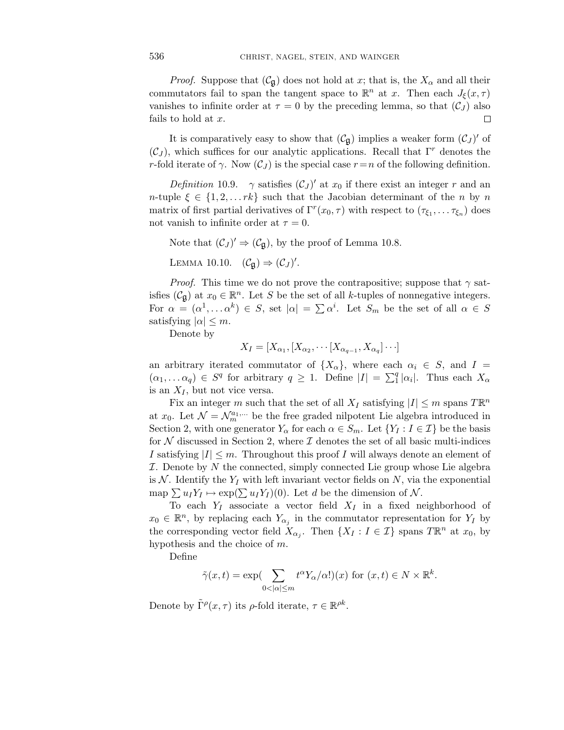*Proof.* Suppose that  $(\mathcal{C}_{\mathfrak{g}})$  does not hold at *x*; that is, the  $X_{\alpha}$  and all their commutators fail to span the tangent space to  $\mathbb{R}^n$  at *x*. Then each  $J_{\xi}(x, \tau)$ vanishes to infinite order at  $\tau = 0$  by the preceding lemma, so that  $(\mathcal{C}_J)$  also fails to hold at *x*. □

It is comparatively easy to show that  $(\mathcal{C}_{\mathfrak{g}})$  implies a weaker form  $(\mathcal{C}_J)'$  of (C*<sup>J</sup>* ), which suffices for our analytic applications. Recall that Γ*<sup>r</sup>* denotes the *r*-fold iterate of *γ*. Now  $(C_J)$  is the special case  $r = n$  of the following definition.

Definition 10.9.  $\gamma$  satisfies  $(C_J)'$  at  $x_0$  if there exist an integer r and an *n*-tuple  $\xi \in \{1, 2, \ldots rk\}$  such that the Jacobian determinant of the *n* by *n* matrix of first partial derivatives of  $\Gamma^r(x_0, \tau)$  with respect to  $(\tau_{\xi_1}, \ldots, \tau_{\xi_n})$  does not vanish to infinite order at  $\tau = 0$ .

Note that  $(\mathcal{C}_J)' \Rightarrow (\mathcal{C}_{\mathfrak{g}})$ , by the proof of Lemma 10.8.

LEMMA 10.10.  $(\mathcal{C}_{\mathfrak{g}}) \Rightarrow (\mathcal{C}_J)'$ .

*Proof.* This time we do not prove the contrapositive; suppose that  $\gamma$  satisfies  $(C_{\mathfrak{g}})$  at  $x_0 \in \mathbb{R}^n$ . Let *S* be the set of all *k*-tuples of nonnegative integers. For  $\alpha = (\alpha^1, \dots \alpha^k) \in S$ , set  $|\alpha| = \sum \alpha^i$ . Let  $S_m$  be the set of all  $\alpha \in S$ satisfying  $|\alpha| \leq m$ .

Denote by

$$
X_I = [X_{\alpha_1}, [X_{\alpha_2}, \cdots [X_{\alpha_{q-1}}, X_{\alpha_q}] \cdots]
$$

an arbitrary iterated commutator of  $\{X_{\alpha}\}\text{, where each } \alpha_i \in S$ , and  $I =$  $(\alpha_1, \ldots, \alpha_q) \in S^q$  for arbitrary  $q \geq 1$ . Define  $|I| = \sum_1^q |\alpha_i|$ . Thus each  $X_\alpha$ is an  $X_I$ , but not vice versa.

Fix an integer *m* such that the set of all  $X_I$  satisfying  $|I| \leq m$  spans  $T\mathbb{R}^n$ at  $x_0$ . Let  $\mathcal{N} = \mathcal{N}_m^{a_1,\dots}$  be the free graded nilpotent Lie algebra introduced in Section 2, with one generator  $Y_\alpha$  for each  $\alpha \in S_m$ . Let  $\{Y_I : I \in \mathcal{I}\}\$  be the basis for  $N$  discussed in Section 2, where  $\mathcal I$  denotes the set of all basic multi-indices *I* satisfying  $|I| \leq m$ . Throughout this proof *I* will always denote an element of I. Denote by *N* the connected, simply connected Lie group whose Lie algebra is N. Identify the  $Y_I$  with left invariant vector fields on N, via the exponential map  $\sum u_I Y_I \mapsto \exp(\sum u_I Y_I)(0)$ . Let *d* be the dimension of N.

To each  $Y_I$  associate a vector field  $X_I$  in a fixed neighborhood of  $x_0 \in \mathbb{R}^n$ , by replacing each  $Y_{\alpha_i}$  in the commutator representation for  $Y_I$  by the corresponding vector field  $X_{\alpha_i}$ . Then  $\{X_I : I \in \mathcal{I}\}\)$  spans  $T\mathbb{R}^n$  at  $x_0$ , by hypothesis and the choice of *m*.

Define

$$
\tilde{\gamma}(x,t) = \exp\left(\sum_{0 < |\alpha| \leq m} t^{\alpha} Y_{\alpha}/\alpha !\right)(x) \text{ for } (x,t) \in N \times \mathbb{R}^k.
$$

Denote by  $\tilde{\Gamma}^{\rho}(x,\tau)$  its  $\rho$ -fold iterate,  $\tau \in \mathbb{R}^{\rho k}$ .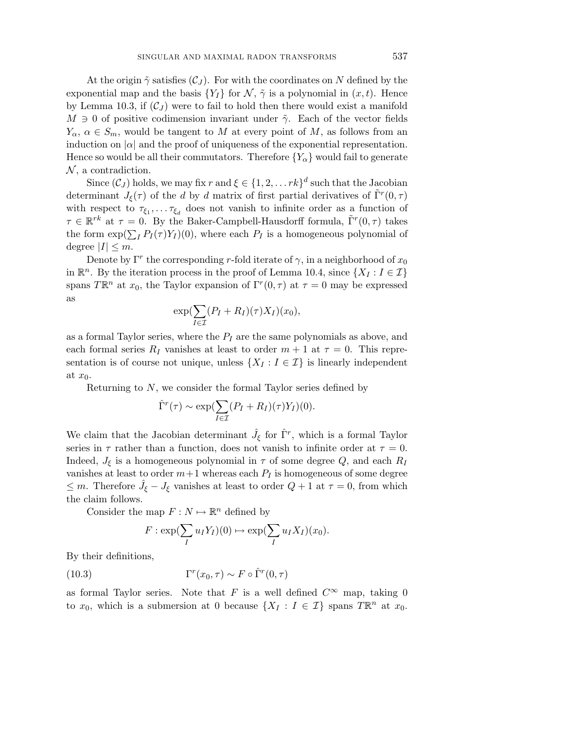At the origin  $\tilde{\gamma}$  satisfies  $(\mathcal{C}_J)$ . For with the coordinates on N defined by the exponential map and the basis  $\{Y_I\}$  for  $\mathcal{N}, \tilde{\gamma}$  is a polynomial in  $(x, t)$ . Hence by Lemma 10.3, if  $(C_J)$  were to fail to hold then there would exist a manifold  $M \ni 0$  of positive codimension invariant under  $\tilde{\gamma}$ . Each of the vector fields  $Y_{\alpha}$ ,  $\alpha \in S_m$ , would be tangent to *M* at every point of *M*, as follows from an induction on  $|\alpha|$  and the proof of uniqueness of the exponential representation. Hence so would be all their commutators. Therefore  ${Y_\alpha}$  would fail to generate  $\mathcal{N}$ , a contradiction.

Since  $(C_J)$  holds, we may fix *r* and  $\xi \in \{1, 2, \ldots rk\}$ <sup>d</sup> such that the Jacobian determinant  $J_{\xi}(\tau)$  of the *d* by *d* matrix of first partial derivatives of  $\Gamma^{r}(0,\tau)$ with respect to  $\tau_{\xi_1}, \ldots, \tau_{\xi_d}$  does not vanish to infinite order as a function of  $\tau \in \mathbb{R}^{rk}$  at  $\tau = 0$ . By the Baker-Campbell-Hausdorff formula,  $\Gamma^{r}(0, \tau)$  takes the form  $\exp(\sum_{I} P_{I}(\tau)Y_{I})(0)$ , where each  $P_{I}$  is a homogeneous polynomial of degree  $|I| \leq m$ .

Denote by  $\Gamma^r$  the corresponding *r*-fold iterate of  $\gamma$ , in a neighborhood of  $x_0$ in  $\mathbb{R}^n$ . By the iteration process in the proof of Lemma 10.4, since  $\{X_I : I \in \mathcal{I}\}\$ spans  $T\mathbb{R}^n$  at  $x_0$ , the Taylor expansion of  $\Gamma^r(0, \tau)$  at  $\tau = 0$  may be expressed as

$$
\exp(\sum_{I\in\mathcal{I}}(P_I+R_I)(\tau)X_I)(x_0),
$$

as a formal Taylor series, where the *P<sup>I</sup>* are the same polynomials as above, and each formal series  $R_I$  vanishes at least to order  $m + 1$  at  $\tau = 0$ . This representation is of course not unique, unless  $\{X_I : I \in \mathcal{I}\}\$ is linearly independent at *x*0.

Returning to *N*, we consider the formal Taylor series defined by

$$
\hat{\Gamma}^r(\tau) \sim \exp(\sum_{I \in \mathcal{I}} (P_I + R_I)(\tau) Y_I)(0).
$$

We claim that the Jacobian determinant  $\hat{J}_{\xi}$  for  $\hat{\Gamma}^{r}$ , which is a formal Taylor series in  $\tau$  rather than a function, does not vanish to infinite order at  $\tau = 0$ . Indeed,  $J_{\xi}$  is a homogeneous polynomial in  $\tau$  of some degree  $Q$ , and each  $R_I$ vanishes at least to order  $m+1$  whereas each  $P_I$  is homogeneous of some degree  $\leq m$ . Therefore  $\hat{J}_{\xi} - J_{\xi}$  vanishes at least to order  $Q + 1$  at  $\tau = 0$ , from which the claim follows.

Consider the map  $F: N \mapsto \mathbb{R}^n$  defined by

$$
F: \exp(\sum_I u_I Y_I)(0) \mapsto \exp(\sum_I u_I X_I)(x_0).
$$

By their definitions,

(10.3) 
$$
\Gamma^r(x_0, \tau) \sim F \circ \hat{\Gamma}^r(0, \tau)
$$

as formal Taylor series. Note that *F* is a well defined  $C^{\infty}$  map, taking 0 to  $x_0$ , which is a submersion at 0 because  $\{X_I : I \in \mathcal{I}\}\)$  spans  $T\mathbb{R}^n$  at  $x_0$ .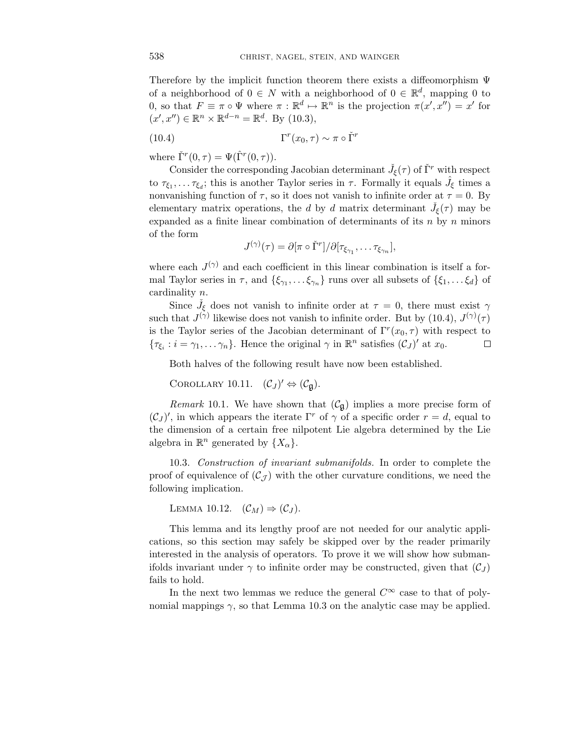Therefore by the implicit function theorem there exists a diffeomorphism  $\Psi$ of a neighborhood of  $0 \in N$  with a neighborhood of  $0 \in \mathbb{R}^d$ , mapping 0 to 0, so that  $F \equiv \pi \circ \Psi$  where  $\pi : \mathbb{R}^d \mapsto \mathbb{R}^n$  is the projection  $\pi(x', x'') = x'$  for  $(x', x'') \in \mathbb{R}^n \times \mathbb{R}^{d-n} = \mathbb{R}^d$ . By (10.3),

(10.4) 
$$
\Gamma^r(x_0, \tau) \sim \pi \circ \check{\Gamma}^r
$$

where  $\check{\Gamma}^r(0,\tau) = \Psi(\hat{\Gamma}^r(0,\tau)).$ 

Consider the corresponding Jacobian determinant  $\check{J}_{\xi}(\tau)$  of  $\check{\Gamma}^r$  with respect to  $\tau_{\xi_1}, \ldots \tau_{\xi_d}$ ; this is another Taylor series in  $\tau$ . Formally it equals  $\hat{J}_{\xi}$  times a nonvanishing function of  $\tau$ , so it does not vanish to infinite order at  $\tau = 0$ . By elementary matrix operations, the *d* by *d* matrix determinant  $\check{J}_{\xi}(\tau)$  may be expanded as a finite linear combination of determinants of its *n* by *n* minors of the form

$$
J^{(\gamma)}(\tau) = \partial [\pi \circ \check{\Gamma}^r] / \partial [\tau_{\xi_{\gamma_1}}, \dots \tau_{\xi_{\gamma_n}}],
$$

where each  $J^{(\gamma)}$  and each coefficient in this linear combination is itself a formal Taylor series in  $\tau$ , and  $\{\xi_{\gamma_1},\ldots,\xi_{\gamma_n}\}$  runs over all subsets of  $\{\xi_1,\ldots,\xi_d\}$  of cardinality *n*.

Since  $\check{J}_{\xi}$  does not vanish to infinite order at  $\tau = 0$ , there must exist  $\gamma$ such that  $J^{(\gamma)}$  likewise does not vanish to infinite order. But by (10.4),  $J^{(\gamma)}(\tau)$ is the Taylor series of the Jacobian determinant of  $\Gamma^{r}(x_0, \tau)$  with respect to  ${\tau_{\xi_i} : i = \gamma_1, \ldots, \gamma_n}$ . Hence the original  $\gamma$  in  $\mathbb{R}^n$  satisfies  $(\mathcal{C}_J)'$  at  $x_0$ .  $\Box$ 

Both halves of the following result have now been established.

COROLLARY 10.11.  $(C_J)' \Leftrightarrow (C_{\mathfrak{g}})$ .

Remark 10.1. We have shown that  $(\mathcal{C}_{\mathfrak{g}})$  implies a more precise form of  $(C_J)'$ , in which appears the iterate  $\Gamma^r$  of  $\gamma$  of a specific order  $r = d$ , equal to the dimension of a certain free nilpotent Lie algebra determined by the Lie algebra in  $\mathbb{R}^n$  generated by  $\{X_\alpha\}.$ 

10.3. Construction of invariant submanifolds. In order to complete the proof of equivalence of  $(\mathcal{C}_{\mathcal{J}})$  with the other curvature conditions, we need the following implication.

LEMMA 10.12.  $(\mathcal{C}_M) \Rightarrow (\mathcal{C}_J)$ .

This lemma and its lengthy proof are not needed for our analytic applications, so this section may safely be skipped over by the reader primarily interested in the analysis of operators. To prove it we will show how submanifolds invariant under  $\gamma$  to infinite order may be constructed, given that  $(\mathcal{C}_I)$ fails to hold.

In the next two lemmas we reduce the general  $C^{\infty}$  case to that of polynomial mappings  $\gamma$ , so that Lemma 10.3 on the analytic case may be applied.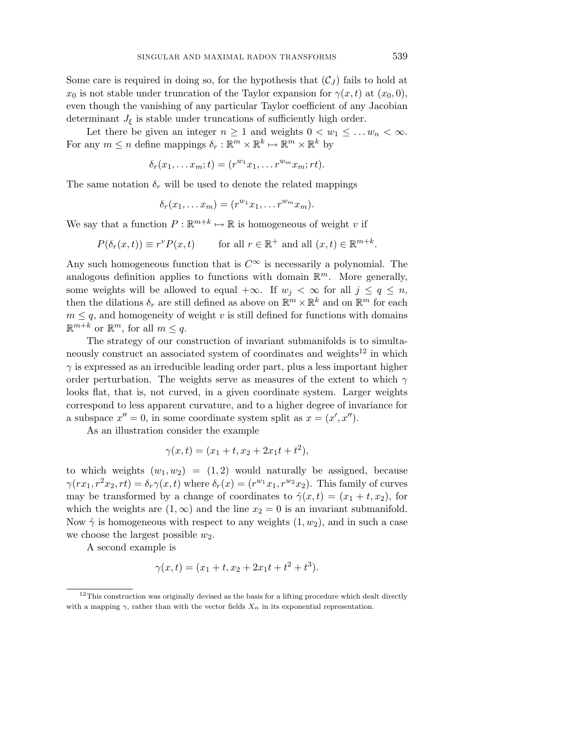Some care is required in doing so, for the hypothesis that  $(\mathcal{C}_J)$  fails to hold at *x*<sup>0</sup> is not stable under truncation of the Taylor expansion for  $\gamma(x, t)$  at  $(x_0, 0)$ , even though the vanishing of any particular Taylor coefficient of any Jacobian determinant  $J_{\xi}$  is stable under truncations of sufficiently high order.

Let there be given an integer  $n \geq 1$  and weights  $0 < w_1 \leq \ldots w_n < \infty$ . For any  $m \leq n$  define mappings  $\delta_r : \mathbb{R}^m \times \mathbb{R}^k \mapsto \mathbb{R}^m \times \mathbb{R}^k$  by

$$
\delta_r(x_1,\ldots x_m;t)=(r^{w_1}x_1,\ldots r^{w_m}x_m;rt).
$$

The same notation  $\delta_r$  will be used to denote the related mappings

$$
\delta_r(x_1,\ldots x_m)=(r^{w_1}x_1,\ldots r^{w_m}x_m).
$$

We say that a function  $P : \mathbb{R}^{m+k} \mapsto \mathbb{R}$  is homogeneous of weight *v* if

$$
P(\delta_r(x,t)) \equiv r^v P(x,t) \quad \text{for all } r \in \mathbb{R}^+ \text{ and all } (x,t) \in \mathbb{R}^{m+k}.
$$

Any such homogeneous function that is  $C^{\infty}$  is necessarily a polynomial. The analogous definition applies to functions with domain  $\mathbb{R}^m$ . More generally, some weights will be allowed to equal  $+\infty$ . If  $w_j < \infty$  for all  $j \leq q \leq n$ , then the dilations  $\delta_r$  are still defined as above on  $\mathbb{R}^m \times \mathbb{R}^k$  and on  $\mathbb{R}^m$  for each  $m \leq q$ , and homogeneity of weight *v* is still defined for functions with domains  $\mathbb{R}^{m+k}$  or  $\mathbb{R}^m$ , for all  $m \leq q$ .

The strategy of our construction of invariant submanifolds is to simultaneously construct an associated system of coordinates and weights $12$  in which  $\gamma$  is expressed as an irreducible leading order part, plus a less important higher order perturbation. The weights serve as measures of the extent to which *γ* looks flat, that is, not curved, in a given coordinate system. Larger weights correspond to less apparent curvature, and to a higher degree of invariance for a subspace  $x'' = 0$ , in some coordinate system split as  $x = (x', x'')$ .

As an illustration consider the example

$$
\gamma(x,t) = (x_1 + t, x_2 + 2x_1t + t^2),
$$

to which weights  $(w_1, w_2) = (1, 2)$  would naturally be assigned, because  $\gamma(rx_1, r^2x_2, rt) = \delta_r\gamma(x, t)$  where  $\delta_r(x) = (r^{w_1}x_1, r^{w_2}x_2)$ . This family of curves may be transformed by a change of coordinates to  $\hat{\gamma}(x,t)=(x_1+t,x_2)$ , for which the weights are  $(1, \infty)$  and the line  $x_2 = 0$  is an invariant submanifold. Now  $\hat{\gamma}$  is homogeneous with respect to any weights  $(1, w_2)$ , and in such a case we choose the largest possible  $w_2$ .

A second example is

$$
\gamma(x,t) = (x_1 + t, x_2 + 2x_1t + t^2 + t^3).
$$

<sup>&</sup>lt;sup>12</sup>This construction was originally devised as the basis for a lifting procedure which dealt directly with a mapping  $\gamma$ , rather than with the vector fields  $X_{\alpha}$  in its exponential representation.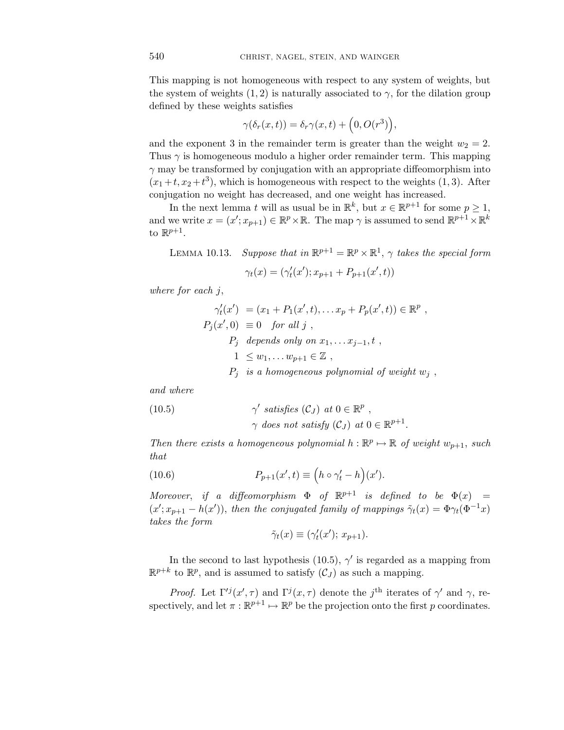This mapping is not homogeneous with respect to any system of weights, but the system of weights  $(1, 2)$  is naturally associated to  $\gamma$ , for the dilation group defined by these weights satisfies

$$
\gamma(\delta_r(x,t)) = \delta_r \gamma(x,t) + \left(0, O(r^3)\right),
$$

and the exponent 3 in the remainder term is greater than the weight  $w_2 = 2$ . Thus *γ* is homogeneous modulo a higher order remainder term. This mapping *γ* may be transformed by conjugation with an appropriate diffeomorphism into  $(x_1 + t, x_2 + t^3)$ , which is homogeneous with respect to the weights  $(1, 3)$ . After conjugation no weight has decreased, and one weight has increased.

In the next lemma *t* will as usual be in  $\mathbb{R}^k$ , but  $x \in \mathbb{R}^{p+1}$  for some  $p \geq 1$ , and we write  $x = (x'; x_{p+1}) \in \mathbb{R}^p \times \mathbb{R}$ . The map  $\gamma$  is assumed to send  $\mathbb{R}^{p+1} \times \mathbb{R}^k$ to  $\mathbb{R}^{p+1}$ .

LEMMA 10.13. Suppose that in  $\mathbb{R}^{p+1} = \mathbb{R}^p \times \mathbb{R}^1$ ,  $\gamma$  takes the special form

$$
\gamma_t(x) = (\gamma'_t(x'); x_{p+1} + P_{p+1}(x', t))
$$

where for each *j*,

$$
\gamma'_t(x') = (x_1 + P_1(x', t), \dots x_p + P_p(x', t)) \in \mathbb{R}^p,
$$
  
\n
$$
P_j(x', 0) \equiv 0 \text{ for all } j,
$$
  
\n
$$
P_j \text{ depends only on } x_1, \dots x_{j-1}, t,
$$
  
\n
$$
1 \leq w_1, \dots w_{p+1} \in \mathbb{Z},
$$
  
\n
$$
P_j \text{ is a homogeneous polynomial of weight } w_j,
$$

and where

(10.5) 
$$
\gamma' \text{ satisfies } (C_J) \text{ at } 0 \in \mathbb{R}^p ,
$$

$$
\gamma \text{ does not satisfy } (C_J) \text{ at } 0 \in \mathbb{R}^{p+1}
$$

Then there exists a homogeneous polynomial  $h : \mathbb{R}^p \mapsto \mathbb{R}$  of weight  $w_{p+1}$ , such that

(10.6) 
$$
P_{p+1}(x',t) \equiv \left(h \circ \gamma'_t - h\right)(x').
$$

Moreover, if a diffeomorphism  $\Phi$  of  $\mathbb{R}^{p+1}$  is defined to be  $\Phi(x)$  =  $(x'; x_{p+1} - h(x'))$ , then the conjugated family of mappings  $\tilde{\gamma}_t(x) = \Phi \gamma_t(\Phi^{-1}x)$ takes the form

$$
\tilde{\gamma}_t(x) \equiv (\gamma'_t(x'); x_{p+1}).
$$

In the second to last hypothesis (10.5),  $\gamma'$  is regarded as a mapping from  $\mathbb{R}^{p+k}$  to  $\mathbb{R}^p$ , and is assumed to satisfy  $(\mathcal{C}_J)$  as such a mapping.

*Proof.* Let  $\Gamma^{ij}(x', \tau)$  and  $\Gamma^{j}(x, \tau)$  denote the *j*<sup>th</sup> iterates of  $\gamma'$  and  $\gamma$ , respectively, and let  $\pi : \mathbb{R}^{p+1} \mapsto \mathbb{R}^p$  be the projection onto the first *p* coordinates.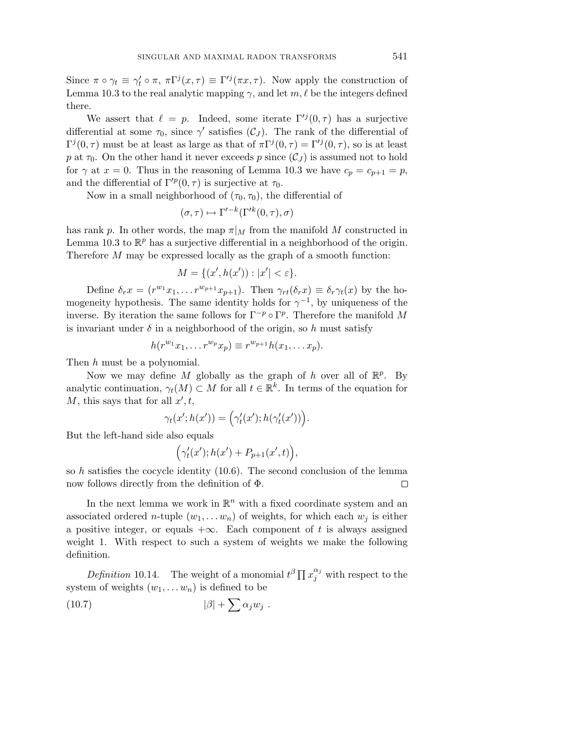Since  $\pi \circ \gamma_t \equiv \gamma'_t \circ \pi$ ,  $\pi \Gamma^j(x, \tau) \equiv \Gamma'^j(\pi x, \tau)$ . Now apply the construction of Lemma 10.3 to the real analytic mapping  $\gamma$ , and let  $m, \ell$  be the integers defined there.

We assert that  $\ell = p$ . Indeed, some iterate  $\Gamma^{ij}(0, \tau)$  has a surjective differential at some  $\tau_0$ , since  $\gamma'$  satisfies  $(\mathcal{C}_J)$ . The rank of the differential of Γ<sup>*j*</sup> (0, *τ*) must be at least as large as that of  $\pi\Gamma^j(0,\tau) = \Gamma'^j(0,\tau)$ , so is at least *p* at  $\tau_0$ . On the other hand it never exceeds *p* since  $(\mathcal{C}_J)$  is assumed not to hold for  $\gamma$  at  $x = 0$ . Thus in the reasoning of Lemma 10.3 we have  $c_p = c_{p+1} = p$ , and the differential of  $\Gamma^{p}(0, \tau)$  is surjective at  $\tau_0$ .

Now in a small neighborhood of  $(\tau_0, \tau_0)$ , the differential of

$$
(\sigma, \tau) \mapsto \Gamma'^{-k}(\Gamma'^k(0, \tau), \sigma)
$$

has rank *p*. In other words, the map  $\pi|_M$  from the manifold *M* constructed in Lemma 10.3 to  $\mathbb{R}^p$  has a surjective differential in a neighborhood of the origin. Therefore *M* may be expressed locally as the graph of a smooth function:

$$
M = \{ (x', h(x')) : |x'| < \varepsilon \}.
$$

Define  $\delta_r x = (r^{w_1}x_1, \ldots r^{w_{p+1}}x_{p+1})$ . Then  $\gamma_{rt}(\delta_r x) \equiv \delta_r \gamma_t(x)$  by the homogeneity hypothesis. The same identity holds for  $\gamma^{-1}$ , by uniqueness of the inverse. By iteration the same follows for  $\Gamma^{-p} \circ \Gamma^p$ . Therefore the manifold M is invariant under  $\delta$  in a neighborhood of the origin, so  $h$  must satisfy

$$
h(r^{w_1}x_1,\ldots r^{w_p}x_p)\equiv r^{w_{p+1}}h(x_1,\ldots x_p).
$$

Then *h* must be a polynomial.

Now we may define *M* globally as the graph of *h* over all of  $\mathbb{R}^p$ . By analytic continuation,  $\gamma_t(M) \subset M$  for all  $t \in \mathbb{R}^k$ . In terms of the equation for *M*, this says that for all  $x', t$ ,

$$
\gamma_t(x';h(x')) = \left(\gamma'_t(x');h(\gamma'_t(x'))\right).
$$

But the left-hand side also equals

$$
(\gamma_t'(x'); h(x') + P_{p+1}(x',t)),
$$

so *h* satisfies the cocycle identity (10.6). The second conclusion of the lemma now follows directly from the definition of Φ.  $\Box$ 

In the next lemma we work in  $\mathbb{R}^n$  with a fixed coordinate system and an associated ordered *n*-tuple  $(w_1, \ldots w_n)$  of weights, for which each  $w_i$  is either a positive integer, or equals  $+\infty$ . Each component of *t* is always assigned weight 1. With respect to such a system of weights we make the following definition.

Definition 10.14. The weight of a monomial  $t^{\beta} \prod x_j^{\alpha_j}$  with respect to the system of weights  $(w_1, \ldots w_n)$  is defined to be

$$
(10.7) \t\t |\beta| + \sum \alpha_j w_j .
$$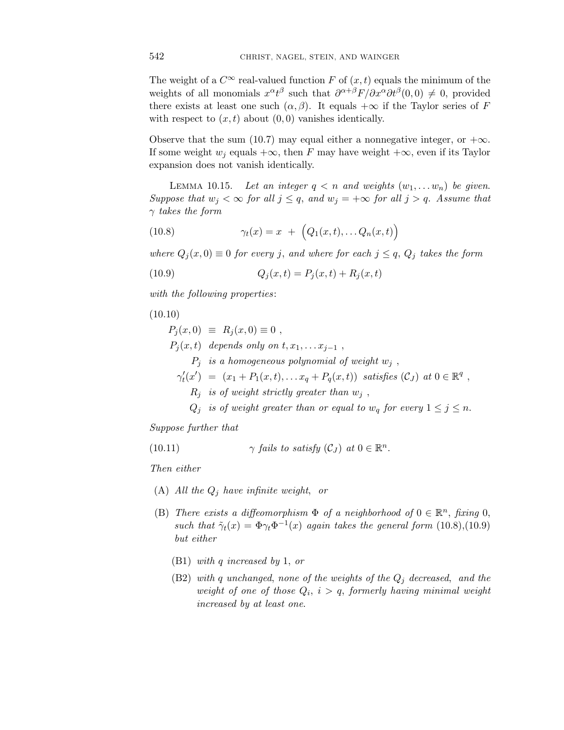The weight of a  $C^{\infty}$  real-valued function *F* of  $(x, t)$  equals the minimum of the weights of all monomials  $x^{\alpha}t^{\beta}$  such that  $\partial^{\alpha+\beta}F/\partial x^{\alpha}\partial t^{\beta}(0,0) \neq 0$ , provided there exists at least one such  $(\alpha, \beta)$ . It equals  $+\infty$  if the Taylor series of *F* with respect to  $(x, t)$  about  $(0, 0)$  vanishes identically.

Observe that the sum (10.7) may equal either a nonnegative integer, or  $+\infty$ . If some weight  $w_j$  equals  $+\infty$ , then *F* may have weight  $+\infty$ , even if its Taylor expansion does not vanish identically.

LEMMA 10.15. Let an integer  $q < n$  and weights  $(w_1, \ldots w_n)$  be given. Suppose that  $w_j < \infty$  for all  $j \leq q$ , and  $w_j = +\infty$  for all  $j > q$ . Assume that *γ* takes the form

(10.8) 
$$
\gamma_t(x) = x + \left(Q_1(x,t), \ldots Q_n(x,t)\right)
$$

where  $Q_i(x,0) \equiv 0$  for every *j*, and where for each  $j \leq q$ ,  $Q_j$  takes the form

(10.9) 
$$
Q_j(x,t) = P_j(x,t) + R_j(x,t)
$$

with the following properties:

(10.10)

 $P_i(x,0) \equiv R_i(x,0) \equiv 0$ ,  $P_i(x,t)$  depends only on  $t, x_1, \ldots x_{i-1}$ ,  $P_i$  is a homogeneous polynomial of weight  $w_i$ ,  $\gamma'_t(x') = (x_1 + P_1(x, t), \ldots x_q + P_q(x, t))$  satisfies  $(C_J)$  at  $0 \in \mathbb{R}^q$ ,  $R_i$  is of weight strictly greater than  $w_i$ , *Q*<sup>*j*</sup> is of weight greater than or equal to  $w_q$  for every  $1 \leq j \leq n$ .

Suppose further that

(10.11) 
$$
\gamma \ \text{fails to satisfy} \ (\mathcal{C}_J) \ \text{at} \ 0 \in \mathbb{R}^n.
$$

Then either

- (A) All the *Q<sup>j</sup>* have infinite weight, or
- (B) There exists a diffeomorphism  $\Phi$  of a neighborhood of  $0 \in \mathbb{R}^n$ , fixing 0, such that  $\tilde{\gamma}_t(x) = \Phi \gamma_t \Phi^{-1}(x)$  again takes the general form (10.8),(10.9) but either
	- (B1) with *q* increased by 1, or
	- (B2) with *q* unchanged, none of the weights of the *Q<sup>j</sup>* decreased, and the weight of one of those  $Q_i$ ,  $i > q$ , formerly having minimal weight increased by at least one.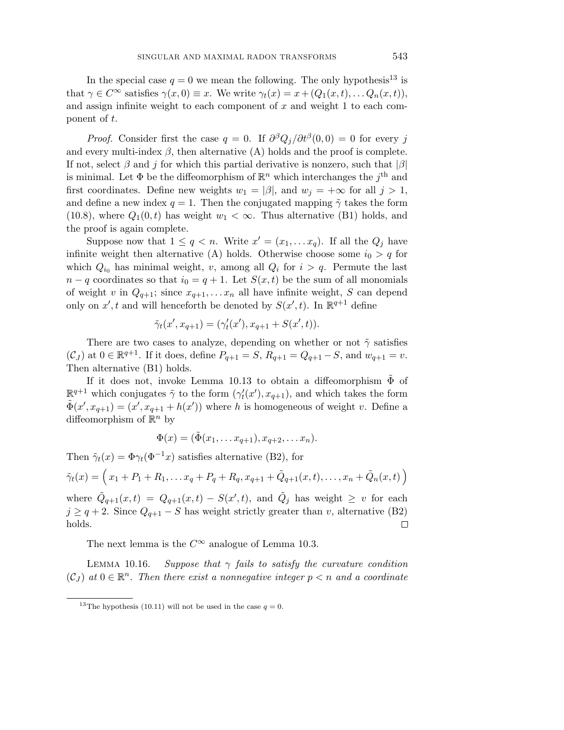In the special case  $q = 0$  we mean the following. The only hypothesis<sup>13</sup> is that  $\gamma \in C^{\infty}$  satisfies  $\gamma(x, 0) \equiv x$ . We write  $\gamma_t(x) = x + (Q_1(x, t), \ldots Q_n(x, t)),$ and assign infinite weight to each component of *x* and weight 1 to each component of *t*.

*Proof.* Consider first the case  $q = 0$ . If  $\frac{\partial^{\beta} Q_i}{\partial t^{\beta}}(0,0) = 0$  for every j and every multi-index  $\beta$ , then alternative (A) holds and the proof is complete. If not, select *β* and *j* for which this partial derivative is nonzero, such that |*β*| is minimal. Let  $\Phi$  be the diffeomorphism of  $\mathbb{R}^n$  which interchanges the *j*<sup>th</sup> and first coordinates. Define new weights  $w_1 = |\beta|$ , and  $w_j = +\infty$  for all  $j > 1$ , and define a new index  $q = 1$ . Then the conjugated mapping  $\tilde{\gamma}$  takes the form (10.8), where  $Q_1(0,t)$  has weight  $w_1 < \infty$ . Thus alternative (B1) holds, and the proof is again complete.

Suppose now that  $1 \leq q < n$ . Write  $x' = (x_1, \ldots, x_q)$ . If all the  $Q_j$  have infinite weight then alternative (A) holds. Otherwise choose some  $i_0 > q$  for which  $Q_{i_0}$  has minimal weight, *v*, among all  $Q_i$  for  $i > q$ . Permute the last  $n - q$  coordinates so that  $i_0 = q + 1$ . Let  $S(x, t)$  be the sum of all monomials of weight *v* in  $Q_{q+1}$ ; since  $x_{q+1},...x_n$  all have infinite weight, *S* can depend only on  $x'$ , t and will henceforth be denoted by  $S(x', t)$ . In  $\mathbb{R}^{q+1}$  define

$$
\tilde{\gamma}_t(x', x_{q+1}) = (\gamma'_t(x'), x_{q+1} + S(x', t)).
$$

There are two cases to analyze, depending on whether or not ˜*γ* satisfies  $(C_J)$  at  $0 \in \mathbb{R}^{q+1}$ . If it does, define  $P_{q+1} = S$ ,  $R_{q+1} = Q_{q+1} - S$ , and  $w_{q+1} = v$ . Then alternative (B1) holds.

If it does not, invoke Lemma 10.13 to obtain a diffeomorphism  $\tilde{\Phi}$  of  $\mathbb{R}^{q+1}$  which conjugates  $\tilde{\gamma}$  to the form  $(\gamma_t'(x'), x_{q+1})$ , and which takes the form  $\tilde{\Phi}(x', x_{q+1}) = (x', x_{q+1} + h(x'))$  where *h* is homogeneous of weight *v*. Define a diffeomorphism of  $\mathbb{R}^n$  by

$$
\Phi(x) = (\tilde{\Phi}(x_1,\ldots x_{q+1}), x_{q+2},\ldots x_n).
$$

Then  $\tilde{\gamma}_t(x) = \Phi \gamma_t(\Phi^{-1}x)$  satisfies alternative (B2), for

$$
\tilde{\gamma}_t(x) = \left(x_1 + P_1 + R_1, \dots x_q + P_q + R_q, x_{q+1} + \tilde{Q}_{q+1}(x, t), \dots, x_n + \tilde{Q}_n(x, t)\right)
$$

where  $\tilde{Q}_{q+1}(x,t) = Q_{q+1}(x,t) - S(x',t)$ , and  $\tilde{Q}_j$  has weight  $\geq v$  for each  $j \geq q+2$ . Since  $Q_{q+1} - S$  has weight strictly greater than *v*, alternative (B2) holds.  $\Box$ 

The next lemma is the  $C^{\infty}$  analogue of Lemma 10.3.

LEMMA 10.16. Suppose that  $\gamma$  fails to satisfy the curvature condition  $(C_J)$  at  $0 \in \mathbb{R}^n$ . Then there exist a nonnegative integer  $p < n$  and a coordinate

<sup>&</sup>lt;sup>13</sup>The hypothesis (10.11) will not be used in the case  $q = 0$ .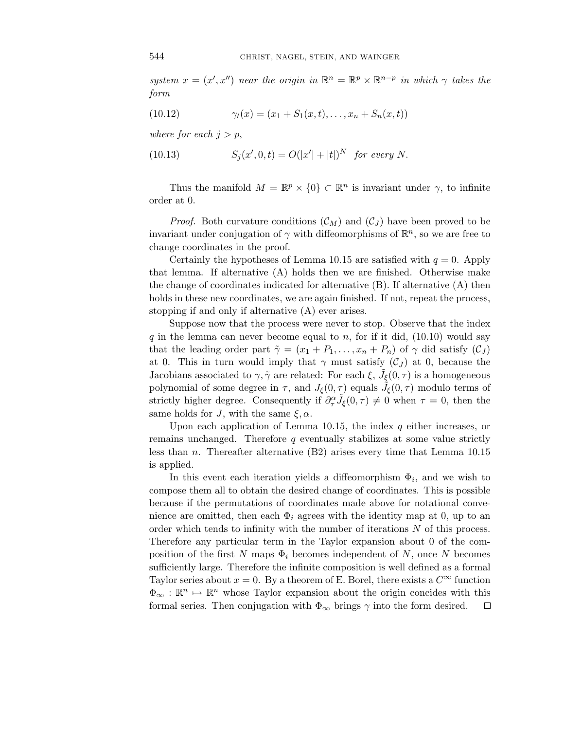system  $x = (x', x'')$  near the origin in  $\mathbb{R}^n = \mathbb{R}^p \times \mathbb{R}^{n-p}$  in which  $\gamma$  takes the form

(10.12) 
$$
\gamma_t(x) = (x_1 + S_1(x, t), \dots, x_n + S_n(x, t))
$$

where for each  $j>p$ ,

(10.13) 
$$
S_j(x', 0, t) = O(|x'| + |t|)^N \text{ for every } N.
$$

Thus the manifold  $M = \mathbb{R}^p \times \{0\} \subset \mathbb{R}^n$  is invariant under  $\gamma$ , to infinite order at 0.

*Proof.* Both curvature conditions  $(C_M)$  and  $(C_J)$  have been proved to be invariant under conjugation of  $\gamma$  with diffeomorphisms of  $\mathbb{R}^n$ , so we are free to change coordinates in the proof.

Certainly the hypotheses of Lemma 10.15 are satisfied with  $q = 0$ . Apply that lemma. If alternative (A) holds then we are finished. Otherwise make the change of coordinates indicated for alternative (B). If alternative (A) then holds in these new coordinates, we are again finished. If not, repeat the process, stopping if and only if alternative (A) ever arises.

Suppose now that the process were never to stop. Observe that the index  $q$  in the lemma can never become equal to  $n$ , for if it did,  $(10.10)$  would say that the leading order part  $\tilde{\gamma} = (x_1 + P_1, \ldots, x_n + P_n)$  of  $\gamma$  did satisfy  $(C_J)$ at 0. This in turn would imply that  $\gamma$  must satisfy  $(\mathcal{C}_J)$  at 0, because the Jacobians associated to  $\gamma$ ,  $\tilde{\gamma}$  are related: For each  $\xi$ ,  $\tilde{J}_{\xi}(0,\tau)$  is a homogeneous polynomial of some degree in  $\tau$ , and  $J_{\xi}(0, \tau)$  equals  $\tilde{J}_{\xi}(0, \tau)$  modulo terms of strictly higher degree. Consequently if  $\partial_{\tau}^{\alpha} \tilde{J}_{\xi}(0,\tau) \neq 0$  when  $\tau = 0$ , then the same holds for *J*, with the same  $\xi, \alpha$ .

Upon each application of Lemma 10.15, the index *q* either increases, or remains unchanged. Therefore *q* eventually stabilizes at some value strictly less than *n*. Thereafter alternative (B2) arises every time that Lemma 10.15 is applied.

In this event each iteration yields a diffeomorphism  $\Phi_i$ , and we wish to compose them all to obtain the desired change of coordinates. This is possible because if the permutations of coordinates made above for notational convenience are omitted, then each  $\Phi_i$  agrees with the identity map at 0, up to an order which tends to infinity with the number of iterations *N* of this process. Therefore any particular term in the Taylor expansion about 0 of the composition of the first *N* maps  $\Phi_i$  becomes independent of *N*, once *N* becomes sufficiently large. Therefore the infinite composition is well defined as a formal Taylor series about  $x = 0$ . By a theorem of E. Borel, there exists a  $C^{\infty}$  function  $\Phi_{\infty} : \mathbb{R}^n \mapsto \mathbb{R}^n$  whose Taylor expansion about the origin concides with this formal series. Then conjugation with  $\Phi_{\infty}$  brings  $\gamma$  into the form desired. □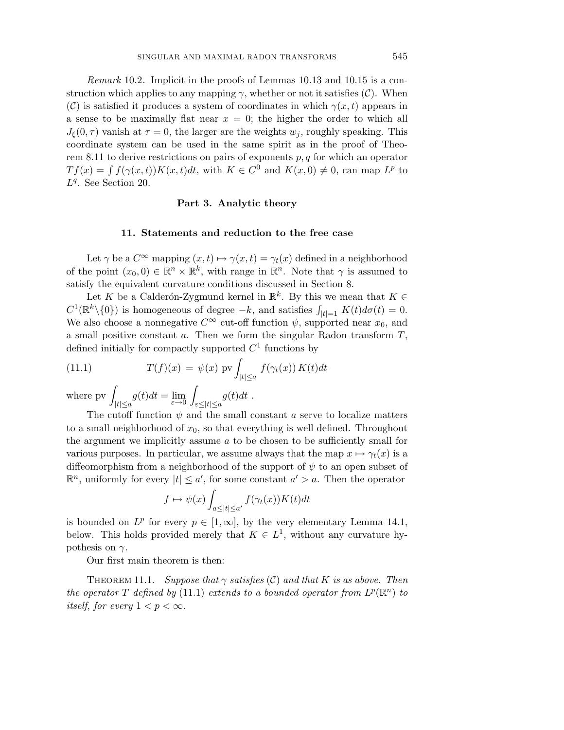Remark 10.2. Implicit in the proofs of Lemmas 10.13 and 10.15 is a construction which applies to any mapping  $\gamma$ , whether or not it satisfies (C). When (C) is satisfied it produces a system of coordinates in which  $\gamma(x, t)$  appears in a sense to be maximally flat near  $x = 0$ ; the higher the order to which all  $J_{\xi}(0,\tau)$  vanish at  $\tau = 0$ , the larger are the weights  $w_j$ , roughly speaking. This coordinate system can be used in the same spirit as in the proof of Theorem 8.11 to derive restrictions on pairs of exponents *p, q* for which an operator  $Tf(x) = \int f(\gamma(x,t))K(x,t)dt$ , with  $K \in C^0$  and  $K(x,0) \neq 0$ , can map  $L^p$  to *Lq*. See Section 20.

### **Part 3. Analytic theory**

#### **11. Statements and reduction to the free case**

Let  $\gamma$  be a  $C^{\infty}$  mapping  $(x, t) \mapsto \gamma(x, t) = \gamma_t(x)$  defined in a neighborhood of the point  $(x_0, 0) \in \mathbb{R}^n \times \mathbb{R}^k$ , with range in  $\mathbb{R}^n$ . Note that  $\gamma$  is assumed to satisfy the equivalent curvature conditions discussed in Section 8.

Let *K* be a Calderón-Zygmund kernel in  $\mathbb{R}^k$ . By this we mean that  $K \in$  $C^1(\mathbb{R}^k \setminus \{0\})$  is homogeneous of degree  $-k$ , and satisfies  $\int_{|t|=1} K(t) d\sigma(t) = 0$ . We also choose a nonnegative  $C^{\infty}$  cut-off function  $\psi$ , supported near  $x_0$ , and a small positive constant *a*. Then we form the singular Radon transform *T*, defined initially for compactly supported  $C<sup>1</sup>$  functions by

(11.1) 
$$
T(f)(x) = \psi(x) \operatorname{pv} \int_{|t| \le a} f(\gamma_t(x)) K(t) dt
$$

where  $pv$  $\int_{|t| \le a} g(t) dt = \lim_{\varepsilon \to 0} \int$ *ε*≤|*t*|≤*a*  $g(t)dt$  .

The cutoff function  $\psi$  and the small constant *a* serve to localize matters to a small neighborhood of *x*0, so that everything is well defined. Throughout the argument we implicitly assume *a* to be chosen to be sufficiently small for various purposes. In particular, we assume always that the map  $x \mapsto \gamma_t(x)$  is a diffeomorphism from a neighborhood of the support of *ψ* to an open subset of  $\mathbb{R}^n$ , uniformly for every  $|t| \leq a'$ , for some constant  $a' > a$ . Then the operator

$$
f \mapsto \psi(x) \int_{a \leq |t| \leq a'} f(\gamma_t(x)) K(t) dt
$$

is bounded on  $L^p$  for every  $p \in [1,\infty]$ , by the very elementary Lemma 14.1, below. This holds provided merely that  $K \in L^1$ , without any curvature hypothesis on *γ*.

Our first main theorem is then:

THEOREM 11.1. Suppose that  $\gamma$  satisfies  $(C)$  and that *K* is as above. Then the operator *T* defined by (11.1) extends to a bounded operator from  $L^p(\mathbb{R}^n)$  to itself, for every  $1 < p < \infty$ .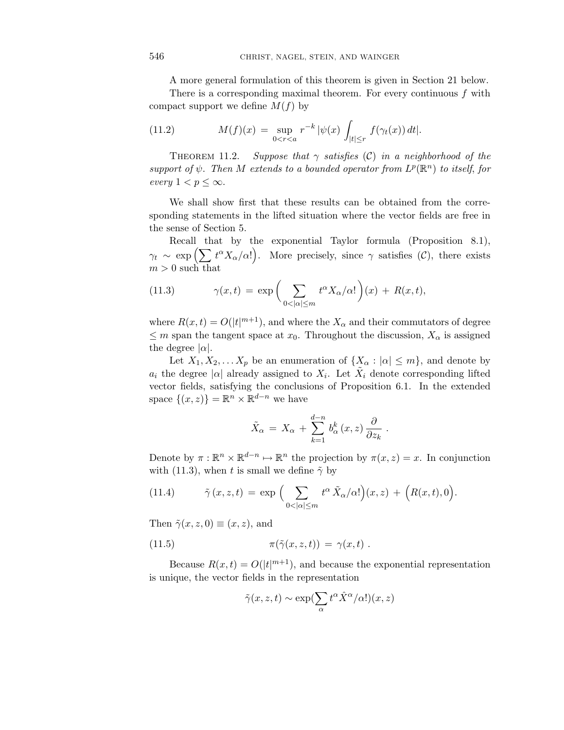A more general formulation of this theorem is given in Section 21 below.

There is a corresponding maximal theorem. For every continuous *f* with compact support we define  $M(f)$  by

(11.2) 
$$
M(f)(x) = \sup_{0 < r < a} r^{-k} |\psi(x)| \int_{|t| \le r} f(\gamma_t(x)) dt|.
$$

THEOREM 11.2. Suppose that  $\gamma$  satisfies (C) in a neighborhood of the support of  $\psi$ . Then *M* extends to a bounded operator from  $L^p(\mathbb{R}^n)$  to itself, for every  $1 < p \leq \infty$ .

We shall show first that these results can be obtained from the corresponding statements in the lifted situation where the vector fields are free in the sense of Section 5.

Recall that by the exponential Taylor formula (Proposition 8.1),  $\gamma_t \sim \exp\left(\sum t^{\alpha} X_{\alpha}/\alpha!\right)$ . More precisely, since  $\gamma$  satisfies (C), there exists  $m > 0$  such that

(11.3) 
$$
\gamma(x,t) = \exp\bigg(\sum_{0<|\alpha|\leq m} t^{\alpha} X_{\alpha}/\alpha!\bigg)(x) + R(x,t),
$$

where  $R(x,t) = O(|t|^{m+1})$ , and where the  $X_{\alpha}$  and their commutators of degree  $\leq$  *m* span the tangent space at  $x_0$ . Throughout the discussion,  $X_\alpha$  is assigned the degree  $|\alpha|$ .

Let  $X_1, X_2, \ldots X_p$  be an enumeration of  $\{X_\alpha : |\alpha| \leq m\}$ , and denote by *a<sub>i</sub>* the degree  $| \alpha |$  already assigned to  $X_i$ . Let  $X_i$  denote corresponding lifted vector fields, satisfying the conclusions of Proposition 6.1. In the extended space  $\{(x, z)\}\ = \mathbb{R}^n \times \mathbb{R}^{d-n}$  we have

$$
\tilde{X}_{\alpha} = X_{\alpha} + \sum_{k=1}^{d-n} b_{\alpha}^{k}(x, z) \frac{\partial}{\partial z_{k}}
$$

*.*

Denote by  $\pi : \mathbb{R}^n \times \mathbb{R}^{d-n} \mapsto \mathbb{R}^n$  the projection by  $\pi(x, z) = x$ . In conjunction with (11.3), when *t* is small we define  $\tilde{\gamma}$  by

(11.4) 
$$
\tilde{\gamma}(x, z, t) = \exp \Big( \sum_{0 < |\alpha| \leq m} t^{\alpha} \tilde{X}_{\alpha}/\alpha! \Big) (x, z) + \Big( R(x, t), 0 \Big).
$$

Then  $\tilde{\gamma}(x, z, 0) \equiv (x, z)$ , and

(11.5) 
$$
\pi(\tilde{\gamma}(x, z, t)) = \gamma(x, t) .
$$

Because  $R(x,t) = O(|t|^{m+1})$ , and because the exponential representation is unique, the vector fields in the representation

$$
\tilde{\gamma}(x, z, t) \sim \exp(\sum_{\alpha} t^{\alpha} \hat{X}^{\alpha}/\alpha!)(x, z)
$$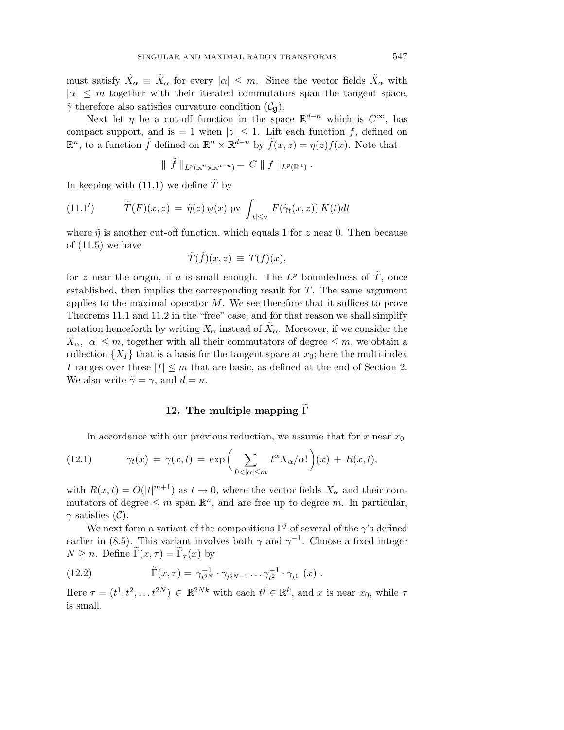must satisfy  $\hat{X}_{\alpha} \equiv \hat{X}_{\alpha}$  for every  $|\alpha| \leq m$ . Since the vector fields  $\hat{X}_{\alpha}$  with  $| \alpha | \leq m$  together with their iterated commutators span the tangent space,  $\tilde{\gamma}$  therefore also satisfies curvature condition  $(\mathcal{C}_{\mathfrak{g}})$ .

Next let *η* be a cut-off function in the space  $\mathbb{R}^{d-n}$  which is  $C^{\infty}$ , has compact support, and is  $= 1$  when  $|z| \leq 1$ . Lift each function f, defined on  $\mathbb{R}^n$ , to a function  $\tilde{f}$  defined on  $\mathbb{R}^n \times \mathbb{R}^{d-n}$  by  $\tilde{f}(x, z) = η(z)f(x)$ . Note that

$$
\parallel \tilde f \parallel_{L^p(\mathbb{R}^n \times \mathbb{R}^{d-n})} = \mathit{C} \parallel f \parallel_{L^p(\mathbb{R}^n)}.
$$

In keeping with  $(11.1)$  we define  $\tilde{T}$  by

(11.1') 
$$
\tilde{T}(F)(x,z) = \tilde{\eta}(z) \psi(x) \text{ pv } \int_{|t| \le a} F(\tilde{\gamma}_t(x,z)) K(t) dt
$$

where  $\tilde{\eta}$  is another cut-off function, which equals 1 for *z* near 0. Then because of  $(11.5)$  we have

$$
\tilde{T}(\tilde{f})(x,z) \, \equiv \, T(f)(x),
$$

for *z* near the origin, if *a* is small enough. The  $L^p$  boundedness of  $\tilde{T}$ , once established, then implies the corresponding result for *T*. The same argument applies to the maximal operator *M*. We see therefore that it suffices to prove Theorems 11.1 and 11.2 in the "free" case, and for that reason we shall simplify notation henceforth by writing  $X_\alpha$  instead of  $\overline{X}_\alpha$ . Moreover, if we consider the  $X_{\alpha}$ ,  $|\alpha| \leq m$ , together with all their commutators of degree  $\leq m$ , we obtain a collection  $\{X_I\}$  that is a basis for the tangent space at  $x_0$ ; here the multi-index *I* ranges over those  $|I| \leq m$  that are basic, as defined at the end of Section 2. We also write  $\tilde{\gamma} = \gamma$ , and  $d = n$ .

## **12.** The multiple mapping  $\widetilde{\Gamma}$

In accordance with our previous reduction, we assume that for  $x$  near  $x_0$ 

(12.1) 
$$
\gamma_t(x) = \gamma(x,t) = \exp\bigg(\sum_{0<|\alpha|\leq m} t^{\alpha} X_{\alpha}/\alpha! \bigg)(x) + R(x,t),
$$

with  $R(x,t) = O(|t|^{m+1})$  as  $t \to 0$ , where the vector fields  $X_{\alpha}$  and their commutators of degree  $\leq m$  span  $\mathbb{R}^n$ , and are free up to degree m. In particular,  $\gamma$  satisfies (C).

We next form a variant of the compositions  $\Gamma^j$  of several of the *γ*'s defined earlier in (8.5). This variant involves both  $\gamma$  and  $\gamma^{-1}$ . Choose a fixed integer  $N \geq n$ . Define  $\Gamma(x, \tau) = \Gamma_{\tau}(x)$  by

(12.2) 
$$
\widetilde{\Gamma}(x,\tau) = \gamma_{t^{2N}}^{-1} \cdot \gamma_{t^{2N-1}} \dots \gamma_{t^{2}}^{-1} \cdot \gamma_{t^{1}}(x).
$$

Here  $\tau = (t^1, t^2, \dots, t^{2N}) \in \mathbb{R}^{2Nk}$  with each  $t^j \in \mathbb{R}^k$ , and *x* is near  $x_0$ , while  $\tau$ is small.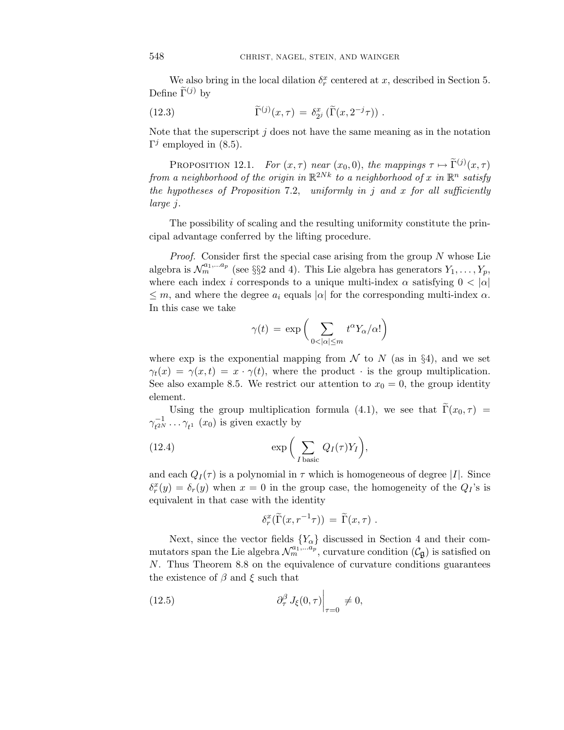We also bring in the local dilation  $\delta_r^x$  centered at *x*, described in Section 5. Define  $\tilde{\Gamma}^{(j)}$  by

(12.3) 
$$
\widetilde{\Gamma}^{(j)}(x,\tau) = \delta_{2^j}^x (\widetilde{\Gamma}(x,2^{-j}\tau)) .
$$

Note that the superscript *j* does not have the same meaning as in the notation  $\Gamma^j$  employed in (8.5).

PROPOSITION 12.1. For  $(x, \tau)$  near  $(x_0, 0)$ , the mappings  $\tau \mapsto \tilde{\Gamma}^{(j)}(x, \tau)$ from a neighborhood of the origin in  $\mathbb{R}^{2Nk}$  to a neighborhood of *x* in  $\mathbb{R}^n$  satisfy the hypotheses of Proposition 7.2, uniformly in *j* and *x* for all sufficiently large *j*.

The possibility of scaling and the resulting uniformity constitute the principal advantage conferred by the lifting procedure.

Proof. Consider first the special case arising from the group *N* whose Lie algebra is  $\mathcal{N}_m^{a_1,...a_p}$  (see §§2 and 4). This Lie algebra has generators  $Y_1,\ldots,Y_p$ , where each index *i* corresponds to a unique multi-index  $\alpha$  satisfying  $0 < |\alpha|$  $\leq m$ , and where the degree  $a_i$  equals  $|a|$  for the corresponding multi-index  $\alpha$ . In this case we take

$$
\gamma(t) = \exp\bigg(\sum_{0 < |\alpha| \le m} t^{\alpha} Y_{\alpha}/\alpha!\bigg)
$$

where exp is the exponential mapping from  $\mathcal N$  to  $N$  (as in §4), and we set  $\gamma_t(x) = \gamma(x,t) = x \cdot \gamma(t)$ , where the product · is the group multiplication. See also example 8.5. We restrict our attention to  $x_0 = 0$ , the group identity element.

Using the group multiplication formula (4.1), we see that  $\Gamma(x_0, \tau)$  =  $\gamma_{t^{2N}}^{-1} \dots \gamma_{t^1}$  (*x*<sub>0</sub>) is given exactly by

(12.4) 
$$
\exp\bigg(\sum_{I \text{ basic}} Q_I(\tau)Y_I\bigg),\,
$$

and each  $Q_I(\tau)$  is a polynomial in  $\tau$  which is homogeneous of degree |*I*|. Since  $\delta_r^x(y) = \delta_r(y)$  when  $x = 0$  in the group case, the homogeneity of the  $Q_I$ 's is equivalent in that case with the identity

$$
\delta_r^x(\widetilde{\Gamma}(x,r^{-1}\tau)) = \widetilde{\Gamma}(x,\tau) .
$$

Next, since the vector fields {*Yα*} discussed in Section 4 and their commutators span the Lie algebra  $\mathcal{N}_m^{a_1, \ldots a_p}$ , curvature condition  $(\mathcal{C}_{\mathfrak{g}})$  is satisfied on *N*. Thus Theorem 8.8 on the equivalence of curvature conditions guarantees the existence of *β* and *ξ* such that

(12.5) 
$$
\left.\partial_\tau^\beta J_\xi(0,\tau)\right|_{\tau=0} \neq 0,
$$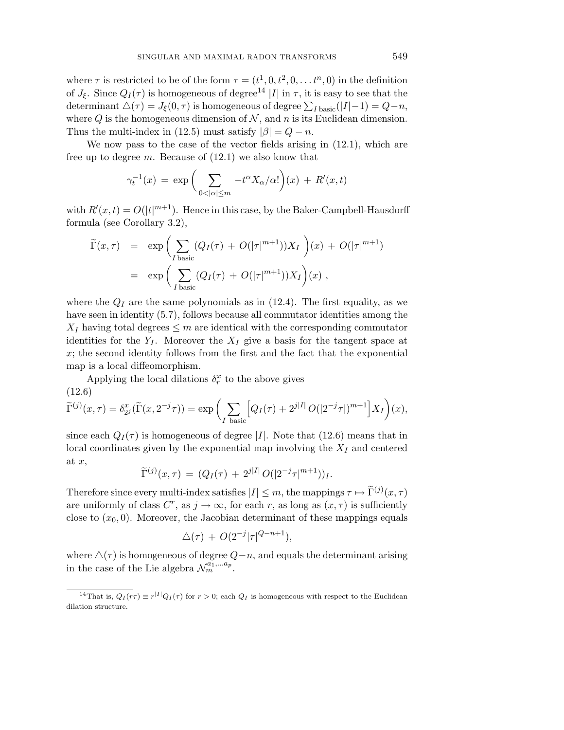where  $\tau$  is restricted to be of the form  $\tau = (t^1, 0, t^2, 0, \ldots t^n, 0)$  in the definition of  $J_{\xi}$ . Since  $Q_I(\tau)$  is homogeneous of degree<sup>14</sup> |*I*| in  $\tau$ , it is easy to see that the determinant  $\Delta(\tau) = J_{\xi}(0, \tau)$  is homogeneous of degree  $\sum_{I \text{ basic}}(|I| - 1) = Q - n$ , where  $Q$  is the homogeneous dimension of  $N$ , and  $n$  is its Euclidean dimension. Thus the multi-index in (12.5) must satisfy  $|\beta| = Q - n$ .

We now pass to the case of the vector fields arising in (12.1), which are free up to degree *m*. Because of (12.1) we also know that

$$
\gamma_t^{-1}(x) = \exp\bigg(\sum_{0 < |\alpha| \le m} -t^{\alpha} X_{\alpha}/\alpha!\bigg)(x) + R'(x, t)
$$

with  $R'(x, t) = O(|t|^{m+1})$ . Hence in this case, by the Baker-Campbell-Hausdorff formula (see Corollary 3.2),

$$
\widetilde{\Gamma}(x,\tau) = \exp\left(\sum_{I \text{ basic}} (Q_I(\tau) + O(|\tau|^{m+1}))X_I\right)(x) + O(|\tau|^{m+1})
$$
\n
$$
= \exp\left(\sum_{I \text{ basic}} (Q_I(\tau) + O(|\tau|^{m+1}))X_I\right)(x),
$$

where the  $Q_I$  are the same polynomials as in  $(12.4)$ . The first equality, as we have seen in identity (5.7), follows because all commutator identities among the  $X_I$  having total degrees  $\leq m$  are identical with the corresponding commutator identities for the  $Y_I$ . Moreover the  $X_I$  give a basis for the tangent space at *x*; the second identity follows from the first and the fact that the exponential map is a local diffeomorphism.

Applying the local dilations  $\delta_r^x$  to the above gives

(12.6)  
\n
$$
\widetilde{\Gamma}^{(j)}(x,\tau) = \delta_{2^j}^x(\widetilde{\Gamma}(x,2^{-j}\tau)) = \exp\bigg(\sum_{I \text{ basic}} \big[Q_I(\tau) + 2^{j|I|}O(|2^{-j}\tau|)^{m+1}\big]X_I\bigg)(x),
$$

since each  $Q_I(\tau)$  is homogeneous of degree |*I*|. Note that (12.6) means that in local coordinates given by the exponential map involving the *X<sup>I</sup>* and centered at *x*,

$$
\widetilde{\Gamma}^{(j)}(x,\tau) = (Q_I(\tau) + 2^{j|I|} O(|2^{-j}\tau|^{m+1}))_I.
$$

Therefore since every multi-index satisfies  $|I| \leq m$ , the mappings  $\tau \mapsto \tilde{\Gamma}^{(j)}(x, \tau)$ are uniformly of class  $C^r$ , as  $j \to \infty$ , for each *r*, as long as  $(x, \tau)$  is sufficiently close to  $(x_0, 0)$ . Moreover, the Jacobian determinant of these mappings equals

$$
\triangle(\tau) + O(2^{-j}|\tau|^{Q-n+1}),
$$

where  $\Delta(\tau)$  is homogeneous of degree  $Q-n$ , and equals the determinant arising in the case of the Lie algebra  $\mathcal{N}_m^{a_1,...a_p}$ .

<sup>&</sup>lt;sup>14</sup>That is,  $Q_I(r\tau) \equiv r^{|I|} Q_I(\tau)$  for  $r > 0$ ; each  $Q_I$  is homogeneous with respect to the Euclidean dilation structure.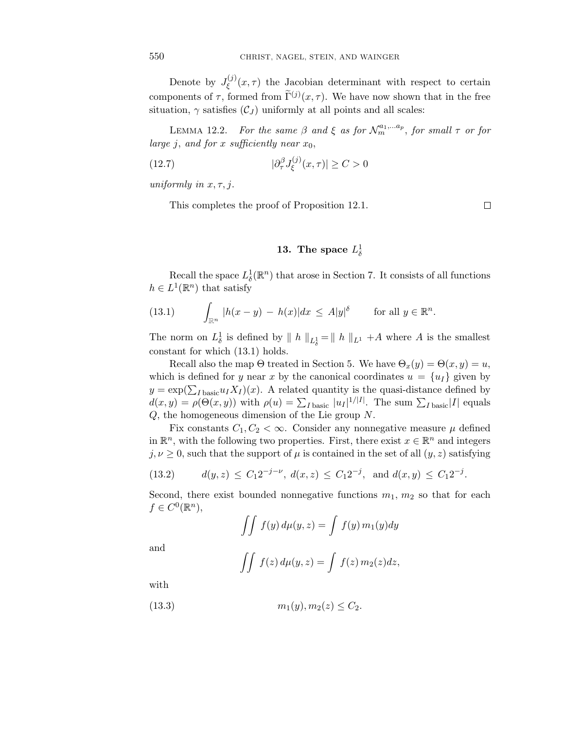Denote by  $J_{\xi}^{(j)}(x,\tau)$  the Jacobian determinant with respect to certain components of  $\tau$ , formed from  $\tilde{\Gamma}^{(j)}(x,\tau)$ . We have now shown that in the free situation,  $\gamma$  satisfies  $(C_J)$  uniformly at all points and all scales:

LEMMA 12.2. For the same  $\beta$  and  $\xi$  as for  $\mathcal{N}_m^{a_1,...a_p}$ , for small  $\tau$  or for large *j*, and for *x* sufficiently near  $x_0$ ,

(12.7) 
$$
|\partial_{\tau}^{\beta}J_{\xi}^{(j)}(x,\tau)| \geq C > 0
$$

uniformly in *x, τ, j*.

This completes the proof of Proposition 12.1.

 $\Box$ 

# **13.** The space  $L^1_\delta$

Recall the space  $L^1_\delta(\mathbb{R}^n)$  that arose in Section 7. It consists of all functions  $h \in L^1(\mathbb{R}^n)$  that satisfy

(13.1) 
$$
\int_{\mathbb{R}^n} |h(x - y) - h(x)| dx \leq A|y|^{\delta} \quad \text{for all } y \in \mathbb{R}^n.
$$

The norm on  $L^1_\delta$  is defined by  $\| h \|_{L^1_\delta} = \| h \|_{L^1} + A$  where *A* is the smallest constant for which (13.1) holds.

Recall also the map  $\Theta$  treated in Section 5. We have  $\Theta_x(y) = \Theta(x, y) = u$ , which is defined for *y* near *x* by the canonical coordinates  $u = \{u_I\}$  given by  $y = \exp(\sum_{I \text{ basic}} u_I X_I)(x)$ . A related quantity is the quasi-distance defined by  $d(x, y) = \rho(\Theta(x, y))$  with  $\rho(u) = \sum_{I \text{ basic}} |u_I|^{1/|I|}$ . The sum  $\sum_{I \text{ basic}} |I|$  equals *Q*, the homogeneous dimension of the Lie group *N*.

Fix constants  $C_1, C_2 < \infty$ . Consider any nonnegative measure  $\mu$  defined in  $\mathbb{R}^n$ , with the following two properties. First, there exist  $x \in \mathbb{R}^n$  and integers  $j, \nu \geq 0$ , such that the support of  $\mu$  is contained in the set of all  $(y, z)$  satisfying

$$
(13.2) \t d(y,z) \le C_1 2^{-j-\nu}, d(x,z) \le C_1 2^{-j}, \text{ and } d(x,y) \le C_1 2^{-j}.
$$

Second, there exist bounded nonnegative functions  $m_1, m_2$  so that for each  $f \in C^0(\mathbb{R}^n)$ ,

$$
\int \int f(y) \, d\mu(y, z) = \int f(y) \, m_1(y) \, dy
$$

and

$$
\iint f(z) d\mu(y, z) = \int f(z) m_2(z) dz,
$$

with

(13.3) 
$$
m_1(y), m_2(z) \le C_2.
$$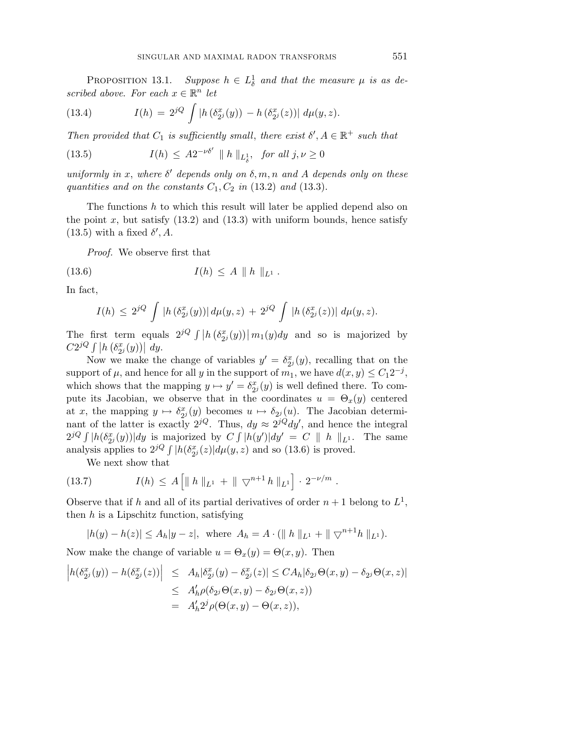PROPOSITION 13.1.  $\mathbb{N}$  13.1. Suppose  $h \in L^1_\delta$  and that the measure  $\mu$  is as described above. For each  $x \in \mathbb{R}^n$  let

(13.4) 
$$
I(h) = 2^{jQ} \int |h(\delta_{2^j}^x(y)) - h(\delta_{2^j}^x(z))| d\mu(y, z).
$$

Then provided that  $C_1$  is sufficiently small, there exist  $\delta', A \in \mathbb{R}^+$  such that

(13.5) 
$$
I(h) \leq A2^{-\nu\delta'} \|h\|_{L^1_\delta}, \text{ for all } j,\nu \geq 0
$$

uniformly in *x*, where  $\delta'$  depends only on  $\delta, m, n$  and  $A$  depends only on these quantities and on the constants  $C_1, C_2$  in (13.2) and (13.3).

The functions *h* to which this result will later be applied depend also on the point  $x$ , but satisfy  $(13.2)$  and  $(13.3)$  with uniform bounds, hence satisfy  $(13.5)$  with a fixed  $\delta'$ , A.

Proof. We observe first that

(13.6) 
$$
I(h) \leq A \| h \|_{L^1}.
$$

In fact,

$$
I(h) \leq 2^{jQ} \int |h(\delta_{2^j}^x(y))| d\mu(y,z) + 2^{jQ} \int |h(\delta_{2^j}^x(z))| d\mu(y,z).
$$

The first term equals  $2^{jQ} \int |h(\delta_{2^j}^x(y))| m_1(y) dy$  and so is majorized by  $C2^{jQ} \int |h(\delta_{2^j}^x(y))| dy.$ 

Now we make the change of variables  $y' = \delta_{2}^x(y)$ , recalling that on the support of  $\mu$ , and hence for all *y* in the support of  $m_1$ , we have  $d(x, y) \leq C_1 2^{-j}$ , which shows that the mapping  $y \mapsto y' = \delta_{2}^x(y)$  is well defined there. To compute its Jacobian, we observe that in the coordinates  $u = \Theta_x(y)$  centered at *x*, the mapping  $y \mapsto \delta_{2j}^x(y)$  becomes  $u \mapsto \delta_{2j}(u)$ . The Jacobian determinant of the latter is exactly  $2^{jQ}$ . Thus,  $dy \approx 2^{jQ} dy'$ , and hence the integral  $2^{jQ} \int |h(\delta_{2}^{x}(y))| dy$  is majorized by  $C \int |h(y')| dy' = C ||h||_{L^{1}}$ . The same analysis applies to  $2^{jQ} \int |h(\delta_{2j}^{x}(z))| d\mu(y, z)$  and so (13.6) is proved.

We next show that

(13.7) 
$$
I(h) \leq A \left[ \| h \|_{L^1} + \| \nabla^{n+1} h \|_{L^1} \right] \cdot 2^{-\nu/m} .
$$

Observe that if *h* and all of its partial derivatives of order  $n+1$  belong to  $L^1$ , then *h* is a Lipschitz function, satisfying

$$
|h(y) - h(z)| \le A_h |y - z|, \text{ where } A_h = A \cdot (\| h \|_{L^1} + \| \nabla^{n+1} h \|_{L^1}).
$$

Now make the change of variable  $u = \Theta_x(y) = \Theta(x, y)$ . Then

$$
\begin{aligned}\n\left| h(\delta_{2^j}^x(y)) - h(\delta_{2^j}^x(z)) \right| &\leq \ A_h |\delta_{2^j}^x(y) - \delta_{2^j}^x(z)| \leq CA_h |\delta_{2^j} \Theta(x, y) - \delta_{2^j} \Theta(x, z)| \\
&\leq \ A'_h \rho(\delta_{2^j} \Theta(x, y) - \delta_{2^j} \Theta(x, z)) \\
&= \ A'_h 2^j \rho(\Theta(x, y) - \Theta(x, z)),\n\end{aligned}
$$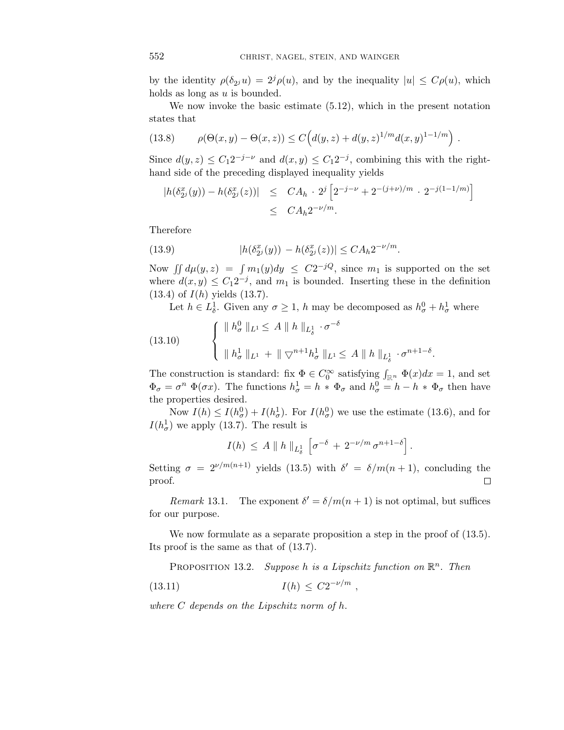by the identity  $\rho(\delta_{2j}u)=2^{j}\rho(u)$ , and by the inequality  $|u|\leq C\rho(u)$ , which holds as long as *u* is bounded.

We now invoke the basic estimate (5.12), which in the present notation states that

(13.8) 
$$
\rho(\Theta(x,y) - \Theta(x,z)) \le C\Big(d(y,z) + d(y,z)^{1/m}d(x,y)^{1-1/m}\Big).
$$

Since  $d(y, z) \leq C_1 2^{-j-\nu}$  and  $d(x, y) \leq C_1 2^{-j}$ , combining this with the righthand side of the preceding displayed inequality yields

$$
|h(\delta_{2^j}^x(y)) - h(\delta_{2^j}^x(z))| \leq CA_h \cdot 2^j \left[ 2^{-j-\nu} + 2^{-(j+\nu)/m} \cdot 2^{-j(1-1/m)} \right]
$$
  
 
$$
\leq CA_h 2^{-\nu/m}.
$$

Therefore

(13.9) 
$$
|h(\delta_{2^j}^x(y)) - h(\delta_{2^j}^x(z))| \leq C A_h 2^{-\nu/m}.
$$

Now  $\iint d\mu(y, z) = \int m_1(y) dy \le C2^{-jQ}$ , since  $m_1$  is supported on the set where  $d(x, y) \leq C_1 2^{-j}$ , and  $m_1$  is bounded. Inserting these in the definition (13.4) of *I*(*h*) yields (13.7).

Let  $h \in L^1_\delta$ . Given any  $\sigma \geq 1$ , *h* may be decomposed as  $h^0_\sigma + h^1_\sigma$  where

(13.10) 
$$
\begin{cases} \| h_{\sigma}^{0} \|_{L^{1}} \leq A \| h \|_{L^{1}_{\delta}} \cdot \sigma^{-\delta} \\ \| h_{\sigma}^{1} \|_{L^{1}} + \| \nabla^{n+1} h_{\sigma}^{1} \|_{L^{1}} \leq A \| h \|_{L^{1}_{\delta}} \cdot \sigma^{n+1-\delta} . \end{cases}
$$

The construction is standard: fix  $\Phi \in C_0^{\infty}$  satisfying  $\int_{\mathbb{R}^n} \Phi(x) dx = 1$ , and set  $\Phi_{\sigma} = \sigma^n \Phi(\sigma x)$ . The functions  $h_{\sigma}^1 = h * \Phi_{\sigma}$  and  $h_{\sigma}^0 = h - h * \Phi_{\sigma}$  then have the properties desired.

Now  $I(h) \leq I(h_{\sigma}^0) + I(h_{\sigma}^1)$ . For  $I(h_{\sigma}^0)$  we use the estimate (13.6), and for  $I(h_{\sigma}^1)$  we apply (13.7). The result is

$$
I(h) \leq A \parallel h \parallel_{L^1_\delta} \left[ \sigma^{-\delta} + 2^{-\nu/m} \sigma^{n+1-\delta} \right].
$$

Setting  $\sigma = 2^{\nu/m(n+1)}$  yields (13.5) with  $\delta' = \delta/m(n+1)$ , concluding the proof.  $\Box$ 

*Remark* 13.1. The exponent  $\delta' = \delta/m(n+1)$  is not optimal, but suffices for our purpose.

We now formulate as a separate proposition a step in the proof of  $(13.5)$ . Its proof is the same as that of (13.7).

PROPOSITION 13.2. Suppose *h* is a Lipschitz function on  $\mathbb{R}^n$ . Then

(13.11) 
$$
I(h) \leq C2^{-\nu/m} ,
$$

where *C* depends on the Lipschitz norm of *h*.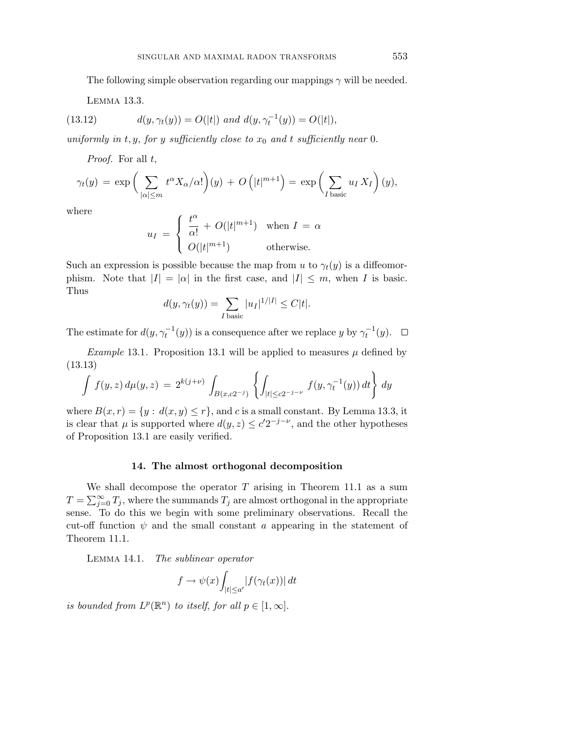The following simple observation regarding our mappings *γ* will be needed.

Lemma 13.3.

(13.12) 
$$
d(y, \gamma_t(y)) = O(|t|) \text{ and } d(y, \gamma_t^{-1}(y)) = O(|t|),
$$

uniformly in  $t, y$ , for  $y$  sufficiently close to  $x_0$  and  $t$  sufficiently near 0.

Proof. For all *t*,

$$
\gamma_t(y) = \exp\bigg(\sum_{|\alpha| \leq m} t^{\alpha} X_{\alpha}/\alpha!\bigg)(y) + O\left(|t|^{m+1}\right) = \exp\bigg(\sum_{I \text{ basic}} u_I X_I\bigg)(y),
$$

where

$$
u_I = \begin{cases} \frac{t^{\alpha}}{\alpha!} + O(|t|^{m+1}) & \text{when } I = \alpha \\ O(|t|^{m+1}) & \text{otherwise.} \end{cases}
$$

Such an expression is possible because the map from *u* to  $\gamma_t(y)$  is a diffeomorphism. Note that  $|I| = |\alpha|$  in the first case, and  $|I| \leq m$ , when *I* is basic. Thus

$$
d(y, \gamma_t(y)) = \sum_{I \text{ basic}} |u_I|^{1/|I|} \le C|t|.
$$

The estimate for  $d(y, \gamma_t^{-1}(y))$  is a consequence after we replace *y* by  $\gamma_t^{-1}(y)$ .

*Example* 13.1. Proposition 13.1 will be applied to measures  $\mu$  defined by (13.13)

$$
\int f(y,z) d\mu(y,z) = 2^{k(j+\nu)} \int_{B(x,c2^{-j})} \left\{ \int_{|t| \le c2^{-j-\nu}} f(y, \gamma_t^{-1}(y)) dt \right\} dy
$$

where  $B(x, r) = \{y : d(x, y) \leq r\}$ , and *c* is a small constant. By Lemma 13.3, it is clear that  $\mu$  is supported where  $d(y, z) \leq c' 2^{-j-\nu}$ , and the other hypotheses of Proposition 13.1 are easily verified.

## **14. The almost orthogonal decomposition**

We shall decompose the operator *T* arising in Theorem 11.1 as a sum  $T = \sum_{j=0}^{\infty} T_j$ , where the summands  $T_j$  are almost orthogonal in the appropriate sense. To do this we begin with some preliminary observations. Recall the cut-off function  $\psi$  and the small constant *a* appearing in the statement of Theorem 11.1.

LEMMA 14.1. The sublinear operator

$$
f \to \psi(x) \int_{|t| \le a'} |f(\gamma_t(x))| dt
$$

is bounded from  $L^p(\mathbb{R}^n)$  to itself, for all  $p \in [1,\infty]$ .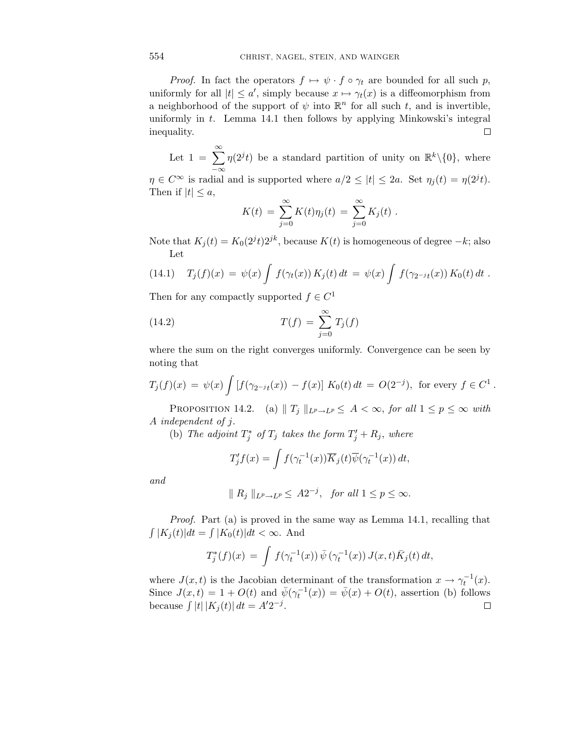*Proof.* In fact the operators  $f \mapsto \psi \cdot f \circ \gamma_t$  are bounded for all such p, uniformly for all  $|t| \le a'$ , simply because  $x \mapsto \gamma_t(x)$  is a diffeomorphism from a neighborhood of the support of  $\psi$  into  $\mathbb{R}^n$  for all such *t*, and is invertible, uniformly in *t*. Lemma 14.1 then follows by applying Minkowski's integral inequality.  $\Box$ 

Let  $1 = \sum_{k=1}^{\infty} \eta(2^{j}t)$  be a standard partition of unity on  $\mathbb{R}^{k}\setminus\{0\}$ , where −∞  $\eta \in C^{\infty}$  is radial and is supported where  $a/2 \leq |t| \leq 2a$ . Set  $\eta_j(t) = \eta(2^j t)$ . Then if  $|t| \leq a$ ,

$$
K(t) = \sum_{j=0}^{\infty} K(t) \eta_j(t) = \sum_{j=0}^{\infty} K_j(t) .
$$

Note that  $K_j(t) = K_0(2^{j}t)2^{jk}$ , because  $K(t)$  is homogeneous of degree  $-k$ ; also Let

(14.1) 
$$
T_j(f)(x) = \psi(x) \int f(\gamma_t(x)) K_j(t) dt = \psi(x) \int f(\gamma_{2^{-j}t}(x)) K_0(t) dt.
$$

Then for any compactly supported  $f \in C^1$ 

(14.2) 
$$
T(f) = \sum_{j=0}^{\infty} T_j(f)
$$

where the sum on the right converges uniformly. Convergence can be seen by noting that

$$
T_j(f)(x) = \psi(x) \int [f(\gamma_{2^{-j}t}(x)) - f(x)] K_0(t) dt = O(2^{-j}), \text{ for every } f \in C^1.
$$

PROPOSITION 14.2. (a)  $\|T_j\|_{L^p\to L^p} \leq A < \infty$ , for all  $1 \leq p \leq \infty$  with *A* independent of *j*.

(b) The adjoint  $T_j^*$  of  $T_j$  takes the form  $T_j' + R_j$ , where

$$
T'_{j}f(x) = \int f(\gamma_t^{-1}(x)) \overline{K}_{j}(t) \overline{\psi}(\gamma_t^{-1}(x)) dt,
$$

and

$$
\| R_j \|_{L^p \to L^p} \leq A 2^{-j}, \text{ for all } 1 \leq p \leq \infty.
$$

Proof. Part (a) is proved in the same way as Lemma 14.1, recalling that  $\int |K_i(t)|dt = \int |K_0(t)|dt < \infty$ . And

$$
T_j^*(f)(x) = \int f(\gamma_t^{-1}(x)) \,\overline{\psi}(\gamma_t^{-1}(x)) J(x,t) \overline{K}_j(t) \, dt,
$$

where  $J(x,t)$  is the Jacobian determinant of the transformation  $x \to \gamma_t^{-1}(x)$ . Since  $J(x,t) = 1 + O(t)$  and  $\bar{\psi}(\gamma_t^{-1}(x)) = \bar{\psi}(x) + O(t)$ , assertion (b) follows because  $\int |t| |K_j(t)| dt = A' 2^{-j}$ .  $\Box$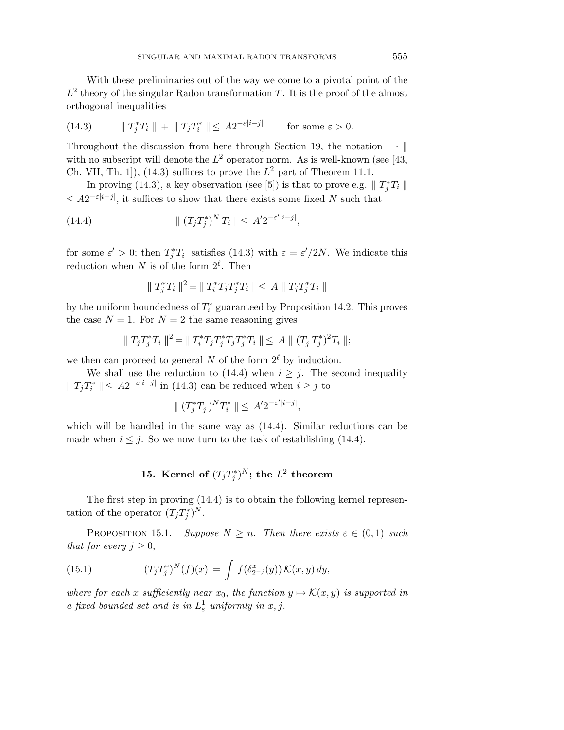With these preliminaries out of the way we come to a pivotal point of the  $L^2$  theory of the singular Radon transformation *T*. It is the proof of the almost orthogonal inequalities

(14.3) 
$$
\|T_j^*T_i\| + \|T_jT_i^*\| \leq A2^{-\varepsilon|i-j|} \quad \text{for some } \varepsilon > 0.
$$

Throughout the discussion from here through Section 19, the notation  $\|\cdot\|$ with no subscript will denote the  $L^2$  operator norm. As is well-known (see [43, Ch. VII, Th. 1]), (14.3) suffices to prove the  $L^2$  part of Theorem 11.1.

In proving (14.3), a key observation (see [5]) is that to prove e.g.  $\parallel T_j^*T_i \parallel$  $≤ A2^{-ε|i-j|}$ , it suffices to show that there exists some fixed *N* such that

(14.4) 
$$
\| (T_j T_j^*)^N T_i \| \leq A' 2^{-\varepsilon' |i-j|},
$$

for some  $\varepsilon' > 0$ ; then  $T_j^* T_i$  satisfies (14.3) with  $\varepsilon = \varepsilon'/2N$ . We indicate this reduction when *N* is of the form  $2^{\ell}$ . Then

$$
\|T_j^*T_i\|^2 = \|T_i^*T_jT_j^*T_i\| \le A \|T_jT_j^*T_i\|
$$

by the uniform boundedness of *T*<sup>∗</sup> *<sup>i</sup>* guaranteed by Proposition 14.2. This proves the case  $N = 1$ . For  $N = 2$  the same reasoning gives

$$
\|T_jT_j^*T_i\|^2 = \|T_i^*T_jT_j^*T_jT_j^*T_i\| \le A \|(T_jT_j^*)^2T_i\|;
$$

we then can proceed to general *N* of the form  $2^{\ell}$  by induction.

We shall use the reduction to (14.4) when  $i \geq j$ . The second inequality  $\|T_jT_i^*\| \leq A2^{-\varepsilon|i-j|}$  in (14.3) can be reduced when  $i \geq j$  to

$$
\| (T_j^* T_j)^N T_i^* \| \leq A' 2^{-\varepsilon'|i-j|},
$$

which will be handled in the same way as  $(14.4)$ . Similar reductions can be made when  $i \leq j$ . So we now turn to the task of establishing (14.4).

## **15.** Kernel of  $(T_j T_j^*)^N$ ; the  $L^2$  theorem

The first step in proving (14.4) is to obtain the following kernel representation of the operator  $(T_j T_j^*)^N$ .

PROPOSITION 15.1. Suppose  $N \geq n$ . Then there exists  $\varepsilon \in (0,1)$  such that for every  $j \geq 0$ ,

(15.1) 
$$
(T_j T_j^*)^N(f)(x) = \int f(\delta_{2^{-j}}^x(y)) \mathcal{K}(x, y) dy,
$$

where for each *x* sufficiently near  $x_0$ , the function  $y \mapsto \mathcal{K}(x, y)$  is supported in a fixed bounded set and is in  $L^1_\varepsilon$  uniformly in  $x, j$ .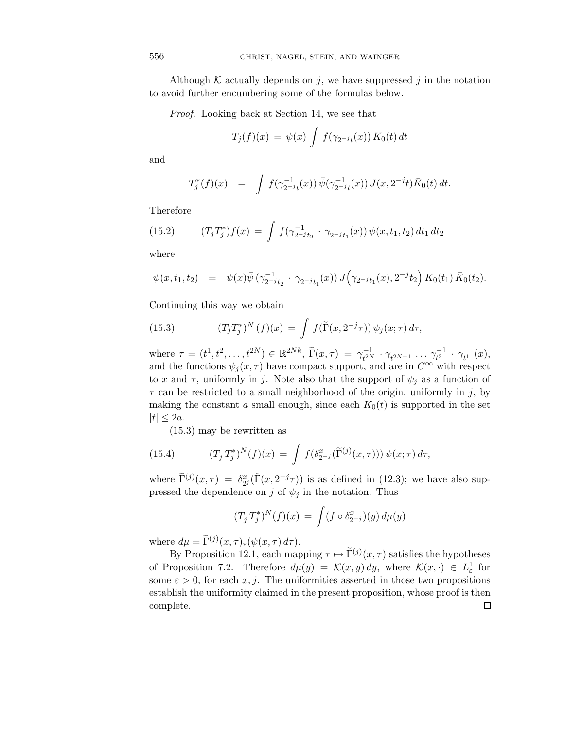Although  $K$  actually depends on  $j$ , we have suppressed  $j$  in the notation to avoid further encumbering some of the formulas below.

Proof. Looking back at Section 14, we see that

$$
T_j(f)(x) = \psi(x) \int f(\gamma_{2^{-j}t}(x)) K_0(t) dt
$$

and

$$
T_j^*(f)(x) = \int f(\gamma_{2-j}^{-1}(x)) \bar{\psi}(\gamma_{2-j}^{-1}(x)) J(x, 2^{-j}t) \bar{K}_0(t) dt.
$$

Therefore

(15.2) 
$$
(T_j T_j^*) f(x) = \int f(\gamma_{2-j}^{-1} t_2 \cdot \gamma_{2-j} t_1(x)) \psi(x, t_1, t_2) dt_1 dt_2
$$

where

$$
\psi(x,t_1,t_2) = \psi(x)\bar{\psi}(\gamma_{2^{-j}t_2}^{-1} \cdot \gamma_{2^{-j}t_1}(x)) J(\gamma_{2^{-j}t_1}(x),2^{-j}t_2) K_0(t_1) \bar{K}_0(t_2).
$$

Continuing this way we obtain

(15.3) 
$$
(T_j T_j^*)^N (f)(x) = \int f(\widetilde{\Gamma}(x, 2^{-j}\tau)) \psi_j(x; \tau) d\tau,
$$

where  $\tau = (t^1, t^2, \ldots, t^{2N}) \in \mathbb{R}^{2Nk}, \ \tilde{\Gamma}(x, \tau) = \gamma_{t^{2N}}^{-1} \cdot \gamma_{t^{2N-1}} \cdot \ldots \gamma_{t^{2}}^{-1} \cdot \gamma_{t^1} (x),$ and the functions  $\psi_j(x, \tau)$  have compact support, and are in  $C^{\infty}$  with respect to *x* and  $\tau$ , uniformly in *j*. Note also that the support of  $\psi_j$  as a function of *τ* can be restricted to a small neighborhood of the origin, uniformly in *j*, by making the constant *a* small enough, since each  $K_0(t)$  is supported in the set  $|t| \leq 2a$ .

(15.3) may be rewritten as

(15.4) 
$$
(T_j T_j^*)^N(f)(x) = \int f(\delta_{2^{-j}}^x(\tilde{\Gamma}^{(j)}(x,\tau))) \psi(x;\tau) d\tau,
$$

where  $\tilde{\Gamma}^{(j)}(x,\tau) = \delta_{2^j}^x(\tilde{\Gamma}(x,2^{-j}\tau))$  is as defined in (12.3); we have also suppressed the dependence on *j* of  $\psi_j$  in the notation. Thus

$$
(T_j T_j^*)^N(f)(x) = \int (f \circ \delta_{2^{-j}}^x)(y) d\mu(y)
$$

where  $d\mu = \tilde{\Gamma}^{(j)}(x,\tau)_*(\psi(x,\tau) d\tau).$ 

By Proposition 12.1, each mapping  $\tau \mapsto \tilde{\Gamma}^{(j)}(x,\tau)$  satisfies the hypotheses of Proposition 7.2. Therefore  $d\mu(y) = \mathcal{K}(x, y) dy$ , where  $\mathcal{K}(x, \cdot) \in L^1_{\varepsilon}$  for some  $\varepsilon > 0$ , for each *x*, *j*. The uniformities asserted in those two propositions establish the uniformity claimed in the present proposition, whose proof is then complete. $\Box$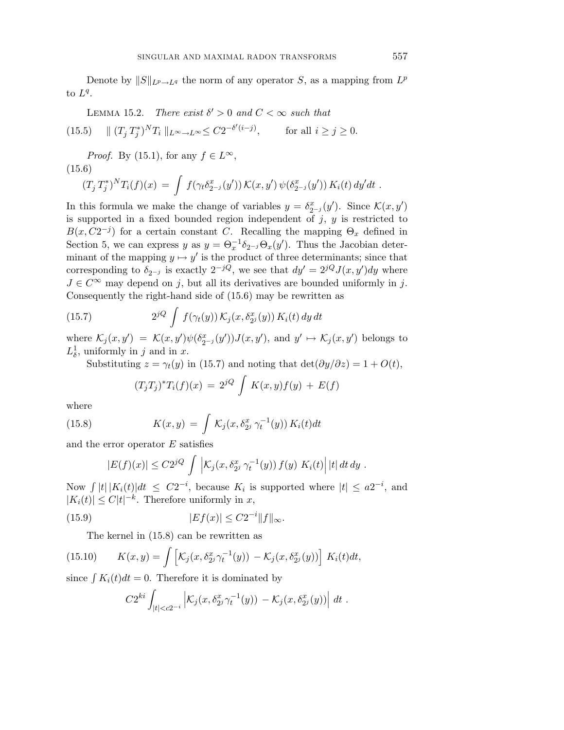Denote by  $||S||_{L^p \to L^q}$  the norm of any operator *S*, as a mapping from  $L^p$ to  $L^q$ .

LEMMA 15.2. There exist 
$$
\delta' > 0
$$
 and  $C < \infty$  such that

(15.5) 
$$
\| (T_j T_j^*)^N T_i \|_{L^{\infty} \to L^{\infty}} \le C2^{-\delta'(i-j)}, \quad \text{for all } i \ge j \ge 0.
$$

*Proof.* By (15.1), for any  $f \in L^{\infty}$ ,

(15.6)  
\n
$$
(T_j T_j^*)^N T_i(f)(x) = \int f(\gamma_t \delta_{2^{-j}}^x(y')) \mathcal{K}(x, y') \psi(\delta_{2^{-j}}^x(y')) K_i(t) dy'dt.
$$

In this formula we make the change of variables  $y = \delta_{2^{-j}}^x(y')$ . Since  $\mathcal{K}(x, y')$ is supported in a fixed bounded region independent of *j*, *y* is restricted to  $B(x, C2^{-j})$  for a certain constant *C*. Recalling the mapping  $\Theta_x$  defined in Section 5, we can express *y* as  $y = \Theta_x^{-1} \delta_{2^{-j}} \Theta_x(y')$ . Thus the Jacobian determinant of the mapping  $y \mapsto y'$  is the product of three determinants; since that corresponding to  $\delta_{2^{-j}}$  is exactly  $2^{-jQ}$ , we see that  $dy' = 2^{jQ}J(x, y')dy$  where  $J \in C^{\infty}$  may depend on *j*, but all its derivatives are bounded uniformly in *j*. Consequently the right-hand side of (15.6) may be rewritten as

(15.7) 
$$
2^{jQ} \int f(\gamma_t(y)) \mathcal{K}_j(x, \delta_{2^j}^x(y)) K_i(t) dy dt
$$

where  $\mathcal{K}_j(x, y') = \mathcal{K}(x, y')\psi(\delta_{2^{-j}}^x(y'))J(x, y')$ , and  $y' \mapsto \mathcal{K}_j(x, y')$  belongs to  $L^1_\delta$ , uniformly in *j* and in *x*.

Substituting  $z = \gamma_t(y)$  in (15.7) and noting that  $\det(\partial y/\partial z) = 1 + O(t)$ ,

$$
(T_jT_j)^*T_i(f)(x) = 2^{jQ} \int K(x,y)f(y) + E(f)
$$

where

(15.8) 
$$
K(x,y) = \int \mathcal{K}_j(x,\delta_{2^j}^x \gamma_t^{-1}(y)) K_i(t) dt
$$

and the error operator *E* satisfies

$$
|E(f)(x)| \leq C2^{jQ} \int \left| \mathcal{K}_j(x, \delta_{2^j}^x \gamma_t^{-1}(y)) f(y) K_i(t) \right| |t| dt dy.
$$

Now  $\int |t| |K_i(t)| dt \le C2^{-i}$ , because  $K_i$  is supported where  $|t| \le a2^{-i}$ , and  $|K_i(t)| \leq C|t|^{-k}$ . Therefore uniformly in *x*,

(15.9) 
$$
|Ef(x)| \leq C2^{-i} ||f||_{\infty}.
$$

The kernel in (15.8) can be rewritten as

(15.10) 
$$
K(x,y) = \int \left[ \mathcal{K}_j(x, \delta_{2j}^x \gamma_t^{-1}(y)) - \mathcal{K}_j(x, \delta_{2j}^x(y)) \right] K_i(t) dt,
$$

since  $\int K_i(t)dt = 0$ . Therefore it is dominated by

$$
C2^{ki}\int_{|t|
$$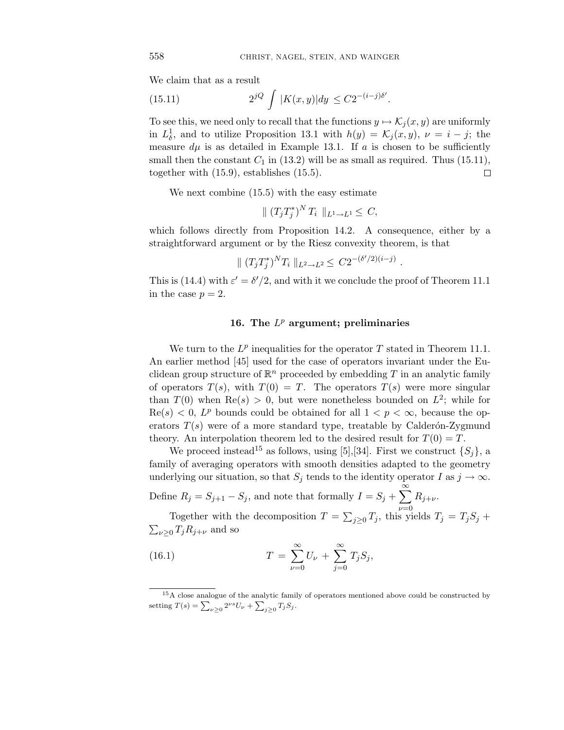*.*

We claim that as a result

(15.11) 
$$
2^{jQ} \int |K(x,y)| dy \leq C 2^{-(i-j)\delta'}
$$

To see this, we need only to recall that the functions  $y \mapsto \mathcal{K}_i(x, y)$  are uniformly in  $L^1_\delta$ , and to utilize Proposition 13.1 with  $h(y) = \mathcal{K}_j(x, y)$ ,  $\nu = i - j$ ; the measure  $d\mu$  is as detailed in Example 13.1. If  $a$  is chosen to be sufficiently small then the constant  $C_1$  in (13.2) will be as small as required. Thus (15.11), together with (15.9), establishes (15.5).  $\Box$ 

We next combine (15.5) with the easy estimate

 $\| (T_j T_j^*)^N T_i \|_{L^1 \to L^1} \leq C,$ 

which follows directly from Proposition 14.2. A consequence, either by a straightforward argument or by the Riesz convexity theorem, is that

$$
\| (T_j T_j^*)^N T_i \|_{L^2 \to L^2} \leq C 2^{-(\delta'/2)(i-j)}.
$$

This is (14.4) with  $\varepsilon' = \delta'/2$ , and with it we conclude the proof of Theorem 11.1 in the case  $p=2$ .

## **16. The** *L<sup>p</sup>* **argument; preliminaries**

We turn to the  $L^p$  inequalities for the operator  $T$  stated in Theorem 11.1. An earlier method [45] used for the case of operators invariant under the Euclidean group structure of  $\mathbb{R}^n$  proceeded by embedding  $T$  in an analytic family of operators  $T(s)$ , with  $T(0) = T$ . The operators  $T(s)$  were more singular than  $T(0)$  when  $\text{Re}(s) > 0$ , but were nonetheless bounded on  $L^2$ ; while for  $\text{Re}(s) < 0$ ,  $L^p$  bounds could be obtained for all  $1 < p < \infty$ , because the operators  $T(s)$  were of a more standard type, treatable by Calder $\acute{o}n$ -Zygmund theory. An interpolation theorem led to the desired result for  $T(0) = T$ .

We proceed instead<sup>15</sup> as follows, using [5], [34]. First we construct  $\{S_i\}$ , a family of averaging operators with smooth densities adapted to the geometry underlying our situation, so that  $S_j$  tends to the identity operator *I* as  $j \to \infty$ .

Define  $R_j = S_{j+1} - S_j$ , and note that formally  $I = S_j + \sum_{i=1}^{\infty}$ *ν*=0  $R_{j+\nu}$ .

Together with the decomposition  $T = \sum_{j\geq 0} T_j$ , this yields  $T_j = T_j S_j + T_j S_j$  $\sum_{\nu \geq 0} T_j R_{j+\nu}$  and so

(16.1) 
$$
T = \sum_{\nu=0}^{\infty} U_{\nu} + \sum_{j=0}^{\infty} T_j S_j,
$$

<sup>&</sup>lt;sup>15</sup>A close analogue of the analytic family of operators mentioned above could be constructed by setting  $T(s) = \sum_{\nu \geq 0} 2^{\nu s} U_{\nu} + \sum_{j \geq 0} T_j S_j$ .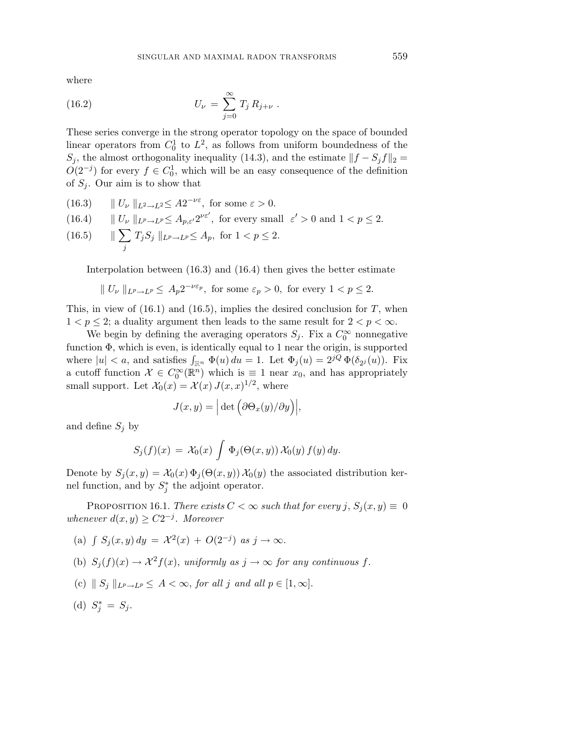where

(16.2) 
$$
U_{\nu} = \sum_{j=0}^{\infty} T_j R_{j+\nu} .
$$

These series converge in the strong operator topology on the space of bounded linear operators from  $C_0^1$  to  $L^2$ , as follows from uniform boundedness of the *S*<sup>*j*</sup>, the almost orthogonality inequality (14.3), and the estimate  $||f - S_j f||_2 =$  $O(2^{-j})$  for every  $f \in C_0^1$ , which will be an easy consequence of the definition of *S<sup>j</sup>* . Our aim is to show that

(16.3)  $\parallel U_\nu \parallel_{L^2 \to L^2} \leq A2^{-\nu \varepsilon}$ *, for some*  $\varepsilon > 0$ *.* 

(16.4) 
$$
\|U_{\nu}\|_{L^p \to L^p} \leq A_{p,\varepsilon'} 2^{\nu \varepsilon'}, \text{ for every small } \varepsilon' > 0 \text{ and } 1 < p \leq 2.
$$
  
(16.5) 
$$
\|\sum_j T_j S_j\|_{L^p \to L^p} \leq A_p, \text{ for } 1 < p \leq 2.
$$

Interpolation between (16.3) and (16.4) then gives the better estimate

$$
|| U_{\nu} ||_{L^p \to L^p} \leq A_p 2^{-\nu \varepsilon_p}
$$
, for some  $\varepsilon_p > 0$ , for every  $1 < p \leq 2$ .

This, in view of  $(16.1)$  and  $(16.5)$ , implies the desired conclusion for *T*, when  $1 < p \leq 2$ ; a duality argument then leads to the same result for  $2 < p < \infty$ .

We begin by defining the averaging operators  $S_j$ . Fix a  $C_0^{\infty}$  nonnegative function Φ, which is even, is identically equal to 1 near the origin, is supported where  $|u| < a$ , and satisfies  $\int_{\mathbb{R}^n} \Phi(u) du = 1$ . Let  $\Phi_j(u) = 2^{jQ} \Phi(\delta_{2j}(u))$ . Fix a cutoff function  $\mathcal{X} \in C_0^{\infty}(\mathbb{R}^n)$  which is  $\equiv 1$  near  $x_0$ , and has appropriately small support. Let  $\mathcal{X}_0(x) = \mathcal{X}(x) J(x, x)^{1/2}$ , where

$$
J(x,y) = \left| \det \left( \partial \Theta_x(y) / \partial y \right) \right|,
$$

and define  $S_j$  by

$$
S_j(f)(x) = \mathcal{X}_0(x) \int \Phi_j(\Theta(x, y)) \mathcal{X}_0(y) f(y) dy.
$$

Denote by  $S_j(x, y) = \mathcal{X}_0(x) \Phi_j(\Theta(x, y)) \mathcal{X}_0(y)$  the associated distribution kernel function, and by  $S_j^*$  the adjoint operator.

PROPOSITION 16.1. There exists  $C < \infty$  such that for every  $j$ ,  $S_j(x, y) \equiv 0$ whenever  $d(x, y) \geq C2^{-j}$ . Moreover

- (a)  $\int S_i(x, y) dy = \lambda^2(x) + O(2^{-j})$  as  $j \to \infty$ .
- (b)  $S_i(f)(x) \to \mathcal{X}^2 f(x)$ , uniformly as  $j \to \infty$  for any continuous f.
- (c)  $\|S_i\|_{L^p\to L^p} \leq A < \infty$ , for all *j* and all  $p \in [1,\infty]$ .
- (d)  $S_j^* = S_j$ .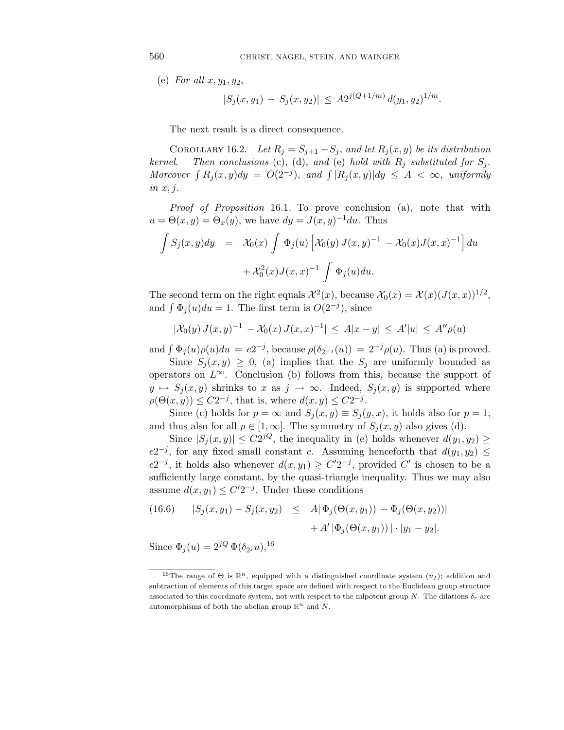(e) For all *x, y*1*, y*2,

$$
|S_j(x, y_1) - S_j(x, y_2)| \le A2^{j(Q+1/m)} d(y_1, y_2)^{1/m}.
$$

The next result is a direct consequence.

COROLLARY 16.2. Let  $R_j = S_{j+1} - S_j$ , and let  $R_j(x, y)$  be its distribution kernel. Then conclusions (c), (d), and (e) hold with  $R_j$  substituted for  $S_j$ . Moreover  $\int R_i(x, y) dy = O(2^{-j})$ , and  $\int |R_i(x, y)| dy \leq A < \infty$ , uniformly in *x, j*.

Proof of Proposition 16.1. To prove conclusion (a), note that with  $u = \Theta(x, y) = \Theta_x(y)$ , we have  $dy = J(x, y)^{-1} du$ . Thus

$$
\int S_j(x, y) dy = \mathcal{X}_0(x) \int \Phi_j(u) \left[ \mathcal{X}_0(y) J(x, y)^{-1} - \mathcal{X}_0(x) J(x, x)^{-1} \right] du
$$

$$
+ \mathcal{X}_0^2(x) J(x, x)^{-1} \int \Phi_j(u) du.
$$

The second term on the right equals  $\mathcal{X}^2(x)$ , because  $\mathcal{X}_0(x) = \mathcal{X}(x) (J(x,x))^{1/2}$ , and  $\int \Phi_i(u) du = 1$ . The first term is  $O(2^{-j})$ , since

$$
|\mathcal{X}_0(y) J(x, y)^{-1} - \mathcal{X}_0(x) J(x, x)^{-1}| \leq A|x - y| \leq A'|u| \leq A''\rho(u)
$$

and  $\int \Phi_i(u)\rho(u)du = c2^{-j}$ , because  $\rho(\delta_{2^{-j}}(u)) = 2^{-j}\rho(u)$ . Thus (a) is proved.

Since  $S_i(x, y) \geq 0$ , (a) implies that the  $S_i$  are uniformly bounded as operators on  $L^\infty$ . Conclusion (b) follows from this, because the support of  $y \mapsto S_j(x, y)$  shrinks to *x* as  $j \to \infty$ . Indeed,  $S_j(x, y)$  is supported where  $\rho(\Theta(x, y)) \leq C2^{-j}$ , that is, where  $d(x, y) \leq C2^{-j}$ .

Since (c) holds for  $p = \infty$  and  $S_j(x, y) \equiv S_j(y, x)$ , it holds also for  $p = 1$ , and thus also for all  $p \in [1, \infty]$ . The symmetry of  $S_i(x, y)$  also gives (d).

Since  $|S_j(x, y)| \leq C2^{jQ}$ , the inequality in (e) holds whenever  $d(y_1, y_2) \geq$ *c*2<sup>−*j*</sup>, for any fixed small constant *c*. Assuming henceforth that  $d(y_1, y_2)$  ≤ *c*2<sup>−*j*</sup>, it holds also whenever  $d(x, y_1) \ge C'2^{-j}$ , provided *C*<sup>*i*</sup> is chosen to be a sufficiently large constant, by the quasi-triangle inequality. Thus we may also assume  $d(x, y_1) \leq C' 2^{-j}$ . Under these conditions

(16.6) 
$$
|S_j(x, y_1) - S_j(x, y_2)| \leq A |\Phi_j(\Theta(x, y_1)) - \Phi_j(\Theta(x, y_2))|
$$
  
  $+ A' |\Phi_j(\Theta(x, y_1))| \cdot |y_1 - y_2|.$ 

Since  $\Phi_i(u)=2^{jQ}\Phi(\delta_{2i}u),^{16}$ 

<sup>&</sup>lt;sup>16</sup>The range of  $\Theta$  is  $\mathbb{R}^n$ , equipped with a distinguished coordinate system  $(u_I)$ ; addition and subtraction of elements of this target space are defined with respect to the Euclidean group structure associated to this coordinate system, not with respect to the nilpotent group *N*. The dilations  $\delta_r$  are automorphisms of both the abelian group  $\mathbb{R}^n$  and *N*.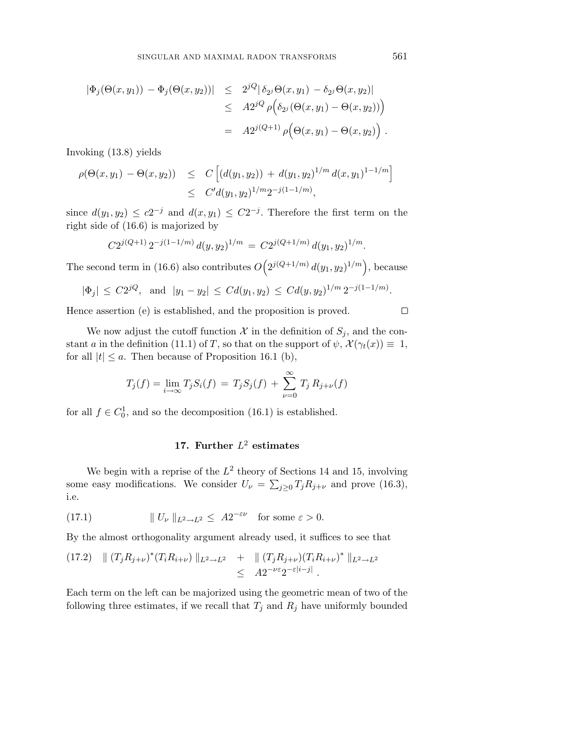$$
\begin{array}{rcl}\n|\Phi_j(\Theta(x,y_1)) - \Phi_j(\Theta(x,y_2))| & \leq & 2^{jQ}|\delta_{2^j}\Theta(x,y_1) - \delta_{2^j}\Theta(x,y_2)| \\
& \leq & A2^{jQ} \rho\Big(\delta_{2^j}(\Theta(x,y_1) - \Theta(x,y_2))\Big) \\
& = & A2^{j(Q+1)} \rho\Big(\Theta(x,y_1) - \Theta(x,y_2)\Big) \ .\n\end{array}
$$

Invoking (13.8) yields

$$
\rho(\Theta(x, y_1) - \Theta(x, y_2)) \leq C \left[ (d(y_1, y_2)) + d(y_1, y_2)^{1/m} d(x, y_1)^{1-1/m} \right] \leq C' d(y_1, y_2)^{1/m} 2^{-j(1-1/m)},
$$

since  $d(y_1, y_2) \leq c2^{-j}$  and  $d(x, y_1) \leq C2^{-j}$ . Therefore the first term on the right side of (16.6) is majorized by

$$
C2^{j(Q+1)}2^{-j(1-1/m)}d(y,y_2)^{1/m} = C2^{j(Q+1/m)}d(y_1,y_2)^{1/m}.
$$

The second term in (16.6) also contributes  $O(2^{j(Q+1/m)} d(y_1, y_2)^{1/m})$ , because

$$
|\Phi_j| \le C2^{jQ}
$$
, and  $|y_1 - y_2| \le Cd(y_1, y_2) \le Cd(y, y_2)^{1/m} 2^{-j(1-1/m)}$ .

Hence assertion (e) is established, and the proposition is proved.

We now adjust the cutoff function  $\mathcal X$  in the definition of  $S_j$ , and the constant *a* in the definition (11.1) of *T*, so that on the support of  $\psi$ ,  $\mathcal{X}(\gamma_t(x)) \equiv 1$ , for all  $|t| \le a$ . Then because of Proposition 16.1 (b),

$$
T_j(f) = \lim_{i \to \infty} T_j S_i(f) = T_j S_j(f) + \sum_{\nu=0}^{\infty} T_j R_{j+\nu}(f)
$$

for all  $f \in C_0^1$ , and so the decomposition (16.1) is established.

# **17. Further** *L*<sup>2</sup> **estimates**

We begin with a reprise of the  $L^2$  theory of Sections 14 and 15, involving some easy modifications. We consider  $U_{\nu} = \sum_{j\geq 0} T_j R_{j+\nu}$  and prove (16.3), i.e.

(17.1) 
$$
\| U_{\nu} \|_{L^2 \to L^2} \leq A 2^{-\varepsilon \nu} \text{ for some } \varepsilon > 0.
$$

By the almost orthogonality argument already used, it suffices to see that

$$
(17.2) \quad || (T_j R_{j+\nu})^* (T_i R_{i+\nu}) ||_{L^2 \to L^2} \quad + \quad || (T_j R_{j+\nu}) (T_i R_{i+\nu})^* ||_{L^2 \to L^2}
$$
  

$$
\leq A 2^{-\nu \varepsilon} 2^{-\varepsilon |i-j|} .
$$

Each term on the left can be majorized using the geometric mean of two of the following three estimates, if we recall that  $T_j$  and  $R_j$  have uniformly bounded

 $\Box$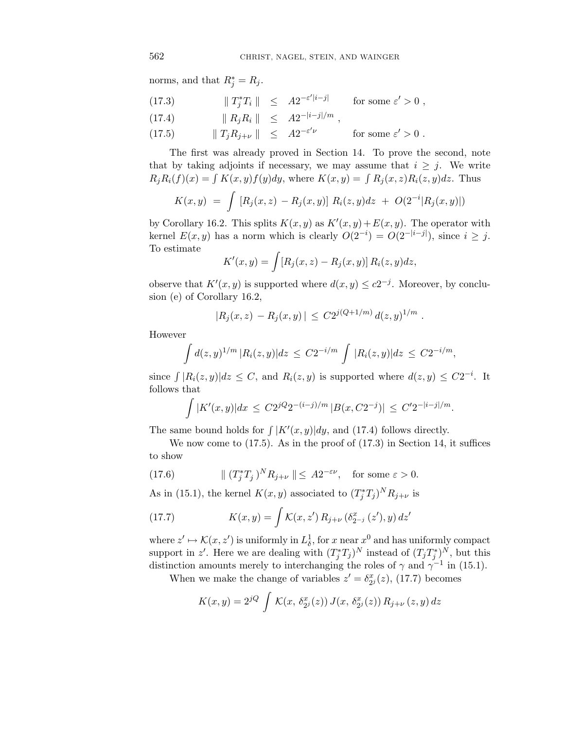norms, and that  $R_j^* = R_j$ .

(17.3) 
$$
\|T_j^*T_i\| \leq A2^{-\varepsilon'|i-j|} \quad \text{for some } \varepsilon' > 0,
$$
  

$$
\|P_n P_n\| \leq A2^{-|i-j|/m}
$$

$$
(17.4) \t\t\t \| R_j R_i \| \leq A 2^{-|i-j|/m},
$$

(17.5) 
$$
\|T_j R_{j+\nu}\| \leq A 2^{-\varepsilon'\nu} \quad \text{for some } \varepsilon' > 0.
$$

The first was already proved in Section 14. To prove the second, note that by taking adjoints if necessary, we may assume that  $i \geq j$ . We write  $R_j R_i(f)(x) = \int K(x, y) f(y) dy$ , where  $K(x, y) = \int R_i(x, z) R_i(z, y) dz$ . Thus

$$
K(x,y) = \int [R_j(x,z) - R_j(x,y)] R_i(z,y) dz + O(2^{-i}|R_j(x,y)|)
$$

by Corollary 16.2. This splits  $K(x, y)$  as  $K'(x, y) + E(x, y)$ . The operator with kernel  $E(x, y)$  has a norm which is clearly  $O(2^{-i}) = O(2^{-|i-j|})$ , since  $i \geq j$ . To estimate

$$
K'(x,y) = \int [R_j(x,z) - R_j(x,y)] R_i(z,y) dz,
$$

observe that  $K'(x, y)$  is supported where  $d(x, y) \leq c2^{-j}$ . Moreover, by conclusion (e) of Corollary 16.2,

$$
|R_j(x,z) - R_j(x,y)| \leq C2^{j(Q+1/m)} d(z,y)^{1/m} .
$$

However

$$
\int d(z,y)^{1/m} |R_i(z,y)| dz \leq C2^{-i/m} \int |R_i(z,y)| dz \leq C2^{-i/m},
$$

since  $\int |R_i(z, y)| dz \leq C$ , and  $R_i(z, y)$  is supported where  $d(z, y) \leq C2^{-i}$ . It follows that

$$
\int |K'(x,y)| dx \le C2^{jQ} 2^{-(i-j)/m} |B(x,C2^{-j})| \le C' 2^{-|i-j|/m}.
$$

The same bound holds for  $\int |K'(x, y)| dy$ , and (17.4) follows directly.

We now come to (17.5). As in the proof of (17.3) in Section 14, it suffices to show

(17.6) 
$$
\| (T_j^* T_j)^N R_{j+\nu} \| \leq A 2^{-\varepsilon \nu}, \text{ for some } \varepsilon > 0.
$$

As in (15.1), the kernel  $K(x, y)$  associated to  $(T_j^*T_j)^N R_{j+\nu}$  is

(17.7) 
$$
K(x,y) = \int K(x,z') R_{j+\nu} (\delta_{2^{-j}}^x(z'),y) dz'
$$

where  $z' \mapsto \mathcal{K}(x, z')$  is uniformly in  $L^1_\delta$ , for *x* near  $x^0$  and has uniformly compact support in *z'*. Here we are dealing with  $(T_j^*T_j)^N$  instead of  $(T_j^*T_j)^N$ , but this distinction amounts merely to interchanging the roles of  $\gamma$  and  $\gamma^{-1}$  in (15.1).

When we make the change of variables  $z' = \delta_{2j}^x(z)$ , (17.7) becomes

$$
K(x, y) = 2^{jQ} \int \mathcal{K}(x, \delta_{2^{j}}^{x}(z)) J(x, \delta_{2^{j}}^{x}(z)) R_{j+\nu}(z, y) dz
$$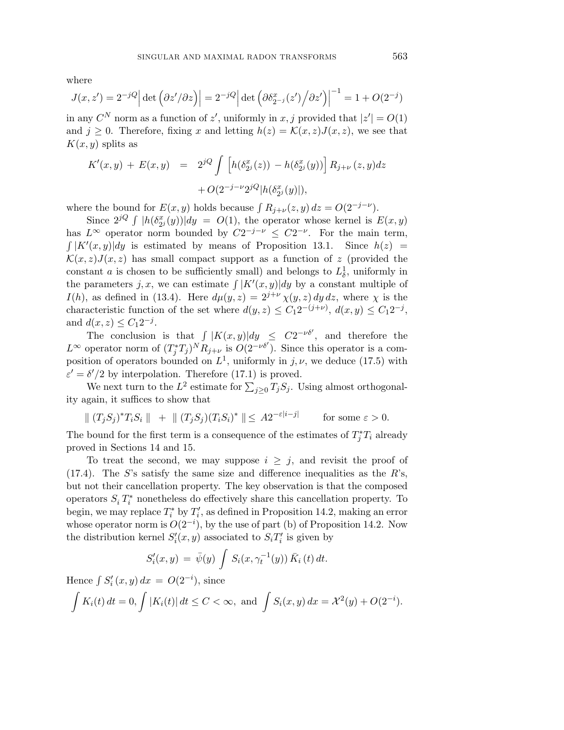where

$$
J(x, z') = 2^{-jQ} \left| \det \left( \frac{\partial z'}{\partial z} \right) \right| = 2^{-jQ} \left| \det \left( \frac{\partial \delta_{2^{-j}}^x(z')}{\partial z'} \right) \right|^{-1} = 1 + O(2^{-j})
$$

in any  $C^N$  norm as a function of  $z'$ , uniformly in  $x, j$  provided that  $|z'| = O(1)$ and  $j \geq 0$ . Therefore, fixing *x* and letting  $h(z) = \mathcal{K}(x, z)J(x, z)$ , we see that  $K(x, y)$  splits as

$$
K'(x,y) + E(x,y) = 2^{jQ} \int \left[ h(\delta_{2^j}^x(z)) - h(\delta_{2^j}^x(y)) \right] R_{j+\nu}(z,y) dz
$$
  
+ O(2<sup>-j-\nu</sup>2<sup>jQ</sup>|h(\delta\_{2^j}^x(y)|),

where the bound for  $E(x, y)$  holds because  $\int R_{i+\nu}(z, y) dz = O(2^{-j-\nu}).$ 

Since  $2^{jQ} \int |h(\delta_{2^j}^x(y))| dy = O(1)$ , the operator whose kernel is  $E(x, y)$ has  $L^{\infty}$  operator norm bounded by  $C2^{-j-\nu} \leq C2^{-\nu}$ . For the main term,  $\int |K'(x,y)| dy$  is estimated by means of Proposition 13.1. Since  $h(z)$  =  $\mathcal{K}(x, z)J(x, z)$  has small compact support as a function of z (provided the constant *a* is chosen to be sufficiently small) and belongs to  $L^1_\delta$ , uniformly in the parameters *j*, *x*, we can estimate  $\int |K'(x,y)| dy$  by a constant multiple of *I*(*h*), as defined in (13.4). Here  $d\mu(y, z) = 2^{j+\nu} \chi(y, z) dy dz$ , where  $\chi$  is the characteristic function of the set where  $d(y, z) \leq C_1 2^{-(j+\nu)}$ ,  $d(x, y) \leq C_1 2^{-j}$ , and  $d(x, z) \leq C_1 2^{-j}$ .

The conclusion is that  $\int |K(x,y)| dy \leq C2^{-\nu\delta'}$ , and therefore the *L*<sup>∞</sup> operator norm of  $(T_j^*T_j)^N R_{j+\nu}$  is  $O(2^{-\nu\delta'})$ . Since this operator is a composition of operators bounded on  $L^1$ , uniformly in *j*,  $\nu$ , we deduce (17.5) with  $\varepsilon' = \delta'/2$  by interpolation. Therefore (17.1) is proved.

We next turn to the  $L^2$  estimate for  $\sum_{j\geq 0} T_j S_j$ . Using almost orthogonality again, it suffices to show that

 $\| (T_j S_j)^* T_i S_i \| + \| (T_j S_j) (T_i S_i)^* \| \leq A 2^{-\varepsilon |i-j|}$  for some  $\varepsilon > 0$ .

The bound for the first term is a consequence of the estimates of  $T_j^*T_i$  already proved in Sections 14 and 15.

To treat the second, we may suppose  $i \geq j$ , and revisit the proof of (17.4). The *S*'s satisfy the same size and difference inequalities as the *R*'s, but not their cancellation property. The key observation is that the composed operators  $S_i T_i^*$  nonetheless do effectively share this cancellation property. To begin, we may replace  $T_i^*$  by  $T_i'$ , as defined in Proposition 14.2, making an error whose operator norm is  $O(2^{-i})$ , by the use of part (b) of Proposition 14.2. Now the distribution kernel  $S_i'(x, y)$  associated to  $S_i T_i'$  is given by

$$
S'_{i}(x, y) = \bar{\psi}(y) \int S_{i}(x, \gamma_{t}^{-1}(y)) \bar{K}_{i}(t) dt.
$$

Hence  $\int S'_i(x, y) dx = O(2^{-i}),$  since

$$
\int K_i(t) dt = 0, \int |K_i(t)| dt \le C < \infty, \text{ and } \int S_i(x, y) dx = \mathcal{X}^2(y) + O(2^{-i}).
$$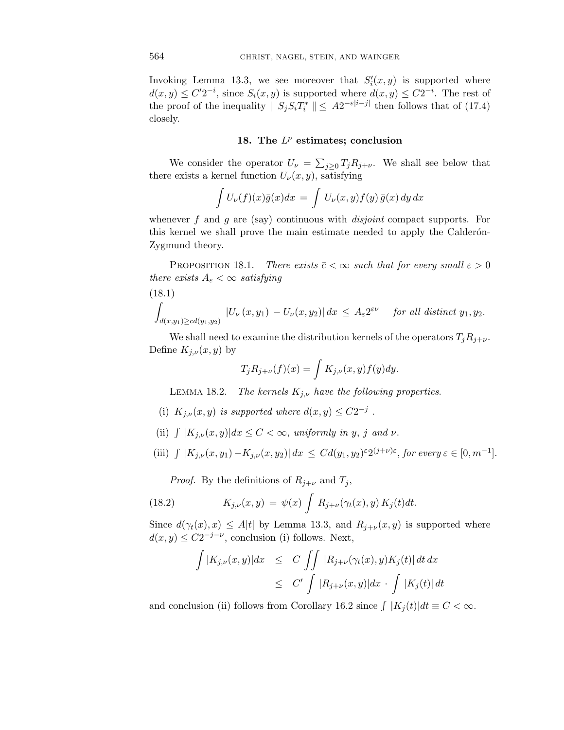Invoking Lemma 13.3, we see moreover that  $S_i'(x, y)$  is supported where  $d(x, y) \leq C'2^{-i}$ , since  $S_i(x, y)$  is supported where  $d(x, y) \leq C2^{-i}$ . The rest of the proof of the inequality  $\| S_j S_i T_i^* \| \leq A 2^{-\varepsilon |i-j|}$  then follows that of (17.4) closely.

#### **18. The** *L<sup>p</sup>* **estimates; conclusion**

We consider the operator  $U_{\nu} = \sum_{j\geq 0} T_j R_{j+\nu}$ . We shall see below that there exists a kernel function  $U_{\nu}(x, y)$ , satisfying

$$
\int U_{\nu}(f)(x)\bar{g}(x)dx = \int U_{\nu}(x,y)f(y)\,\bar{g}(x)\,dy\,dx
$$

whenever f and g are (say) continuous with *disjoint* compact supports. For this kernel we shall prove the main estimate needed to apply the Calderón-Zygmund theory.

PROPOSITION 18.1. There exists  $\bar{c} < \infty$  such that for every small  $\varepsilon > 0$ there exists  $A_{\varepsilon} < \infty$  satisfying

$$
(18.1)
$$

$$
\int_{d(x,y_1)\geq \bar{c}d(y_1,y_2)} |U_{\nu}(x,y_1)-U_{\nu}(x,y_2)| dx \leq A_{\varepsilon} 2^{\varepsilon \nu} \quad \text{for all distinct } y_1, y_2.
$$

We shall need to examine the distribution kernels of the operators  $T_j R_{j+\nu}$ . Define  $K_{j,\nu}(x,y)$  by

$$
T_j R_{j+\nu}(f)(x) = \int K_{j,\nu}(x,y) f(y) dy.
$$

LEMMA 18.2. The kernels  $K_{j,\nu}$  have the following properties.

- (i)  $K_{j,\nu}(x, y)$  is supported where  $d(x, y) \leq C2^{-j}$ .
- (ii)  $\int |K_{j,\nu}(x,y)| dx \leq C < \infty$ , uniformly in *y*, *j* and *v*.

(iii) 
$$
\int |K_{j,\nu}(x,y_1) - K_{j,\nu}(x,y_2)| dx \leq C d(y_1, y_2)^{\varepsilon} 2^{(j+\nu)\varepsilon}
$$
, for every  $\varepsilon \in [0, m^{-1}]$ .

*Proof.* By the definitions of  $R_{j+\nu}$  and  $T_j$ ,

(18.2) 
$$
K_{j,\nu}(x,y) = \psi(x) \int R_{j+\nu}(\gamma_t(x),y) K_j(t) dt.
$$

Since  $d(\gamma_t(x), x) \leq A|t|$  by Lemma 13.3, and  $R_{j+\nu}(x, y)$  is supported where  $d(x, y) \leq C2^{-j-\nu}$ , conclusion (i) follows. Next,

$$
\int |K_{j,\nu}(x,y)|dx \leq C \iint |R_{j+\nu}(\gamma_t(x),y)K_j(t)| dt dx
$$
  

$$
\leq C' \int |R_{j+\nu}(x,y)|dx \cdot \int |K_j(t)| dt
$$

and conclusion (ii) follows from Corollary 16.2 since  $\int |K_i(t)|dt \equiv C < \infty$ .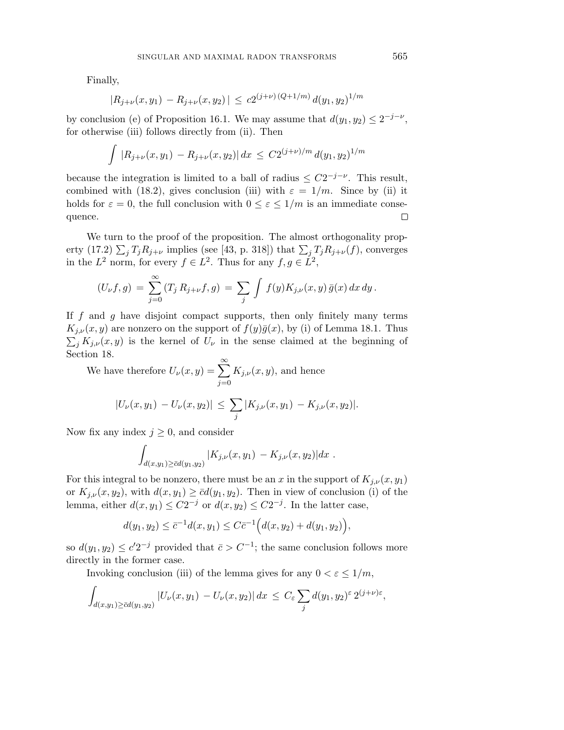Finally,

$$
|R_{j+\nu}(x,y_1) - R_{j+\nu}(x,y_2)| \le c2^{(j+\nu)(Q+1/m)} d(y_1,y_2)^{1/m}
$$

by conclusion (e) of Proposition 16.1. We may assume that  $d(y_1, y_2) \leq 2^{-j-\nu}$ , for otherwise (iii) follows directly from (ii). Then

$$
\int |R_{j+\nu}(x,y_1) - R_{j+\nu}(x,y_2)| dx \le C2^{(j+\nu)/m} d(y_1,y_2)^{1/m}
$$

because the integration is limited to a ball of radius  $\leq C2^{-j-\nu}$ . This result, combined with (18.2), gives conclusion (iii) with  $\varepsilon = 1/m$ . Since by (ii) it holds for  $\varepsilon = 0$ , the full conclusion with  $0 \leq \varepsilon \leq 1/m$  is an immediate consequence.  $\Box$ 

We turn to the proof of the proposition. The almost orthogonality property (17.2)  $\sum_{j} T_j R_{j+\nu}$  implies (see [43, p. 318]) that  $\sum_{j} T_j R_{j+\nu}(f)$ , converges in the  $L^2$  norm, for every  $f \in L^2$ . Thus for any  $f, g \in L^2$ ,

$$
(U_{\nu}f,g) = \sum_{j=0}^{\infty} (T_j R_{j+\nu}f,g) = \sum_j \int f(y)K_{j,\nu}(x,y) \bar{g}(x) dx dy.
$$

If *f* and *g* have disjoint compact supports, then only finitely many terms  $K_{j,\nu}(x,y)$  are nonzero on the support of  $f(y)\overline{g}(x)$ , by (i) of Lemma 18.1. Thus  $\sum_{j} K_{j,\nu}(x,y)$  is the kernel of  $U_{\nu}$  in the sense claimed at the beginning of Section 18.

We have therefore 
$$
U_{\nu}(x, y) = \sum_{j=0}^{\infty} K_{j,\nu}(x, y)
$$
, and hence  
\n
$$
|U_{\nu}(x, y_1) - U_{\nu}(x, y_2)| \le \sum_j |K_{j,\nu}(x, y_1) - K_{j,\nu}(x, y_2)|.
$$

Now fix any index  $j \geq 0$ , and consider

$$
\int_{d(x,y_1)\geq \bar{c}d(y_1,y_2)} |K_{j,\nu}(x,y_1)-K_{j,\nu}(x,y_2)|dx.
$$

For this integral to be nonzero, there must be an *x* in the support of  $K_{i,\nu}(x, y_1)$ or  $K_{j,\nu}(x,y_2)$ , with  $d(x,y_1) \geq \bar{c}d(y_1,y_2)$ . Then in view of conclusion (i) of the lemma, either  $d(x, y_1) \leq C2^{-j}$  or  $d(x, y_2) \leq C2^{-j}$ . In the latter case,

$$
d(y_1, y_2) \leq \bar{c}^{-1}d(x, y_1) \leq C\bar{c}^{-1}\Big(d(x, y_2) + d(y_1, y_2)\Big),
$$

so  $d(y_1, y_2) \leq c' 2^{-j}$  provided that  $\bar{c} > C^{-1}$ ; the same conclusion follows more directly in the former case.

Invoking conclusion (iii) of the lemma gives for any  $0 < \varepsilon \leq 1/m$ ,

$$
\int_{d(x,y_1)\geq \bar{c}d(y_1,y_2)} |U_{\nu}(x,y_1)-U_{\nu}(x,y_2)| dx \leq C_{\varepsilon} \sum_j d(y_1,y_2)^{\varepsilon} 2^{(j+\nu)\varepsilon},
$$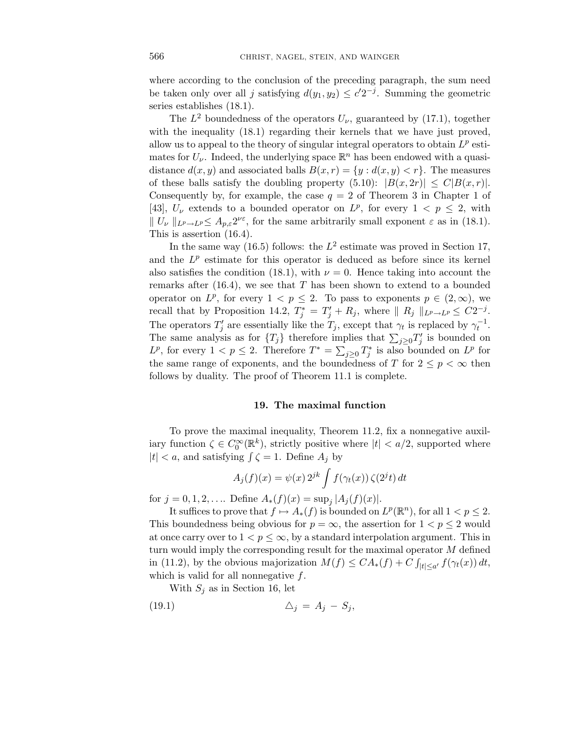where according to the conclusion of the preceding paragraph, the sum need be taken only over all *j* satisfying  $d(y_1, y_2) \leq c' 2^{-j}$ . Summing the geometric series establishes (18.1).

The  $L^2$  boundedness of the operators  $U_{\nu}$ , guaranteed by (17.1), together with the inequality  $(18.1)$  regarding their kernels that we have just proved, allow us to appeal to the theory of singular integral operators to obtain *L<sup>p</sup>* estimates for  $U_{\nu}$ . Indeed, the underlying space  $\mathbb{R}^{n}$  has been endowed with a quasidistance  $d(x, y)$  and associated balls  $B(x, r) = \{y : d(x, y) < r\}$ . The measures of these balls satisfy the doubling property  $(5.10): |B(x, 2r)| \leq C|B(x, r)|$ . Consequently by, for example, the case  $q = 2$  of Theorem 3 in Chapter 1 of [43],  $U_{\nu}$  extends to a bounded operator on  $L^{p}$ , for every  $1 < p \leq 2$ , with  $\|U_{\nu}\|_{L^p\to L^p}\leq A_{p,\varepsilon}2^{\nu\varepsilon}$ , for the same arbitrarily small exponent  $\varepsilon$  as in (18.1). This is assertion (16.4).

In the same way (16.5) follows: the  $L^2$  estimate was proved in Section 17, and the  $L^p$  estimate for this operator is deduced as before since its kernel also satisfies the condition (18.1), with  $\nu = 0$ . Hence taking into account the remarks after (16.4), we see that *T* has been shown to extend to a bounded operator on  $L^p$ , for every  $1 < p \leq 2$ . To pass to exponents  $p \in (2,\infty)$ , we recall that by Proposition 14.2,  $T_j^* = T_j' + R_j$ , where  $|| R_j ||_{L^p \to L^p} \leq C2^{-j}$ . The operators  $T'_{j}$  are essentially like the  $T_{j}$ , except that  $\gamma_{t}$  is replaced by  $\gamma_{t}^{-1}$ . The same analysis as for  ${T_j}$  therefore implies that  $\sum_{j\geq 0} T'_j$  is bounded on *L*<sup>*p*</sup>, for every 1 < *p* ≤ 2. Therefore  $T^* = \sum_{j\geq 0} T_j^*$  is also bounded on *L<sup>p</sup>* for the same range of exponents, and the boundedness of *T* for  $2 \leq p < \infty$  then follows by duality. The proof of Theorem 11.1 is complete.

## **19. The maximal function**

To prove the maximal inequality, Theorem 11.2, fix a nonnegative auxiliary function  $\zeta \in C_0^{\infty}(\mathbb{R}^k)$ , strictly positive where  $|t| < a/2$ , supported where  $|t| < a$ , and satisfying  $\int \zeta = 1$ . Define  $A_i$  by

$$
A_j(f)(x) = \psi(x) 2^{jk} \int f(\gamma_t(x)) \zeta(2^j t) dt
$$

for  $j = 0, 1, 2, \ldots$  Define  $A_*(f)(x) = \sup_j |A_j(f)(x)|$ .

It suffices to prove that  $f \mapsto A_*(f)$  is bounded on  $L^p(\mathbb{R}^n)$ , for all  $1 < p \leq 2$ . This boundedness being obvious for  $p = \infty$ , the assertion for  $1 < p \leq 2$  would at once carry over to  $1 < p \leq \infty$ , by a standard interpolation argument. This in turn would imply the corresponding result for the maximal operator *M* defined in (11.2), by the obvious majorization  $M(f) \leq CA_*(f) + C \int_{|t| \leq a'} f(\gamma_t(x)) dt$ , which is valid for all nonnegative *f*.

With  $S_j$  as in Section 16, let

$$
(19.1) \qquad \qquad \Delta_j = A_j - S_j,
$$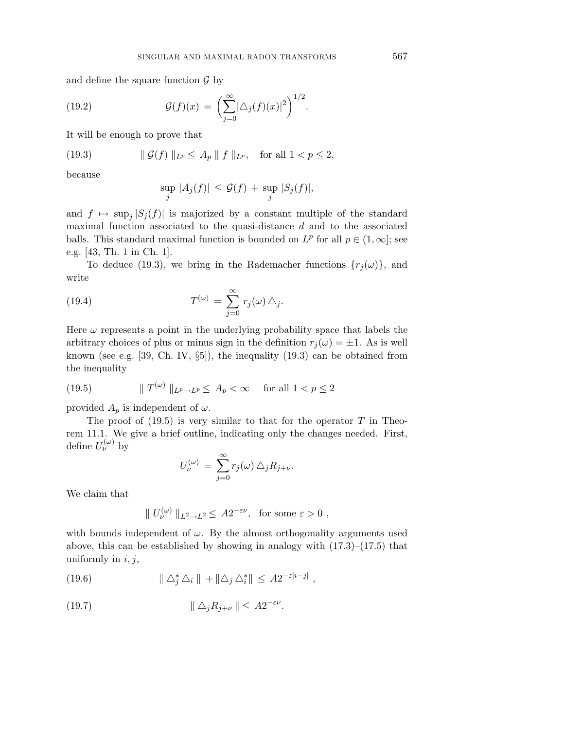and define the square function  $\mathcal G$  by

(19.2) 
$$
\mathcal{G}(f)(x) = \left(\sum_{j=0}^{\infty} |\Delta_j(f)(x)|^2\right)^{1/2}.
$$

It will be enough to prove that

(19.3) 
$$
\| \mathcal{G}(f) \|_{L^p} \leq A_p \| f \|_{L^p}, \text{ for all } 1 < p \leq 2,
$$

because

$$
\sup_j |A_j(f)| \le \mathcal{G}(f) + \sup_j |S_j(f)|,
$$

and  $f \mapsto \sup_j |S_j(f)|$  is majorized by a constant multiple of the standard maximal function associated to the quasi-distance *d* and to the associated balls. This standard maximal function is bounded on  $L^p$  for all  $p \in (1,\infty]$ ; see e.g. [43, Th. 1 in Ch. 1].

To deduce (19.3), we bring in the Rademacher functions  $\{r_i(\omega)\}\$ , and write

(19.4) 
$$
T^{(\omega)} = \sum_{j=0}^{\infty} r_j(\omega) \Delta_j.
$$

Here  $\omega$  represents a point in the underlying probability space that labels the arbitrary choices of plus or minus sign in the definition  $r_j(\omega) = \pm 1$ . As is well known (see e.g.  $[39, Ch. IV, \S5]$ ), the inequality  $(19.3)$  can be obtained from the inequality

(19.5) 
$$
\|T^{(\omega)}\|_{L^p \to L^p} \le A_p < \infty \quad \text{for all } 1 < p \le 2
$$

provided  $A_p$  is independent of  $\omega$ .

The proof of  $(19.5)$  is very similar to that for the operator *T* in Theorem 11.1. We give a brief outline, indicating only the changes needed. First, define  $U_{\nu}^{(\omega)}$  by

$$
U_{\nu}^{(\omega)} = \sum_{j=0}^{\infty} r_j(\omega) \,\Delta_j R_{j+\nu}.
$$

We claim that

$$
|| U_{\nu}^{(\omega)} ||_{L^2 \to L^2} \leq A 2^{-\varepsilon \nu}
$$
, for some  $\varepsilon > 0$ ,

with bounds independent of  $\omega$ . By the almost orthogonality arguments used above, this can be established by showing in analogy with  $(17.3)$ – $(17.5)$  that uniformly in *i, j*,

 $\| \Delta_j^* \Delta_i \| + \| \Delta_j \Delta_i^* \| \leq A 2^{-\varepsilon |i-j|}$ ,

$$
(19.7) \t\t\t ||\triangle_j R_{j+\nu}|| \leq A2^{-\varepsilon\nu}.
$$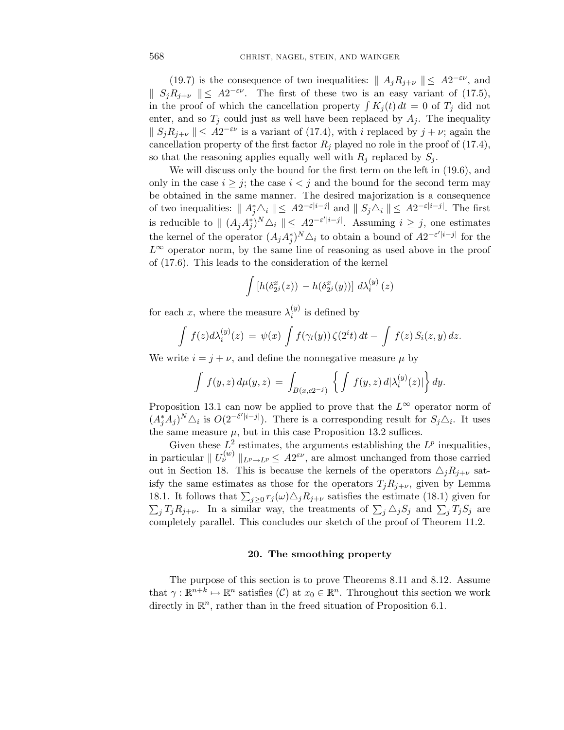(19.7) is the consequence of two inequalities:  $|| A_i R_{i+\nu} || \leq A2^{-\varepsilon \nu}$ , and *S*<sub>*i*</sub><sup>*R*<sub>*j*+*v*</sub>  $\parallel$  ≤ *A*2<sup>−*εν*</sup>. The first of these two is an easy variant of (17.5),</sup> in the proof of which the cancellation property  $\int K_i(t) dt = 0$  of  $T_i$  did not enter, and so  $T_j$  could just as well have been replaced by  $A_j$ . The inequality  $\|S_jR_{j+\nu}\| \leq A2^{-\varepsilon\nu}$  is a variant of (17.4), with *i* replaced by  $j+\nu$ ; again the cancellation property of the first factor  $R_i$  played no role in the proof of (17.4), so that the reasoning applies equally well with  $R_j$  replaced by  $S_j$ .

We will discuss only the bound for the first term on the left in (19.6), and only in the case  $i \geq j$ ; the case  $i < j$  and the bound for the second term may be obtained in the same manner. The desired majorization is a consequence of two inequalities:  $|| A_j^* \Delta_i || \leq A2^{-\varepsilon|i-j|}$  and  $|| S_j \Delta_i || \leq A2^{-\varepsilon|i-j|}$ . The first is reducible to  $\| (A_j A_j^*)^N \Delta_i \| \leq A 2^{-\varepsilon'|i-j|}$ . Assuming  $i \geq j$ , one estimates the kernel of the operator  $(A_j A_j^*)^N \triangle_i$  to obtain a bound of  $A2^{-\varepsilon'|i-j|}$  for the *L*<sup>∞</sup> operator norm, by the same line of reasoning as used above in the proof of (17.6). This leads to the consideration of the kernel

$$
\int \left[h(\delta_{2^j}^x(z)) - h(\delta_{2^j}^x(y))\right] d\lambda_i^{(y)}(z)
$$

for each *x*, where the measure  $\lambda_i^{(y)}$  is defined by

$$
\int f(z)d\lambda_i^{(y)}(z) = \psi(x) \int f(\gamma_t(y)) \zeta(2^i t) dt - \int f(z) S_i(z, y) dz.
$$

We write  $i = j + \nu$ , and define the nonnegative measure  $\mu$  by

$$
\int f(y, z) d\mu(y, z) = \int_{B(x, c2^{-j})} \left\{ \int f(y, z) d|\lambda_i^{(y)}(z)| \right\} dy.
$$

Proposition 13.1 can now be applied to prove that the  $L^{\infty}$  operator norm of  $(A_j^* A_j)^N \Delta_i$  is  $O(2^{-\delta' |i-j|})$ . There is a corresponding result for  $S_j \Delta_i$ . It uses the same measure  $\mu$ , but in this case Proposition 13.2 suffices.

Given these  $L^2$  estimates, the arguments establishing the  $L^p$  inequalities, in particular  $||U^{(w)}_{\nu}||_{L^p \to L^p} \leq A2^{\varepsilon \nu}$ , are almost unchanged from those carried out in Section 18. This is because the kernels of the operators  $\Delta_j R_{j+\nu}$  satisfy the same estimates as those for the operators  $T_j R_{j+\nu}$ , given by Lemma 18.1. It follows that  $\sum_{j\geq 0} r_j(\omega) \Delta_j R_{j+\nu}$  satisfies the estimate (18.1) given for  $\sum_{j} T_j R_{j+\nu}$ . In a similar way, the treatments of  $\sum_{j} \triangle_j S_j$  and  $\sum_{j} T_j S_j$  are completely parallel. This concludes our sketch of the proof of Theorem 11.2.

## **20. The smoothing property**

The purpose of this section is to prove Theorems 8.11 and 8.12. Assume that  $\gamma : \mathbb{R}^{n+k} \mapsto \mathbb{R}^n$  satisfies  $(C)$  at  $x_0 \in \mathbb{R}^n$ . Throughout this section we work directly in  $\mathbb{R}^n$ , rather than in the freed situation of Proposition 6.1.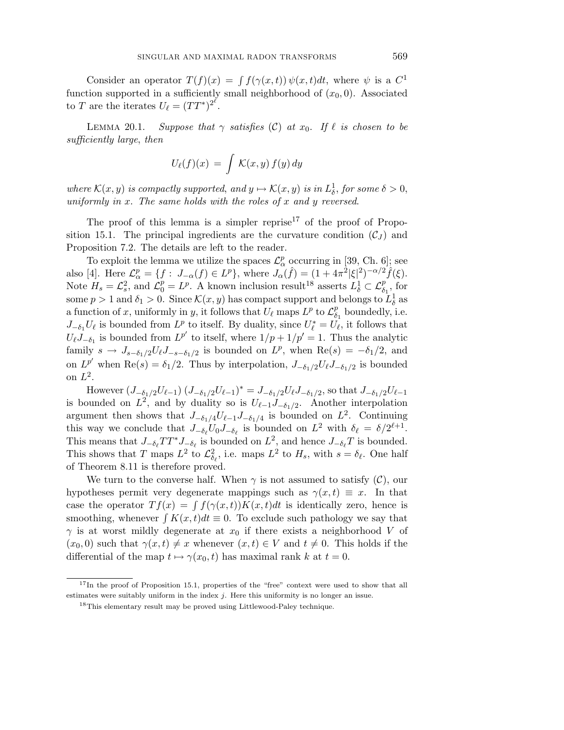Consider an operator  $T(f)(x) = \int f(\gamma(x,t)) \psi(x,t) dt$ , where  $\psi$  is a  $C^1$ function supported in a sufficiently small neighborhood of  $(x_0, 0)$ . Associated to *T* are the iterates  $U_{\ell} = (TT^*)^{2^{\ell}}$ .

LEMMA 20.1. Suppose that  $\gamma$  satisfies (C) at  $x_0$ . If  $\ell$  is chosen to be sufficiently large, then

$$
U_{\ell}(f)(x) = \int \mathcal{K}(x, y) f(y) dy
$$

where  $\mathcal{K}(x, y)$  is compactly supported, and  $y \mapsto \mathcal{K}(x, y)$  is in  $L^1_\delta$ , for some  $\delta > 0$ , uniformly in *x*. The same holds with the roles of *x* and *y* reversed.

The proof of this lemma is a simpler reprise<sup>17</sup> of the proof of Proposition 15.1. The principal ingredients are the curvature condition  $(C<sub>J</sub>)$  and Proposition 7.2. The details are left to the reader.

To exploit the lemma we utilize the spaces  $\mathcal{L}_{\alpha}^{p}$  occurring in [39, Ch. 6]; see also [4]. Here  $\mathcal{L}_{\alpha}^{p} = \{f : J_{-\alpha}(f) \in L^{p}\},\$  where  $J_{\alpha}(\hat{f}) = (1 + 4\pi^{2}|\xi|^{2})^{-\alpha/2} \hat{f}(\xi).$ Note  $H_s = \mathcal{L}_s^2$ , and  $\mathcal{L}_0^p = L^p$ . A known inclusion result<sup>18</sup> asserts  $L^1_\delta \subset \mathcal{L}_{\delta_1}^p$ , for some  $p > 1$  and  $\delta_1 > 0$ . Since  $\mathcal{K}(x, y)$  has compact support and belongs to  $\tilde{L}^1_\delta$  as a function of *x*, uniformly in *y*, it follows that  $U_\ell$  maps  $L^p$  to  $\mathcal{L}_{\delta_1}^p$  boundedly, i.e.  $J_{-\delta_1}U_{\ell}$  is bounded from  $L^p$  to itself. By duality, since  $U_{\ell}^* = U_{\ell}$ , it follows that  $U_{\ell}J_{-\delta_1}$  is bounded from  $L^{p'}$  to itself, where  $1/p + 1/p' = 1$ . Thus the analytic family  $s \to J_{s-\delta_1/2}U_{\ell}J_{-s-\delta_1/2}$  is bounded on  $L^p$ , when  $\text{Re}(s) = -\delta_1/2$ , and on  $L^{p'}$  when Re(*s*) =  $\delta_1/2$ . Thus by interpolation,  $J_{-\delta_1/2}U_{\ell}J_{-\delta_1/2}$  is bounded on *L*2.

However  $(J_{-\delta_1/2}U_{\ell-1}) (J_{-\delta_1/2}U_{\ell-1})^* = J_{-\delta_1/2}U_{\ell}J_{-\delta_1/2}$ , so that  $J_{-\delta_1/2}U_{\ell-1}$ is bounded on  $L^2$ , and by duality so is  $U_{\ell-1}J_{-\delta_1/2}$ . Another interpolation argument then shows that  $J_{-\delta_1/4}U_{\ell-1}J_{-\delta_1/4}$  is bounded on  $L^2$ . Continuing this way we conclude that  $J_{-\delta_{\ell}}U_0J_{-\delta_{\ell}}$  is bounded on  $L^2$  with  $\delta_{\ell} = \delta/2^{\ell+1}$ . This means that  $J_{-\delta_{\ell}}TT^*J_{-\delta_{\ell}}$  is bounded on  $L^2$ , and hence  $J_{-\delta_{\ell}}T$  is bounded. This shows that *T* maps  $L^2$  to  $\mathcal{L}^2_{\delta_{\ell}}$ , i.e. maps  $L^2$  to  $H_s$ , with  $s = \delta_{\ell}$ . One half of Theorem 8.11 is therefore proved.

We turn to the converse half. When  $\gamma$  is not assumed to satisfy  $(\mathcal{C})$ , our hypotheses permit very degenerate mappings such as  $\gamma(x,t) \equiv x$ . In that case the operator  $T f(x) = \int f(\gamma(x,t)) K(x,t) dt$  is identically zero, hence is smoothing, whenever  $\int K(x, t)dt \equiv 0$ . To exclude such pathology we say that *γ* is at worst mildly degenerate at  $x_0$  if there exists a neighborhood *V* of  $(x_0, 0)$  such that  $\gamma(x, t) \neq x$  whenever  $(x, t) \in V$  and  $t \neq 0$ . This holds if the differential of the map  $t \mapsto \gamma(x_0, t)$  has maximal rank  $k$  at  $t = 0$ .

<sup>&</sup>lt;sup>17</sup>In the proof of Proposition 15.1, properties of the "free" context were used to show that all estimates were suitably uniform in the index *j*. Here this uniformity is no longer an issue.

<sup>18</sup>This elementary result may be proved using Littlewood-Paley technique.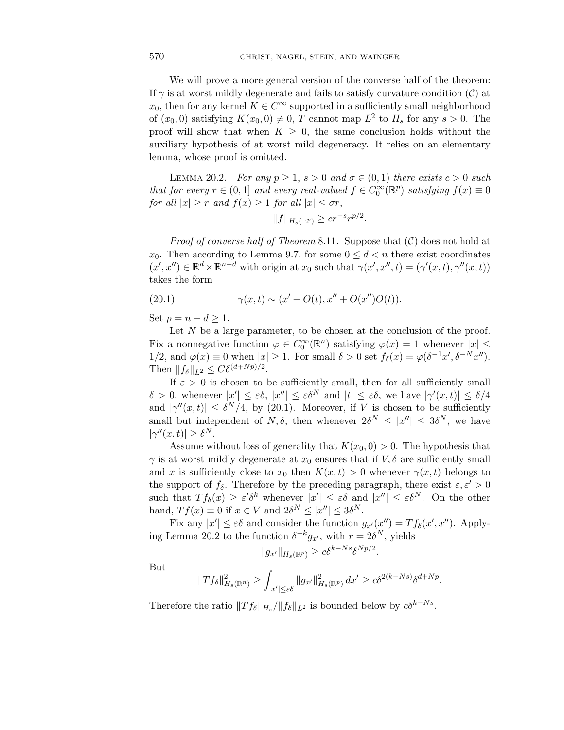We will prove a more general version of the converse half of the theorem: If  $\gamma$  is at worst mildly degenerate and fails to satisfy curvature condition (C) at  $x_0$ , then for any kernel  $K \in C^\infty$  supported in a sufficiently small neighborhood of  $(x_0, 0)$  satisfying  $K(x_0, 0) \neq 0$ , *T* cannot map  $L^2$  to  $H_s$  for any  $s > 0$ . The proof will show that when  $K \geq 0$ , the same conclusion holds without the auxiliary hypothesis of at worst mild degeneracy. It relies on an elementary lemma, whose proof is omitted.

LEMMA 20.2. For any  $p \ge 1$ ,  $s > 0$  and  $\sigma \in (0, 1)$  there exists  $c > 0$  such that for every  $r \in (0,1]$  and every real-valued  $f \in C_0^{\infty}(\mathbb{R}^p)$  satisfying  $f(x) \equiv 0$ for all  $|x| \geq r$  and  $f(x) \geq 1$  for all  $|x| \leq \sigma r$ ,

$$
||f||_{H_s(\mathbb{R}^p)} \ge cr^{-s}r^{p/2}.
$$

*Proof of converse half of Theorem* 8.11. Suppose that  $(C)$  does not hold at *x*<sub>0</sub>. Then according to Lemma 9.7, for some  $0 \leq d < n$  there exist coordinates  $(x', x'') \in \mathbb{R}^d \times \mathbb{R}^{n-d}$  with origin at  $x_0$  such that  $\gamma(x', x'', t) = (\gamma'(x, t), \gamma''(x, t))$ takes the form

(20.1) 
$$
\gamma(x,t) \sim (x' + O(t), x'' + O(x'')O(t)).
$$

Set  $p = n - d \geq 1$ .

Let  $N$  be a large parameter, to be chosen at the conclusion of the proof. Fix a nonnegative function  $\varphi \in C_0^{\infty}(\mathbb{R}^n)$  satisfying  $\varphi(x) = 1$  whenever  $|x| \leq$ 1/2, and  $\varphi(x) \equiv 0$  when  $|x| \ge 1$ . For small  $\delta > 0$  set  $f_{\delta}(x) = \varphi(\delta^{-1}x', \delta^{-N}x'')$ . Then  $||f_{\delta}||_{L^2} \leq C\delta^{(d+Np)/2}$ .

If  $\varepsilon > 0$  is chosen to be sufficiently small, then for all sufficiently small  $\delta > 0$ , whenever  $|x'| \leq \varepsilon \delta$ ,  $|x''| \leq \varepsilon \delta^N$  and  $|t| \leq \varepsilon \delta$ , we have  $|\gamma'(x,t)| \leq \delta/4$ and  $|\gamma''(x,t)| \leq \delta^N/4$ , by (20.1). Moreover, if *V* is chosen to be sufficiently small but independent of *N*,  $\delta$ , then whenever  $2\delta^N \leq |x''| \leq 3\delta^N$ , we have  $|\gamma''(x,t)| \geq \delta^N$ .

Assume without loss of generality that  $K(x_0, 0) > 0$ . The hypothesis that *γ* is at worst mildly degenerate at  $x_0$  ensures that if  $V$ ,  $\delta$  are sufficiently small and *x* is sufficiently close to  $x_0$  then  $K(x,t) > 0$  whenever  $\gamma(x,t)$  belongs to the support of  $f_{\delta}$ . Therefore by the preceding paragraph, there exist  $\varepsilon, \varepsilon' > 0$ such that  $T f_\delta(x) \geq \varepsilon' \delta^k$  whenever  $|x'| \leq \varepsilon \delta$  and  $|x''| \leq \varepsilon \delta^N$ . On the other hand,  $Tf(x) \equiv 0$  if  $x \in V$  and  $2\delta^N \leq |x''| \leq 3\delta^N$ .

Fix any  $|x'| \leq \varepsilon \delta$  and consider the function  $g_{x'}(x'') = Tf_{\delta}(x', x'')$ . Applying Lemma 20.2 to the function  $\delta^{-k}g_{x}$ , with  $r = 2\delta^{N}$ , yields

$$
||g_{x'}||_{H_s(\mathbb{R}^p)} \geq c\delta^{k-Ns}\delta^{Np/2}.
$$

But

$$
||Tf_\delta||^2_{H_s(\mathbb{R}^n)} \geq \int_{|x'| \leq \varepsilon \delta} ||g_{x'}||^2_{H_s(\mathbb{R}^p)} dx' \geq c\delta^{2(k-Ns)} \delta^{d+ Np}.
$$

Therefore the ratio  $||T f_{\delta}||_{H_s} / ||f_{\delta}||_{L^2}$  is bounded below by  $c\delta^{k-Ns}$ .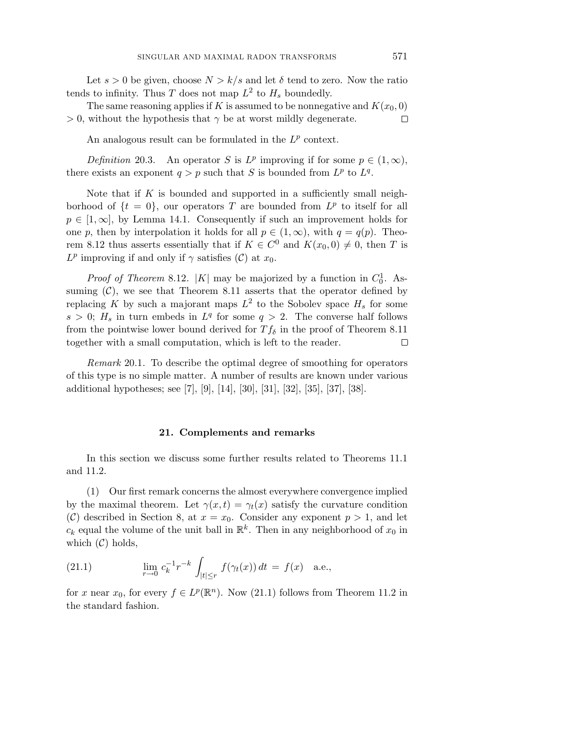Let  $s > 0$  be given, choose  $N > k/s$  and let  $\delta$  tend to zero. Now the ratio tends to infinity. Thus *T* does not map  $L^2$  to  $H_s$  boundedly.

The same reasoning applies if *K* is assumed to be nonnegative and  $K(x_0, 0)$  $> 0$ , without the hypothesis that  $\gamma$  be at worst mildly degenerate.  $\Box$ 

An analogous result can be formulated in the *L<sup>p</sup>* context.

Definition 20.3. An operator *S* is  $L^p$  improving if for some  $p \in (1, \infty)$ , there exists an exponent  $q > p$  such that *S* is bounded from  $L^p$  to  $L^q$ .

Note that if *K* is bounded and supported in a sufficiently small neighborhood of  $\{t = 0\}$ , our operators T are bounded from  $L^p$  to itself for all  $p \in [1,\infty]$ , by Lemma 14.1. Consequently if such an improvement holds for one *p*, then by interpolation it holds for all  $p \in (1,\infty)$ , with  $q = q(p)$ . Theorem 8.12 thus asserts essentially that if  $K \in C^{0}$  and  $K(x_{0},0) \neq 0$ , then *T* is  $L^p$  improving if and only if  $\gamma$  satisfies (C) at *x*<sub>0</sub>.

*Proof of Theorem* 8.12. |K| may be majorized by a function in  $C_0^1$ . Assuming  $(C)$ , we see that Theorem 8.11 asserts that the operator defined by replacing *K* by such a majorant maps  $L^2$  to the Sobolev space  $H_s$  for some  $s > 0$ ;  $H_s$  in turn embeds in  $L^q$  for some  $q > 2$ . The converse half follows from the pointwise lower bound derived for  $T f_\delta$  in the proof of Theorem 8.11 together with a small computation, which is left to the reader. □

Remark 20.1. To describe the optimal degree of smoothing for operators of this type is no simple matter. A number of results are known under various additional hypotheses; see [7], [9], [14], [30], [31], [32], [35], [37], [38].

#### **21. Complements and remarks**

In this section we discuss some further results related to Theorems 11.1 and 11.2.

(1) Our first remark concerns the almost everywhere convergence implied by the maximal theorem. Let  $\gamma(x,t) = \gamma_t(x)$  satisfy the curvature condition (C) described in Section 8, at  $x = x_0$ . Consider any exponent  $p > 1$ , and let  $c_k$  equal the volume of the unit ball in  $\mathbb{R}^k$ . Then in any neighborhood of  $x_0$  in which  $(C)$  holds,

(21.1) 
$$
\lim_{r \to 0} c_k^{-1} r^{-k} \int_{|t| \le r} f(\gamma_t(x)) dt = f(x) \text{ a.e.},
$$

for *x* near  $x_0$ , for every  $f \in L^p(\mathbb{R}^n)$ . Now (21.1) follows from Theorem 11.2 in the standard fashion.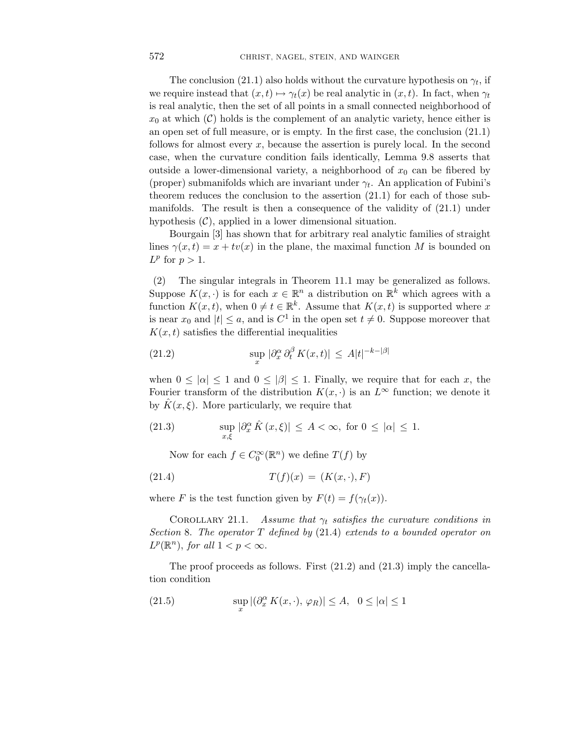The conclusion (21.1) also holds without the curvature hypothesis on  $\gamma_t$ , if we require instead that  $(x, t) \mapsto \gamma_t(x)$  be real analytic in  $(x, t)$ . In fact, when  $\gamma_t$ is real analytic, then the set of all points in a small connected neighborhood of  $x_0$  at which  $(\mathcal{C})$  holds is the complement of an analytic variety, hence either is an open set of full measure, or is empty. In the first case, the conclusion (21.1) follows for almost every *x*, because the assertion is purely local. In the second case, when the curvature condition fails identically, Lemma 9.8 asserts that outside a lower-dimensional variety, a neighborhood of  $x_0$  can be fibered by (proper) submanifolds which are invariant under *γt*. An application of Fubini's theorem reduces the conclusion to the assertion (21.1) for each of those submanifolds. The result is then a consequence of the validity of (21.1) under hypothesis  $(C)$ , applied in a lower dimensional situation.

Bourgain [3] has shown that for arbitrary real analytic families of straight lines  $\gamma(x,t) = x + tv(x)$  in the plane, the maximal function *M* is bounded on  $L^p$  for  $p > 1$ .

(2) The singular integrals in Theorem 11.1 may be generalized as follows. Suppose  $K(x, \cdot)$  is for each  $x \in \mathbb{R}^n$  a distribution on  $\mathbb{R}^k$  which agrees with a function  $K(x, t)$ , when  $0 \neq t \in \mathbb{R}^k$ . Assume that  $K(x, t)$  is supported where *x* is near  $x_0$  and  $|t| \le a$ , and is  $C^1$  in the open set  $t \ne 0$ . Suppose moreover that  $K(x,t)$  satisfies the differential inequalities

(21.2) 
$$
\sup_{x} |\partial_x^{\alpha} \partial_t^{\beta} K(x,t)| \leq A|t|^{-k-|\beta|}
$$

when  $0 \leq |\alpha| \leq 1$  and  $0 \leq |\beta| \leq 1$ . Finally, we require that for each *x*, the Fourier transform of the distribution  $K(x, \cdot)$  is an  $L^{\infty}$  function; we denote it by  $\hat{K}(x,\xi)$ . More particularly, we require that

(21.3) 
$$
\sup_{x,\xi} |\partial_x^{\alpha} \hat{K}(x,\xi)| \leq A < \infty, \text{ for } 0 \leq |\alpha| \leq 1.
$$

Now for each  $f \in C_0^{\infty}(\mathbb{R}^n)$  we define  $T(f)$  by

(21.4) 
$$
T(f)(x) = (K(x, \cdot), F)
$$

where *F* is the test function given by  $F(t) = f(\gamma_t(x))$ .

COROLLARY 21.1. Assume that  $\gamma_t$  satisfies the curvature conditions in Section 8. The operator *T* defined by (21.4) extends to a bounded operator on  $L^p(\mathbb{R}^n)$ , for all  $1 < p < \infty$ .

The proof proceeds as follows. First (21.2) and (21.3) imply the cancellation condition

(21.5) 
$$
\sup_x |(\partial_x^{\alpha} K(x,\cdot), \varphi_R)| \leq A, \quad 0 \leq |\alpha| \leq 1
$$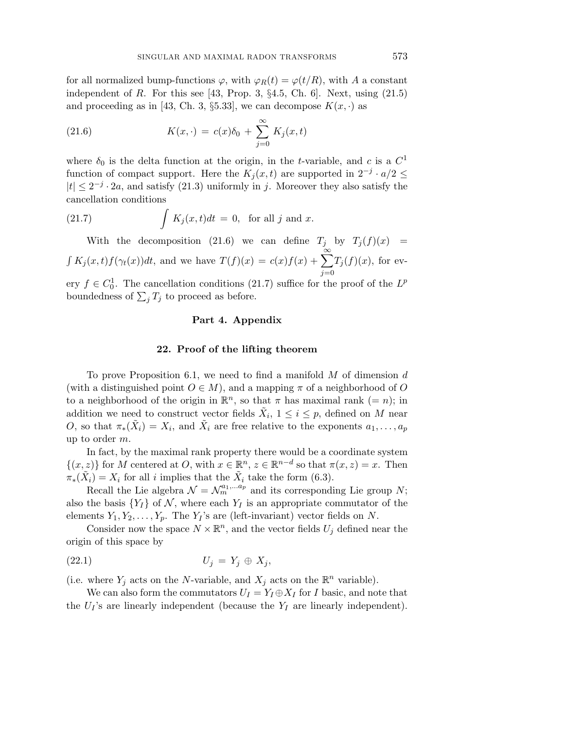for all normalized bump-functions  $\varphi$ , with  $\varphi_R(t) = \varphi(t/R)$ , with *A* a constant independent of *R*. For this see [43, Prop. 3,  $\S 4.5$ , Ch. 6]. Next, using  $(21.5)$ and proceeding as in [43, Ch. 3,  $\S5.33$ ], we can decompose  $K(x, \cdot)$  as

(21.6) 
$$
K(x, \cdot) = c(x)\delta_0 + \sum_{j=0}^{\infty} K_j(x, t)
$$

where  $\delta_0$  is the delta function at the origin, in the *t*-variable, and *c* is a  $C^1$ function of compact support. Here the  $K_i(x,t)$  are supported in  $2^{-j} \cdot a/2 \leq$  $|t| \leq 2^{-j} \cdot 2a$ , and satisfy (21.3) uniformly in *j*. Moreover they also satisfy the cancellation conditions

(21.7) 
$$
\int K_j(x,t)dt = 0, \text{ for all } j \text{ and } x.
$$

With the decomposition (21.6) we can define  $T_j$  by  $T_j(f)(x)$  =  $\int K_j(x,t)f(\gamma_t(x))dt$ , and we have  $T(f)(x) = c(x)f(x) + \sum_{k=0}^{\infty}$ *j*=0  $T_j(f)(x)$ , for ev-

ery  $f \in C_0^1$ . The cancellation conditions (21.7) suffice for the proof of the  $L^p$ boundedness of  $\sum_j T_j$  to proceed as before.

## **Part 4. Appendix**

#### **22. Proof of the lifting theorem**

To prove Proposition 6.1, we need to find a manifold *M* of dimension *d* (with a distinguished point  $O \in M$ ), and a mapping  $\pi$  of a neighborhood of  $O$ to a neighborhood of the origin in  $\mathbb{R}^n$ , so that  $\pi$  has maximal rank (= *n*); in addition we need to construct vector fields  $\tilde{X}_i$ ,  $1 \leq i \leq p$ , defined on *M* near *O*, so that  $\pi_*(\overline{X}_i) = X_i$ , and  $\overline{X}_i$  are free relative to the exponents  $a_1, \ldots, a_p$ up to order *m*.

In fact, by the maximal rank property there would be a coordinate system  $\{(x, z)\}\$ for *M* centered at *O*, with  $x \in \mathbb{R}^n$ ,  $z \in \mathbb{R}^{n-d}$  so that  $\pi(x, z) = x$ . Then  $\pi_*(\tilde{X}_i) = X_i$  for all *i* implies that the  $\tilde{X}_i$  take the form (6.3).

Recall the Lie algebra  $\mathcal{N} = \mathcal{N}_m^{a_1,...a_p}$  and its corresponding Lie group N; also the basis  $\{Y_I\}$  of N, where each  $Y_I$  is an appropriate commutator of the elements  $Y_1, Y_2, \ldots, Y_p$ . The  $Y_I$ 's are (left-invariant) vector fields on *N*.

Consider now the space  $N \times \mathbb{R}^n$ , and the vector fields  $U_j$  defined near the origin of this space by

$$
(22.1) \t\t\t U_j = Y_j \oplus X_j,
$$

(i.e. where  $Y_j$  acts on the *N*-variable, and  $X_j$  acts on the  $\mathbb{R}^n$  variable).

We can also form the commutators  $U_I = Y_I \oplus X_I$  for *I* basic, and note that the  $U_I$ 's are linearly independent (because the  $Y_I$  are linearly independent).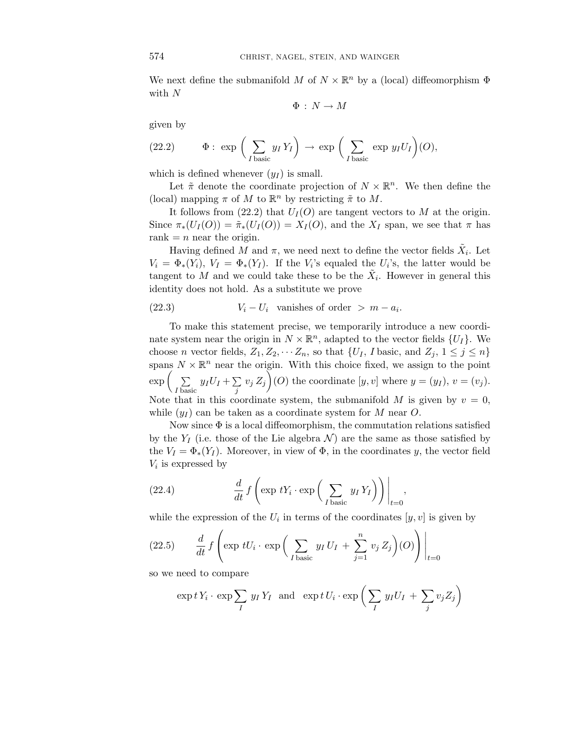We next define the submanifold *M* of  $N \times \mathbb{R}^n$  by a (local) diffeomorphism  $\Phi$ with *N*

 $\Phi : N \to M$ 

given by

(22.2) 
$$
\Phi: \exp\left(\sum_{I \text{ basic}} y_I Y_I\right) \to \exp\left(\sum_{I \text{ basic}} \exp y_I U_I\right) (O),
$$

which is defined whenever  $(y_I)$  is small.

Let  $\tilde{\pi}$  denote the coordinate projection of  $N \times \mathbb{R}^n$ . We then define the (local) mapping  $\pi$  of  $M$  to  $\mathbb{R}^n$  by restricting  $\tilde{\pi}$  to  $M$ .

It follows from  $(22.2)$  that  $U_I(O)$  are tangent vectors to *M* at the origin. Since  $\pi_*(U_I(O)) = \tilde{\pi}_*(U_I(O)) = X_I(O)$ , and the  $X_I$  span, we see that  $\pi$  has rank  $= n$  near the origin.

Having defined *M* and  $\pi$ , we need next to define the vector fields  $X_i$ . Let  $V_i = \Phi_*(Y_i)$ ,  $V_I = \Phi_*(Y_I)$ . If the  $V_i$ 's equaled the  $U_i$ 's, the latter would be tangent to *M* and we could take these to be the  $\tilde{X}_i$ . However in general this identity does not hold. As a substitute we prove

(22.3) 
$$
V_i - U_i
$$
 vanishes of order  $> m - a_i$ .

To make this statement precise, we temporarily introduce a new coordinate system near the origin in  $N \times \mathbb{R}^n$ , adapted to the vector fields  $\{U_I\}$ . We choose *n* vector fields,  $Z_1, Z_2, \cdots Z_n$ , so that  $\{U_I, I \text{ basic}, \text{ and } Z_j, 1 \leq j \leq n\}$ spans  $N \times \mathbb{R}^n$  near the origin. With this choice fixed, we assign to the point  $\exp\left(-\sum\right.$  $\sum_{I \text{ basic}} y_I U_I + \sum_j v_j Z_j$  (*O*) the coordinate  $[y, v]$  where  $y = (y_I)$ ,  $v = (v_j)$ . Note that in this coordinate system, the submanifold  $M$  is given by  $v = 0$ , while (*y<sup>I</sup>* ) can be taken as a coordinate system for *M* near *O*.

Now since  $\Phi$  is a local diffeomorphism, the commutation relations satisfied by the  $Y_I$  (i.e. those of the Lie algebra  $\mathcal N$ ) are the same as those satisfied by the  $V_I = \Phi_*(Y_I)$ . Moreover, in view of  $\Phi$ , in the coordinates *y*, the vector field *V<sup>i</sup>* is expressed by

(22.4) 
$$
\frac{d}{dt} f\left(\exp tY_i \cdot \exp\left(\sum_{I \text{ basic}} y_I Y_I\right)\right)\Big|_{t=0},
$$

while the expression of the  $U_i$  in terms of the coordinates  $[y, v]$  is given by

(22.5) 
$$
\frac{d}{dt} f\left(\exp tU_i \cdot \exp\left(\sum_{I \text{ basic}} y_I U_I + \sum_{j=1}^n v_j Z_j\right)(O)\right)\Big|_{t=0}
$$

so we need to compare

$$
\exp t Y_i \cdot \exp \sum_I y_I Y_I \text{ and } \exp t U_i \cdot \exp \left( \sum_I y_I U_I + \sum_j v_j Z_j \right)
$$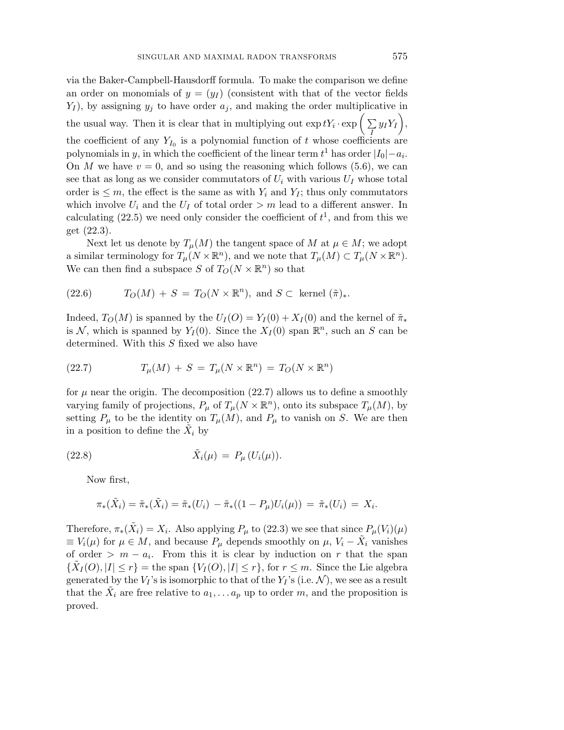via the Baker-Campbell-Hausdorff formula. To make the comparison we define an order on monomials of  $y = (y_I)$  (consistent with that of the vector fields *Y<sup>I</sup>* ), by assigning *y<sup>j</sup>* to have order *a<sup>j</sup>* , and making the order multiplicative in the usual way. Then it is clear that in multiplying out  $\exp tY_i \cdot \exp\left(\sum_I y_I Y_I\right)$ , the coefficient of any  $Y_{I_0}$  is a polynomial function of *t* whose coefficients are polynomials in *y*, in which the coefficient of the linear term  $t^1$  has order  $|I_0| - a_i$ . On *M* we have  $v = 0$ , and so using the reasoning which follows (5.6), we can see that as long as we consider commutators of  $U_i$  with various  $U_I$  whose total order is  $\leq m$ , the effect is the same as with  $Y_i$  and  $Y_i$ ; thus only commutators which involve  $U_i$  and the  $U_I$  of total order  $> m$  lead to a different answer. In calculating  $(22.5)$  we need only consider the coefficient of  $t<sup>1</sup>$ , and from this we get (22.3).

Next let us denote by  $T_\mu(M)$  the tangent space of *M* at  $\mu \in M$ ; we adopt a similar terminology for  $T_\mu(N \times \mathbb{R}^n)$ , and we note that  $T_\mu(M) \subset T_\mu(N \times \mathbb{R}^n)$ . We can then find a subspace *S* of  $T_O(N \times \mathbb{R}^n)$  so that

(22.6) 
$$
T_O(M) + S = T_O(N \times \mathbb{R}^n), \text{ and } S \subset \text{kernel } (\tilde{\pi})_*.
$$

Indeed,  $T_O(M)$  is spanned by the  $U_I(O) = Y_I(0) + X_I(0)$  and the kernel of  $\tilde{\pi}_*$ is N, which is spanned by  $Y_I(0)$ . Since the  $X_I(0)$  span  $\mathbb{R}^n$ , such an S can be determined. With this *S* fixed we also have

(22.7) 
$$
T_{\mu}(M) + S = T_{\mu}(N \times \mathbb{R}^n) = T_O(N \times \mathbb{R}^n)
$$

for  $\mu$  near the origin. The decomposition (22.7) allows us to define a smoothly varying family of projections,  $P_\mu$  of  $T_\mu(N \times \mathbb{R}^n)$ , onto its subspace  $T_\mu(M)$ , by setting  $P_\mu$  to be the identity on  $T_\mu(M)$ , and  $P_\mu$  to vanish on *S*. We are then in a position to define the  $\overline{X}_i$  by

(22.8) 
$$
\tilde{X}_i(\mu) = P_{\mu}(U_i(\mu)).
$$

Now first,

$$
\pi_*(\tilde{X}_i) = \tilde{\pi}_*(\tilde{X}_i) = \tilde{\pi}_*(U_i) - \tilde{\pi}_*((1 - P_\mu)U_i(\mu)) = \tilde{\pi}_*(U_i) = X_i.
$$

Therefore,  $\pi_*(\tilde{X}_i) = X_i$ . Also applying  $P_\mu$  to (22.3) we see that since  $P_\mu(V_i)(\mu)$  $\equiv V_i(\mu)$  for  $\mu \in M$ , and because  $P_\mu$  depends smoothly on  $\mu$ ,  $V_i - X_i$  vanishes of order  $> m - a_i$ . From this it is clear by induction on *r* that the span  $\{X_I(O), |I| \leq r\}$  = the span  $\{V_I(O), |I| \leq r\}$ , for  $r \leq m$ . Since the Lie algebra generated by the  $V_I$ 's is isomorphic to that of the  $Y_I$ 's (i.e.  $\mathcal N$ ), we see as a result that the  $\tilde{X}_i$  are free relative to  $a_1, \ldots a_p$  up to order *m*, and the proposition is proved.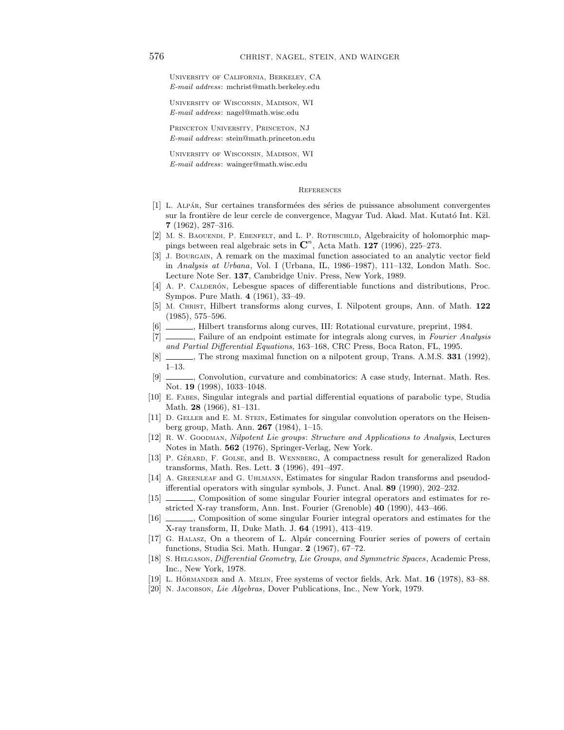University of California, Berkeley, CA *E-mail address*: mchrist@math.berkeley.edu

University of Wisconsin, Madison, WI *E-mail address*: nagel@math.wisc.edu

Princeton University, Princeton, NJ *E-mail address*: stein@math.princeton.edu

University of Wisconsin, Madison, WI *E-mail address*: wainger@math.wisc.edu

**REFERENCES** 

- [1] L. ALPÁR, Sur certaines transformées des séries de puissance absolument convergentes sur la frontière de leur cercle de convergence, Magyar Tud. Akad. Mat. Kutató Int. Käl. **7** (1962), 287–316.
- [2] M. S. BAOUENDI, P. EBENFELT, and L. P. ROTHSCHILD, Algebraicity of holomorphic mappings between real algebraic sets in  $\mathbb{C}^n$ , Acta Math. **127** (1996), 225–273.
- [3] J. Bourgain, A remark on the maximal function associated to an analytic vector field in *Analysis at Urbana*, Vol. I (Urbana, IL, 1986–1987), 111–132, London Math. Soc. Lecture Note Ser. **137**, Cambridge Univ. Press, New York, 1989.
- [4] A. P. CALDERÓN, Lebesgue spaces of differentiable functions and distributions, Proc. Sympos. Pure Math. **4** (1961), 33–49.
- [5] M. Christ, Hilbert transforms along curves, I. Nilpotent groups, Ann. of Math. **122** (1985), 575–596.
- [6] , Hilbert transforms along curves, III: Rotational curvature, preprint, 1984.
- [7] , Failure of an endpoint estimate for integrals along curves, in *Fourier Analysis and Partial Differential Equations*, 163–168, CRC Press, Boca Raton, FL, 1995.
- [8] , The strong maximal function on a nilpotent group, Trans. A.M.S. **331** (1992), 1–13.
- [9] , Convolution, curvature and combinatorics: A case study, Internat. Math. Res. Not. **19** (1998), 1033–1048.
- [10] E. Fabes, Singular integrals and partial differential equations of parabolic type, Studia Math. **28** (1966), 81–131.
- [11] D. GELLER and E. M. STEIN, Estimates for singular convolution operators on the Heisenberg group, Math. Ann. **267** (1984), 1–15.
- [12] R. W. Goodman, *Nilpotent Lie groups*: *Structure and Applications to Analysis*, Lectures Notes in Math. **562** (1976), Springer-Verlag, New York.
- [13] P. GÉRARD, F. GOLSE, and B. WENNBERG, A compactness result for generalized Radon transforms, Math. Res. Lett. **3** (1996), 491–497.
- [14] A. Greenleaf and G. Uhlmann, Estimates for singular Radon transforms and pseudodifferential operators with singular symbols, J. Funct. Anal. **89** (1990), 202–232.
- [15] , Composition of some singular Fourier integral operators and estimates for restricted X-ray transform, Ann. Inst. Fourier (Grenoble) **40** (1990), 443–466.
- [16] , Composition of some singular Fourier integral operators and estimates for the X-ray transform, II, Duke Math. J. **64** (1991), 413–419.
- [17] G. HALASZ, On a theorem of L. Alpár concerning Fourier series of powers of certain functions, Studia Sci. Math. Hungar. **2** (1967), 67–72.
- [18] S. Helgason, *Differential Geometry*, *Lie Groups*, *and Symmetric Spaces*, Academic Press, Inc., New York, 1978.
- [19] L. HÖRMANDER and A. MELIN, Free systems of vector fields, Ark. Mat. 16 (1978), 83–88.
- [20] N. Jacobson, *Lie Algebras*, Dover Publications, Inc., New York, 1979.